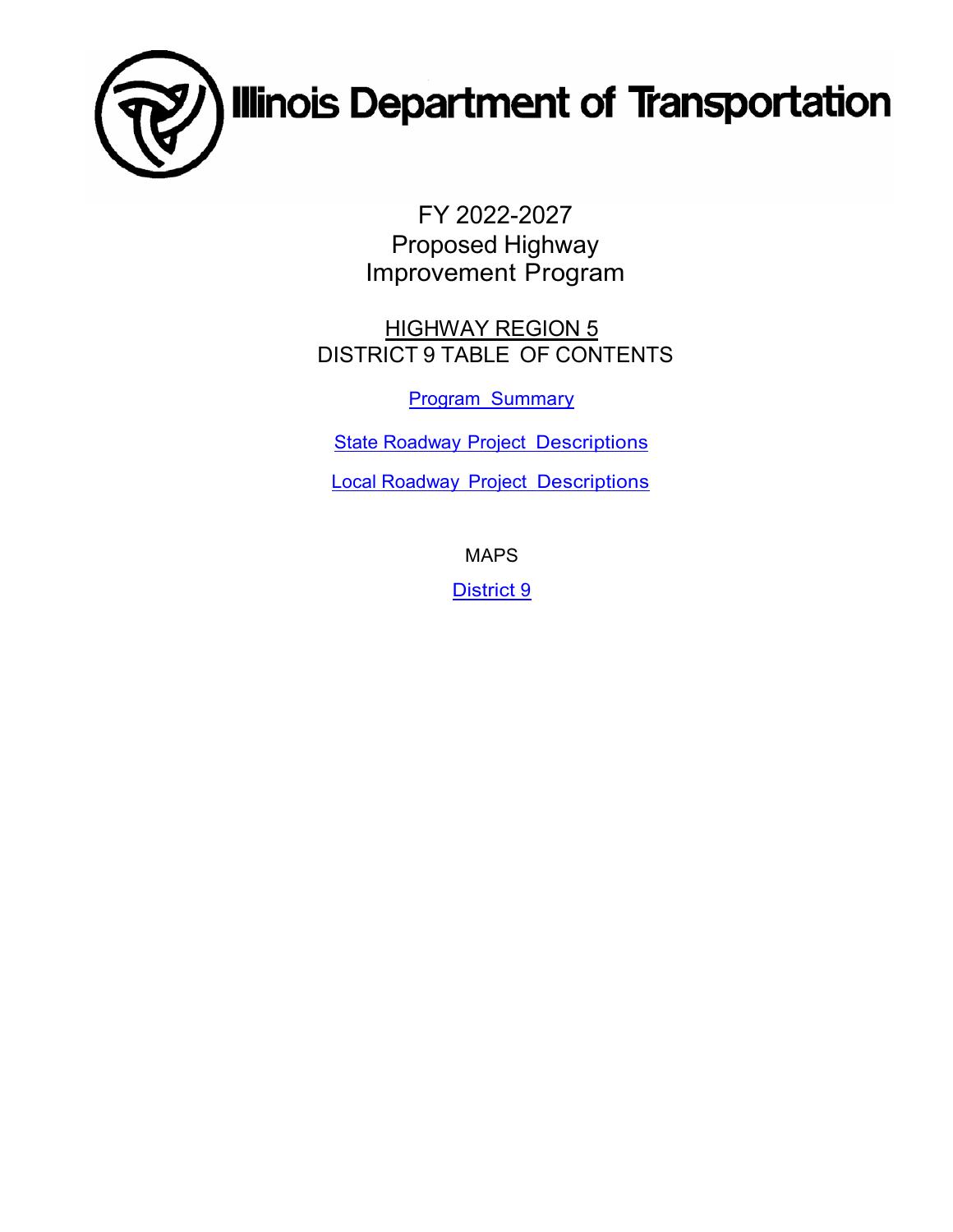

FY 2022-2027 Proposed Highway Improvement Program

HIGHWAY REGION 5 DISTRICT 9 TABLE OF CONTENTS

[Program Summary](#page-1-0)

[State Roadway Project Descriptions](#page-3-0)

[Local Roadway Project Descriptions](#page-69-0)

MAPS

[District 9](#page-92-0)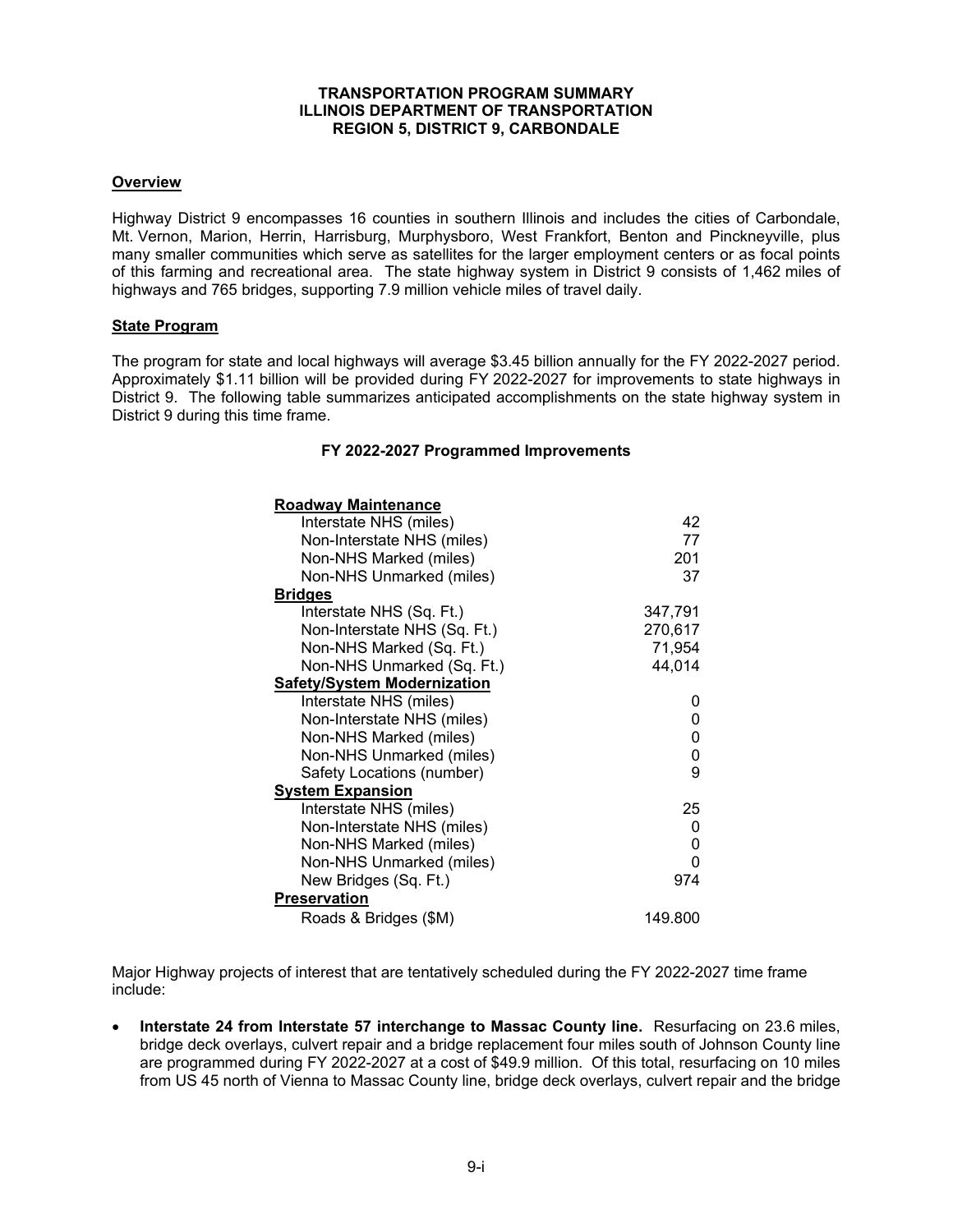#### **TRANSPORTATION PROGRAM SUMMARY ILLINOIS DEPARTMENT OF TRANSPORTATION REGION 5, DISTRICT 9, CARBONDALE**

#### <span id="page-1-0"></span>**Overview**

Highway District 9 encompasses 16 counties in southern Illinois and includes the cities of Carbondale, Mt. Vernon, Marion, Herrin, Harrisburg, Murphysboro, West Frankfort, Benton and Pinckneyville, plus many smaller communities which serve as satellites for the larger employment centers or as focal points of this farming and recreational area. The state highway system in District 9 consists of 1,462 miles of highways and 765 bridges, supporting 7.9 million vehicle miles of travel daily.

#### **State Program**

The program for state and local highways will average \$3.45 billion annually for the FY 2022-2027 period. Approximately \$1.11 billion will be provided during FY 2022-2027 for improvements to state highways in District 9. The following table summarizes anticipated accomplishments on the state highway system in District 9 during this time frame.

#### **FY 2022-2027 Programmed Improvements**

| <b>Roadway Maintenance</b>         |         |
|------------------------------------|---------|
| Interstate NHS (miles)             | 42      |
| Non-Interstate NHS (miles)         | 77      |
| Non-NHS Marked (miles)             | 201     |
| Non-NHS Unmarked (miles)           | 37      |
| <b>Bridges</b>                     |         |
| Interstate NHS (Sq. Ft.)           | 347,791 |
| Non-Interstate NHS (Sq. Ft.)       | 270,617 |
| Non-NHS Marked (Sq. Ft.)           | 71,954  |
| Non-NHS Unmarked (Sq. Ft.)         | 44,014  |
| <b>Safety/System Modernization</b> |         |
| Interstate NHS (miles)             |         |
| Non-Interstate NHS (miles)         | 0       |
| Non-NHS Marked (miles)             | 0       |
| Non-NHS Unmarked (miles)           | 0       |
| Safety Locations (number)          | 9       |
| <b>System Expansion</b>            |         |
| Interstate NHS (miles)             | 25      |
| Non-Interstate NHS (miles)         | 0       |
| Non-NHS Marked (miles)             | 0       |
| Non-NHS Unmarked (miles)           | 0       |
| New Bridges (Sq. Ft.)              | 974     |
| <b>Preservation</b>                |         |
| Roads & Bridges (\$M)              | 149.800 |

Major Highway projects of interest that are tentatively scheduled during the FY 2022-2027 time frame include:

• **Interstate 24 from Interstate 57 interchange to Massac County line.** Resurfacing on 23.6 miles, bridge deck overlays, culvert repair and a bridge replacement four miles south of Johnson County line are programmed during FY 2022-2027 at a cost of \$49.9 million. Of this total, resurfacing on 10 miles from US 45 north of Vienna to Massac County line, bridge deck overlays, culvert repair and the bridge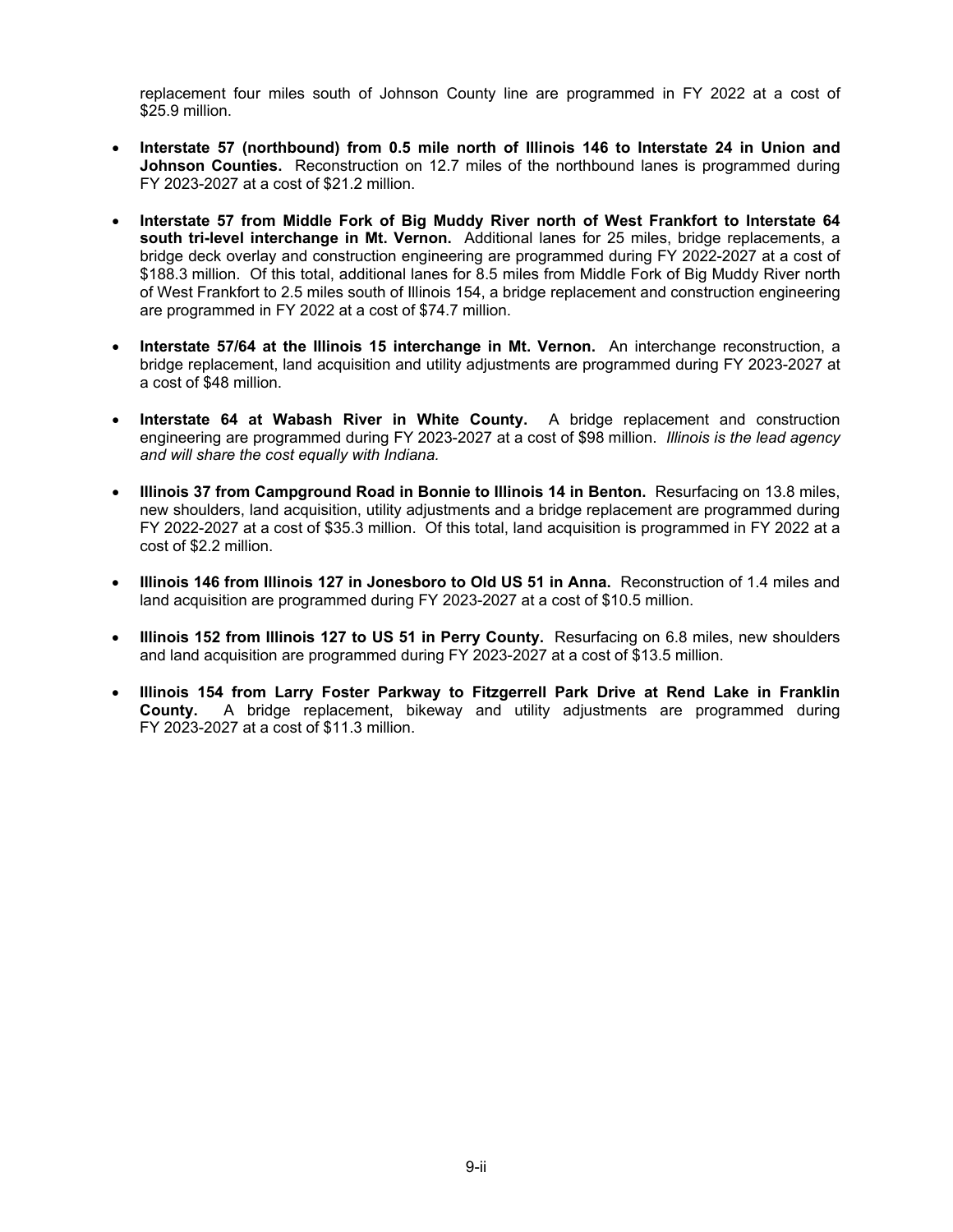replacement four miles south of Johnson County line are programmed in FY 2022 at a cost of \$25.9 million.

- **Interstate 57 (northbound) from 0.5 mile north of Illinois 146 to Interstate 24 in Union and Johnson Counties.** Reconstruction on 12.7 miles of the northbound lanes is programmed during FY 2023-2027 at a cost of \$21.2 million.
- **Interstate 57 from Middle Fork of Big Muddy River north of West Frankfort to Interstate 64 south tri-level interchange in Mt. Vernon.** Additional lanes for 25 miles, bridge replacements, a bridge deck overlay and construction engineering are programmed during FY 2022-2027 at a cost of \$188.3 million. Of this total, additional lanes for 8.5 miles from Middle Fork of Big Muddy River north of West Frankfort to 2.5 miles south of Illinois 154, a bridge replacement and construction engineering are programmed in FY 2022 at a cost of \$74.7 million.
- **Interstate 57/64 at the Illinois 15 interchange in Mt. Vernon.** An interchange reconstruction, a bridge replacement, land acquisition and utility adjustments are programmed during FY 2023-2027 at a cost of \$48 million.
- **Interstate 64 at Wabash River in White County.** A bridge replacement and construction engineering are programmed during FY 2023-2027 at a cost of \$98 million. *Illinois is the lead agency and will share the cost equally with Indiana.*
- **Illinois 37 from Campground Road in Bonnie to Illinois 14 in Benton.** Resurfacing on 13.8 miles, new shoulders, land acquisition, utility adjustments and a bridge replacement are programmed during FY 2022-2027 at a cost of \$35.3 million. Of this total, land acquisition is programmed in FY 2022 at a cost of \$2.2 million.
- **Illinois 146 from Illinois 127 in Jonesboro to Old US 51 in Anna.** Reconstruction of 1.4 miles and land acquisition are programmed during FY 2023-2027 at a cost of \$10.5 million.
- **Illinois 152 from Illinois 127 to US 51 in Perry County.** Resurfacing on 6.8 miles, new shoulders and land acquisition are programmed during FY 2023-2027 at a cost of \$13.5 million.
- **Illinois 154 from Larry Foster Parkway to Fitzgerrell Park Drive at Rend Lake in Franklin County.** A bridge replacement, bikeway and utility adjustments are programmed during FY 2023-2027 at a cost of \$11.3 million.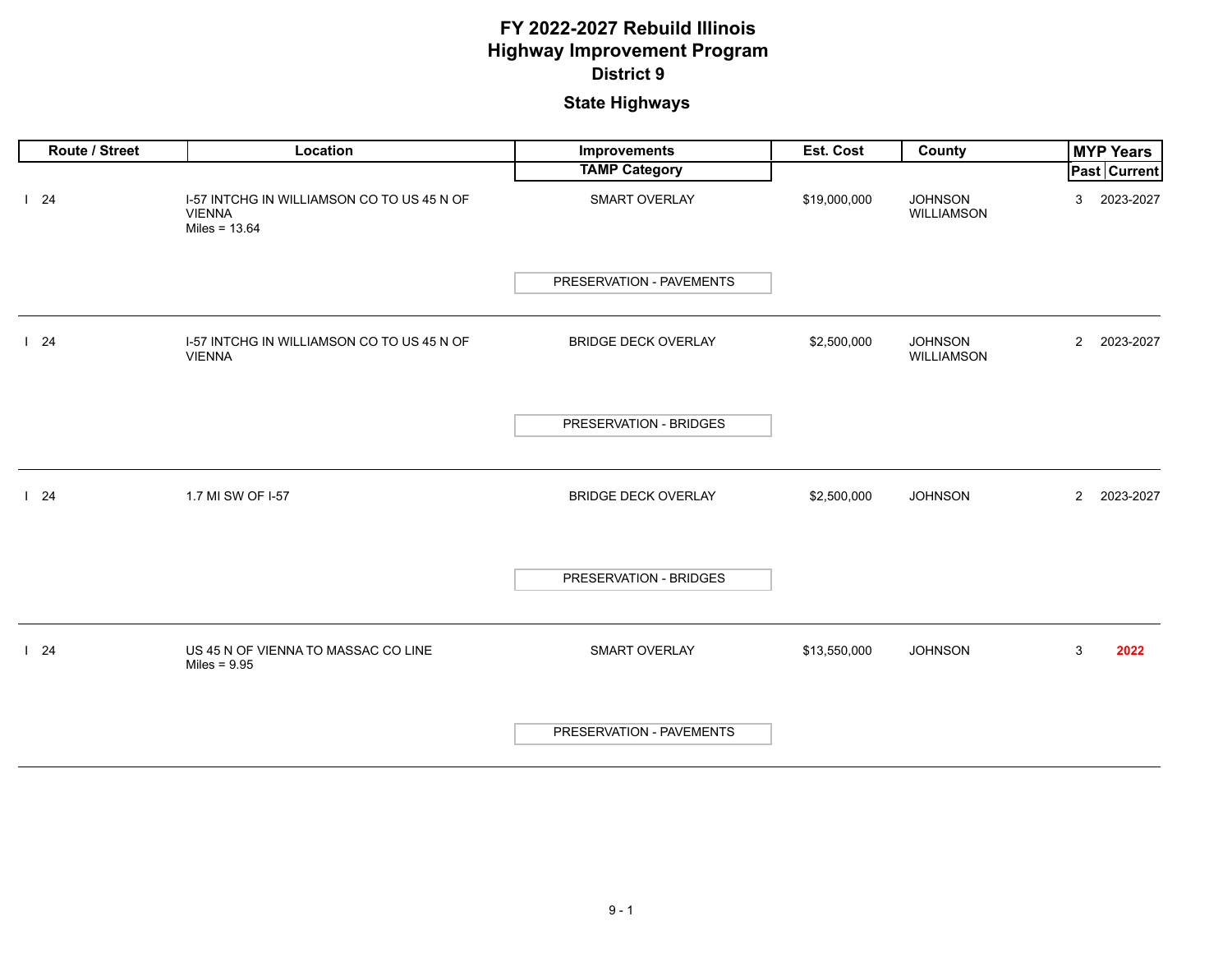<span id="page-3-0"></span>

| Route / Street | Location                                                                       | Improvements               | Est. Cost    | County                              | <b>MYP Years</b>            |
|----------------|--------------------------------------------------------------------------------|----------------------------|--------------|-------------------------------------|-----------------------------|
|                |                                                                                | <b>TAMP Category</b>       |              |                                     | Past Current                |
| 124            | I-57 INTCHG IN WILLIAMSON CO TO US 45 N OF<br><b>VIENNA</b><br>Miles = $13.64$ | SMART OVERLAY              | \$19,000,000 | <b>JOHNSON</b><br><b>WILLIAMSON</b> | 2023-2027<br>3              |
|                |                                                                                | PRESERVATION - PAVEMENTS   |              |                                     |                             |
| 124            | I-57 INTCHG IN WILLIAMSON CO TO US 45 N OF<br><b>VIENNA</b>                    | <b>BRIDGE DECK OVERLAY</b> | \$2,500,000  | <b>JOHNSON</b><br><b>WILLIAMSON</b> | $\overline{2}$<br>2023-2027 |
|                |                                                                                | PRESERVATION - BRIDGES     |              |                                     |                             |
| 124            | 1.7 MI SW OF I-57                                                              | <b>BRIDGE DECK OVERLAY</b> | \$2,500,000  | <b>JOHNSON</b>                      | 2023-2027<br>$\mathbf{2}$   |
|                |                                                                                | PRESERVATION - BRIDGES     |              |                                     |                             |
| 124            | US 45 N OF VIENNA TO MASSAC CO LINE<br>Miles = $9.95$                          | SMART OVERLAY              | \$13,550,000 | <b>JOHNSON</b>                      | $\mathbf{3}$<br>2022        |
|                |                                                                                | PRESERVATION - PAVEMENTS   |              |                                     |                             |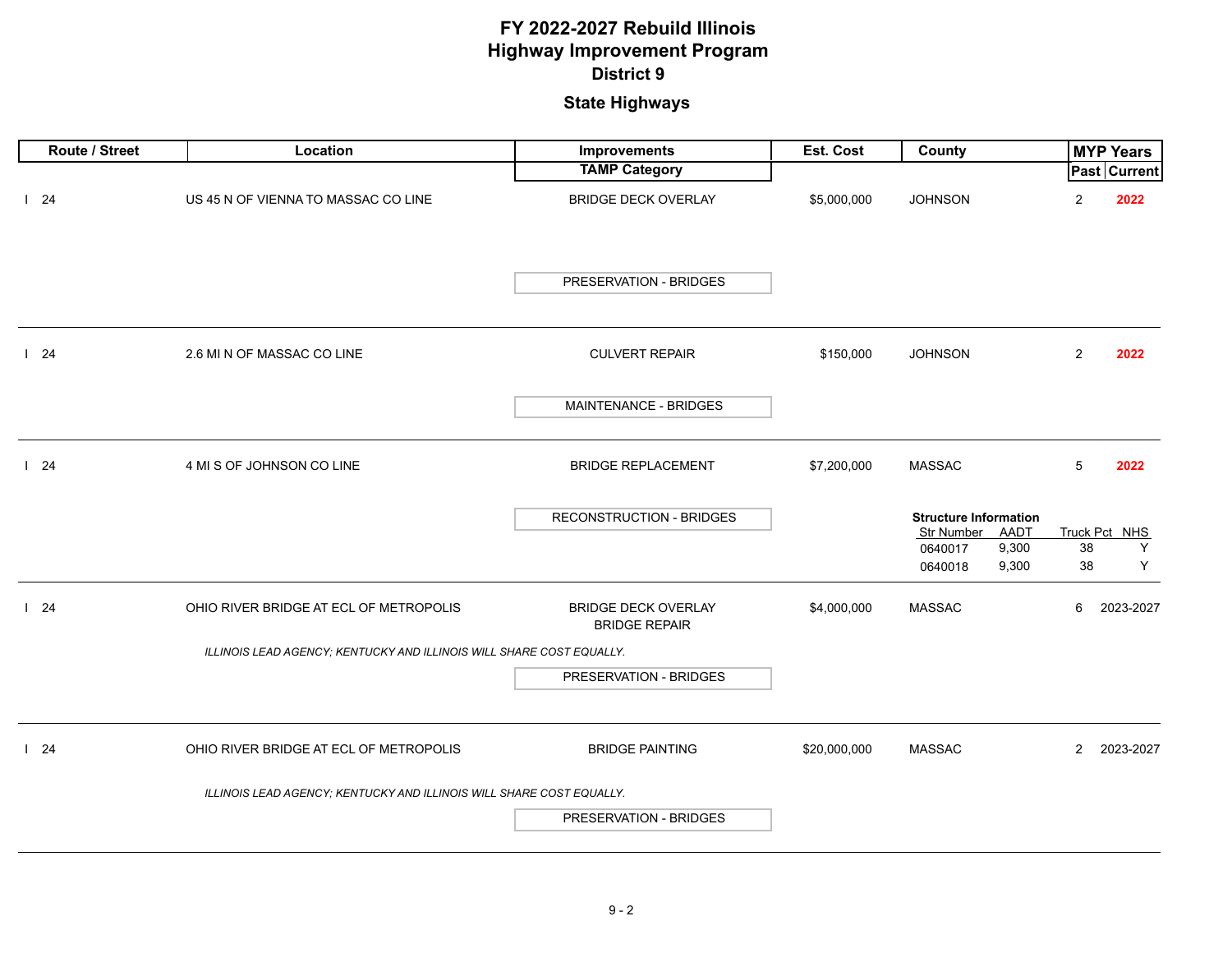| Route / Street | Location                                                             | Improvements                                       | Est. Cost    | <b>County</b>                                      |                | <b>MYP Years</b>    |
|----------------|----------------------------------------------------------------------|----------------------------------------------------|--------------|----------------------------------------------------|----------------|---------------------|
|                |                                                                      | <b>TAMP Category</b>                               |              |                                                    |                | <b>Past Current</b> |
| 124            | US 45 N OF VIENNA TO MASSAC CO LINE                                  | <b>BRIDGE DECK OVERLAY</b>                         | \$5,000,000  | <b>JOHNSON</b>                                     | 2              | 2022                |
|                |                                                                      | PRESERVATION - BRIDGES                             |              |                                                    |                |                     |
| 124            | 2.6 MI N OF MASSAC CO LINE                                           | <b>CULVERT REPAIR</b>                              | \$150,000    | <b>JOHNSON</b>                                     | 2              | 2022                |
|                |                                                                      | MAINTENANCE - BRIDGES                              |              |                                                    |                |                     |
| 124            | 4 MI S OF JOHNSON CO LINE                                            | <b>BRIDGE REPLACEMENT</b>                          | \$7,200,000  | <b>MASSAC</b>                                      | 5              | 2022                |
|                |                                                                      | <b>RECONSTRUCTION - BRIDGES</b>                    |              | <b>Structure Information</b><br>Str Number<br>AADT |                | Truck Pct NHS       |
|                |                                                                      |                                                    |              | 9,300<br>0640017                                   | 38             | Y                   |
|                |                                                                      |                                                    |              | 9,300<br>0640018                                   | 38             | Y                   |
| 124            | OHIO RIVER BRIDGE AT ECL OF METROPOLIS                               | <b>BRIDGE DECK OVERLAY</b><br><b>BRIDGE REPAIR</b> | \$4,000,000  | <b>MASSAC</b>                                      | 6              | 2023-2027           |
|                | ILLINOIS LEAD AGENCY; KENTUCKY AND ILLINOIS WILL SHARE COST EQUALLY. |                                                    |              |                                                    |                |                     |
|                |                                                                      | PRESERVATION - BRIDGES                             |              |                                                    |                |                     |
| 124            | OHIO RIVER BRIDGE AT ECL OF METROPOLIS                               | <b>BRIDGE PAINTING</b>                             | \$20,000,000 | <b>MASSAC</b>                                      | $\overline{2}$ | 2023-2027           |
|                | ILLINOIS LEAD AGENCY; KENTUCKY AND ILLINOIS WILL SHARE COST EQUALLY. |                                                    |              |                                                    |                |                     |
|                |                                                                      | PRESERVATION - BRIDGES                             |              |                                                    |                |                     |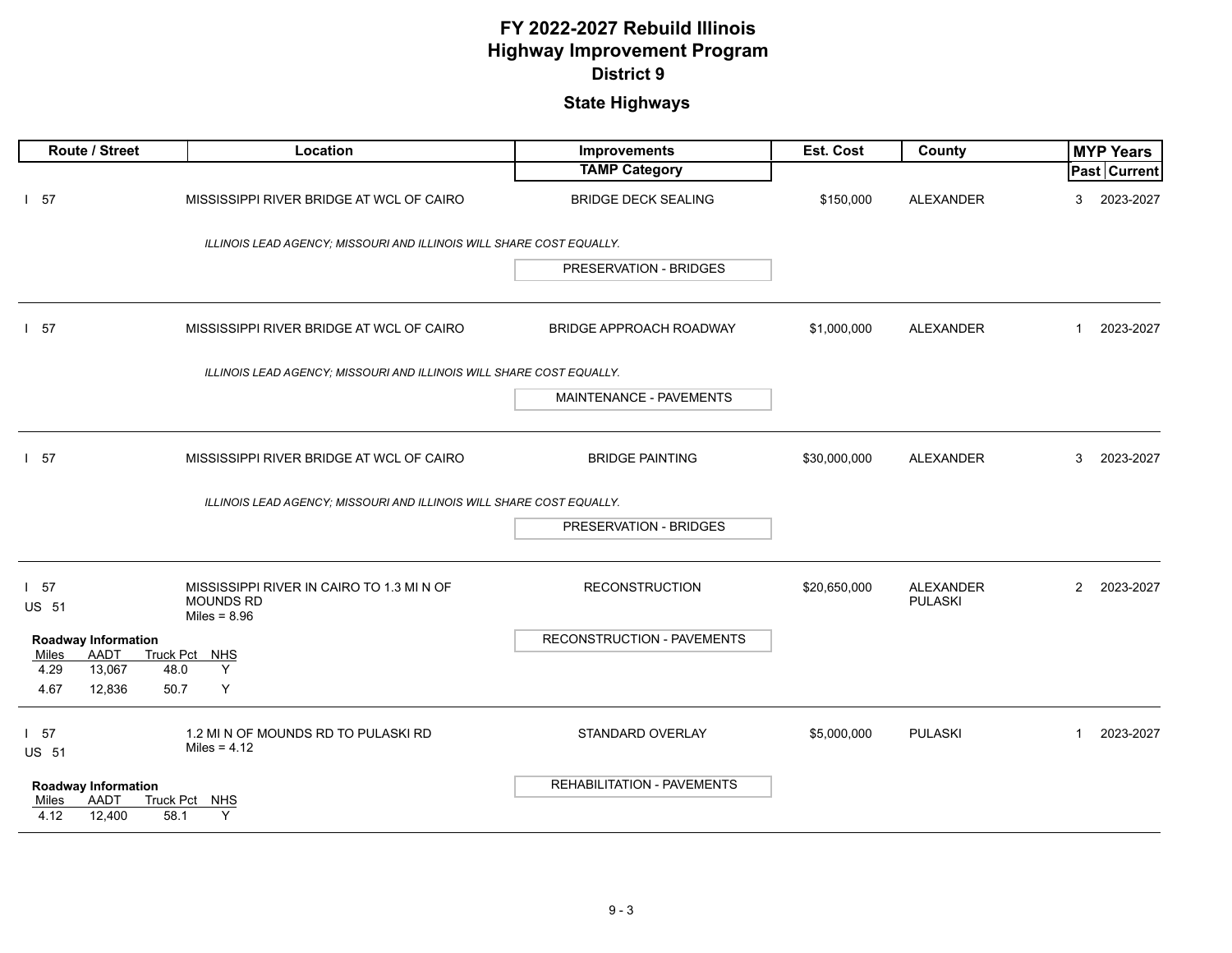| Route / Street                                                | Location                                                                        | Improvements                   | Est. Cost    | County                             | <b>MYP Years</b>            |
|---------------------------------------------------------------|---------------------------------------------------------------------------------|--------------------------------|--------------|------------------------------------|-----------------------------|
|                                                               |                                                                                 | <b>TAMP Category</b>           |              |                                    | <b>Past Current</b>         |
| $1\quad57$                                                    | MISSISSIPPI RIVER BRIDGE AT WCL OF CAIRO                                        | <b>BRIDGE DECK SEALING</b>     | \$150,000    | <b>ALEXANDER</b>                   | 2023-2027<br>3              |
|                                                               | ILLINOIS LEAD AGENCY; MISSOURI AND ILLINOIS WILL SHARE COST EQUALLY.            |                                |              |                                    |                             |
|                                                               |                                                                                 | <b>PRESERVATION - BRIDGES</b>  |              |                                    |                             |
| $1\quad57$                                                    | MISSISSIPPI RIVER BRIDGE AT WCL OF CAIRO                                        | <b>BRIDGE APPROACH ROADWAY</b> | \$1,000,000  | <b>ALEXANDER</b>                   | $\mathbf{1}$<br>2023-2027   |
|                                                               | ILLINOIS LEAD AGENCY: MISSOURI AND ILLINOIS WILL SHARE COST EQUALLY.            |                                |              |                                    |                             |
|                                                               |                                                                                 | MAINTENANCE - PAVEMENTS        |              |                                    |                             |
| $1\quad57$                                                    | MISSISSIPPI RIVER BRIDGE AT WCL OF CAIRO                                        | <b>BRIDGE PAINTING</b>         | \$30,000,000 | <b>ALEXANDER</b>                   | 3<br>2023-2027              |
|                                                               | ILLINOIS LEAD AGENCY: MISSOURI AND ILLINOIS WILL SHARE COST EQUALLY.            |                                |              |                                    |                             |
|                                                               |                                                                                 | PRESERVATION - BRIDGES         |              |                                    |                             |
| $1\quad57$<br><b>US 51</b>                                    | MISSISSIPPI RIVER IN CAIRO TO 1.3 MI N OF<br><b>MOUNDS RD</b><br>Miles = $8.96$ | <b>RECONSTRUCTION</b>          | \$20,650,000 | <b>ALEXANDER</b><br><b>PULASKI</b> | $\overline{2}$<br>2023-2027 |
| <b>Roadway Information</b><br>AADT<br>Miles<br>4.29<br>13,067 | Truck Pct NHS<br>Y<br>48.0                                                      | RECONSTRUCTION - PAVEMENTS     |              |                                    |                             |
| 4.67<br>12,836                                                | Y<br>50.7                                                                       |                                |              |                                    |                             |
| 157<br><b>US 51</b>                                           | 1.2 MI N OF MOUNDS RD TO PULASKI RD<br>Miles = $4.12$                           | STANDARD OVERLAY               | \$5,000,000  | <b>PULASKI</b>                     | 2023-2027<br>$\mathbf{1}$   |
| <b>Roadway Information</b><br>AADT<br>Miles<br>4.12<br>12,400 | Truck Pct NHS<br>58.1<br>Y                                                      | REHABILITATION - PAVEMENTS     |              |                                    |                             |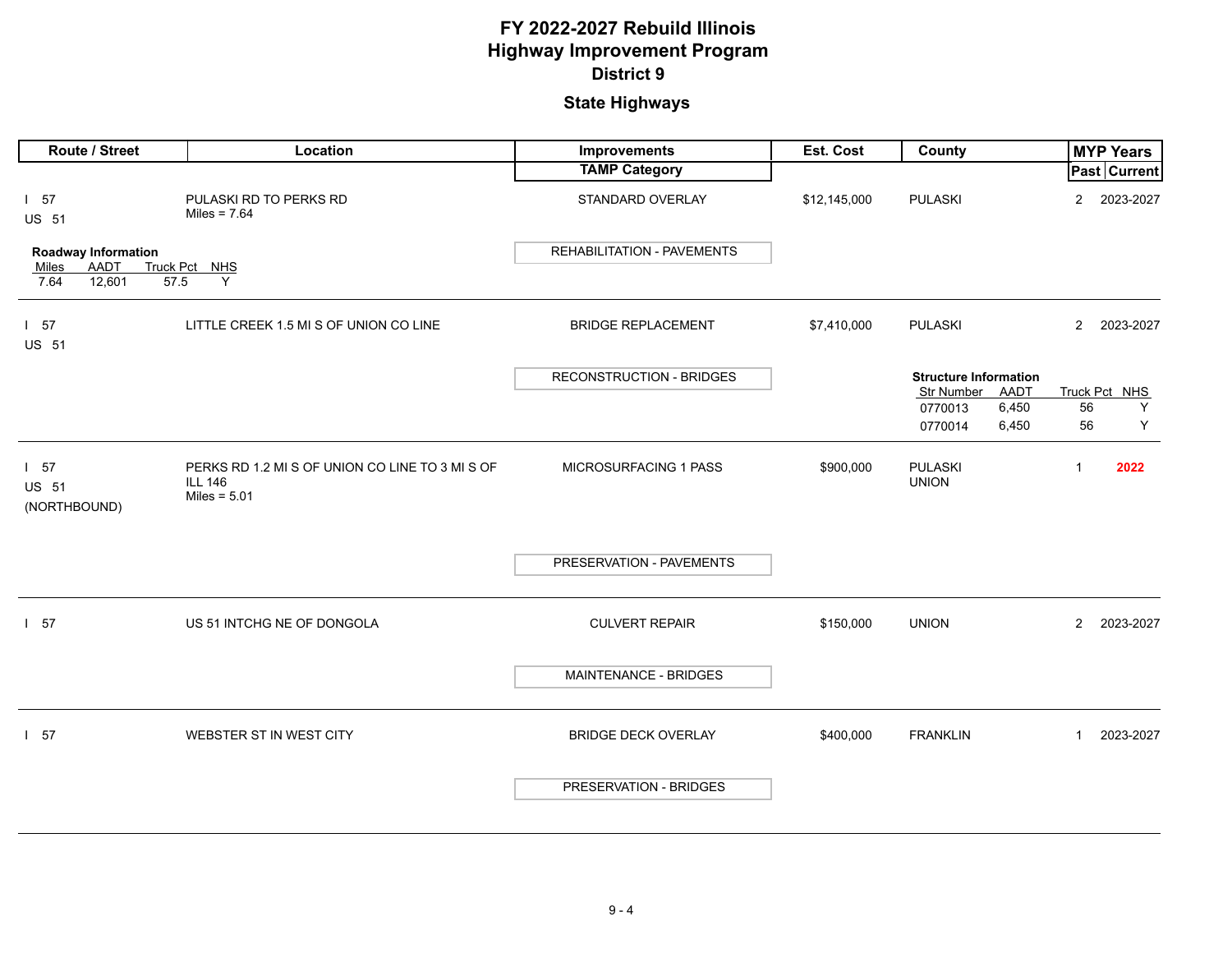| Route / Street                                  | Location                                                                            | Improvements                    | Est. Cost    | County                                             |                | <b>MYP Years</b> |
|-------------------------------------------------|-------------------------------------------------------------------------------------|---------------------------------|--------------|----------------------------------------------------|----------------|------------------|
|                                                 |                                                                                     | <b>TAMP Category</b>            |              |                                                    |                | Past Current     |
| 1 57<br>US 51                                   | PULASKI RD TO PERKS RD<br>Miles = $7.64$                                            | STANDARD OVERLAY                | \$12,145,000 | <b>PULASKI</b>                                     | $\overline{2}$ | 2023-2027        |
| <b>Roadway Information</b>                      |                                                                                     | REHABILITATION - PAVEMENTS      |              |                                                    |                |                  |
| <b>AADT</b><br>Miles<br>7.64<br>12,601<br>57.5  | Truck Pct NHS<br>Y                                                                  |                                 |              |                                                    |                |                  |
| $1\quad57$<br><b>US 51</b>                      | LITTLE CREEK 1.5 MI S OF UNION CO LINE                                              | <b>BRIDGE REPLACEMENT</b>       | \$7,410,000  | <b>PULASKI</b>                                     | $2^{\circ}$    | 2023-2027        |
|                                                 |                                                                                     | <b>RECONSTRUCTION - BRIDGES</b> |              | <b>Structure Information</b><br>Str Number<br>AADT |                | Truck Pct NHS    |
|                                                 |                                                                                     |                                 |              | 6,450<br>0770013                                   | 56             | Y                |
|                                                 |                                                                                     |                                 |              | 6,450<br>0770014                                   | 56             | Υ                |
| 1 <sub>57</sub><br><b>US 51</b><br>(NORTHBOUND) | PERKS RD 1.2 MI S OF UNION CO LINE TO 3 MI S OF<br><b>ILL 146</b><br>Miles = $5.01$ | MICROSURFACING 1 PASS           | \$900,000    | <b>PULASKI</b><br><b>UNION</b>                     | $\mathbf{1}$   | 2022             |
|                                                 |                                                                                     | PRESERVATION - PAVEMENTS        |              |                                                    |                |                  |
| 1 57                                            | US 51 INTCHG NE OF DONGOLA                                                          | <b>CULVERT REPAIR</b>           | \$150,000    | <b>UNION</b>                                       | $\overline{2}$ | 2023-2027        |
|                                                 |                                                                                     | <b>MAINTENANCE - BRIDGES</b>    |              |                                                    |                |                  |
| 157                                             | WEBSTER ST IN WEST CITY                                                             | <b>BRIDGE DECK OVERLAY</b>      | \$400,000    | <b>FRANKLIN</b>                                    | $\mathbf{1}$   | 2023-2027        |
|                                                 |                                                                                     | PRESERVATION - BRIDGES          |              |                                                    |                |                  |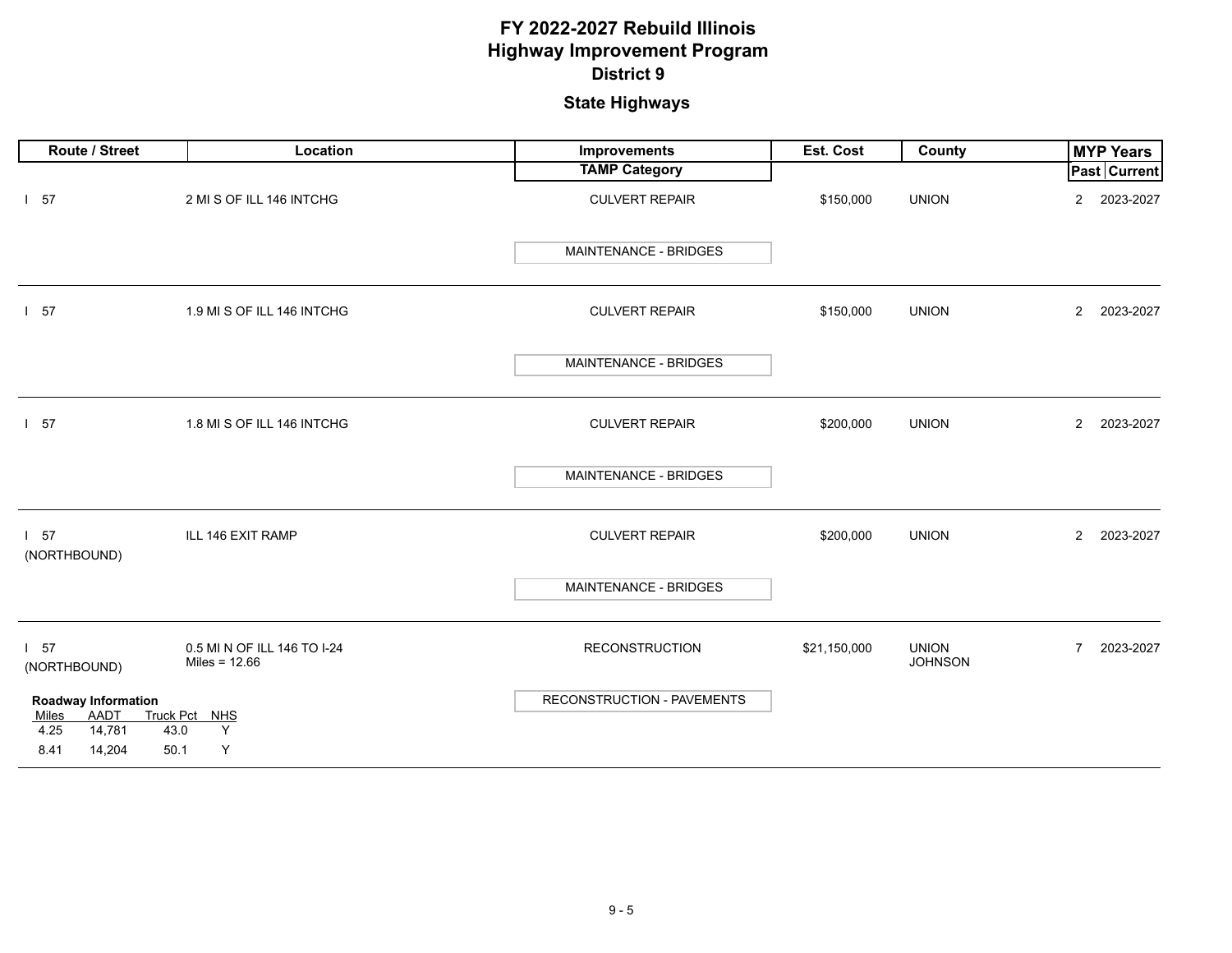| Route / Street                                                | Location                                       | Improvements               | Est. Cost    | County                         | <b>MYP Years</b>            |
|---------------------------------------------------------------|------------------------------------------------|----------------------------|--------------|--------------------------------|-----------------------------|
|                                                               |                                                | <b>TAMP Category</b>       |              |                                | Past Current                |
| $1\quad57$                                                    | 2 MI S OF ILL 146 INTCHG                       | <b>CULVERT REPAIR</b>      | \$150,000    | <b>UNION</b>                   | 2023-2027<br>$\overline{2}$ |
|                                                               |                                                | MAINTENANCE - BRIDGES      |              |                                |                             |
| 157                                                           | 1.9 MI S OF ILL 146 INTCHG                     | <b>CULVERT REPAIR</b>      | \$150,000    | <b>UNION</b>                   | 2023-2027<br>$\overline{2}$ |
|                                                               |                                                | MAINTENANCE - BRIDGES      |              |                                |                             |
| 1 57                                                          | 1.8 MI S OF ILL 146 INTCHG                     | <b>CULVERT REPAIR</b>      | \$200,000    | <b>UNION</b>                   | $\overline{2}$<br>2023-2027 |
|                                                               |                                                | MAINTENANCE - BRIDGES      |              |                                |                             |
| 1 57<br>(NORTHBOUND)                                          | ILL 146 EXIT RAMP                              | <b>CULVERT REPAIR</b>      | \$200,000    | <b>UNION</b>                   | $\mathbf{2}$<br>2023-2027   |
|                                                               |                                                | MAINTENANCE - BRIDGES      |              |                                |                             |
| 1 57<br>(NORTHBOUND)                                          | 0.5 MI N OF ILL 146 TO I-24<br>Miles = $12.66$ | <b>RECONSTRUCTION</b>      | \$21,150,000 | <b>UNION</b><br><b>JOHNSON</b> | 2023-2027<br>$\overline{7}$ |
| <b>Roadway Information</b><br>AADT<br>Miles<br>4.25<br>14,781 | Truck Pct NHS<br>Y<br>43.0                     | RECONSTRUCTION - PAVEMENTS |              |                                |                             |
| 8.41<br>14,204                                                | Υ<br>50.1                                      |                            |              |                                |                             |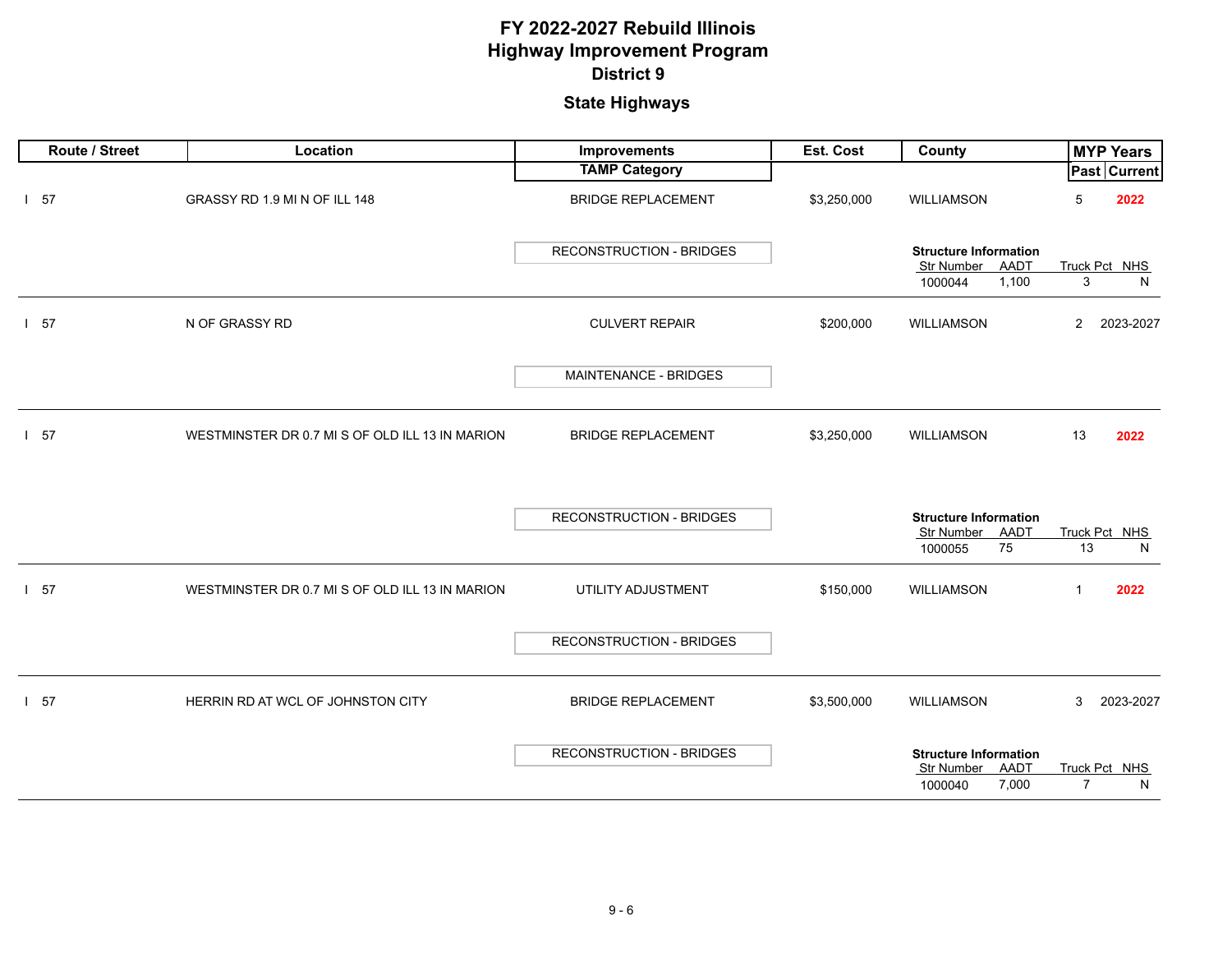| Route / Street | Location                                        | Improvements                    | Est. Cost   | County                                                                 | <b>MYP Years</b>                     |
|----------------|-------------------------------------------------|---------------------------------|-------------|------------------------------------------------------------------------|--------------------------------------|
|                |                                                 | <b>TAMP Category</b>            |             |                                                                        | Past Current                         |
| $1\quad57$     | GRASSY RD 1.9 MI N OF ILL 148                   | <b>BRIDGE REPLACEMENT</b>       | \$3,250,000 | WILLIAMSON                                                             | 5<br>2022                            |
|                |                                                 | <b>RECONSTRUCTION - BRIDGES</b> |             | <b>Structure Information</b><br>Str Number<br>AADT<br>1,100<br>1000044 | Truck Pct NHS<br>3<br>N              |
|                |                                                 |                                 |             |                                                                        |                                      |
| 1.57           | N OF GRASSY RD                                  | <b>CULVERT REPAIR</b>           | \$200,000   | <b>WILLIAMSON</b>                                                      | $\overline{2}$<br>2023-2027          |
|                |                                                 | MAINTENANCE - BRIDGES           |             |                                                                        |                                      |
| $1\quad57$     | WESTMINSTER DR 0.7 MI S OF OLD ILL 13 IN MARION | <b>BRIDGE REPLACEMENT</b>       | \$3,250,000 | WILLIAMSON                                                             | 13<br>2022                           |
|                |                                                 | <b>RECONSTRUCTION - BRIDGES</b> |             | <b>Structure Information</b><br>Str Number<br>AADT<br>75<br>1000055    | Truck Pct NHS<br>13<br>N             |
| $1\quad57$     | WESTMINSTER DR 0.7 MI S OF OLD ILL 13 IN MARION | UTILITY ADJUSTMENT              | \$150,000   | <b>WILLIAMSON</b>                                                      | $\mathbf{1}$<br>2022                 |
|                |                                                 | RECONSTRUCTION - BRIDGES        |             |                                                                        |                                      |
| 157            | HERRIN RD AT WCL OF JOHNSTON CITY               | <b>BRIDGE REPLACEMENT</b>       | \$3,500,000 | WILLIAMSON                                                             | 3<br>2023-2027                       |
|                |                                                 | RECONSTRUCTION - BRIDGES        |             | <b>Structure Information</b><br>Str Number AADT<br>7,000<br>1000040    | Truck Pct NHS<br>$\overline{7}$<br>N |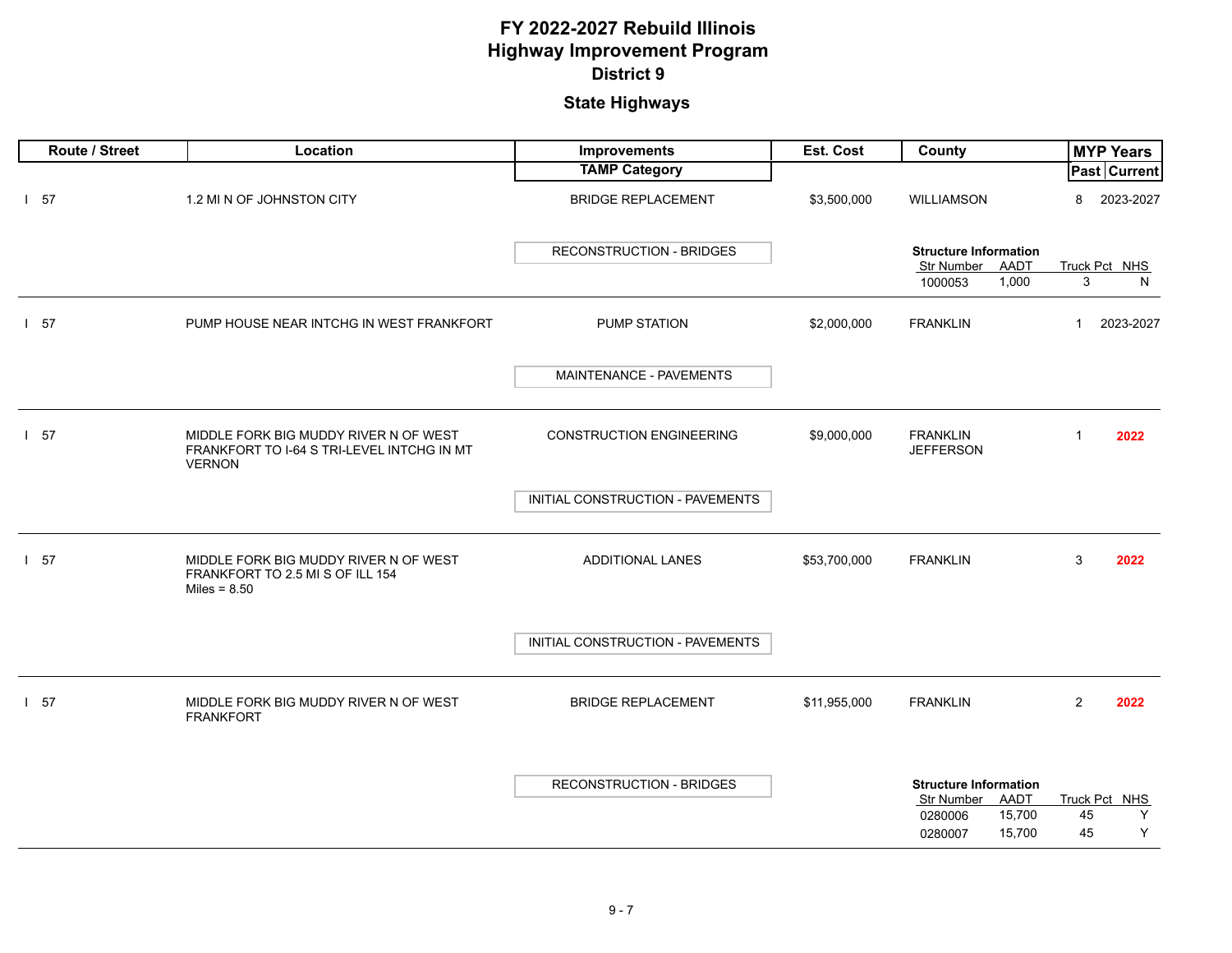| Route / Street | Location                                                                                             | Improvements                     | Est. Cost    | County                                                                                              | <b>MYP Years</b>                    |
|----------------|------------------------------------------------------------------------------------------------------|----------------------------------|--------------|-----------------------------------------------------------------------------------------------------|-------------------------------------|
|                |                                                                                                      | <b>TAMP Category</b>             |              |                                                                                                     | <b>Past Current</b>                 |
| $1\quad57$     | 1.2 MI N OF JOHNSTON CITY                                                                            | <b>BRIDGE REPLACEMENT</b>        | \$3,500,000  | WILLIAMSON                                                                                          | 8<br>2023-2027                      |
|                |                                                                                                      | <b>RECONSTRUCTION - BRIDGES</b>  |              | <b>Structure Information</b><br>Str Number AADT                                                     | Truck Pct NHS                       |
|                |                                                                                                      |                                  |              | 1000053<br>1,000                                                                                    | 3<br>N                              |
| $1\quad57$     | PUMP HOUSE NEAR INTCHG IN WEST FRANKFORT                                                             | PUMP STATION                     | \$2,000,000  | <b>FRANKLIN</b>                                                                                     | $\mathbf{1}$<br>2023-2027           |
|                |                                                                                                      | MAINTENANCE - PAVEMENTS          |              |                                                                                                     |                                     |
| $1\quad57$     | MIDDLE FORK BIG MUDDY RIVER N OF WEST<br>FRANKFORT TO I-64 S TRI-LEVEL INTCHG IN MT<br><b>VERNON</b> | <b>CONSTRUCTION ENGINEERING</b>  | \$9,000,000  | <b>FRANKLIN</b><br><b>JEFFERSON</b>                                                                 | $\mathbf{1}$<br>2022                |
|                |                                                                                                      | INITIAL CONSTRUCTION - PAVEMENTS |              |                                                                                                     |                                     |
| $1\quad57$     | MIDDLE FORK BIG MUDDY RIVER N OF WEST<br>FRANKFORT TO 2.5 MI S OF ILL 154<br>Miles = $8.50$          | <b>ADDITIONAL LANES</b>          | \$53,700,000 | <b>FRANKLIN</b>                                                                                     | 3<br>2022                           |
|                |                                                                                                      | INITIAL CONSTRUCTION - PAVEMENTS |              |                                                                                                     |                                     |
| $1\quad57$     | MIDDLE FORK BIG MUDDY RIVER N OF WEST<br><b>FRANKFORT</b>                                            | <b>BRIDGE REPLACEMENT</b>        | \$11,955,000 | <b>FRANKLIN</b>                                                                                     | 2<br>2022                           |
|                |                                                                                                      | <b>RECONSTRUCTION - BRIDGES</b>  |              | <b>Structure Information</b><br><b>Str Number</b><br>AADT<br>15,700<br>0280006<br>15,700<br>0280007 | Truck Pct NHS<br>45<br>Y<br>45<br>Y |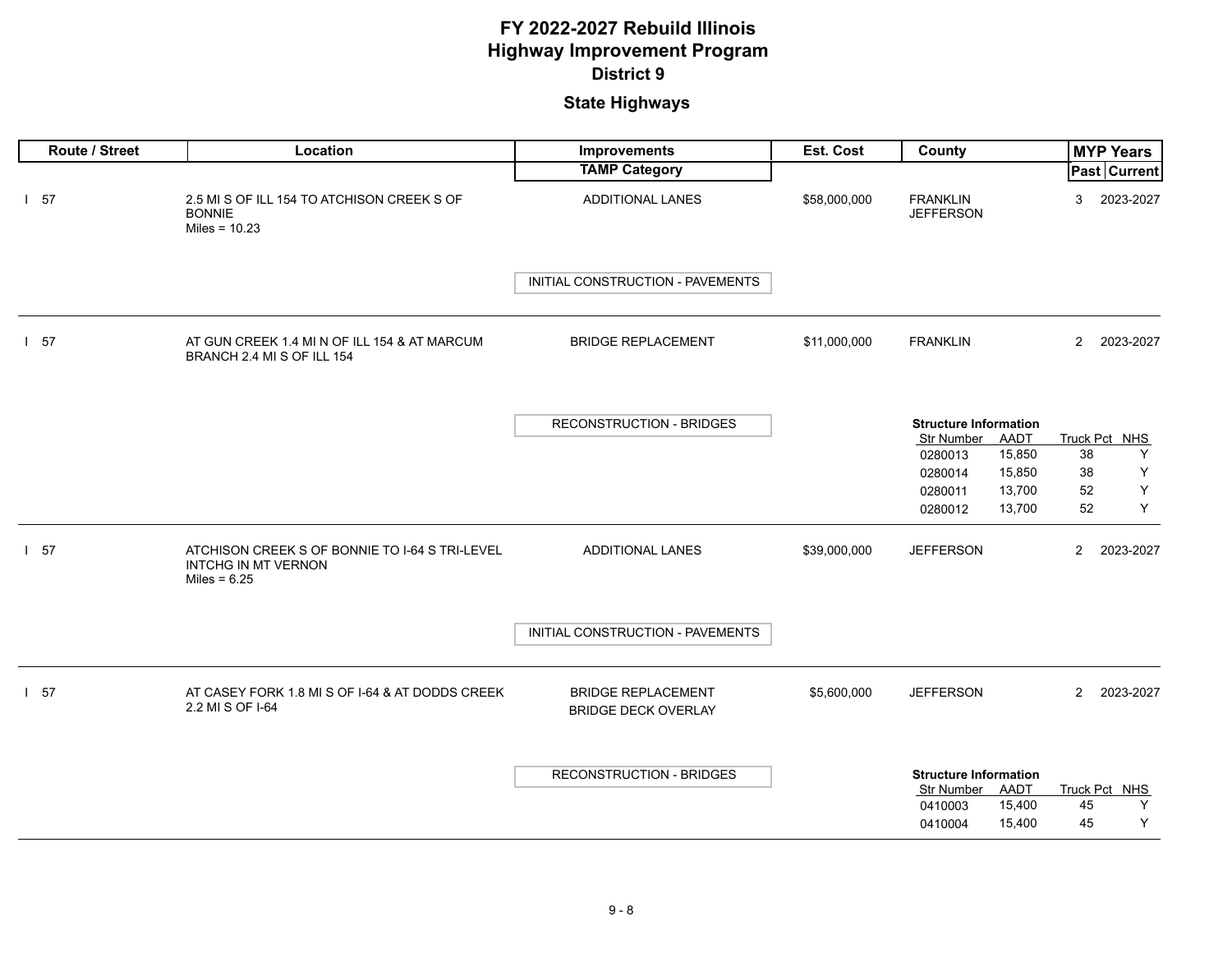| Route / Street | Location                                                                                       | Improvements                                            | Est. Cost    | County                                                    | <b>MYP Years</b>             |
|----------------|------------------------------------------------------------------------------------------------|---------------------------------------------------------|--------------|-----------------------------------------------------------|------------------------------|
|                |                                                                                                | <b>TAMP Category</b>                                    |              |                                                           | Past Current                 |
| $1\quad57$     | 2.5 MI S OF ILL 154 TO ATCHISON CREEK S OF<br><b>BONNIE</b><br>Miles = $10.23$                 | ADDITIONAL LANES                                        | \$58,000,000 | <b>FRANKLIN</b><br><b>JEFFERSON</b>                       | 3<br>2023-2027               |
|                |                                                                                                | INITIAL CONSTRUCTION - PAVEMENTS                        |              |                                                           |                              |
| $1\quad57$     | AT GUN CREEK 1.4 MI N OF ILL 154 & AT MARCUM<br>BRANCH 2.4 MI S OF ILL 154                     | <b>BRIDGE REPLACEMENT</b>                               | \$11,000,000 | <b>FRANKLIN</b>                                           | $\overline{2}$<br>2023-2027  |
|                |                                                                                                | <b>RECONSTRUCTION - BRIDGES</b>                         |              | <b>Structure Information</b><br><b>Str Number</b><br>AADT | Truck Pct NHS                |
|                |                                                                                                |                                                         |              | 15,850<br>0280013                                         | Υ<br>38                      |
|                |                                                                                                |                                                         |              | 15,850<br>0280014                                         | Υ<br>38                      |
|                |                                                                                                |                                                         |              | 13,700<br>0280011<br>13,700<br>0280012                    | $\mathsf Y$<br>52<br>Y<br>52 |
| $1\quad57$     | ATCHISON CREEK S OF BONNIE TO I-64 S TRI-LEVEL<br><b>INTCHG IN MT VERNON</b><br>Miles = $6.25$ | <b>ADDITIONAL LANES</b>                                 | \$39,000,000 | <b>JEFFERSON</b>                                          | $\overline{2}$<br>2023-2027  |
|                |                                                                                                | INITIAL CONSTRUCTION - PAVEMENTS                        |              |                                                           |                              |
| $1\quad57$     | AT CASEY FORK 1.8 MI S OF I-64 & AT DODDS CREEK<br>2.2 MI S OF I-64                            | <b>BRIDGE REPLACEMENT</b><br><b>BRIDGE DECK OVERLAY</b> | \$5,600,000  | <b>JEFFERSON</b>                                          | $\overline{2}$<br>2023-2027  |
|                |                                                                                                | <b>RECONSTRUCTION - BRIDGES</b>                         |              | <b>Structure Information</b><br>AADT<br><b>Str Number</b> | Truck Pct NHS                |
|                |                                                                                                |                                                         |              | 15,400<br>0410003                                         | 45<br>Υ<br>Y<br>45           |
|                |                                                                                                |                                                         |              | 15,400<br>0410004                                         |                              |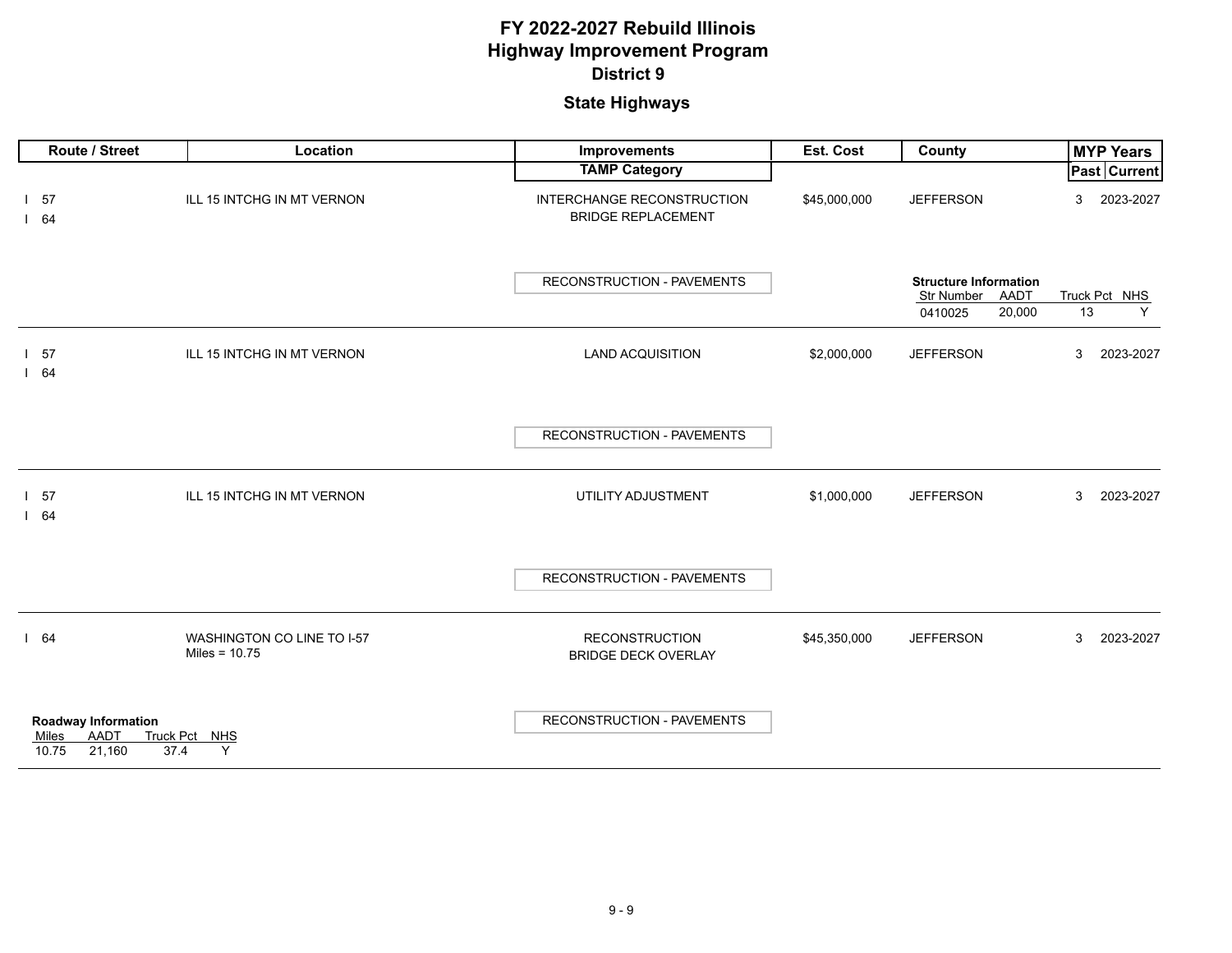| Route / Street                                                        | Location                                      | Improvements                                            | Est. Cost    | County                                                                  | <b>MYP Years</b>         |
|-----------------------------------------------------------------------|-----------------------------------------------|---------------------------------------------------------|--------------|-------------------------------------------------------------------------|--------------------------|
|                                                                       |                                               | <b>TAMP Category</b>                                    |              |                                                                         | <b>Past Current</b>      |
| $1\quad57$<br>164                                                     | ILL 15 INTCHG IN MT VERNON                    | INTERCHANGE RECONSTRUCTION<br><b>BRIDGE REPLACEMENT</b> | \$45,000,000 | <b>JEFFERSON</b>                                                        | 2023-2027<br>3           |
|                                                                       |                                               | RECONSTRUCTION - PAVEMENTS                              |              | <b>Structure Information</b><br>Str Number<br>AADT<br>20,000<br>0410025 | Truck Pct NHS<br>13<br>Y |
| 1 <sub>57</sub><br>164                                                | ILL 15 INTCHG IN MT VERNON                    | <b>LAND ACQUISITION</b>                                 | \$2,000,000  | <b>JEFFERSON</b>                                                        | 3<br>2023-2027           |
|                                                                       |                                               | RECONSTRUCTION - PAVEMENTS                              |              |                                                                         |                          |
| $1\quad57$<br>164                                                     | ILL 15 INTCHG IN MT VERNON                    | UTILITY ADJUSTMENT                                      | \$1,000,000  | <b>JEFFERSON</b>                                                        | 3<br>2023-2027           |
|                                                                       |                                               | RECONSTRUCTION - PAVEMENTS                              |              |                                                                         |                          |
| 164                                                                   | WASHINGTON CO LINE TO I-57<br>Miles = $10.75$ | <b>RECONSTRUCTION</b><br><b>BRIDGE DECK OVERLAY</b>     | \$45,350,000 | <b>JEFFERSON</b>                                                        | 3<br>2023-2027           |
| <b>Roadway Information</b><br><b>AADT</b><br>Miles<br>21,160<br>10.75 | Truck Pct NHS<br>37.4<br>Y                    | <b>RECONSTRUCTION - PAVEMENTS</b>                       |              |                                                                         |                          |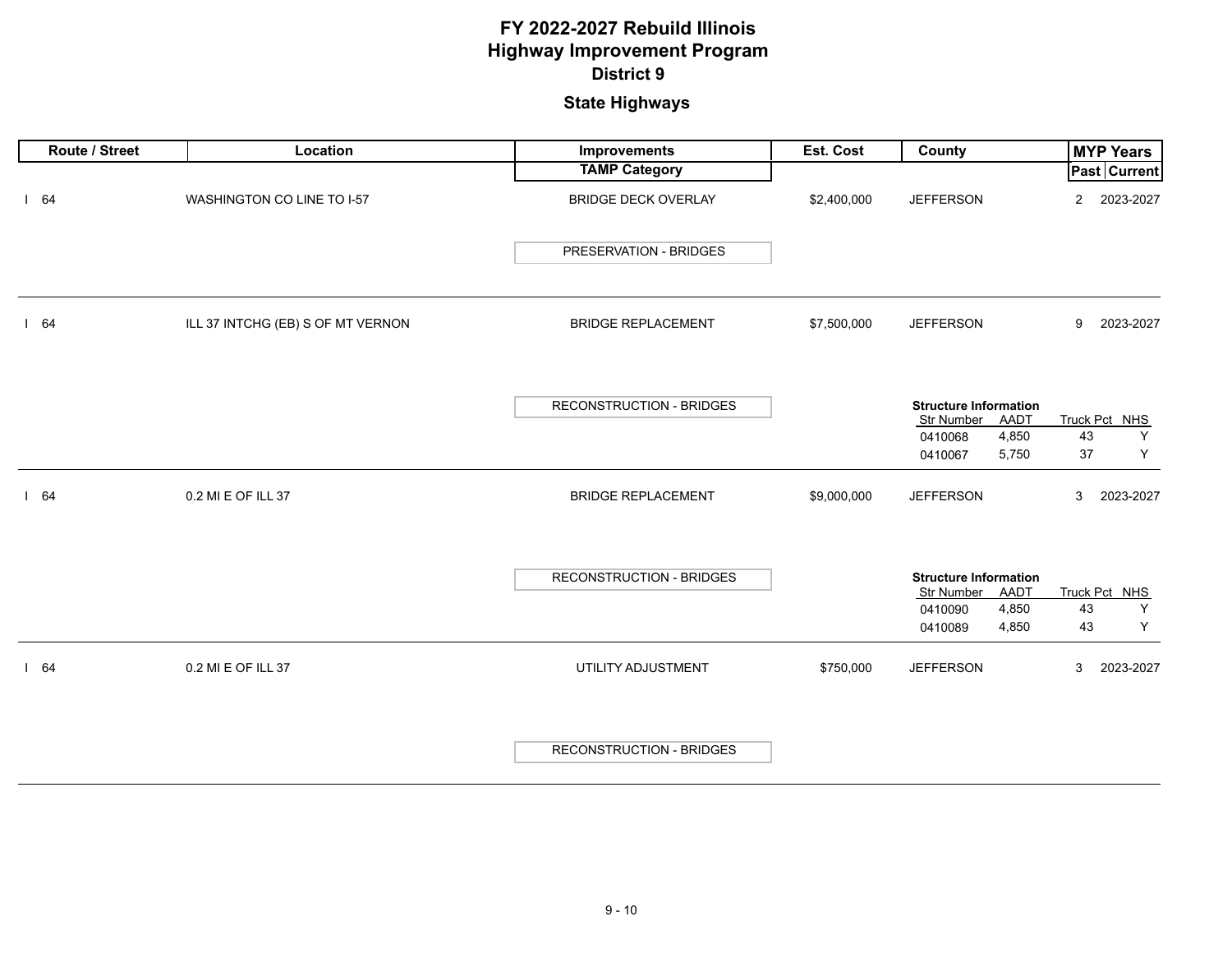| Route / Street | Location                          | Improvements                    | Est. Cost   | County                                                                                     | <b>MYP Years</b>                    |
|----------------|-----------------------------------|---------------------------------|-------------|--------------------------------------------------------------------------------------------|-------------------------------------|
|                |                                   | <b>TAMP Category</b>            |             |                                                                                            | Past Current                        |
| 164            | WASHINGTON CO LINE TO I-57        | <b>BRIDGE DECK OVERLAY</b>      | \$2,400,000 | <b>JEFFERSON</b>                                                                           | 2023-2027<br>$\overline{2}$         |
|                |                                   | PRESERVATION - BRIDGES          |             |                                                                                            |                                     |
| 64             | ILL 37 INTCHG (EB) S OF MT VERNON | <b>BRIDGE REPLACEMENT</b>       | \$7,500,000 | <b>JEFFERSON</b>                                                                           | 9<br>2023-2027                      |
|                |                                   | RECONSTRUCTION - BRIDGES        |             | <b>Structure Information</b><br>Str Number<br>AADT<br>4,850<br>0410068<br>5,750<br>0410067 | Truck Pct NHS<br>43<br>Y<br>37<br>Y |
| 164            | 0.2 MI E OF ILL 37                | <b>BRIDGE REPLACEMENT</b>       | \$9,000,000 | <b>JEFFERSON</b>                                                                           | 3<br>2023-2027                      |
|                |                                   | <b>RECONSTRUCTION - BRIDGES</b> |             | <b>Structure Information</b><br>Str Number<br>AADT<br>4,850<br>0410090<br>4,850<br>0410089 | Truck Pct NHS<br>43<br>Y<br>43<br>Y |
| 164            | 0.2 MI E OF ILL 37                | UTILITY ADJUSTMENT              | \$750,000   | <b>JEFFERSON</b>                                                                           | 3<br>2023-2027                      |
|                |                                   | <b>RECONSTRUCTION - BRIDGES</b> |             |                                                                                            |                                     |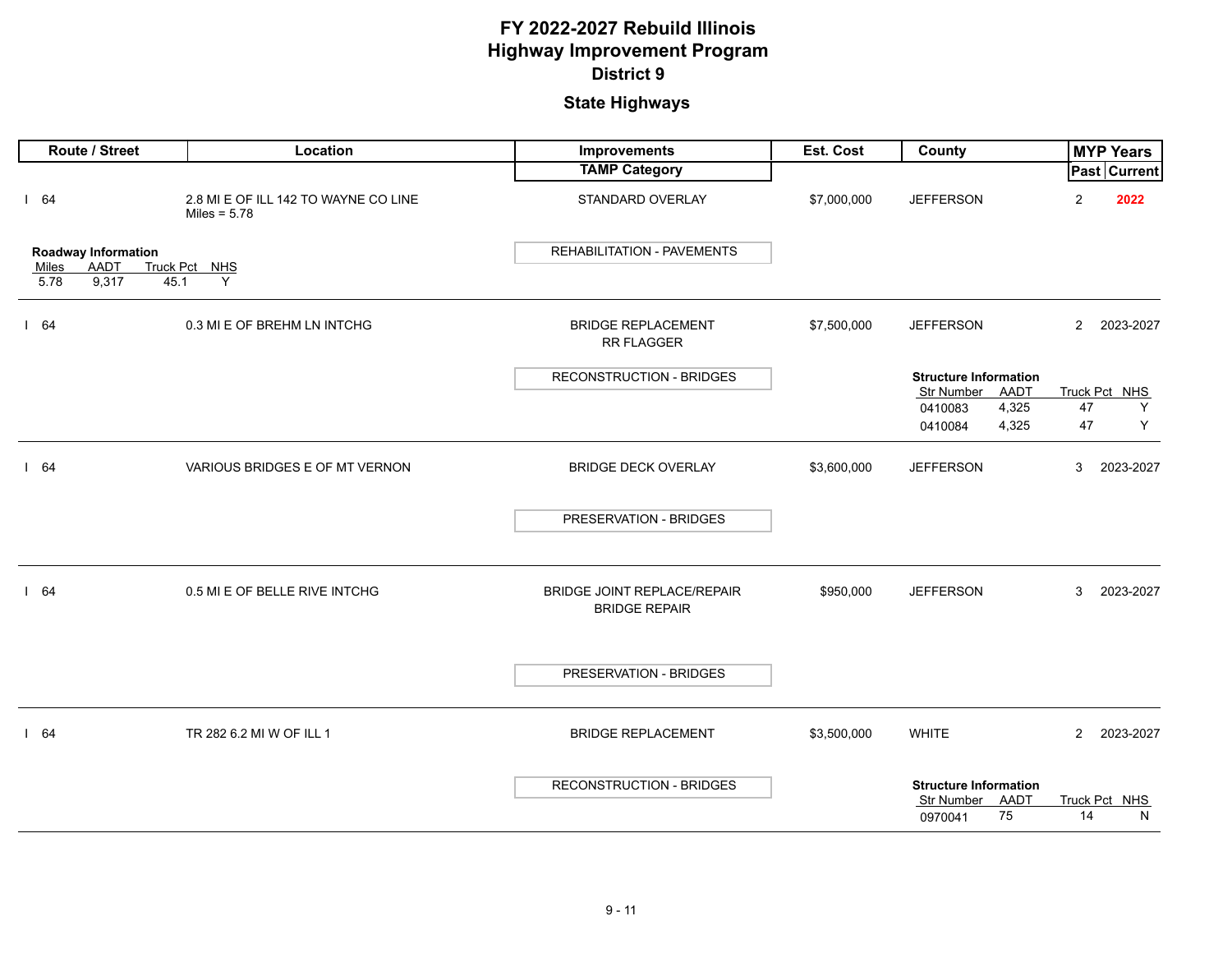| Route / Street                                     | Location                                               | <b>Improvements</b>                                 | Est. Cost   | County                                                              |                | <b>MYP Years</b>    |
|----------------------------------------------------|--------------------------------------------------------|-----------------------------------------------------|-------------|---------------------------------------------------------------------|----------------|---------------------|
|                                                    |                                                        | <b>TAMP Category</b>                                |             |                                                                     |                | <b>Past Current</b> |
| 164                                                | 2.8 MI E OF ILL 142 TO WAYNE CO LINE<br>Miles = $5.78$ | STANDARD OVERLAY                                    | \$7,000,000 | <b>JEFFERSON</b>                                                    | $\overline{2}$ | 2022                |
| <b>Roadway Information</b><br><b>AADT</b><br>Miles | Truck Pct NHS                                          | <b>REHABILITATION - PAVEMENTS</b>                   |             |                                                                     |                |                     |
| 5.78<br>9,317<br>45.1                              | Y                                                      |                                                     |             |                                                                     |                |                     |
| 164                                                | 0.3 MI E OF BREHM LN INTCHG                            | <b>BRIDGE REPLACEMENT</b><br>RR FLAGGER             | \$7,500,000 | <b>JEFFERSON</b>                                                    | $2^{\circ}$    | 2023-2027           |
|                                                    |                                                        | <b>RECONSTRUCTION - BRIDGES</b>                     |             | <b>Structure Information</b><br>AADT<br>Str Number                  |                | Truck Pct NHS       |
|                                                    |                                                        |                                                     |             | 4,325<br>0410083                                                    | 47             | Y                   |
|                                                    |                                                        |                                                     |             | 0410084<br>4,325                                                    | 47             | Υ                   |
| 164                                                | VARIOUS BRIDGES E OF MT VERNON                         | <b>BRIDGE DECK OVERLAY</b>                          | \$3,600,000 | <b>JEFFERSON</b>                                                    | 3              | 2023-2027           |
|                                                    |                                                        | PRESERVATION - BRIDGES                              |             |                                                                     |                |                     |
| 164                                                | 0.5 MI E OF BELLE RIVE INTCHG                          | BRIDGE JOINT REPLACE/REPAIR<br><b>BRIDGE REPAIR</b> | \$950,000   | <b>JEFFERSON</b>                                                    | 3              | 2023-2027           |
|                                                    |                                                        | PRESERVATION - BRIDGES                              |             |                                                                     |                |                     |
| 164                                                | TR 282 6.2 MI W OF ILL 1                               | <b>BRIDGE REPLACEMENT</b>                           | \$3,500,000 | <b>WHITE</b>                                                        | $\overline{2}$ | 2023-2027           |
|                                                    |                                                        | <b>RECONSTRUCTION - BRIDGES</b>                     |             | <b>Structure Information</b><br>AADT<br>Str Number<br>75<br>0970041 | 14             | Truck Pct NHS<br>N  |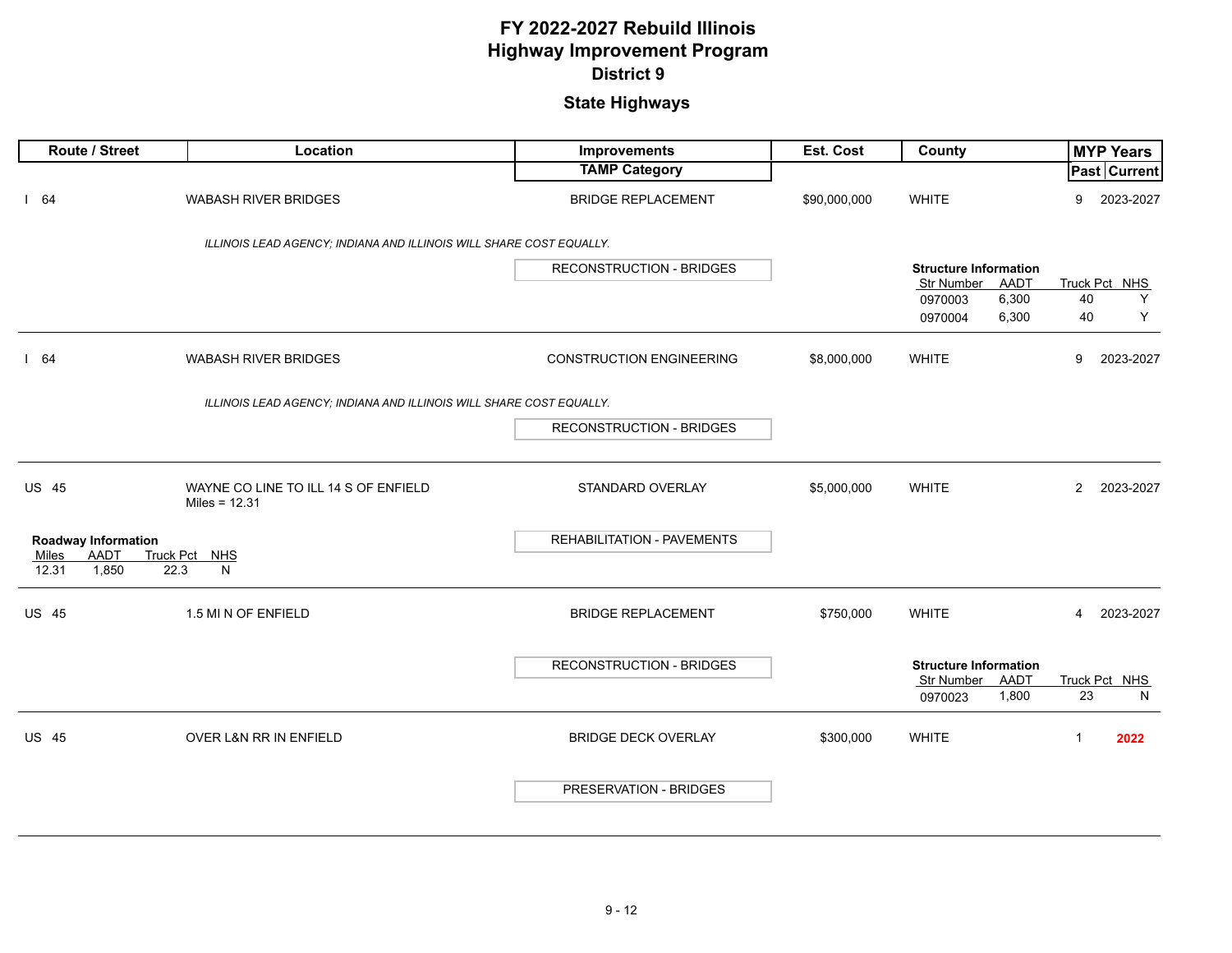| Route / Street                          | Location                                                            | Improvements                    | Est. Cost    | County                                        | <b>MYP Years</b>            |
|-----------------------------------------|---------------------------------------------------------------------|---------------------------------|--------------|-----------------------------------------------|-----------------------------|
|                                         |                                                                     | <b>TAMP Category</b>            |              |                                               | Past Current                |
| 164                                     | <b>WABASH RIVER BRIDGES</b>                                         | <b>BRIDGE REPLACEMENT</b>       | \$90,000,000 | <b>WHITE</b>                                  | 2023-2027<br>9              |
|                                         | ILLINOIS LEAD AGENCY; INDIANA AND ILLINOIS WILL SHARE COST EQUALLY. |                                 |              |                                               |                             |
|                                         |                                                                     | <b>RECONSTRUCTION - BRIDGES</b> |              | <b>Structure Information</b>                  |                             |
|                                         |                                                                     |                                 |              | AADT<br><b>Str Number</b><br>6,300<br>0970003 | Truck Pct NHS<br>40<br>Y    |
|                                         |                                                                     |                                 |              | 6,300<br>0970004                              | 40<br>Υ                     |
| 164                                     | <b>WABASH RIVER BRIDGES</b>                                         | <b>CONSTRUCTION ENGINEERING</b> | \$8,000,000  | <b>WHITE</b>                                  | 9<br>2023-2027              |
|                                         | ILLINOIS LEAD AGENCY; INDIANA AND ILLINOIS WILL SHARE COST EQUALLY. |                                 |              |                                               |                             |
|                                         |                                                                     | <b>RECONSTRUCTION - BRIDGES</b> |              |                                               |                             |
|                                         |                                                                     |                                 |              |                                               |                             |
| <b>US 45</b>                            | WAYNE CO LINE TO ILL 14 S OF ENFIELD<br>Miles = $12.31$             | <b>STANDARD OVERLAY</b>         | \$5,000,000  | <b>WHITE</b>                                  | $\overline{2}$<br>2023-2027 |
| <b>Roadway Information</b>              |                                                                     | REHABILITATION - PAVEMENTS      |              |                                               |                             |
| AADT<br>Miles<br>1,850<br>12.31<br>22.3 | Truck Pct NHS<br>N                                                  |                                 |              |                                               |                             |
| <b>US 45</b>                            | 1.5 MI N OF ENFIELD                                                 | <b>BRIDGE REPLACEMENT</b>       | \$750,000    | <b>WHITE</b>                                  | 2023-2027<br>$\overline{4}$ |
|                                         |                                                                     | <b>RECONSTRUCTION - BRIDGES</b> |              | <b>Structure Information</b>                  |                             |
|                                         |                                                                     |                                 |              | Str Number<br>AADT<br>0970023<br>1,800        | Truck Pct NHS<br>23<br>N    |
| <b>US 45</b>                            | OVER L&N RR IN ENFIELD                                              | <b>BRIDGE DECK OVERLAY</b>      | \$300,000    | <b>WHITE</b>                                  | 2022<br>$\mathbf{1}$        |
|                                         |                                                                     | PRESERVATION - BRIDGES          |              |                                               |                             |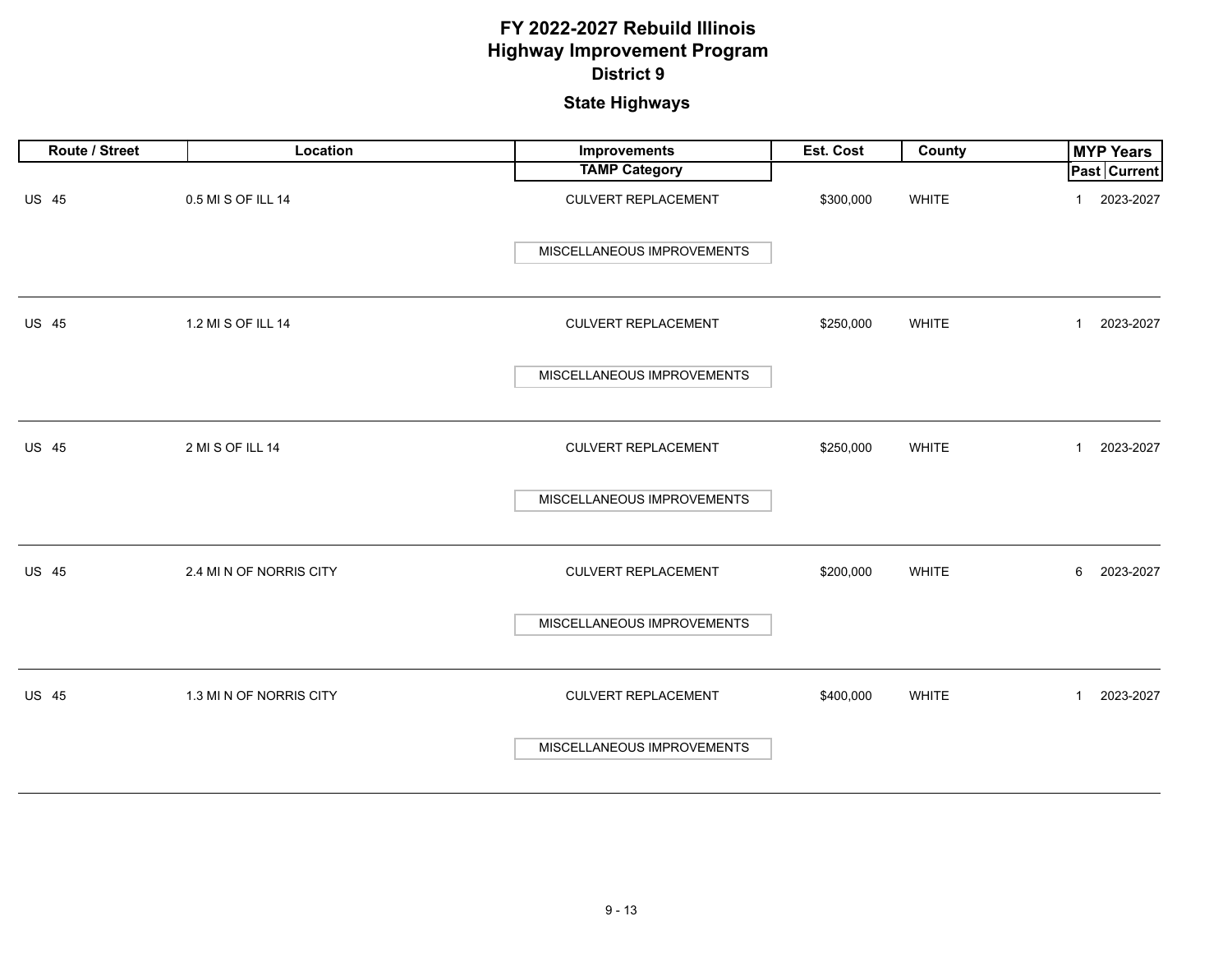| Route / Street | Location                | Improvements               | Est. Cost | County       | <b>MYP Years</b>            |
|----------------|-------------------------|----------------------------|-----------|--------------|-----------------------------|
|                |                         | <b>TAMP Category</b>       |           |              | <b>Past Current</b>         |
| <b>US 45</b>   | 0.5 MI S OF ILL 14      | <b>CULVERT REPLACEMENT</b> | \$300,000 | WHITE        | 2023-2027<br>$\mathbf 1$    |
|                |                         | MISCELLANEOUS IMPROVEMENTS |           |              |                             |
| <b>US 45</b>   | 1.2 MI S OF ILL 14      | <b>CULVERT REPLACEMENT</b> | \$250,000 | WHITE        | 2023-2027<br>$\mathbf{1}$   |
|                |                         | MISCELLANEOUS IMPROVEMENTS |           |              |                             |
| <b>US 45</b>   | 2 MI S OF ILL 14        | <b>CULVERT REPLACEMENT</b> | \$250,000 | WHITE        | 2023-2027<br>$\mathbf{1}$   |
|                |                         | MISCELLANEOUS IMPROVEMENTS |           |              |                             |
| <b>US 45</b>   | 2.4 MI N OF NORRIS CITY | <b>CULVERT REPLACEMENT</b> | \$200,000 | <b>WHITE</b> | 6<br>2023-2027              |
|                |                         | MISCELLANEOUS IMPROVEMENTS |           |              |                             |
| <b>US 45</b>   | 1.3 MI N OF NORRIS CITY | <b>CULVERT REPLACEMENT</b> | \$400,000 | <b>WHITE</b> | 2023-2027<br>$\overline{1}$ |
|                |                         | MISCELLANEOUS IMPROVEMENTS |           |              |                             |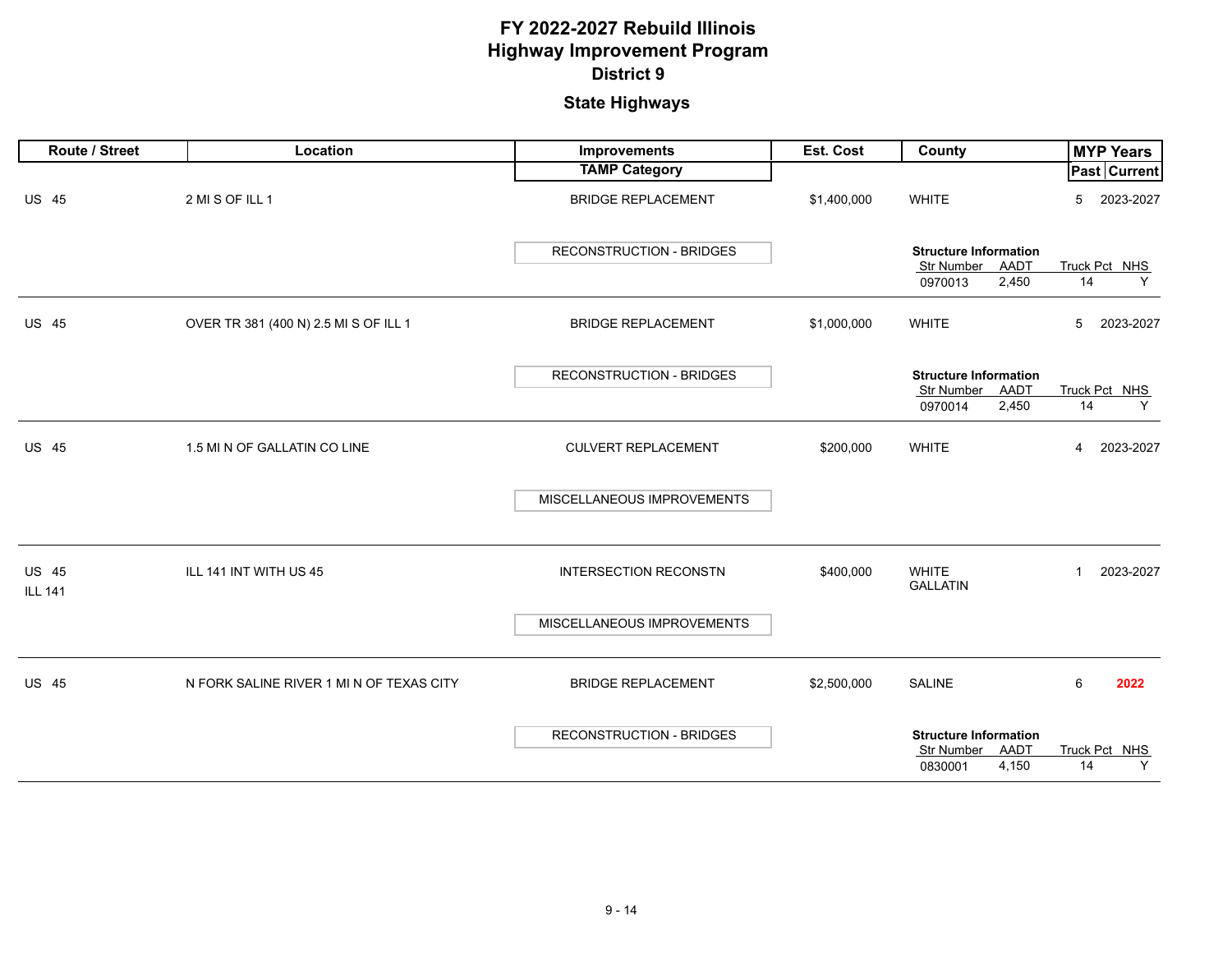| Route / Street                 | Location                                 | Improvements                    | Est. Cost   | County                                                                 | <b>MYP Years</b>            |
|--------------------------------|------------------------------------------|---------------------------------|-------------|------------------------------------------------------------------------|-----------------------------|
|                                |                                          | <b>TAMP Category</b>            |             |                                                                        | <b>Past Current</b>         |
| <b>US 45</b>                   | 2 MI S OF ILL 1                          | <b>BRIDGE REPLACEMENT</b>       | \$1,400,000 | <b>WHITE</b>                                                           | 2023-2027<br>5              |
|                                |                                          | <b>RECONSTRUCTION - BRIDGES</b> |             | <b>Structure Information</b><br>Str Number<br>AADT                     | Truck Pct NHS               |
|                                |                                          |                                 |             | 2,450<br>0970013                                                       | 14<br>Y                     |
| <b>US 45</b>                   | OVER TR 381 (400 N) 2.5 MI S OF ILL 1    | <b>BRIDGE REPLACEMENT</b>       | \$1,000,000 | <b>WHITE</b>                                                           | 2023-2027<br>5              |
|                                |                                          | <b>RECONSTRUCTION - BRIDGES</b> |             | <b>Structure Information</b><br><b>Str Number</b><br>AADT              | Truck Pct NHS               |
|                                |                                          |                                 |             | 2,450<br>0970014                                                       | 14<br>Y                     |
| <b>US 45</b>                   | 1.5 MI N OF GALLATIN CO LINE             | <b>CULVERT REPLACEMENT</b>      | \$200,000   | <b>WHITE</b>                                                           | $\overline{4}$<br>2023-2027 |
|                                |                                          | MISCELLANEOUS IMPROVEMENTS      |             |                                                                        |                             |
| <b>US 45</b><br><b>ILL 141</b> | ILL 141 INT WITH US 45                   | <b>INTERSECTION RECONSTN</b>    | \$400,000   | <b>WHITE</b><br><b>GALLATIN</b>                                        | 2023-2027<br>$\mathbf{1}$   |
|                                |                                          | MISCELLANEOUS IMPROVEMENTS      |             |                                                                        |                             |
| <b>US 45</b>                   | N FORK SALINE RIVER 1 MI N OF TEXAS CITY | <b>BRIDGE REPLACEMENT</b>       | \$2,500,000 | <b>SALINE</b>                                                          | 6<br>2022                   |
|                                |                                          | <b>RECONSTRUCTION - BRIDGES</b> |             | <b>Structure Information</b><br>AADT<br>Str Number<br>4,150<br>0830001 | Truck Pct NHS<br>Y<br>14    |
|                                |                                          |                                 |             |                                                                        |                             |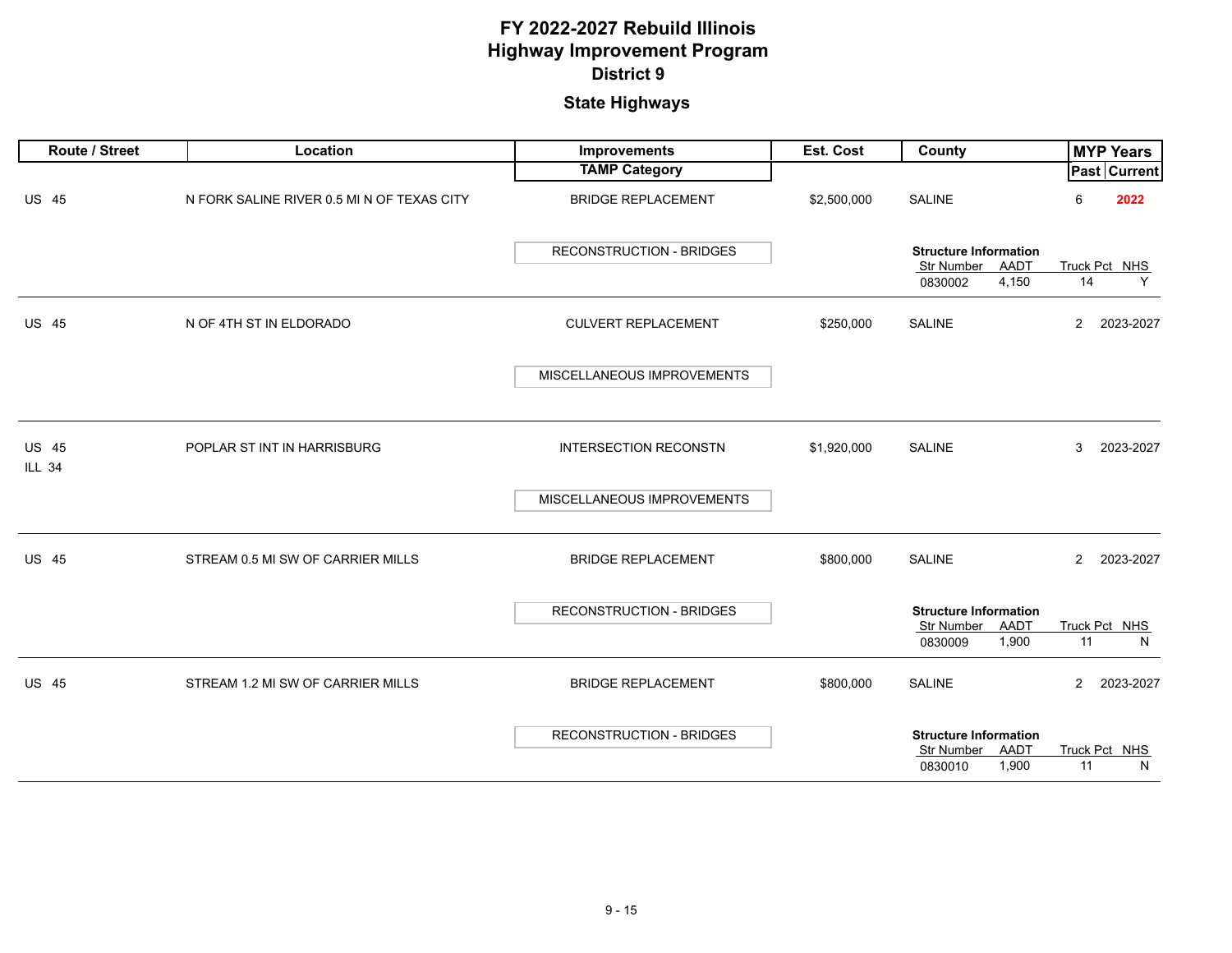| Route / Street                | Location                                   | Improvements                    | Est. Cost   | County                                                                        | <b>MYP Years</b>            |
|-------------------------------|--------------------------------------------|---------------------------------|-------------|-------------------------------------------------------------------------------|-----------------------------|
|                               |                                            | <b>TAMP Category</b>            |             |                                                                               | Past Current                |
| <b>US 45</b>                  | N FORK SALINE RIVER 0.5 MI N OF TEXAS CITY | <b>BRIDGE REPLACEMENT</b>       | \$2,500,000 | <b>SALINE</b>                                                                 | 2022<br>6                   |
|                               |                                            | <b>RECONSTRUCTION - BRIDGES</b> |             | <b>Structure Information</b><br>Str Number<br>AADT<br>4,150<br>0830002        | Truck Pct NHS<br>14<br>Y    |
| <b>US 45</b>                  | N OF 4TH ST IN ELDORADO                    | <b>CULVERT REPLACEMENT</b>      | \$250,000   | <b>SALINE</b>                                                                 | 2023-2027<br>$\overline{2}$ |
|                               |                                            | MISCELLANEOUS IMPROVEMENTS      |             |                                                                               |                             |
| <b>US 45</b><br><b>ILL 34</b> | POPLAR ST INT IN HARRISBURG                | <b>INTERSECTION RECONSTN</b>    | \$1,920,000 | <b>SALINE</b>                                                                 | 2023-2027<br>3              |
|                               |                                            | MISCELLANEOUS IMPROVEMENTS      |             |                                                                               |                             |
| <b>US 45</b>                  | STREAM 0.5 MI SW OF CARRIER MILLS          | <b>BRIDGE REPLACEMENT</b>       | \$800,000   | <b>SALINE</b>                                                                 | $\overline{2}$<br>2023-2027 |
|                               |                                            | <b>RECONSTRUCTION - BRIDGES</b> |             | <b>Structure Information</b><br>Str Number<br>AADT<br>1,900<br>0830009        | Truck Pct NHS<br>11<br>N    |
| <b>US 45</b>                  | STREAM 1.2 MI SW OF CARRIER MILLS          | <b>BRIDGE REPLACEMENT</b>       | \$800,000   | <b>SALINE</b>                                                                 | $\overline{2}$<br>2023-2027 |
|                               |                                            | <b>RECONSTRUCTION - BRIDGES</b> |             | <b>Structure Information</b><br>AADT<br><b>Str Number</b><br>1,900<br>0830010 | Truck Pct NHS<br>N<br>11    |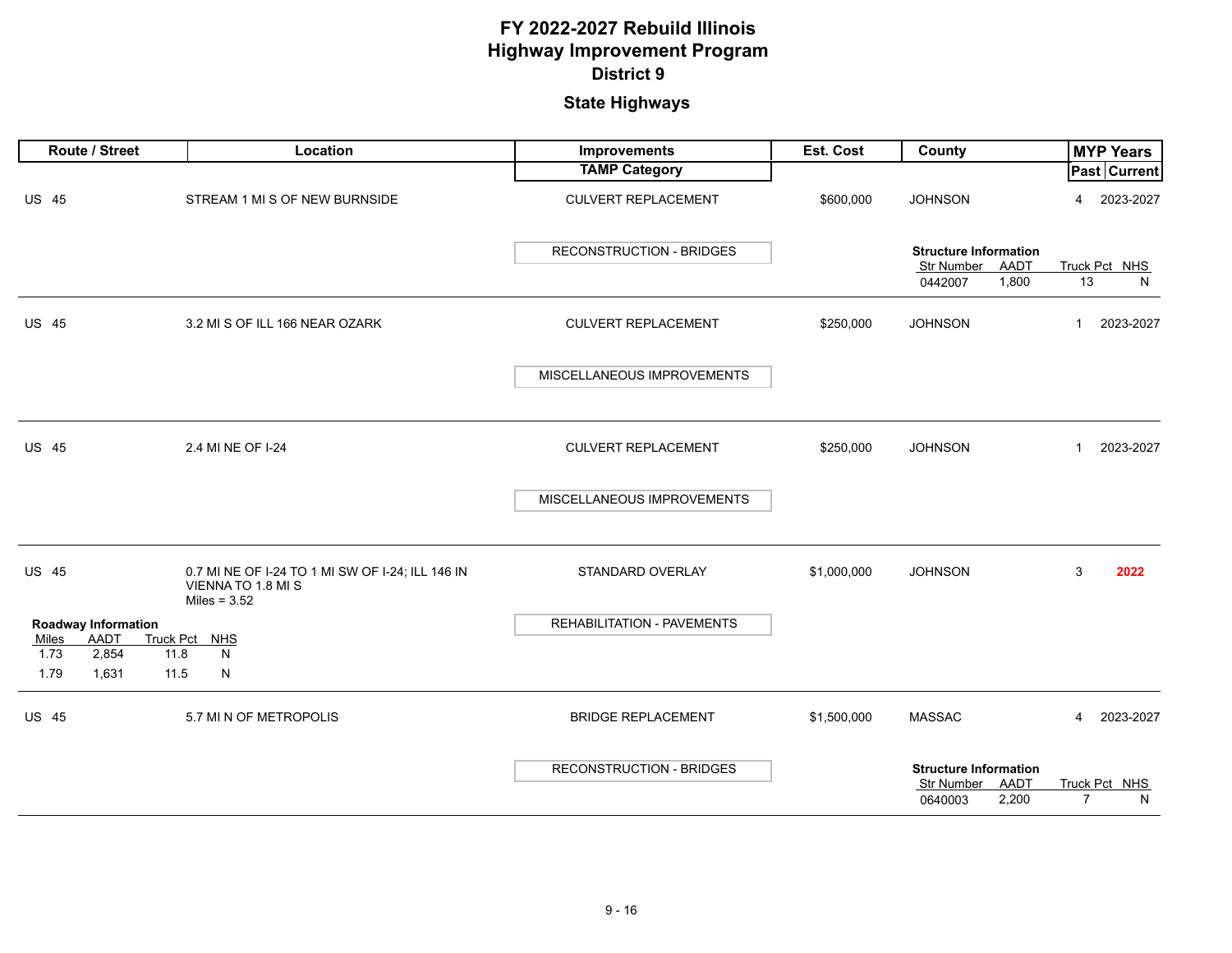|               | Route / Street             | Location                                                                                 | Improvements                    | <b>Est. Cost</b> | County                                                                 |                | <b>MYP Years</b>   |
|---------------|----------------------------|------------------------------------------------------------------------------------------|---------------------------------|------------------|------------------------------------------------------------------------|----------------|--------------------|
|               |                            |                                                                                          | <b>TAMP Category</b>            |                  |                                                                        |                | Past Current       |
| <b>US 45</b>  |                            | STREAM 1 MI S OF NEW BURNSIDE                                                            | <b>CULVERT REPLACEMENT</b>      | \$600,000        | <b>JOHNSON</b>                                                         | 4              | 2023-2027          |
|               |                            |                                                                                          | RECONSTRUCTION - BRIDGES        |                  | <b>Structure Information</b><br>Str Number AADT<br>1,800<br>0442007    | 13             | Truck Pct NHS<br>N |
| <b>US 45</b>  |                            | 3.2 MI S OF ILL 166 NEAR OZARK                                                           | <b>CULVERT REPLACEMENT</b>      | \$250,000        | <b>JOHNSON</b>                                                         | $\mathbf{1}$   | 2023-2027          |
|               |                            |                                                                                          | MISCELLANEOUS IMPROVEMENTS      |                  |                                                                        |                |                    |
| <b>US 45</b>  |                            | 2.4 MI NE OF I-24                                                                        | <b>CULVERT REPLACEMENT</b>      | \$250,000        | <b>JOHNSON</b>                                                         | $\mathbf{1}$   | 2023-2027          |
|               |                            |                                                                                          | MISCELLANEOUS IMPROVEMENTS      |                  |                                                                        |                |                    |
| <b>US 45</b>  |                            | 0.7 MI NE OF I-24 TO 1 MI SW OF I-24; ILL 146 IN<br>VIENNA TO 1.8 MI S<br>Miles = $3.52$ | STANDARD OVERLAY                | \$1,000,000      | <b>JOHNSON</b>                                                         | 3              | 2022               |
|               | <b>Roadway Information</b> |                                                                                          | REHABILITATION - PAVEMENTS      |                  |                                                                        |                |                    |
| Miles<br>1.73 | AADT<br>2,854<br>11.8      | Truck Pct NHS<br>N                                                                       |                                 |                  |                                                                        |                |                    |
| 1.79          | 1,631<br>11.5              | ${\sf N}$                                                                                |                                 |                  |                                                                        |                |                    |
| <b>US 45</b>  |                            | 5.7 MI N OF METROPOLIS                                                                   | <b>BRIDGE REPLACEMENT</b>       | \$1,500,000      | <b>MASSAC</b>                                                          | 4              | 2023-2027          |
|               |                            |                                                                                          | <b>RECONSTRUCTION - BRIDGES</b> |                  | <b>Structure Information</b><br>Str Number<br>AADT<br>2,200<br>0640003 | $\overline{7}$ | Truck Pct NHS<br>N |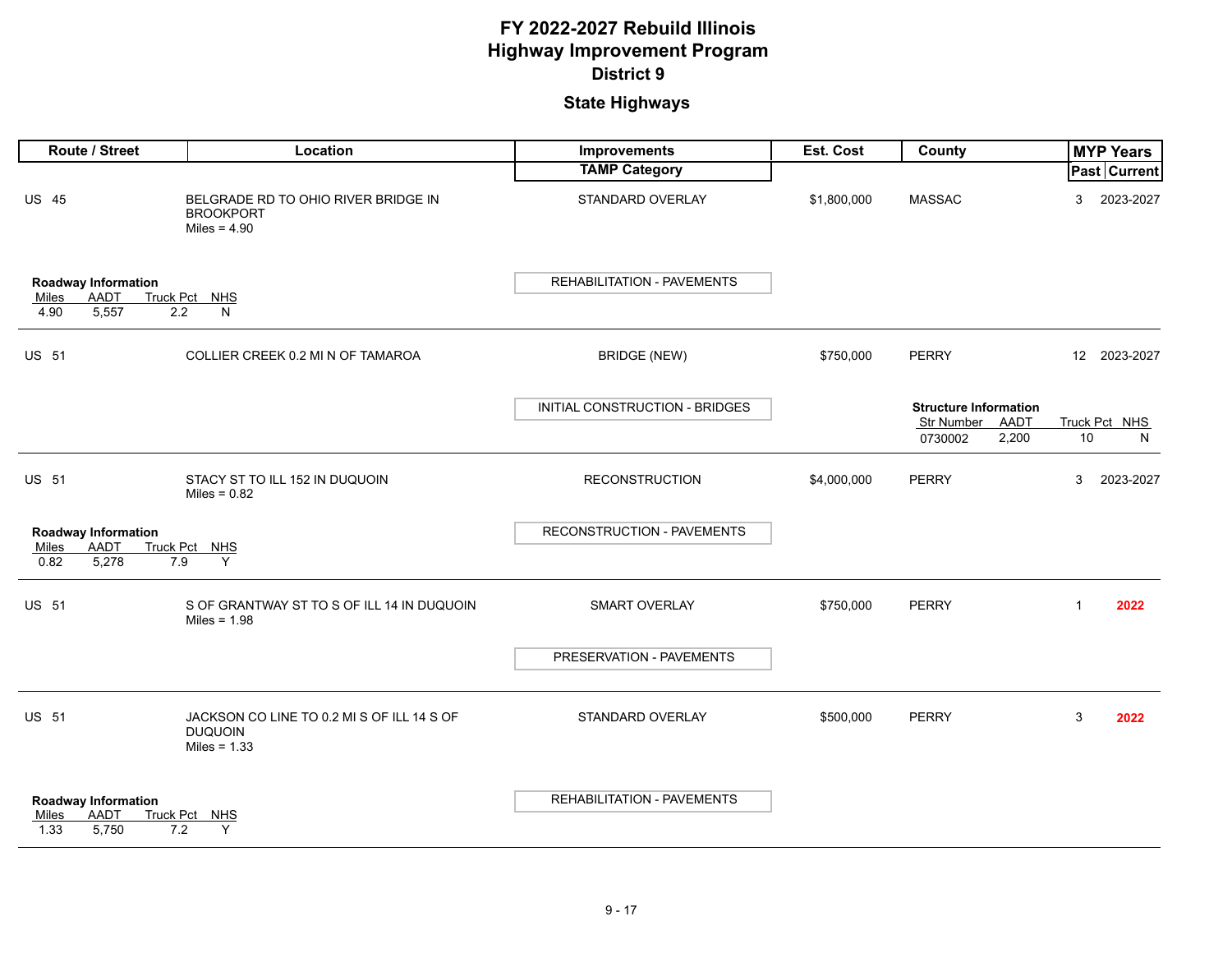| Route / Street                                                      | Location                                                                       | Improvements                      | Est. Cost   | County                                                                        | <b>MYP Years</b>         |
|---------------------------------------------------------------------|--------------------------------------------------------------------------------|-----------------------------------|-------------|-------------------------------------------------------------------------------|--------------------------|
|                                                                     |                                                                                | <b>TAMP Category</b>              |             |                                                                               | <b>Past Current</b>      |
| <b>US 45</b>                                                        | BELGRADE RD TO OHIO RIVER BRIDGE IN<br><b>BROOKPORT</b><br>Miles = $4.90$      | STANDARD OVERLAY                  | \$1,800,000 | <b>MASSAC</b>                                                                 | 3<br>2023-2027           |
| Roadway Information<br><b>AADT</b><br>Miles<br>4.90<br>5,557<br>2.2 | Truck Pct NHS<br>N                                                             | REHABILITATION - PAVEMENTS        |             |                                                                               |                          |
| <b>US 51</b>                                                        | COLLIER CREEK 0.2 MI N OF TAMAROA                                              | <b>BRIDGE (NEW)</b>               | \$750,000   | <b>PERRY</b>                                                                  | 12 2023-2027             |
|                                                                     |                                                                                | INITIAL CONSTRUCTION - BRIDGES    |             | <b>Structure Information</b><br><b>Str Number</b><br>AADT<br>2,200<br>0730002 | Truck Pct NHS<br>10<br>N |
| <b>US 51</b>                                                        | STACY ST TO ILL 152 IN DUQUOIN<br>Miles = $0.82$                               | <b>RECONSTRUCTION</b>             | \$4,000,000 | <b>PERRY</b>                                                                  | 3<br>2023-2027           |
| <b>Roadway Information</b><br>AADT<br>Miles<br>0.82<br>5,278<br>7.9 | Truck Pct NHS<br>Y                                                             | <b>RECONSTRUCTION - PAVEMENTS</b> |             |                                                                               |                          |
| <b>US 51</b>                                                        | S OF GRANTWAY ST TO S OF ILL 14 IN DUQUOIN<br>Miles = $1.98$                   | <b>SMART OVERLAY</b>              | \$750,000   | <b>PERRY</b>                                                                  | $\overline{1}$<br>2022   |
|                                                                     |                                                                                | PRESERVATION - PAVEMENTS          |             |                                                                               |                          |
| <b>US 51</b>                                                        | JACKSON CO LINE TO 0.2 MI S OF ILL 14 S OF<br><b>DUQUOIN</b><br>Miles = $1.33$ | STANDARD OVERLAY                  | \$500,000   | <b>PERRY</b>                                                                  | 3<br>2022                |
| Roadway Information<br>AADT<br>Miles<br>1.33<br>5,750<br>7.2        | Truck Pct NHS<br>Y                                                             | <b>REHABILITATION - PAVEMENTS</b> |             |                                                                               |                          |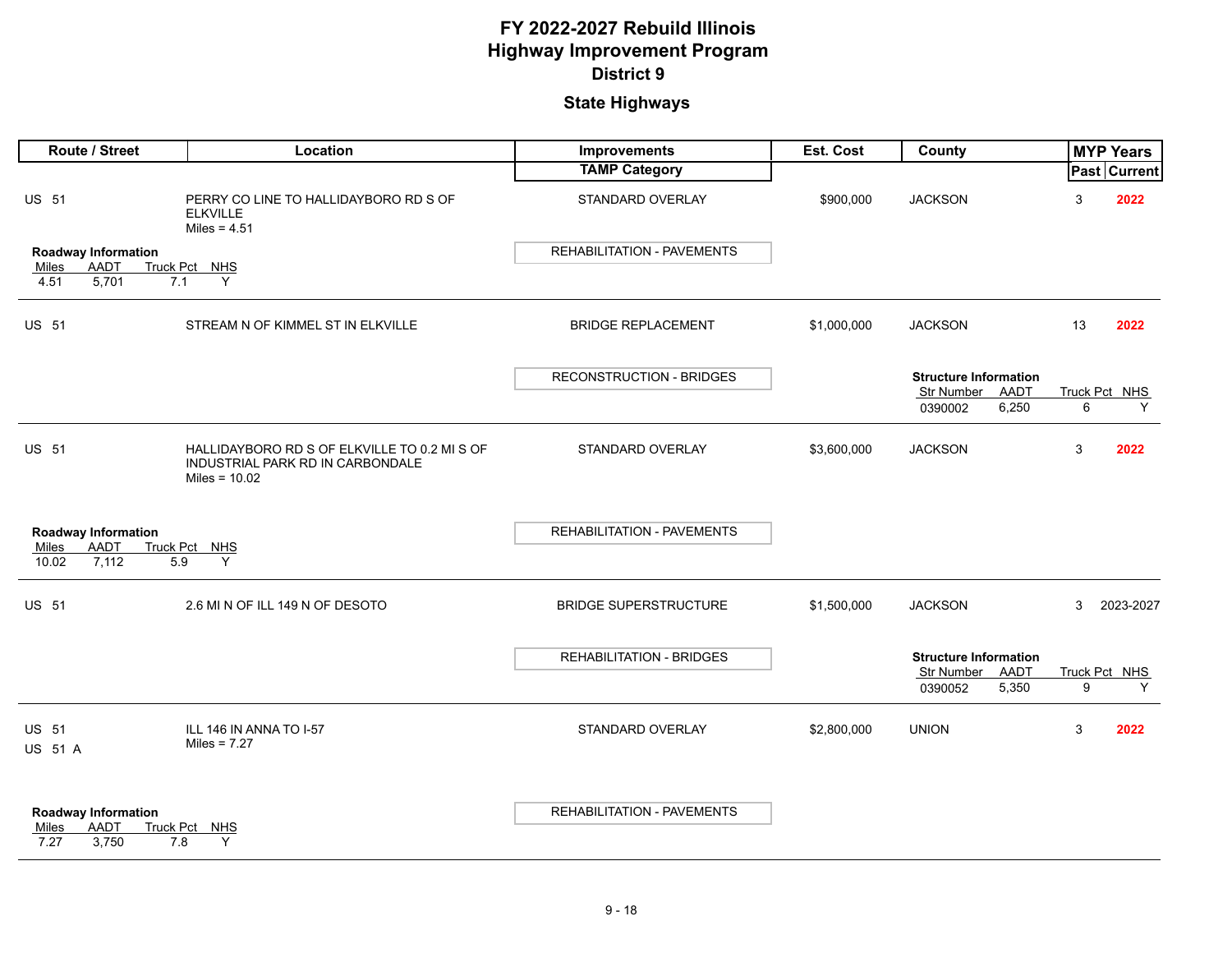| Route / Street                                                             | Location                                                                                            | Improvements                      | Est. Cost   | County                       |    | <b>MYP Years</b>   |
|----------------------------------------------------------------------------|-----------------------------------------------------------------------------------------------------|-----------------------------------|-------------|------------------------------|----|--------------------|
|                                                                            |                                                                                                     | <b>TAMP Category</b>              |             |                              |    | Past Current       |
| <b>US 51</b>                                                               | PERRY CO LINE TO HALLIDAYBORO RD S OF<br><b>ELKVILLE</b><br>Miles = $4.51$                          | STANDARD OVERLAY                  | \$900,000   | <b>JACKSON</b>               | 3  | 2022               |
| <b>Roadway Information</b>                                                 |                                                                                                     | <b>REHABILITATION - PAVEMENTS</b> |             |                              |    |                    |
| <b>AADT</b><br>Miles<br>4.51<br>5,701<br>7.1                               | Truck Pct NHS<br>Y                                                                                  |                                   |             |                              |    |                    |
| <b>US 51</b>                                                               | STREAM N OF KIMMEL ST IN ELKVILLE                                                                   | <b>BRIDGE REPLACEMENT</b>         | \$1,000,000 | <b>JACKSON</b>               | 13 | 2022               |
|                                                                            |                                                                                                     | <b>RECONSTRUCTION - BRIDGES</b>   |             | <b>Structure Information</b> |    |                    |
|                                                                            |                                                                                                     |                                   |             | Str Number<br>AADT           |    | Truck Pct NHS      |
|                                                                            |                                                                                                     |                                   |             | 6,250<br>0390002             | 6  | Y                  |
| <b>US 51</b>                                                               | HALLIDAYBORO RD S OF ELKVILLE TO 0.2 MI S OF<br>INDUSTRIAL PARK RD IN CARBONDALE<br>Miles = $10.02$ | STANDARD OVERLAY                  | \$3,600,000 | <b>JACKSON</b>               | 3  | 2022               |
|                                                                            |                                                                                                     |                                   |             |                              |    |                    |
| Roadway Information<br>AADT<br>Miles                                       | Truck Pct NHS                                                                                       | REHABILITATION - PAVEMENTS        |             |                              |    |                    |
| 10.02<br>7,112<br>5.9                                                      | Y                                                                                                   |                                   |             |                              |    |                    |
| <b>US 51</b>                                                               | 2.6 MI N OF ILL 149 N OF DESOTO                                                                     | <b>BRIDGE SUPERSTRUCTURE</b>      | \$1,500,000 | <b>JACKSON</b>               | 3  | 2023-2027          |
|                                                                            |                                                                                                     | <b>REHABILITATION - BRIDGES</b>   |             | <b>Structure Information</b> |    |                    |
|                                                                            |                                                                                                     |                                   |             | AADT<br>Str Number           | 9  | Truck Pct NHS<br>Y |
|                                                                            |                                                                                                     |                                   |             | 5,350<br>0390052             |    |                    |
| <b>US 51</b><br>US 51 A                                                    | ILL 146 IN ANNA TO I-57<br>Miles = $7.27$                                                           | STANDARD OVERLAY                  | \$2,800,000 | <b>UNION</b>                 | 3  | 2022               |
| <b>Roadway Information</b><br><b>AADT</b><br>Miles<br>7.27<br>3,750<br>7.8 | Truck Pct NHS<br>Y                                                                                  | <b>REHABILITATION - PAVEMENTS</b> |             |                              |    |                    |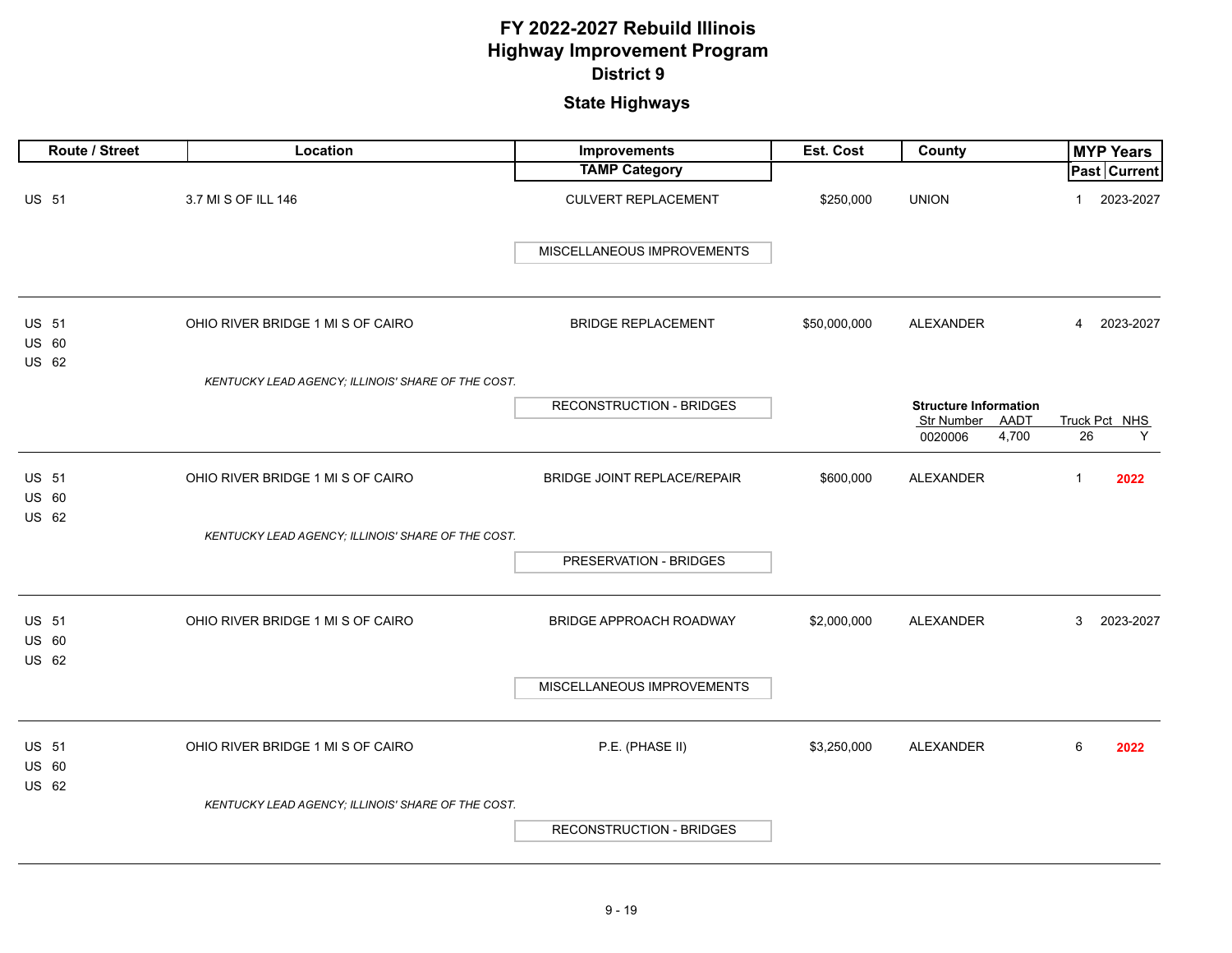| Route / Street                               | Location                                           | <b>Improvements</b>                | Est. Cost    | County                                                                 |              | <b>MYP Years</b>    |
|----------------------------------------------|----------------------------------------------------|------------------------------------|--------------|------------------------------------------------------------------------|--------------|---------------------|
|                                              |                                                    | <b>TAMP Category</b>               |              |                                                                        |              | <b>Past Current</b> |
| <b>US 51</b>                                 | 3.7 MI S OF ILL 146                                | <b>CULVERT REPLACEMENT</b>         | \$250,000    | <b>UNION</b>                                                           | $\mathbf 1$  | 2023-2027           |
|                                              |                                                    | MISCELLANEOUS IMPROVEMENTS         |              |                                                                        |              |                     |
| <b>US 51</b><br>US 60                        | OHIO RIVER BRIDGE 1 MI S OF CAIRO                  | <b>BRIDGE REPLACEMENT</b>          | \$50,000,000 | <b>ALEXANDER</b>                                                       | 4            | 2023-2027           |
| US 62                                        | KENTUCKY LEAD AGENCY; ILLINOIS' SHARE OF THE COST. |                                    |              |                                                                        |              |                     |
|                                              |                                                    | <b>RECONSTRUCTION - BRIDGES</b>    |              | <b>Structure Information</b><br>AADT<br>Str Number<br>4,700<br>0020006 | 26           | Truck Pct NHS<br>Y  |
| <b>US 51</b><br>US 60<br><b>US 62</b>        | OHIO RIVER BRIDGE 1 MI S OF CAIRO                  | <b>BRIDGE JOINT REPLACE/REPAIR</b> | \$600,000    | <b>ALEXANDER</b>                                                       | $\mathbf{1}$ | 2022                |
|                                              | KENTUCKY LEAD AGENCY; ILLINOIS' SHARE OF THE COST. |                                    |              |                                                                        |              |                     |
|                                              |                                                    | PRESERVATION - BRIDGES             |              |                                                                        |              |                     |
| <b>US 51</b><br><b>US 60</b><br><b>US 62</b> | OHIO RIVER BRIDGE 1 MI S OF CAIRO                  | <b>BRIDGE APPROACH ROADWAY</b>     | \$2,000,000  | <b>ALEXANDER</b>                                                       | 3            | 2023-2027           |
|                                              |                                                    | MISCELLANEOUS IMPROVEMENTS         |              |                                                                        |              |                     |
| <b>US 51</b><br>US 60<br>US 62               | OHIO RIVER BRIDGE 1 MI S OF CAIRO                  | P.E. (PHASE II)                    | \$3,250,000  | <b>ALEXANDER</b>                                                       | 6            | 2022                |
|                                              | KENTUCKY LEAD AGENCY; ILLINOIS' SHARE OF THE COST. |                                    |              |                                                                        |              |                     |
|                                              |                                                    | <b>RECONSTRUCTION - BRIDGES</b>    |              |                                                                        |              |                     |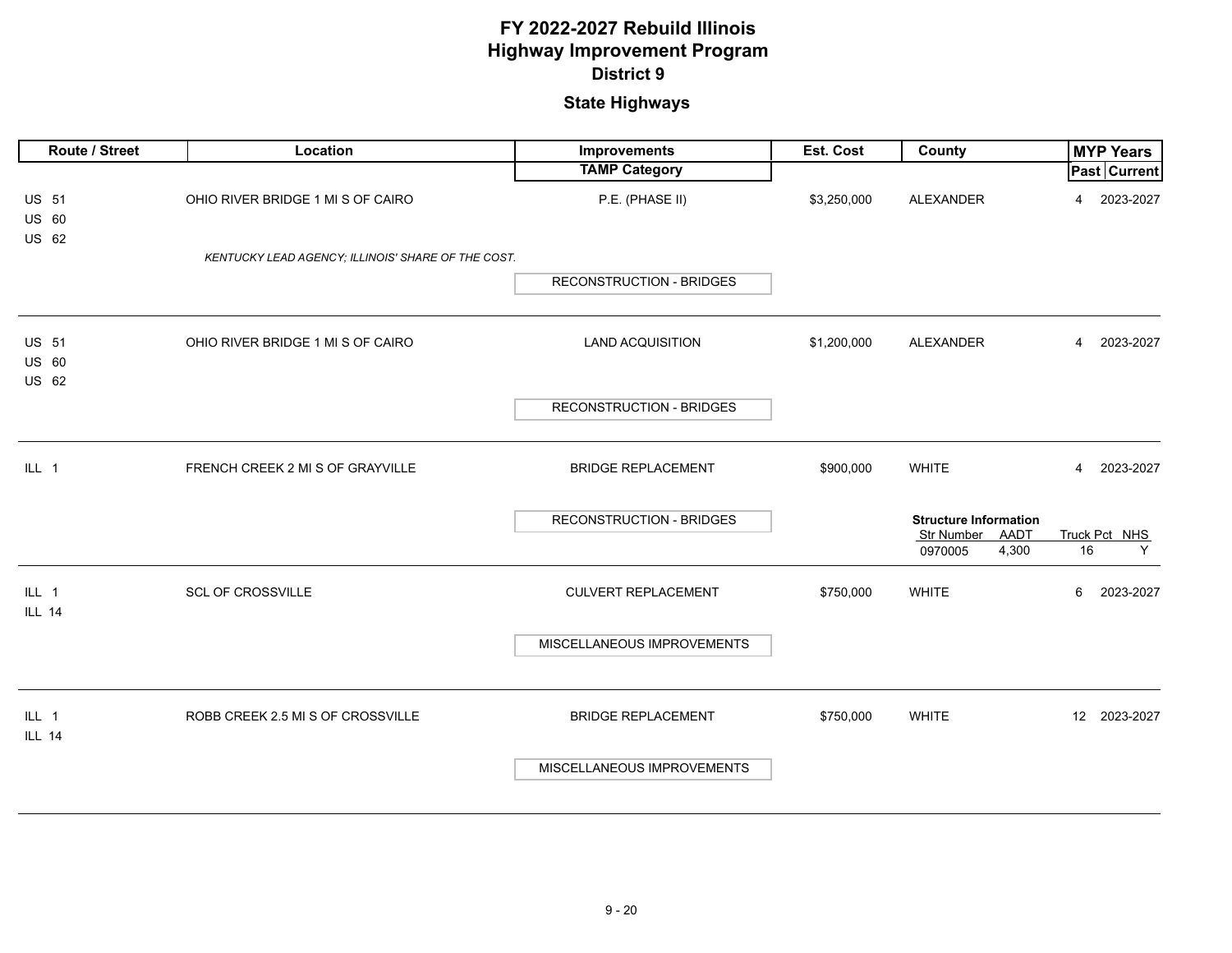| Route / Street                 | Location                                           | Improvements                    | Est. Cost   | County                                                                 | <b>MYP Years</b>         |
|--------------------------------|----------------------------------------------------|---------------------------------|-------------|------------------------------------------------------------------------|--------------------------|
|                                |                                                    | <b>TAMP Category</b>            |             |                                                                        | Past Current             |
| <b>US 51</b><br>US 60          | OHIO RIVER BRIDGE 1 MI S OF CAIRO                  | P.E. (PHASE II)                 | \$3,250,000 | ALEXANDER                                                              | 2023-2027<br>4           |
| US 62                          | KENTUCKY LEAD AGENCY; ILLINOIS' SHARE OF THE COST. |                                 |             |                                                                        |                          |
|                                |                                                    | <b>RECONSTRUCTION - BRIDGES</b> |             |                                                                        |                          |
| <b>US 51</b><br>US 60<br>US 62 | OHIO RIVER BRIDGE 1 MI S OF CAIRO                  | <b>LAND ACQUISITION</b>         | \$1,200,000 | ALEXANDER                                                              | 2023-2027<br>4           |
|                                |                                                    | <b>RECONSTRUCTION - BRIDGES</b> |             |                                                                        |                          |
| $ILL$ 1                        | FRENCH CREEK 2 MI S OF GRAYVILLE                   | <b>BRIDGE REPLACEMENT</b>       | \$900,000   | <b>WHITE</b>                                                           | 2023-2027<br>4           |
|                                |                                                    | <b>RECONSTRUCTION - BRIDGES</b> |             | <b>Structure Information</b><br>Str Number<br>AADT<br>4,300<br>0970005 | Truck Pct NHS<br>16<br>Y |
| ILL 1<br><b>ILL 14</b>         | <b>SCL OF CROSSVILLE</b>                           | <b>CULVERT REPLACEMENT</b>      | \$750,000   | <b>WHITE</b>                                                           | 6<br>2023-2027           |
|                                |                                                    | MISCELLANEOUS IMPROVEMENTS      |             |                                                                        |                          |
| ILL 1<br><b>ILL 14</b>         | ROBB CREEK 2.5 MI S OF CROSSVILLE                  | <b>BRIDGE REPLACEMENT</b>       | \$750,000   | <b>WHITE</b>                                                           | 12 2023-2027             |
|                                |                                                    | MISCELLANEOUS IMPROVEMENTS      |             |                                                                        |                          |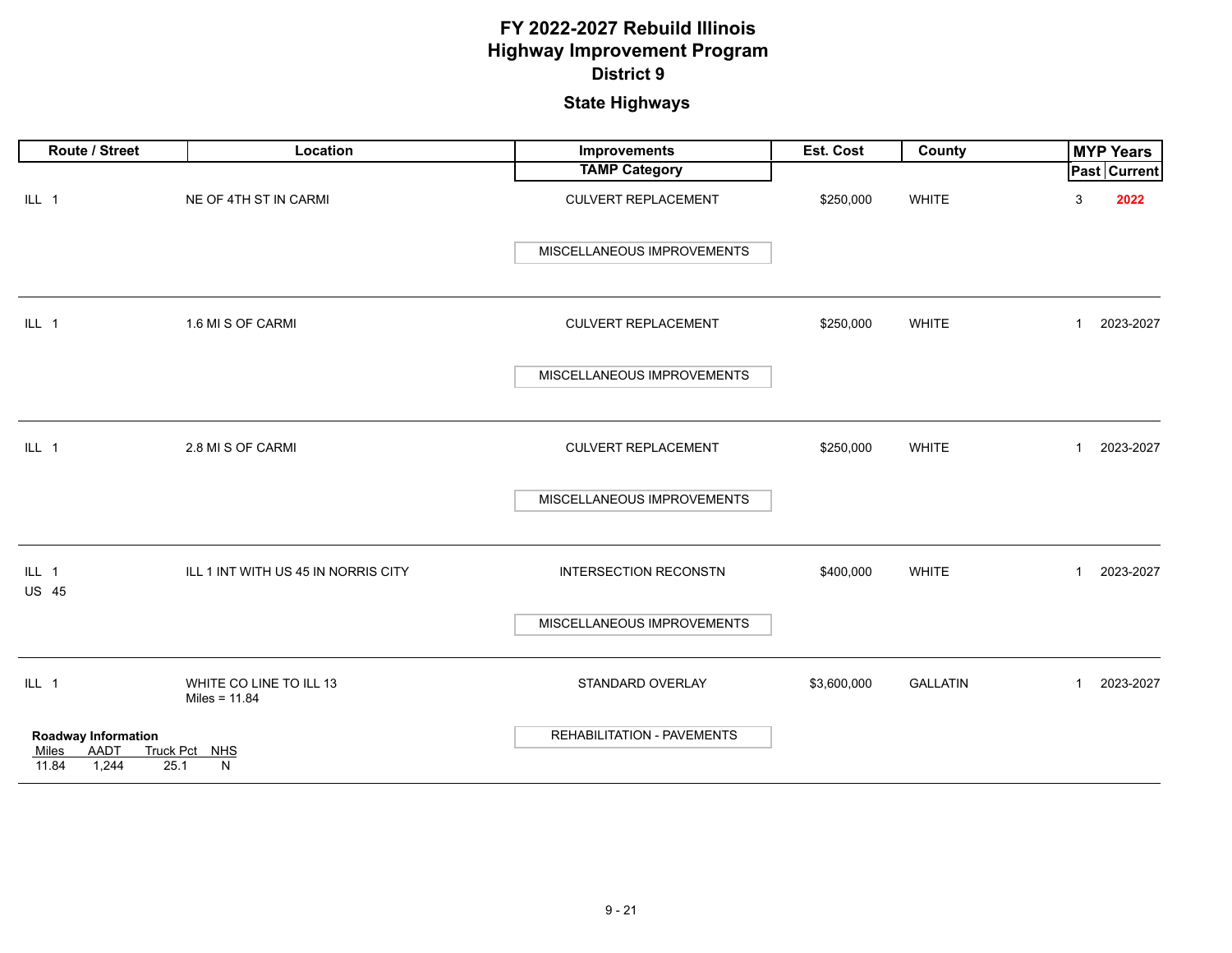| Route / Street                                                 | Location                                   | <b>Improvements</b>          | Est. Cost   | County          | <b>MYP Years</b>            |  |
|----------------------------------------------------------------|--------------------------------------------|------------------------------|-------------|-----------------|-----------------------------|--|
|                                                                |                                            | <b>TAMP Category</b>         |             |                 | <b>Past Current</b>         |  |
| ILL 1                                                          | NE OF 4TH ST IN CARMI                      | <b>CULVERT REPLACEMENT</b>   | \$250,000   | WHITE           | 2022<br>3                   |  |
|                                                                |                                            | MISCELLANEOUS IMPROVEMENTS   |             |                 |                             |  |
| ILL 1                                                          | 1.6 MI S OF CARMI                          | <b>CULVERT REPLACEMENT</b>   | \$250,000   | <b>WHITE</b>    | 2023-2027<br>$\mathbf{1}$   |  |
|                                                                |                                            | MISCELLANEOUS IMPROVEMENTS   |             |                 |                             |  |
| ILL 1                                                          | 2.8 MI S OF CARMI                          | <b>CULVERT REPLACEMENT</b>   | \$250,000   | <b>WHITE</b>    | 2023-2027<br>$\mathbf{1}$   |  |
|                                                                |                                            | MISCELLANEOUS IMPROVEMENTS   |             |                 |                             |  |
| ILL 1<br><b>US 45</b>                                          | ILL 1 INT WITH US 45 IN NORRIS CITY        | <b>INTERSECTION RECONSTN</b> | \$400,000   | <b>WHITE</b>    | 2023-2027<br>$\mathbf{1}$   |  |
|                                                                |                                            | MISCELLANEOUS IMPROVEMENTS   |             |                 |                             |  |
| ILL 1                                                          | WHITE CO LINE TO ILL 13<br>Miles = $11.84$ | STANDARD OVERLAY             | \$3,600,000 | <b>GALLATIN</b> | 2023-2027<br>$\overline{1}$ |  |
| Roadway Information<br>AADT<br>Miles<br>11.84<br>1,244<br>25.1 | Truck Pct NHS<br>N                         | REHABILITATION - PAVEMENTS   |             |                 |                             |  |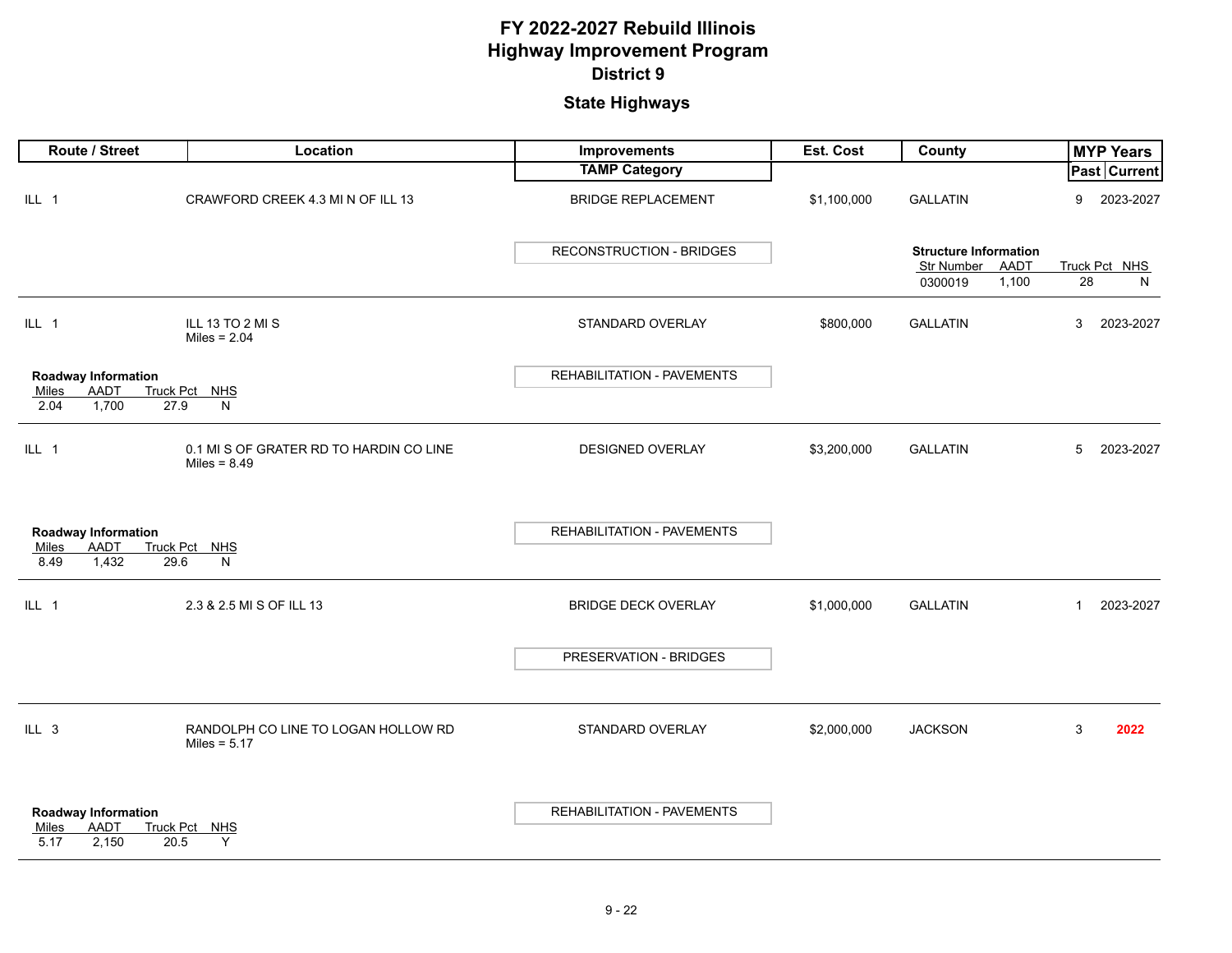| Route / Street                                                       | Location                                                  | Improvements                      | Est. Cost   | <b>County</b>                                      |              | <b>MYP Years</b>    |
|----------------------------------------------------------------------|-----------------------------------------------------------|-----------------------------------|-------------|----------------------------------------------------|--------------|---------------------|
|                                                                      |                                                           | <b>TAMP Category</b>              |             |                                                    |              | <b>Past Current</b> |
| ILL 1                                                                | CRAWFORD CREEK 4.3 MI N OF ILL 13                         | <b>BRIDGE REPLACEMENT</b>         | \$1,100,000 | <b>GALLATIN</b>                                    | 9            | 2023-2027           |
|                                                                      |                                                           | <b>RECONSTRUCTION - BRIDGES</b>   |             | <b>Structure Information</b><br>Str Number<br>AADT |              | Truck Pct NHS       |
|                                                                      |                                                           |                                   |             | 0300019<br>1,100                                   | 28           | N                   |
| ILL 1                                                                | ILL 13 TO 2 MI S<br>Miles = $2.04$                        | STANDARD OVERLAY                  | \$800,000   | <b>GALLATIN</b>                                    | 3            | 2023-2027           |
| <b>Roadway Information</b>                                           |                                                           | REHABILITATION - PAVEMENTS        |             |                                                    |              |                     |
| AADT<br>Miles<br>1,700<br>2.04<br>27.9                               | Truck Pct NHS<br>${\sf N}$                                |                                   |             |                                                    |              |                     |
| ILL 1                                                                | 0.1 MI S OF GRATER RD TO HARDIN CO LINE<br>Miles = $8.49$ | DESIGNED OVERLAY                  | \$3,200,000 | <b>GALLATIN</b>                                    | 5            | 2023-2027           |
| Roadway Information<br><b>AADT</b><br>Miles<br>1,432<br>8.49<br>29.6 | Truck Pct NHS<br>N                                        | REHABILITATION - PAVEMENTS        |             |                                                    |              |                     |
| ILL 1                                                                | 2.3 & 2.5 MI S OF ILL 13                                  | <b>BRIDGE DECK OVERLAY</b>        | \$1,000,000 | <b>GALLATIN</b>                                    | $\mathbf{1}$ | 2023-2027           |
|                                                                      |                                                           | PRESERVATION - BRIDGES            |             |                                                    |              |                     |
| $ILL$ 3                                                              | RANDOLPH CO LINE TO LOGAN HOLLOW RD<br>Miles = $5.17$     | STANDARD OVERLAY                  | \$2,000,000 | <b>JACKSON</b>                                     | 3            | 2022                |
| <b>Roadway Information</b><br>AADT<br>Miles<br>5.17<br>2,150<br>20.5 | Truck Pct NHS<br>Y                                        | <b>REHABILITATION - PAVEMENTS</b> |             |                                                    |              |                     |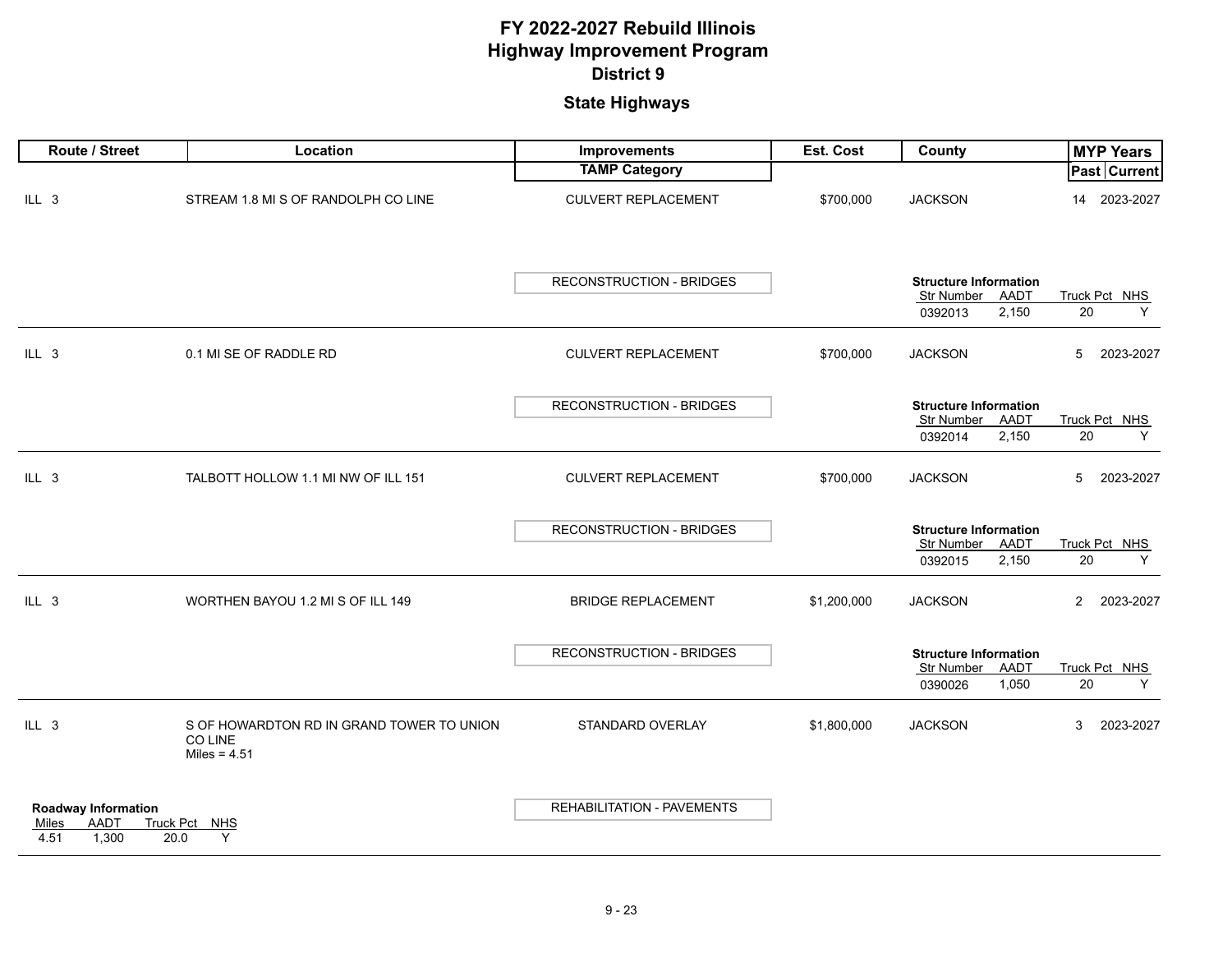| Route / Street                                                                   | Location                                                               | Improvements                      | <b>Est. Cost</b> | County                                                                 | <b>MYP Years</b>            |
|----------------------------------------------------------------------------------|------------------------------------------------------------------------|-----------------------------------|------------------|------------------------------------------------------------------------|-----------------------------|
|                                                                                  |                                                                        | <b>TAMP Category</b>              |                  |                                                                        | <b>Past Current</b>         |
| ILL 3                                                                            | STREAM 1.8 MI S OF RANDOLPH CO LINE                                    | <b>CULVERT REPLACEMENT</b>        | \$700,000        | <b>JACKSON</b>                                                         | 2023-2027<br>14             |
|                                                                                  |                                                                        | <b>RECONSTRUCTION - BRIDGES</b>   |                  | <b>Structure Information</b><br>Str Number<br>AADT<br>2,150<br>0392013 | Truck Pct NHS<br>20<br>Υ    |
|                                                                                  |                                                                        |                                   |                  |                                                                        |                             |
| $ILL$ 3                                                                          | 0.1 MI SE OF RADDLE RD                                                 | <b>CULVERT REPLACEMENT</b>        | \$700,000        | <b>JACKSON</b>                                                         | 5<br>2023-2027              |
|                                                                                  |                                                                        |                                   |                  |                                                                        |                             |
|                                                                                  |                                                                        | <b>RECONSTRUCTION - BRIDGES</b>   |                  | <b>Structure Information</b>                                           |                             |
|                                                                                  |                                                                        |                                   |                  | Str Number<br>AADT<br>2,150<br>0392014                                 | Truck Pct NHS<br>20<br>Y    |
|                                                                                  |                                                                        |                                   |                  |                                                                        |                             |
| ILL 3                                                                            | TALBOTT HOLLOW 1.1 MI NW OF ILL 151                                    | <b>CULVERT REPLACEMENT</b>        | \$700,000        | <b>JACKSON</b>                                                         | 5<br>2023-2027              |
|                                                                                  |                                                                        |                                   |                  |                                                                        |                             |
|                                                                                  |                                                                        | <b>RECONSTRUCTION - BRIDGES</b>   |                  | <b>Structure Information</b><br>Str Number<br>AADT                     | Truck Pct NHS               |
|                                                                                  |                                                                        |                                   |                  | 2,150<br>0392015                                                       | 20<br>Y                     |
| ILL 3                                                                            | WORTHEN BAYOU 1.2 MI S OF ILL 149                                      | <b>BRIDGE REPLACEMENT</b>         | \$1,200,000      | <b>JACKSON</b>                                                         | $\overline{2}$<br>2023-2027 |
|                                                                                  |                                                                        | <b>RECONSTRUCTION - BRIDGES</b>   |                  | <b>Structure Information</b>                                           |                             |
|                                                                                  |                                                                        |                                   |                  | Str Number<br><b>AADT</b>                                              | Truck Pct NHS               |
|                                                                                  |                                                                        |                                   |                  | 0390026<br>1,050                                                       | 20<br>Y                     |
| ILL 3                                                                            | S OF HOWARDTON RD IN GRAND TOWER TO UNION<br>CO LINE<br>Miles = $4.51$ | STANDARD OVERLAY                  | \$1,800,000      | <b>JACKSON</b>                                                         | 2023-2027<br>3              |
| <b>Roadway Information</b><br><b>AADT</b><br>Truck Pct<br>Miles<br>1,300<br>4.51 | NHS<br>Y<br>20.0                                                       | <b>REHABILITATION - PAVEMENTS</b> |                  |                                                                        |                             |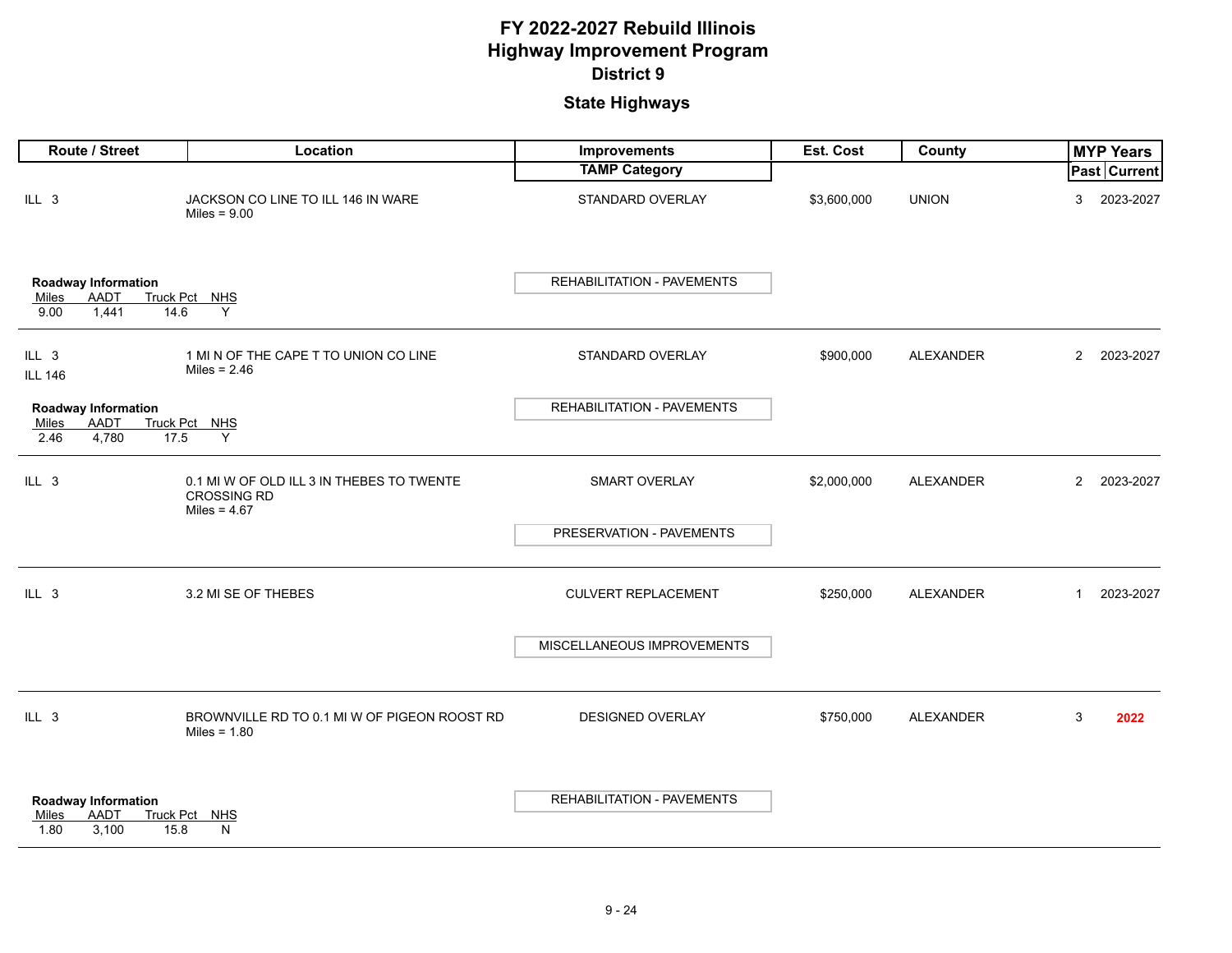| Route / Street                                                       | Location                                                                          | Improvements               | Est. Cost   | County           | <b>MYP Years</b>            |
|----------------------------------------------------------------------|-----------------------------------------------------------------------------------|----------------------------|-------------|------------------|-----------------------------|
|                                                                      |                                                                                   | <b>TAMP Category</b>       |             |                  | <b>Past Current</b>         |
| ILL 3                                                                | JACKSON CO LINE TO ILL 146 IN WARE<br>Miles = $9.00$                              | STANDARD OVERLAY           | \$3,600,000 | <b>UNION</b>     | 2023-2027<br>3              |
| Roadway Information<br><b>AADT</b><br>Miles<br>1,441<br>9.00<br>14.6 | Truck Pct NHS<br>Y                                                                | REHABILITATION - PAVEMENTS |             |                  |                             |
| ILL 3<br><b>ILL 146</b>                                              | 1 MI N OF THE CAPE T TO UNION CO LINE<br>Miles = $2.46$                           | STANDARD OVERLAY           | \$900,000   | <b>ALEXANDER</b> | 2023-2027<br>$\overline{2}$ |
| <b>Roadway Information</b>                                           |                                                                                   | REHABILITATION - PAVEMENTS |             |                  |                             |
| <b>AADT</b><br>Miles<br>4,780<br>2.46<br>17.5                        | Truck Pct NHS<br>Y                                                                |                            |             |                  |                             |
| ILL 3                                                                | 0.1 MI W OF OLD ILL 3 IN THEBES TO TWENTE<br><b>CROSSING RD</b><br>Miles = $4.67$ | <b>SMART OVERLAY</b>       | \$2,000,000 | <b>ALEXANDER</b> | $\overline{2}$<br>2023-2027 |
|                                                                      |                                                                                   | PRESERVATION - PAVEMENTS   |             |                  |                             |
| ILL 3                                                                | 3.2 MI SE OF THEBES                                                               | <b>CULVERT REPLACEMENT</b> | \$250,000   | <b>ALEXANDER</b> | 2023-2027<br>$\mathbf{1}$   |
|                                                                      |                                                                                   | MISCELLANEOUS IMPROVEMENTS |             |                  |                             |
| $ILL$ 3                                                              | BROWNVILLE RD TO 0.1 MI W OF PIGEON ROOST RD<br>Miles = $1.80$                    | <b>DESIGNED OVERLAY</b>    | \$750,000   | <b>ALEXANDER</b> | 3<br>2022                   |
| <b>Roadway Information</b><br>AADT<br>Miles<br>3,100<br>1.80<br>15.8 | Truck Pct NHS<br>N                                                                | REHABILITATION - PAVEMENTS |             |                  |                             |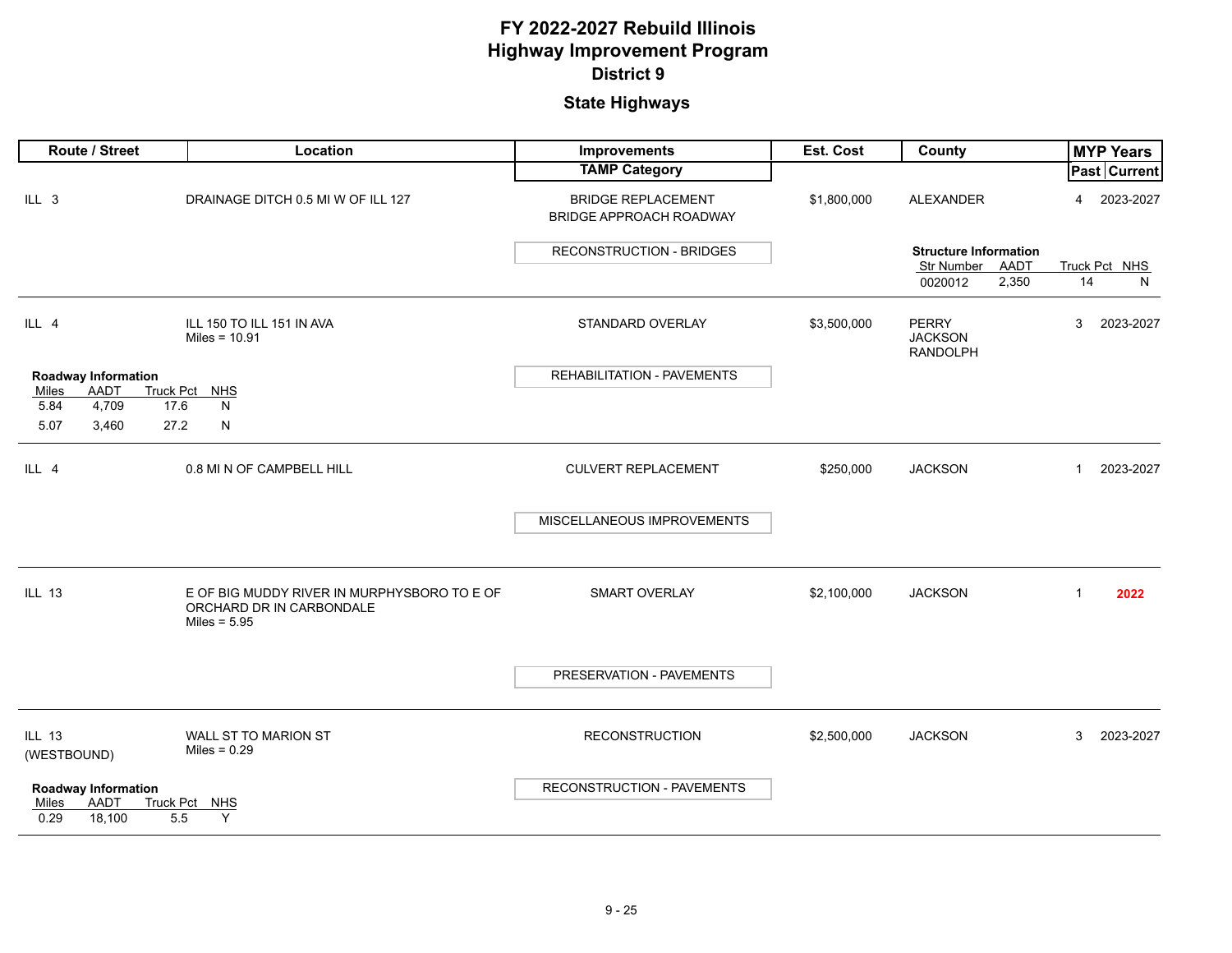| Route / Street                                             | Location                                                                | Improvements                                                | Est. Cost   | County                                            | <b>MYP Years</b>            |
|------------------------------------------------------------|-------------------------------------------------------------------------|-------------------------------------------------------------|-------------|---------------------------------------------------|-----------------------------|
|                                                            |                                                                         | <b>TAMP Category</b>                                        |             |                                                   | <b>Past Current</b>         |
| ILL 3                                                      | DRAINAGE DITCH 0.5 MI W OF ILL 127                                      | <b>BRIDGE REPLACEMENT</b><br><b>BRIDGE APPROACH ROADWAY</b> | \$1,800,000 | <b>ALEXANDER</b>                                  | 2023-2027<br>$\overline{4}$ |
|                                                            |                                                                         | <b>RECONSTRUCTION - BRIDGES</b>                             |             | <b>Structure Information</b>                      |                             |
|                                                            |                                                                         |                                                             |             | Str Number<br>AADT<br>0020012<br>2,350            | Truck Pct NHS<br>14<br>N    |
|                                                            |                                                                         |                                                             |             |                                                   |                             |
| ILL 4                                                      | ILL 150 TO ILL 151 IN AVA<br>Miles = $10.91$                            | STANDARD OVERLAY                                            | \$3,500,000 | <b>PERRY</b><br><b>JACKSON</b><br><b>RANDOLPH</b> | 3<br>2023-2027              |
| Roadway Information                                        |                                                                         | REHABILITATION - PAVEMENTS                                  |             |                                                   |                             |
| <b>Truck Pct</b><br>AADT<br>Miles<br>4,709<br>5.84<br>17.6 | <b>NHS</b><br>N                                                         |                                                             |             |                                                   |                             |
| 27.2<br>5.07<br>3,460                                      | N                                                                       |                                                             |             |                                                   |                             |
|                                                            |                                                                         |                                                             |             |                                                   |                             |
| ILL 4                                                      | 0.8 MI N OF CAMPBELL HILL                                               | CULVERT REPLACEMENT                                         | \$250,000   | <b>JACKSON</b>                                    | 2023-2027<br>$\mathbf{1}$   |
|                                                            |                                                                         |                                                             |             |                                                   |                             |
|                                                            |                                                                         | MISCELLANEOUS IMPROVEMENTS                                  |             |                                                   |                             |
|                                                            |                                                                         |                                                             |             |                                                   |                             |
|                                                            |                                                                         |                                                             |             |                                                   |                             |
| <b>ILL 13</b>                                              | E OF BIG MUDDY RIVER IN MURPHYSBORO TO E OF<br>ORCHARD DR IN CARBONDALE | <b>SMART OVERLAY</b>                                        | \$2,100,000 | <b>JACKSON</b>                                    | 2022<br>$\overline{1}$      |
|                                                            | Miles = $5.95$                                                          |                                                             |             |                                                   |                             |
|                                                            |                                                                         |                                                             |             |                                                   |                             |
|                                                            |                                                                         | PRESERVATION - PAVEMENTS                                    |             |                                                   |                             |
|                                                            |                                                                         |                                                             |             |                                                   |                             |
| ILL 13                                                     | WALL ST TO MARION ST                                                    | <b>RECONSTRUCTION</b>                                       | \$2,500,000 | <b>JACKSON</b>                                    | 3<br>2023-2027              |
| (WESTBOUND)                                                | Miles = $0.29$                                                          |                                                             |             |                                                   |                             |
| <b>Roadway Information</b>                                 |                                                                         | RECONSTRUCTION - PAVEMENTS                                  |             |                                                   |                             |
| AADT<br>Miles                                              | Truck Pct NHS                                                           |                                                             |             |                                                   |                             |
| 0.29<br>18,100<br>5.5                                      | Y                                                                       |                                                             |             |                                                   |                             |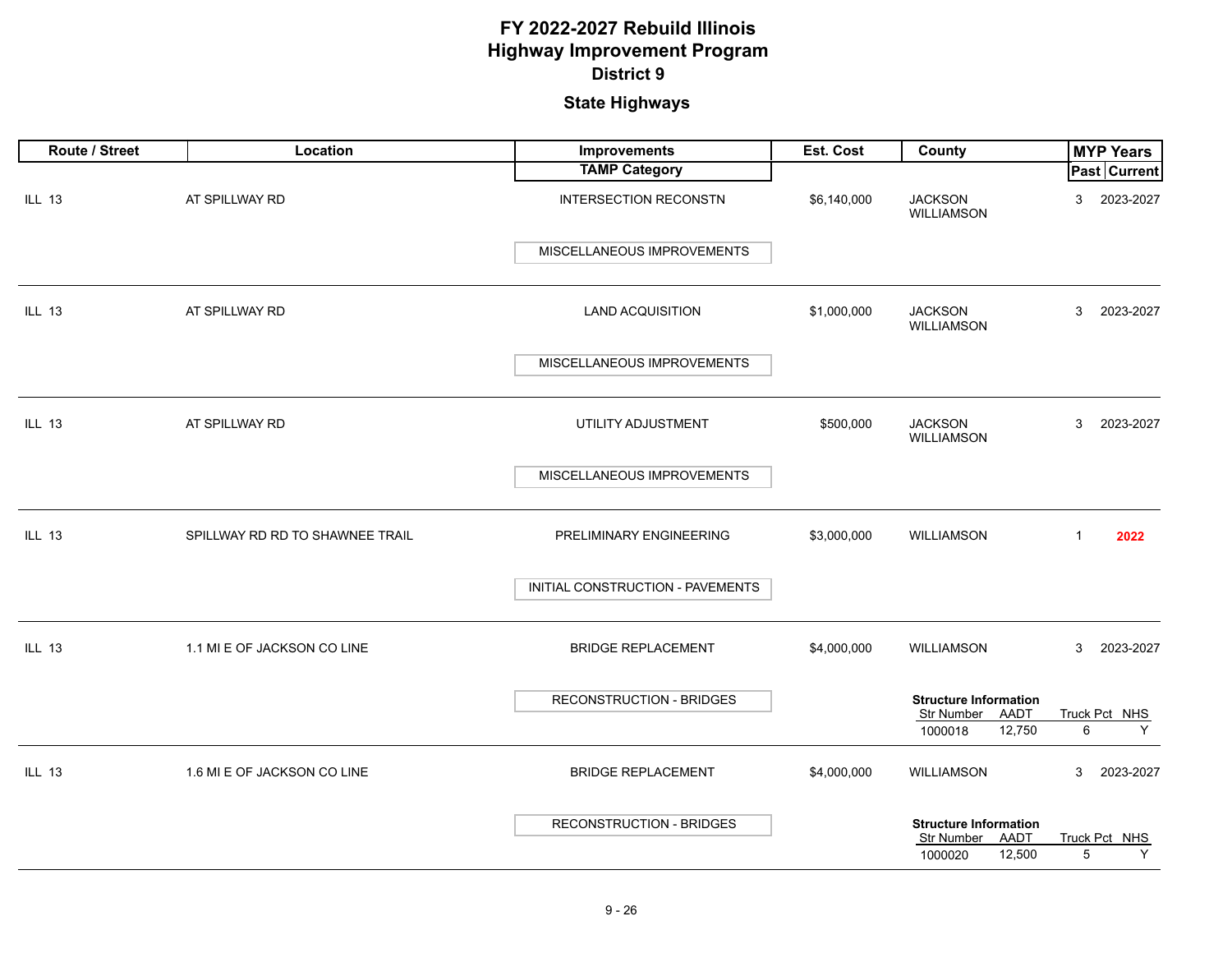| Route / Street | Location                        | Improvements                     | Est. Cost   | County                                                                  | <b>MYP Years</b>        |
|----------------|---------------------------------|----------------------------------|-------------|-------------------------------------------------------------------------|-------------------------|
|                |                                 | <b>TAMP Category</b>             |             |                                                                         | <b>Past Current</b>     |
| <b>ILL 13</b>  | AT SPILLWAY RD                  | <b>INTERSECTION RECONSTN</b>     | \$6,140,000 | <b>JACKSON</b><br><b>WILLIAMSON</b>                                     | 2023-2027<br>3          |
|                |                                 | MISCELLANEOUS IMPROVEMENTS       |             |                                                                         |                         |
| <b>ILL 13</b>  | AT SPILLWAY RD                  | <b>LAND ACQUISITION</b>          | \$1,000,000 | <b>JACKSON</b><br><b>WILLIAMSON</b>                                     | 3<br>2023-2027          |
|                |                                 | MISCELLANEOUS IMPROVEMENTS       |             |                                                                         |                         |
| <b>ILL 13</b>  | AT SPILLWAY RD                  | UTILITY ADJUSTMENT               | \$500,000   | <b>JACKSON</b><br><b>WILLIAMSON</b>                                     | 2023-2027<br>3          |
|                |                                 | MISCELLANEOUS IMPROVEMENTS       |             |                                                                         |                         |
| <b>ILL 13</b>  | SPILLWAY RD RD TO SHAWNEE TRAIL | PRELIMINARY ENGINEERING          | \$3,000,000 | WILLIAMSON                                                              | $\mathbf{1}$<br>2022    |
|                |                                 | INITIAL CONSTRUCTION - PAVEMENTS |             |                                                                         |                         |
| <b>ILL 13</b>  | 1.1 MI E OF JACKSON CO LINE     | <b>BRIDGE REPLACEMENT</b>        | \$4,000,000 | <b>WILLIAMSON</b>                                                       | 3<br>2023-2027          |
|                |                                 | <b>RECONSTRUCTION - BRIDGES</b>  |             | <b>Structure Information</b><br>Str Number<br>AADT<br>12,750<br>1000018 | Truck Pct NHS<br>6<br>Y |
| <b>ILL 13</b>  | 1.6 MI E OF JACKSON CO LINE     | <b>BRIDGE REPLACEMENT</b>        | \$4,000,000 | WILLIAMSON                                                              | 3<br>2023-2027          |
|                |                                 | <b>RECONSTRUCTION - BRIDGES</b>  |             | <b>Structure Information</b><br>Str Number<br>AADT<br>1000020<br>12,500 | Truck Pct NHS<br>5<br>Υ |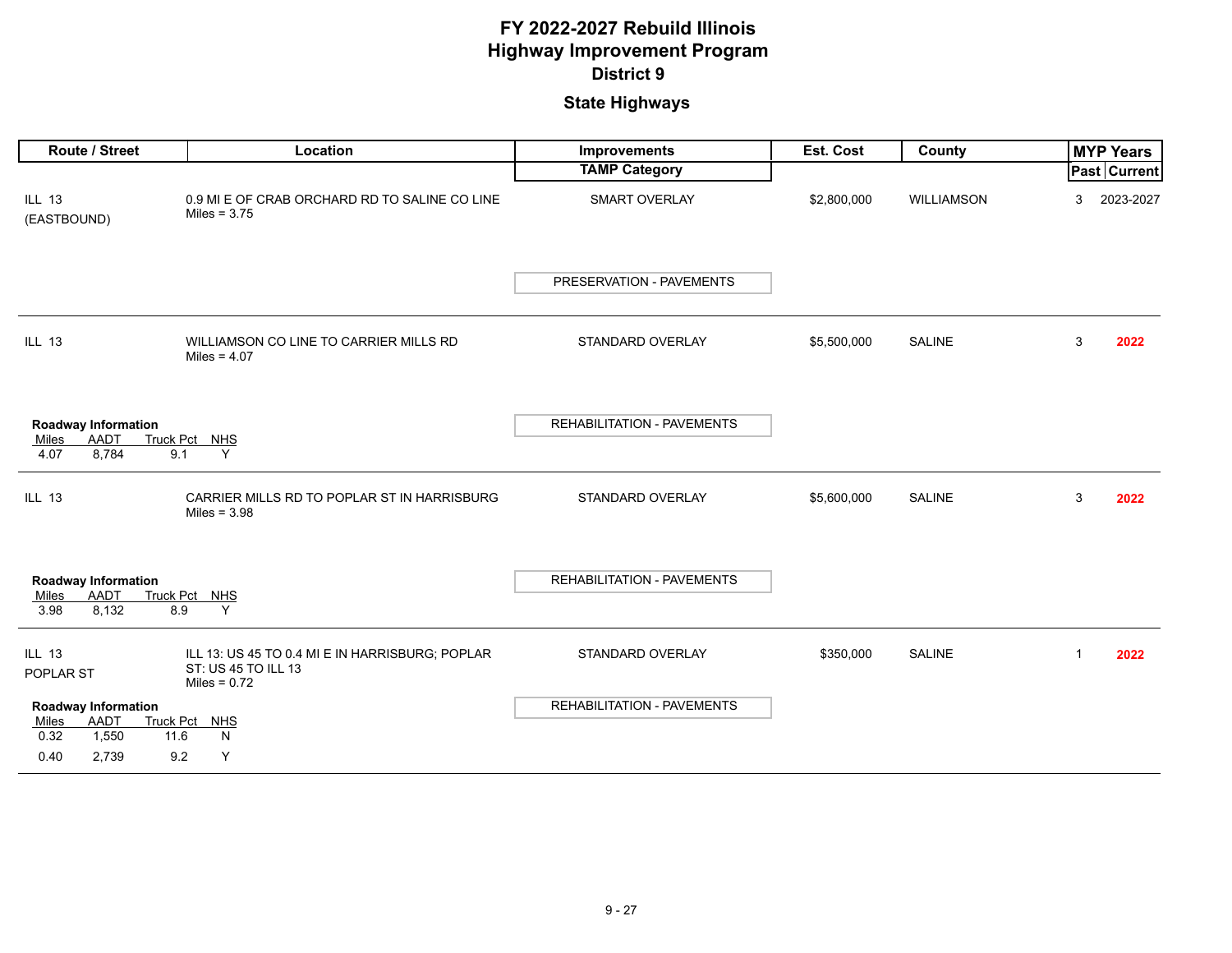| <b>Route / Street</b>                                                                          | Location                                                                                 | Improvements                      | <b>Est. Cost</b> | County            |    | <b>MYP Years</b> |
|------------------------------------------------------------------------------------------------|------------------------------------------------------------------------------------------|-----------------------------------|------------------|-------------------|----|------------------|
|                                                                                                |                                                                                          | <b>TAMP Category</b>              |                  |                   |    | Past Current     |
| <b>ILL 13</b><br>(EASTBOUND)                                                                   | 0.9 MI E OF CRAB ORCHARD RD TO SALINE CO LINE<br>Miles = $3.75$                          | SMART OVERLAY                     | \$2,800,000      | <b>WILLIAMSON</b> | 3  | 2023-2027        |
|                                                                                                |                                                                                          | PRESERVATION - PAVEMENTS          |                  |                   |    |                  |
| <b>ILL 13</b>                                                                                  | WILLIAMSON CO LINE TO CARRIER MILLS RD<br>Miles = $4.07$                                 | STANDARD OVERLAY                  | \$5,500,000      | <b>SALINE</b>     | 3  | 2022             |
| <b>Roadway Information</b><br><b>AADT</b><br><b>Truck Pct</b><br>Miles<br>8,784<br>9.1<br>4.07 | <b>NHS</b><br>Y                                                                          | <b>REHABILITATION - PAVEMENTS</b> |                  |                   |    |                  |
| <b>ILL 13</b>                                                                                  | CARRIER MILLS RD TO POPLAR ST IN HARRISBURG<br>Miles = $3.98$                            | STANDARD OVERLAY                  | \$5,600,000      | <b>SALINE</b>     | 3  | 2022             |
| <b>Roadway Information</b><br><b>AADT</b><br>Truck Pct<br>Miles<br>3.98<br>8,132<br>8.9        | <b>NHS</b><br>Y                                                                          | REHABILITATION - PAVEMENTS        |                  |                   |    |                  |
| <b>ILL 13</b><br>POPLAR ST                                                                     | ILL 13: US 45 TO 0.4 MI E IN HARRISBURG; POPLAR<br>ST: US 45 TO ILL 13<br>Miles = $0.72$ | STANDARD OVERLAY                  | \$350,000        | <b>SALINE</b>     | -1 | 2022             |
| <b>Roadway Information</b><br>AADT<br><b>Truck Pct</b><br>Miles<br>1,550<br>0.32<br>11.6       | NHS<br>N                                                                                 | REHABILITATION - PAVEMENTS        |                  |                   |    |                  |
| 0.40<br>2,739<br>9.2                                                                           | Y                                                                                        |                                   |                  |                   |    |                  |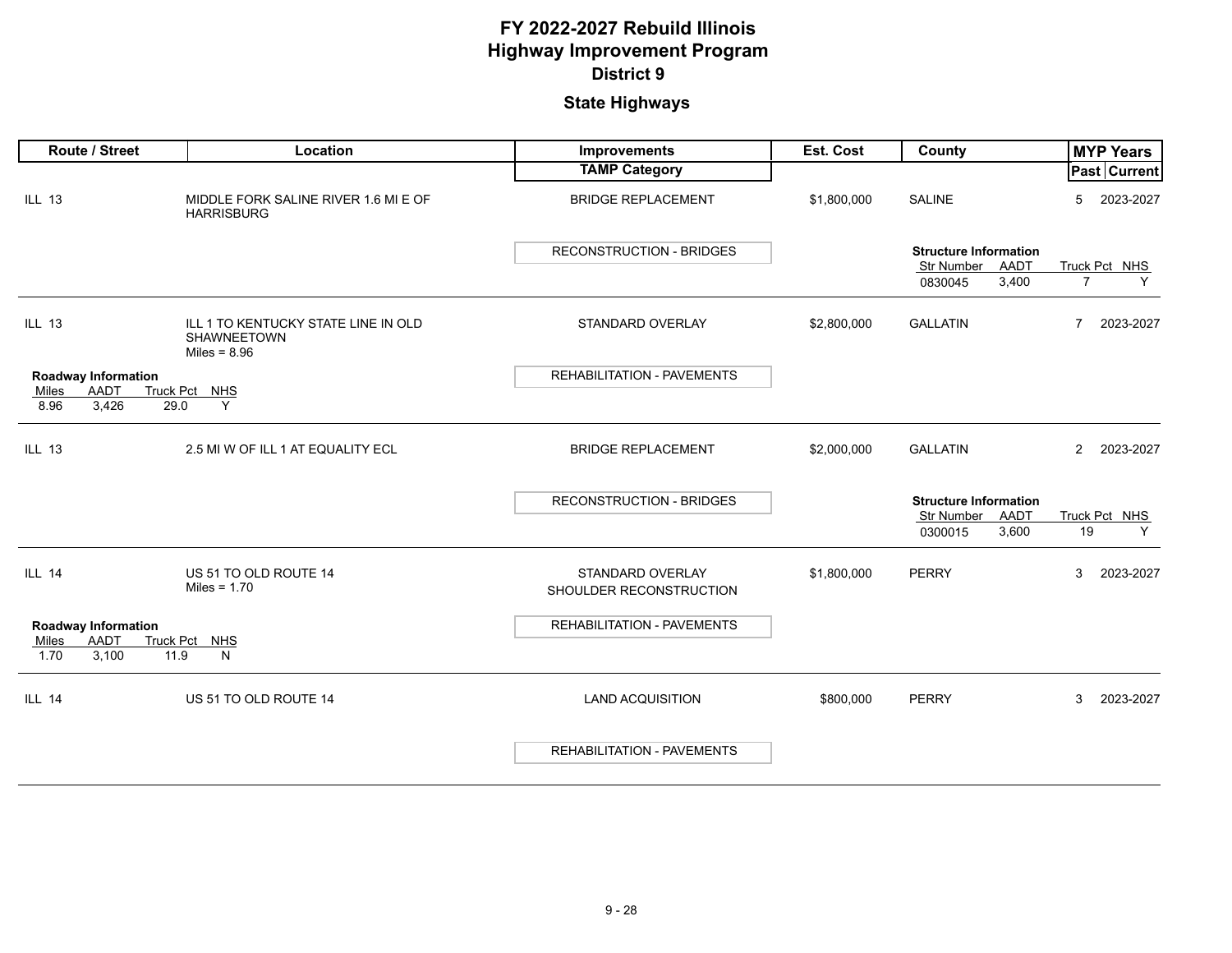| <b>Route / Street</b>                         | Location                                                             | <b>Improvements</b>                         | Est. Cost   | County                                                    | <b>MYP Years</b>            |
|-----------------------------------------------|----------------------------------------------------------------------|---------------------------------------------|-------------|-----------------------------------------------------------|-----------------------------|
|                                               |                                                                      | <b>TAMP Category</b>                        |             |                                                           | Past Current                |
| <b>ILL 13</b>                                 | MIDDLE FORK SALINE RIVER 1.6 MI E OF<br><b>HARRISBURG</b>            | <b>BRIDGE REPLACEMENT</b>                   | \$1,800,000 | <b>SALINE</b>                                             | 2023-2027<br>5              |
|                                               |                                                                      | <b>RECONSTRUCTION - BRIDGES</b>             |             | <b>Structure Information</b><br>AADT<br><b>Str Number</b> | Truck Pct NHS               |
|                                               |                                                                      |                                             |             | 3,400<br>0830045                                          | $\overline{7}$<br>Y         |
| <b>ILL 13</b>                                 | ILL 1 TO KENTUCKY STATE LINE IN OLD<br>SHAWNEETOWN<br>Miles = $8.96$ | STANDARD OVERLAY                            | \$2,800,000 | <b>GALLATIN</b>                                           | 2023-2027<br>7              |
| <b>Roadway Information</b>                    |                                                                      | <b>REHABILITATION - PAVEMENTS</b>           |             |                                                           |                             |
| AADT<br>Miles<br>8.96<br>29.0                 | Truck Pct NHS<br>Y                                                   |                                             |             |                                                           |                             |
| 3,426                                         |                                                                      |                                             |             |                                                           |                             |
| <b>ILL 13</b>                                 | 2.5 MI W OF ILL 1 AT EQUALITY ECL                                    | <b>BRIDGE REPLACEMENT</b>                   | \$2,000,000 | <b>GALLATIN</b>                                           | 2023-2027<br>$\overline{2}$ |
|                                               |                                                                      | <b>RECONSTRUCTION - BRIDGES</b>             |             | <b>Structure Information</b>                              |                             |
|                                               |                                                                      |                                             |             | AADT<br><b>Str Number</b><br>0300015<br>3,600             | Truck Pct NHS<br>19<br>Y    |
|                                               |                                                                      |                                             |             |                                                           |                             |
| <b>ILL 14</b>                                 | US 51 TO OLD ROUTE 14<br>Miles = $1.70$                              | STANDARD OVERLAY<br>SHOULDER RECONSTRUCTION | \$1,800,000 | <b>PERRY</b>                                              | 2023-2027<br>3              |
| <b>Roadway Information</b>                    |                                                                      | <b>REHABILITATION - PAVEMENTS</b>           |             |                                                           |                             |
| <b>AADT</b><br>Miles<br>3,100<br>1.70<br>11.9 | Truck Pct NHS<br>N                                                   |                                             |             |                                                           |                             |
| <b>ILL 14</b>                                 | US 51 TO OLD ROUTE 14                                                | <b>LAND ACQUISITION</b>                     | \$800,000   | <b>PERRY</b>                                              | 2023-2027<br>3              |
|                                               |                                                                      | <b>REHABILITATION - PAVEMENTS</b>           |             |                                                           |                             |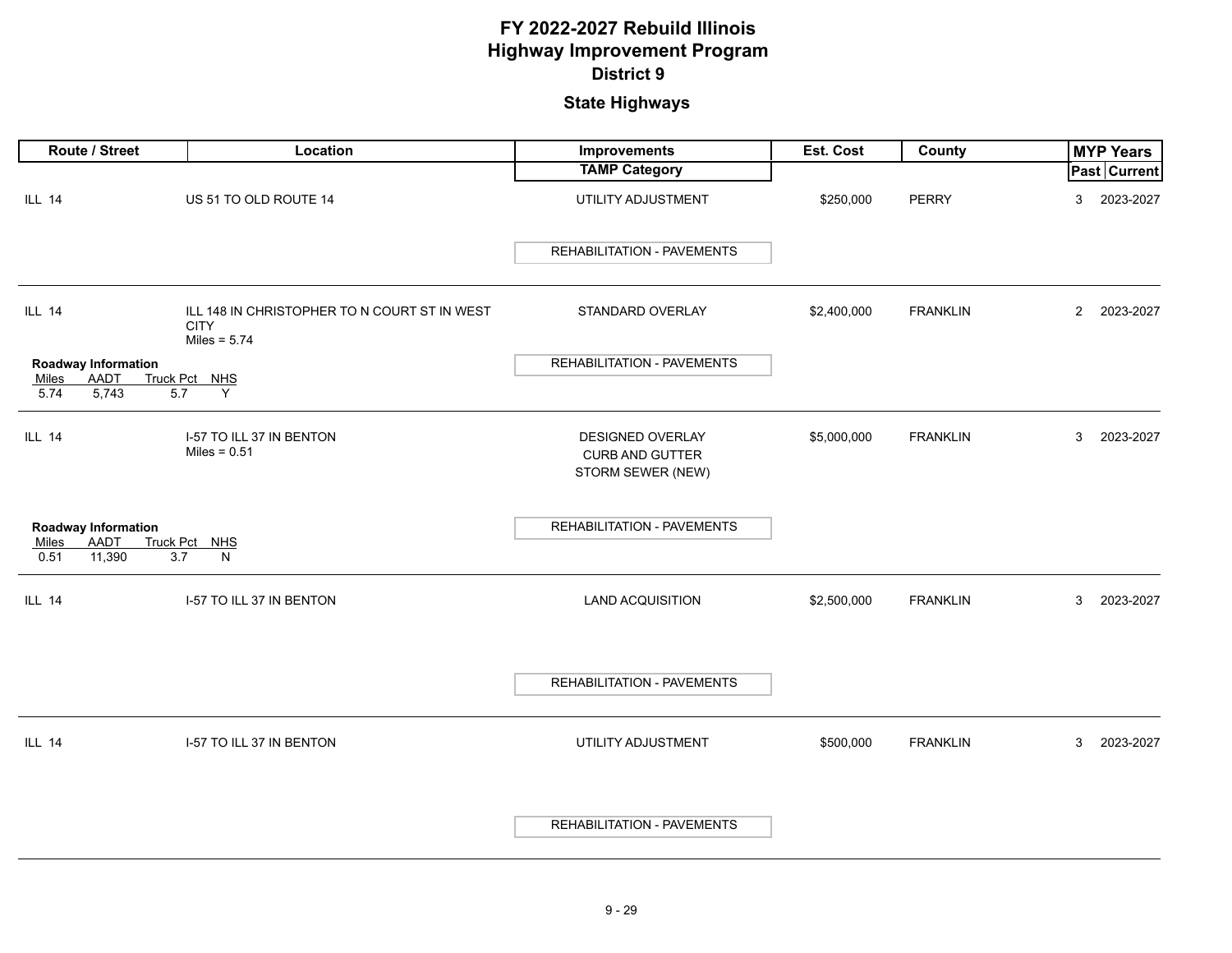| Route / Street                       | Location                                                                      | <b>Improvements</b>                                             | Est. Cost   | County          |                | <b>MYP Years</b>    |
|--------------------------------------|-------------------------------------------------------------------------------|-----------------------------------------------------------------|-------------|-----------------|----------------|---------------------|
|                                      |                                                                               | <b>TAMP Category</b>                                            |             |                 |                | <b>Past Current</b> |
| <b>ILL 14</b>                        | US 51 TO OLD ROUTE 14                                                         | UTILITY ADJUSTMENT                                              | \$250,000   | <b>PERRY</b>    | 3              | 2023-2027           |
|                                      |                                                                               | <b>REHABILITATION - PAVEMENTS</b>                               |             |                 |                |                     |
| <b>ILL 14</b>                        | ILL 148 IN CHRISTOPHER TO N COURT ST IN WEST<br><b>CITY</b><br>Miles = $5.74$ | STANDARD OVERLAY                                                | \$2,400,000 | <b>FRANKLIN</b> | $\overline{2}$ | 2023-2027           |
| <b>Roadway Information</b>           |                                                                               | <b>REHABILITATION - PAVEMENTS</b>                               |             |                 |                |                     |
| <b>AADT</b><br>Miles                 | Truck Pct NHS                                                                 |                                                                 |             |                 |                |                     |
| 5,743<br>5.74                        | 5.7<br>Y                                                                      |                                                                 |             |                 |                |                     |
| ILL 14                               | I-57 TO ILL 37 IN BENTON<br>Miles = $0.51$                                    | DESIGNED OVERLAY<br><b>CURB AND GUTTER</b><br>STORM SEWER (NEW) | \$5,000,000 | <b>FRANKLIN</b> | 3              | 2023-2027           |
|                                      |                                                                               |                                                                 |             |                 |                |                     |
| Roadway Information<br>AADT<br>Miles | Truck Pct NHS                                                                 | <b>REHABILITATION - PAVEMENTS</b>                               |             |                 |                |                     |
| 0.51<br>11,390                       | 3.7<br>N                                                                      |                                                                 |             |                 |                |                     |
| <b>ILL 14</b>                        | I-57 TO ILL 37 IN BENTON                                                      | LAND ACQUISITION                                                | \$2,500,000 | <b>FRANKLIN</b> | 3              | 2023-2027           |
|                                      |                                                                               | REHABILITATION - PAVEMENTS                                      |             |                 |                |                     |
| <b>ILL 14</b>                        | I-57 TO ILL 37 IN BENTON                                                      | UTILITY ADJUSTMENT                                              | \$500,000   | <b>FRANKLIN</b> | 3              | 2023-2027           |
|                                      |                                                                               | <b>REHABILITATION - PAVEMENTS</b>                               |             |                 |                |                     |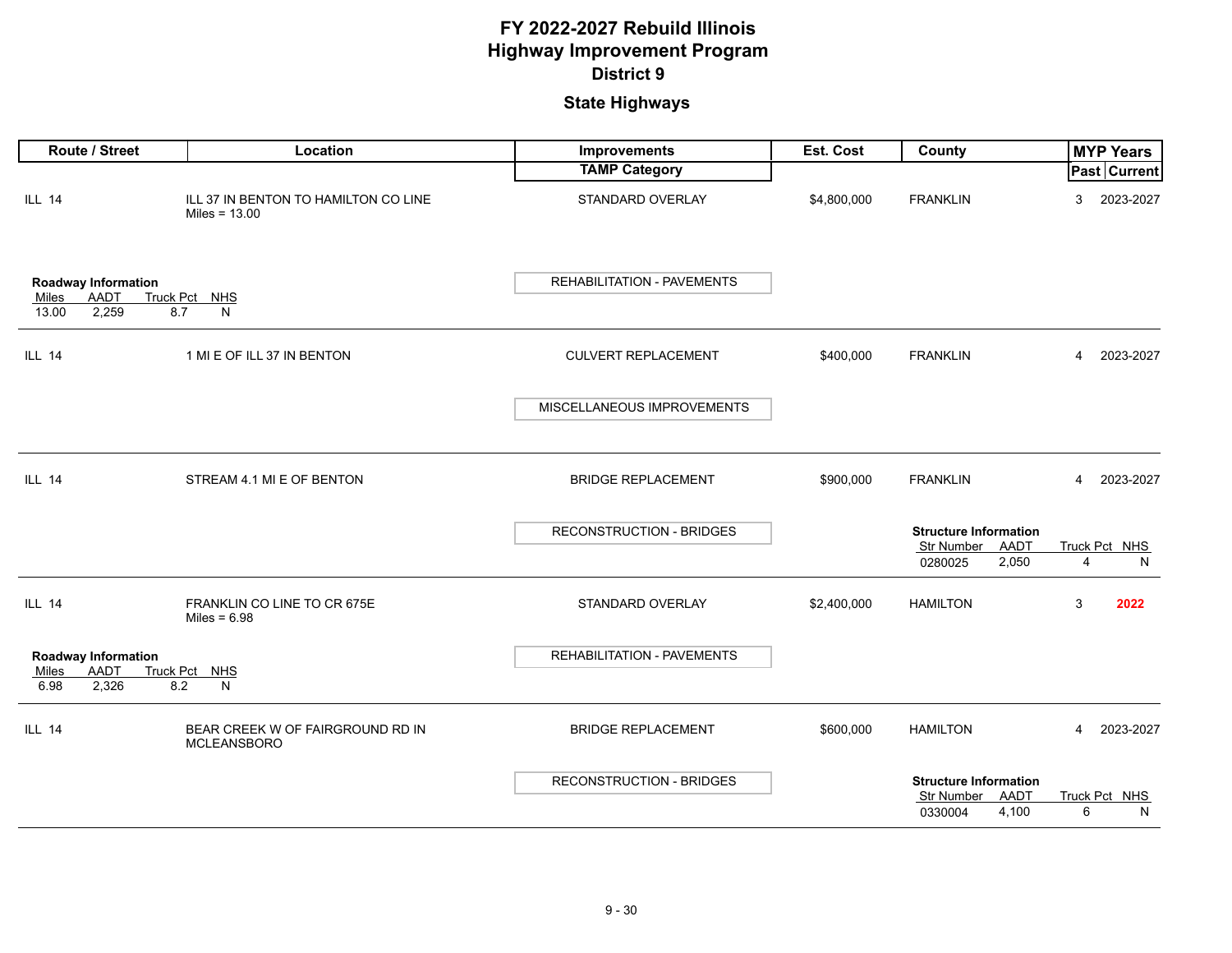| Route / Street                                                       | Location                                                | Improvements                      | Est. Cost   | County                                                                        |   | <b>MYP Years</b>    |
|----------------------------------------------------------------------|---------------------------------------------------------|-----------------------------------|-------------|-------------------------------------------------------------------------------|---|---------------------|
|                                                                      |                                                         | <b>TAMP Category</b>              |             |                                                                               |   | <b>Past Current</b> |
| <b>ILL 14</b>                                                        | ILL 37 IN BENTON TO HAMILTON CO LINE<br>Miles = $13.00$ | STANDARD OVERLAY                  | \$4,800,000 | <b>FRANKLIN</b>                                                               | 3 | 2023-2027           |
| <b>Roadway Information</b><br>AADT<br>Miles<br>2,259<br>13.00<br>8.7 | Truck Pct NHS<br>N                                      | REHABILITATION - PAVEMENTS        |             |                                                                               |   |                     |
| <b>ILL 14</b>                                                        | 1 MI E OF ILL 37 IN BENTON                              | <b>CULVERT REPLACEMENT</b>        | \$400,000   | <b>FRANKLIN</b>                                                               | 4 | 2023-2027           |
|                                                                      |                                                         | MISCELLANEOUS IMPROVEMENTS        |             |                                                                               |   |                     |
| <b>ILL 14</b>                                                        | STREAM 4.1 MI E OF BENTON                               | <b>BRIDGE REPLACEMENT</b>         | \$900,000   | <b>FRANKLIN</b>                                                               | 4 | 2023-2027           |
|                                                                      |                                                         | RECONSTRUCTION - BRIDGES          |             | <b>Structure Information</b><br>Str Number<br>AADT<br>0280025<br>2,050        | 4 | Truck Pct NHS<br>N  |
| <b>ILL 14</b>                                                        | FRANKLIN CO LINE TO CR 675E<br>Miles = $6.98$           | STANDARD OVERLAY                  | \$2,400,000 | <b>HAMILTON</b>                                                               | 3 | 2022                |
| <b>Roadway Information</b><br>AADT<br>Miles<br>2,326<br>8.2<br>6.98  | Truck Pct NHS<br>N                                      | <b>REHABILITATION - PAVEMENTS</b> |             |                                                                               |   |                     |
| <b>ILL 14</b>                                                        | BEAR CREEK W OF FAIRGROUND RD IN<br>MCLEANSBORO         | <b>BRIDGE REPLACEMENT</b>         | \$600,000   | <b>HAMILTON</b>                                                               | 4 | 2023-2027           |
|                                                                      |                                                         | <b>RECONSTRUCTION - BRIDGES</b>   |             | <b>Structure Information</b><br><b>Str Number</b><br>AADT<br>4,100<br>0330004 | 6 | Truck Pct NHS<br>N  |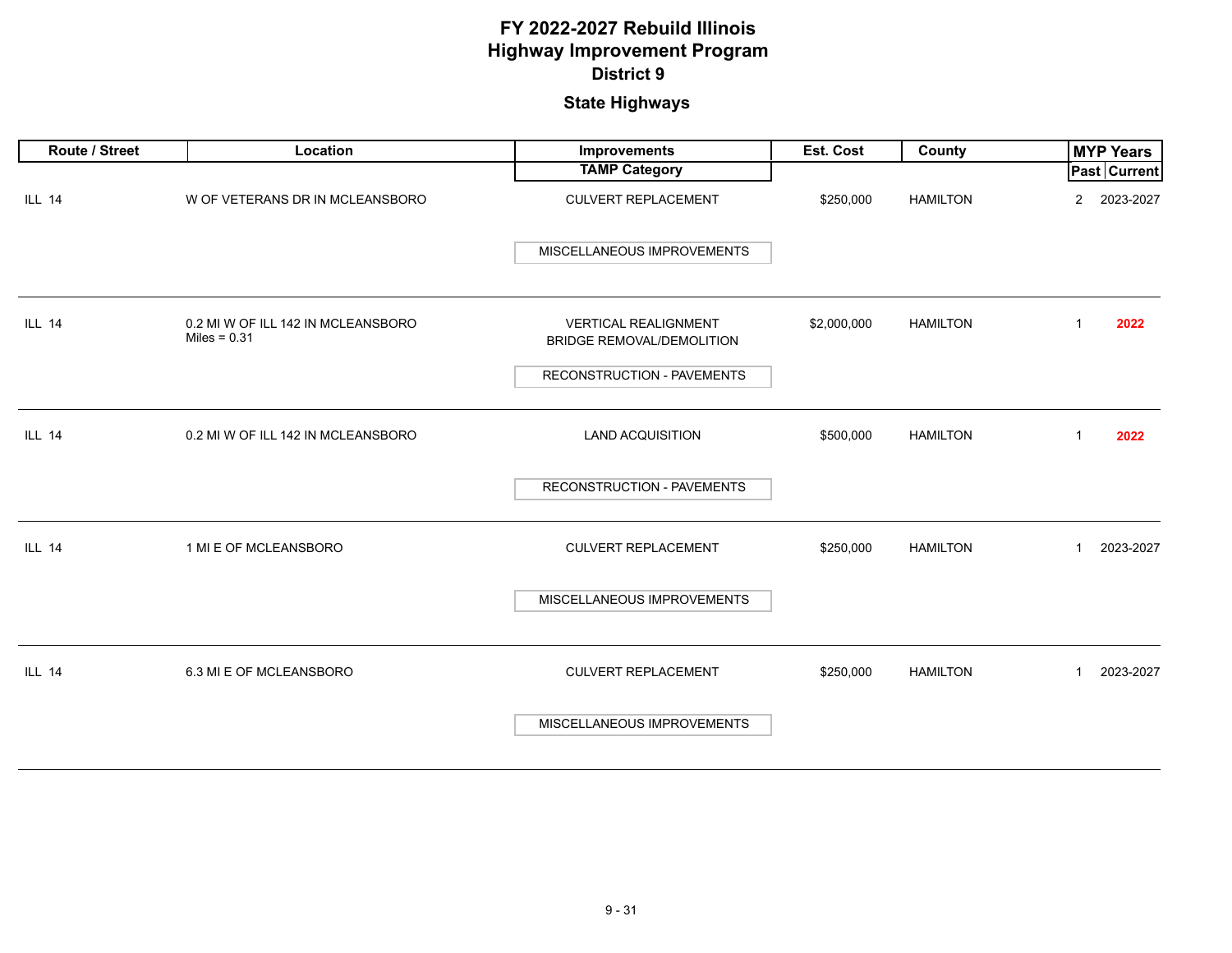| Route / Street | Location                                             | Improvements                                                                                  | Est. Cost   | County          | <b>MYP Years</b>            |
|----------------|------------------------------------------------------|-----------------------------------------------------------------------------------------------|-------------|-----------------|-----------------------------|
|                |                                                      | <b>TAMP Category</b>                                                                          |             |                 | Past Current                |
| <b>ILL 14</b>  | W OF VETERANS DR IN MCLEANSBORO                      | <b>CULVERT REPLACEMENT</b>                                                                    | \$250,000   | <b>HAMILTON</b> | 2023-2027<br>$\overline{2}$ |
|                |                                                      | MISCELLANEOUS IMPROVEMENTS                                                                    |             |                 |                             |
| <b>ILL 14</b>  | 0.2 MI W OF ILL 142 IN MCLEANSBORO<br>Miles = $0.31$ | <b>VERTICAL REALIGNMENT</b><br><b>BRIDGE REMOVAL/DEMOLITION</b><br>RECONSTRUCTION - PAVEMENTS | \$2,000,000 | <b>HAMILTON</b> | 2022<br>$\mathbf{1}$        |
| <b>ILL 14</b>  | 0.2 MI W OF ILL 142 IN MCLEANSBORO                   | <b>LAND ACQUISITION</b>                                                                       | \$500,000   | <b>HAMILTON</b> | $\mathbf{1}$<br>2022        |
|                |                                                      | RECONSTRUCTION - PAVEMENTS                                                                    |             |                 |                             |
| <b>ILL 14</b>  | 1 MI E OF MCLEANSBORO                                | <b>CULVERT REPLACEMENT</b>                                                                    | \$250,000   | <b>HAMILTON</b> | 2023-2027<br>$\mathbf{1}$   |
|                |                                                      | MISCELLANEOUS IMPROVEMENTS                                                                    |             |                 |                             |
| <b>ILL 14</b>  | 6.3 MI E OF MCLEANSBORO                              | <b>CULVERT REPLACEMENT</b>                                                                    | \$250,000   | <b>HAMILTON</b> | 2023-2027<br>$\mathbf{1}$   |
|                |                                                      | MISCELLANEOUS IMPROVEMENTS                                                                    |             |                 |                             |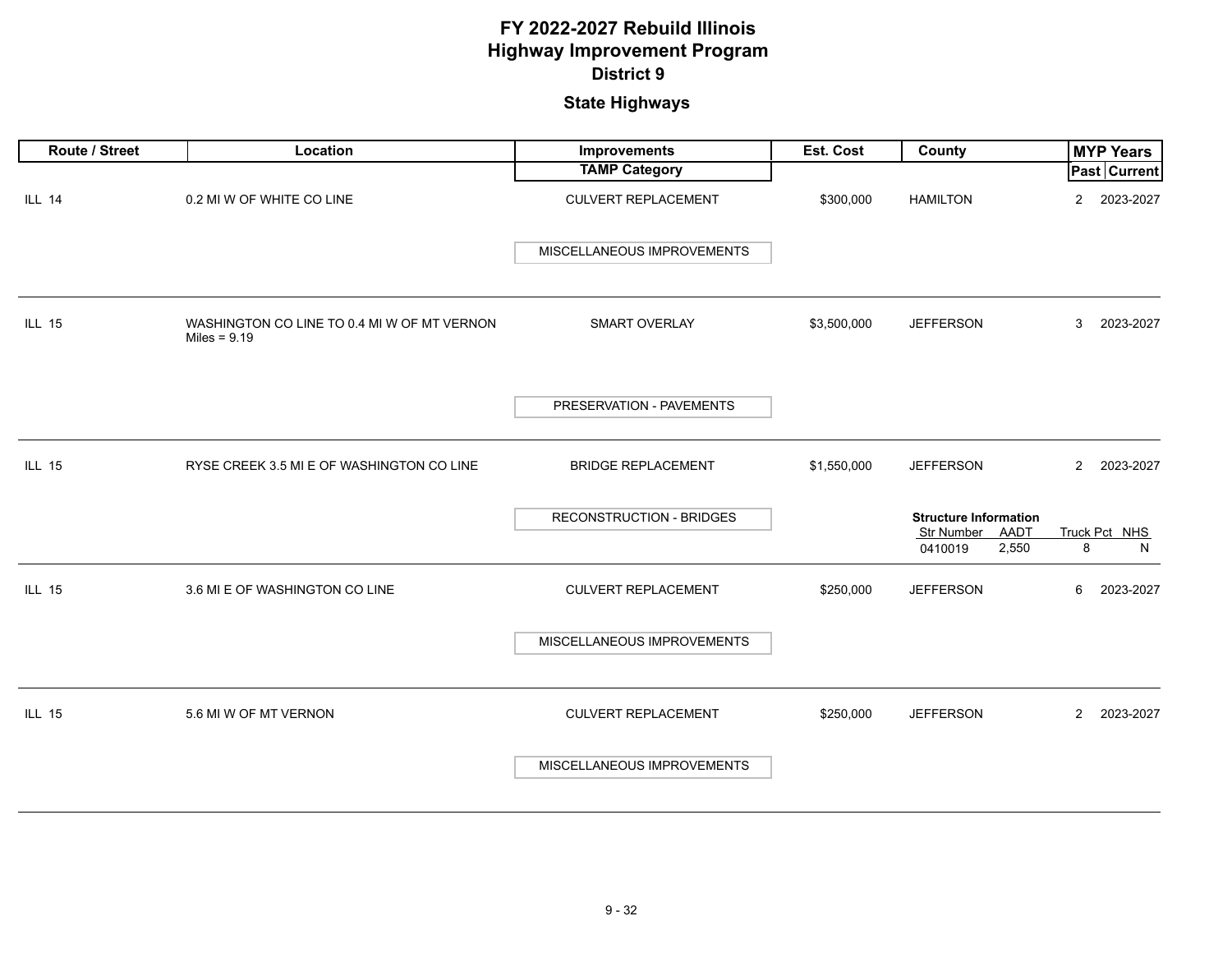| Route / Street | Location                                                      | Improvements                    | <b>Est. Cost</b> | <b>County</b>                                                                 | <b>MYP Years</b>            |
|----------------|---------------------------------------------------------------|---------------------------------|------------------|-------------------------------------------------------------------------------|-----------------------------|
|                |                                                               | <b>TAMP Category</b>            |                  |                                                                               | <b>Past Current</b>         |
| <b>ILL 14</b>  | 0.2 MI W OF WHITE CO LINE                                     | <b>CULVERT REPLACEMENT</b>      | \$300,000        | <b>HAMILTON</b>                                                               | $\overline{a}$<br>2023-2027 |
|                |                                                               | MISCELLANEOUS IMPROVEMENTS      |                  |                                                                               |                             |
| <b>ILL 15</b>  | WASHINGTON CO LINE TO 0.4 MI W OF MT VERNON<br>Miles = $9.19$ | SMART OVERLAY                   | \$3,500,000      | <b>JEFFERSON</b>                                                              | 3<br>2023-2027              |
|                |                                                               | PRESERVATION - PAVEMENTS        |                  |                                                                               |                             |
| <b>ILL 15</b>  | RYSE CREEK 3.5 MI E OF WASHINGTON CO LINE                     | <b>BRIDGE REPLACEMENT</b>       | \$1,550,000      | <b>JEFFERSON</b>                                                              | $\mathbf{2}$<br>2023-2027   |
|                |                                                               | <b>RECONSTRUCTION - BRIDGES</b> |                  | <b>Structure Information</b><br><b>Str Number</b><br>AADT<br>2,550<br>0410019 | Truck Pct NHS<br>8<br>N     |
| <b>ILL 15</b>  | 3.6 MI E OF WASHINGTON CO LINE                                | <b>CULVERT REPLACEMENT</b>      | \$250,000        | <b>JEFFERSON</b>                                                              | 6<br>2023-2027              |
|                |                                                               | MISCELLANEOUS IMPROVEMENTS      |                  |                                                                               |                             |
| <b>ILL 15</b>  | 5.6 MI W OF MT VERNON                                         | <b>CULVERT REPLACEMENT</b>      | \$250,000        | <b>JEFFERSON</b>                                                              | $\overline{2}$<br>2023-2027 |
|                |                                                               | MISCELLANEOUS IMPROVEMENTS      |                  |                                                                               |                             |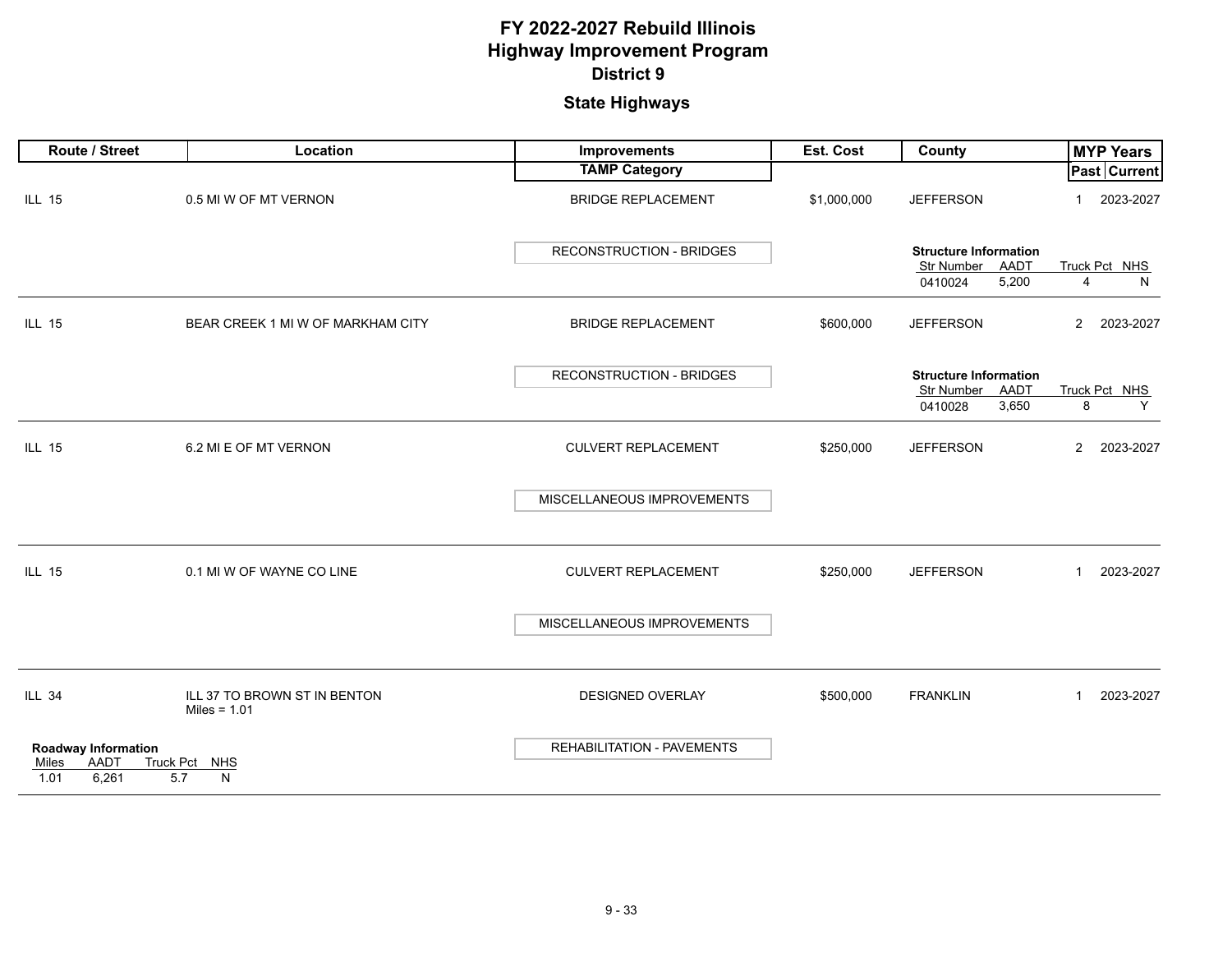| Route / Street                                                                                 | Location                                       | Improvements                    | Est. Cost   | County                                          | <b>MYP Years</b>            |
|------------------------------------------------------------------------------------------------|------------------------------------------------|---------------------------------|-------------|-------------------------------------------------|-----------------------------|
|                                                                                                |                                                | <b>TAMP Category</b>            |             |                                                 | Past Current                |
| <b>ILL 15</b>                                                                                  | 0.5 MI W OF MT VERNON                          | <b>BRIDGE REPLACEMENT</b>       | \$1,000,000 | <b>JEFFERSON</b>                                | 2023-2027<br>1              |
|                                                                                                |                                                | <b>RECONSTRUCTION - BRIDGES</b> |             | <b>Structure Information</b><br>Str Number AADT | Truck Pct NHS               |
|                                                                                                |                                                |                                 |             | 5,200<br>0410024                                | N<br>$\overline{4}$         |
| <b>ILL 15</b>                                                                                  | BEAR CREEK 1 MI W OF MARKHAM CITY              | <b>BRIDGE REPLACEMENT</b>       | \$600,000   | <b>JEFFERSON</b>                                | $\overline{2}$<br>2023-2027 |
|                                                                                                |                                                | <b>RECONSTRUCTION - BRIDGES</b> |             | <b>Structure Information</b>                    |                             |
|                                                                                                |                                                |                                 |             | Str Number<br>AADT<br>3,650<br>0410028          | Truck Pct NHS<br>8<br>Y     |
| <b>ILL 15</b>                                                                                  | 6.2 MI E OF MT VERNON                          | CULVERT REPLACEMENT             | \$250,000   | <b>JEFFERSON</b>                                | 2023-2027<br>$\overline{2}$ |
|                                                                                                |                                                | MISCELLANEOUS IMPROVEMENTS      |             |                                                 |                             |
| <b>ILL 15</b>                                                                                  | 0.1 MI W OF WAYNE CO LINE                      | <b>CULVERT REPLACEMENT</b>      | \$250,000   | <b>JEFFERSON</b>                                | 2023-2027<br>$\mathbf{1}$   |
|                                                                                                |                                                | MISCELLANEOUS IMPROVEMENTS      |             |                                                 |                             |
| <b>ILL 34</b>                                                                                  | ILL 37 TO BROWN ST IN BENTON<br>Miles = $1.01$ | <b>DESIGNED OVERLAY</b>         | \$500,000   | <b>FRANKLIN</b>                                 | 2023-2027<br>$\overline{1}$ |
| <b>Roadway Information</b><br><b>AADT</b><br><b>Truck Pct</b><br>Miles<br>6,261<br>5.7<br>1.01 | <b>NHS</b><br>N                                | REHABILITATION - PAVEMENTS      |             |                                                 |                             |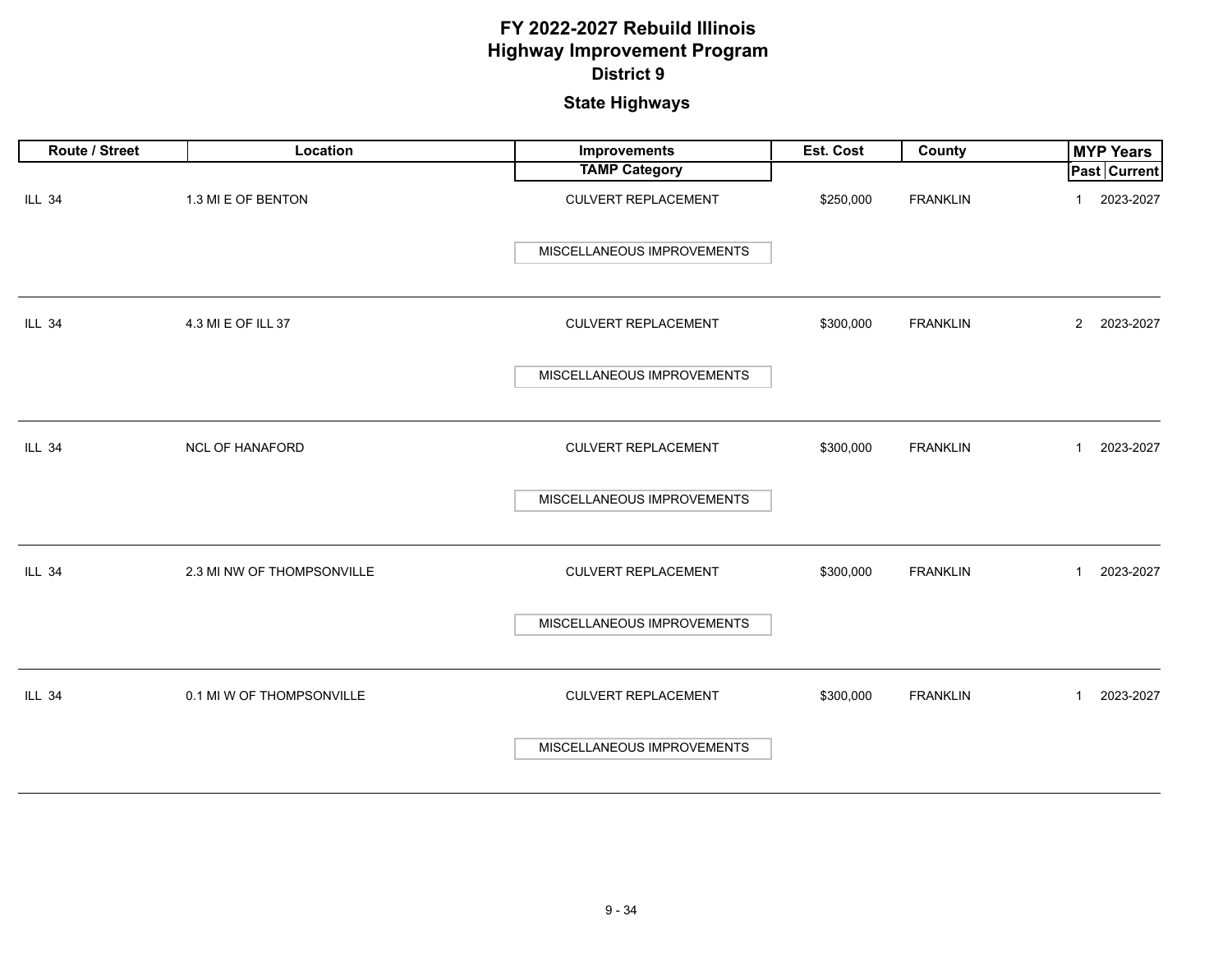| Route / Street | Location                   | Improvements               | Est. Cost | County          | <b>MYP Years</b>            |
|----------------|----------------------------|----------------------------|-----------|-----------------|-----------------------------|
|                |                            | <b>TAMP Category</b>       |           |                 | <b>Past Current</b>         |
| <b>ILL 34</b>  | 1.3 MI E OF BENTON         | CULVERT REPLACEMENT        | \$250,000 | <b>FRANKLIN</b> | 2023-2027<br>1              |
|                |                            | MISCELLANEOUS IMPROVEMENTS |           |                 |                             |
| <b>ILL 34</b>  | 4.3 MI E OF ILL 37         | CULVERT REPLACEMENT        | \$300,000 | <b>FRANKLIN</b> | 2 2023-2027                 |
|                |                            | MISCELLANEOUS IMPROVEMENTS |           |                 |                             |
| <b>ILL 34</b>  | NCL OF HANAFORD            | <b>CULVERT REPLACEMENT</b> | \$300,000 | <b>FRANKLIN</b> | 2023-2027<br>$\mathbf{1}$   |
|                |                            | MISCELLANEOUS IMPROVEMENTS |           |                 |                             |
| <b>ILL 34</b>  | 2.3 MI NW OF THOMPSONVILLE | <b>CULVERT REPLACEMENT</b> | \$300,000 | <b>FRANKLIN</b> | 2023-2027<br>$\overline{1}$ |
|                |                            | MISCELLANEOUS IMPROVEMENTS |           |                 |                             |
| <b>ILL 34</b>  | 0.1 MI W OF THOMPSONVILLE  | CULVERT REPLACEMENT        | \$300,000 | <b>FRANKLIN</b> | 2023-2027<br>$\overline{1}$ |
|                |                            | MISCELLANEOUS IMPROVEMENTS |           |                 |                             |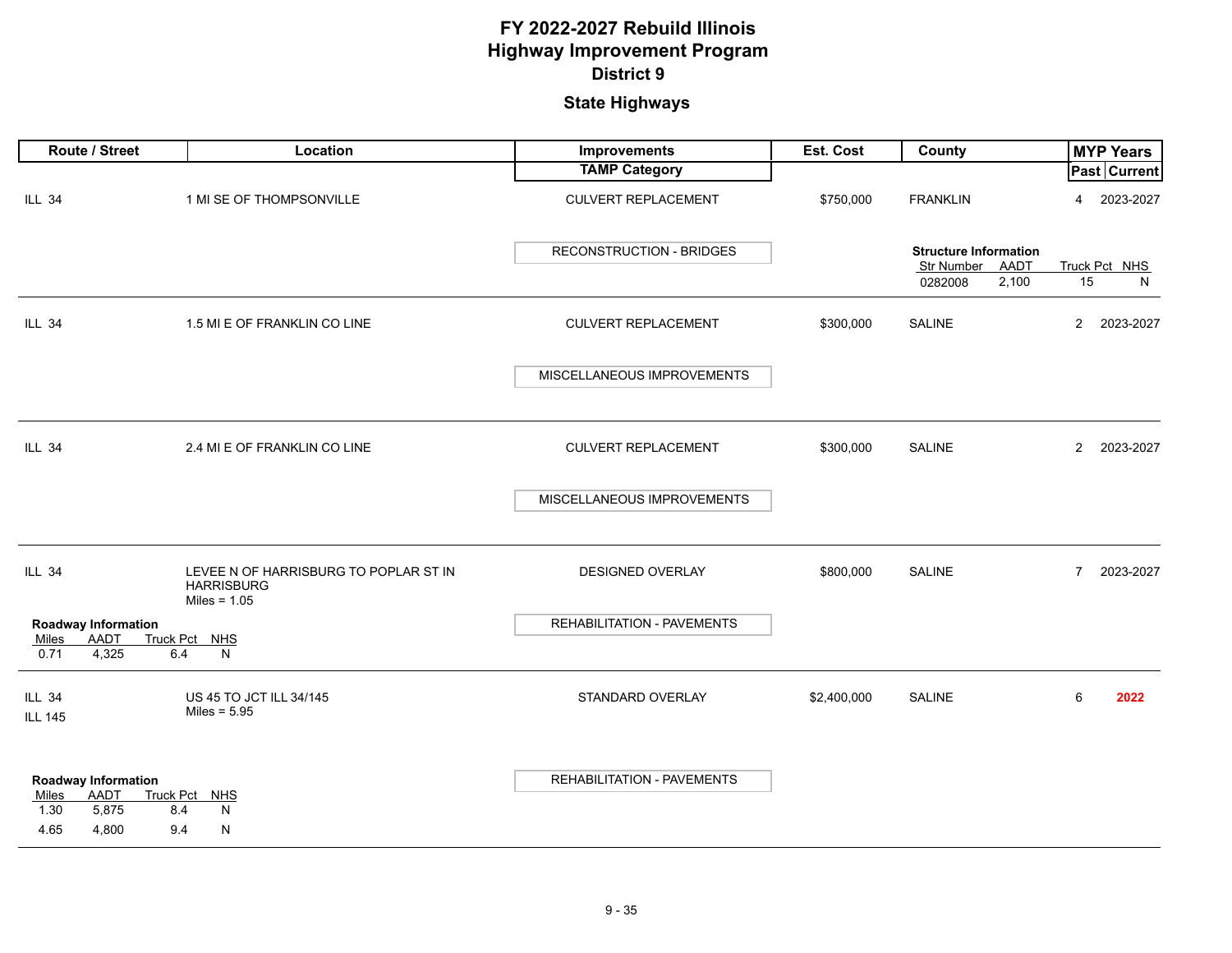|                                 | Route / Street                                                                         | Location                                                                     | Improvements                    | Est. Cost   | County                                                                 |                | <b>MYP Years</b>   |
|---------------------------------|----------------------------------------------------------------------------------------|------------------------------------------------------------------------------|---------------------------------|-------------|------------------------------------------------------------------------|----------------|--------------------|
|                                 |                                                                                        |                                                                              | <b>TAMP Category</b>            |             |                                                                        |                | Past Current       |
| <b>ILL 34</b>                   |                                                                                        | 1 MI SE OF THOMPSONVILLE                                                     | <b>CULVERT REPLACEMENT</b>      | \$750,000   | <b>FRANKLIN</b>                                                        | 4              | 2023-2027          |
|                                 |                                                                                        |                                                                              | <b>RECONSTRUCTION - BRIDGES</b> |             | <b>Structure Information</b><br>Str Number<br>AADT<br>0282008<br>2,100 | 15             | Truck Pct NHS<br>N |
| <b>ILL 34</b>                   |                                                                                        | 1.5 MI E OF FRANKLIN CO LINE                                                 | <b>CULVERT REPLACEMENT</b>      | \$300,000   | <b>SALINE</b>                                                          | $\overline{2}$ | 2023-2027          |
|                                 |                                                                                        |                                                                              | MISCELLANEOUS IMPROVEMENTS      |             |                                                                        |                |                    |
| <b>ILL 34</b>                   |                                                                                        | 2.4 MI E OF FRANKLIN CO LINE                                                 | <b>CULVERT REPLACEMENT</b>      | \$300,000   | <b>SALINE</b>                                                          | $\overline{2}$ | 2023-2027          |
|                                 |                                                                                        |                                                                              | MISCELLANEOUS IMPROVEMENTS      |             |                                                                        |                |                    |
| <b>ILL 34</b>                   |                                                                                        | LEVEE N OF HARRISBURG TO POPLAR ST IN<br><b>HARRISBURG</b><br>Miles = $1.05$ | DESIGNED OVERLAY                | \$800,000   | SALINE                                                                 | $\overline{7}$ | 2023-2027          |
| Miles                           | <b>Roadway Information</b><br>AADT                                                     | Truck Pct NHS                                                                | REHABILITATION - PAVEMENTS      |             |                                                                        |                |                    |
| 0.71                            | 4,325<br>6.4                                                                           | N                                                                            |                                 |             |                                                                        |                |                    |
| <b>ILL 34</b><br><b>ILL 145</b> |                                                                                        | US 45 TO JCT ILL 34/145<br>Miles = $5.95$                                    | STANDARD OVERLAY                | \$2,400,000 | <b>SALINE</b>                                                          | 6              | 2022               |
| Miles<br>1.30<br>4.65           | <b>Roadway Information</b><br><b>AADT</b><br>Truck Pct<br>5,875<br>8.4<br>4,800<br>9.4 | MHS<br>N<br>N                                                                | REHABILITATION - PAVEMENTS      |             |                                                                        |                |                    |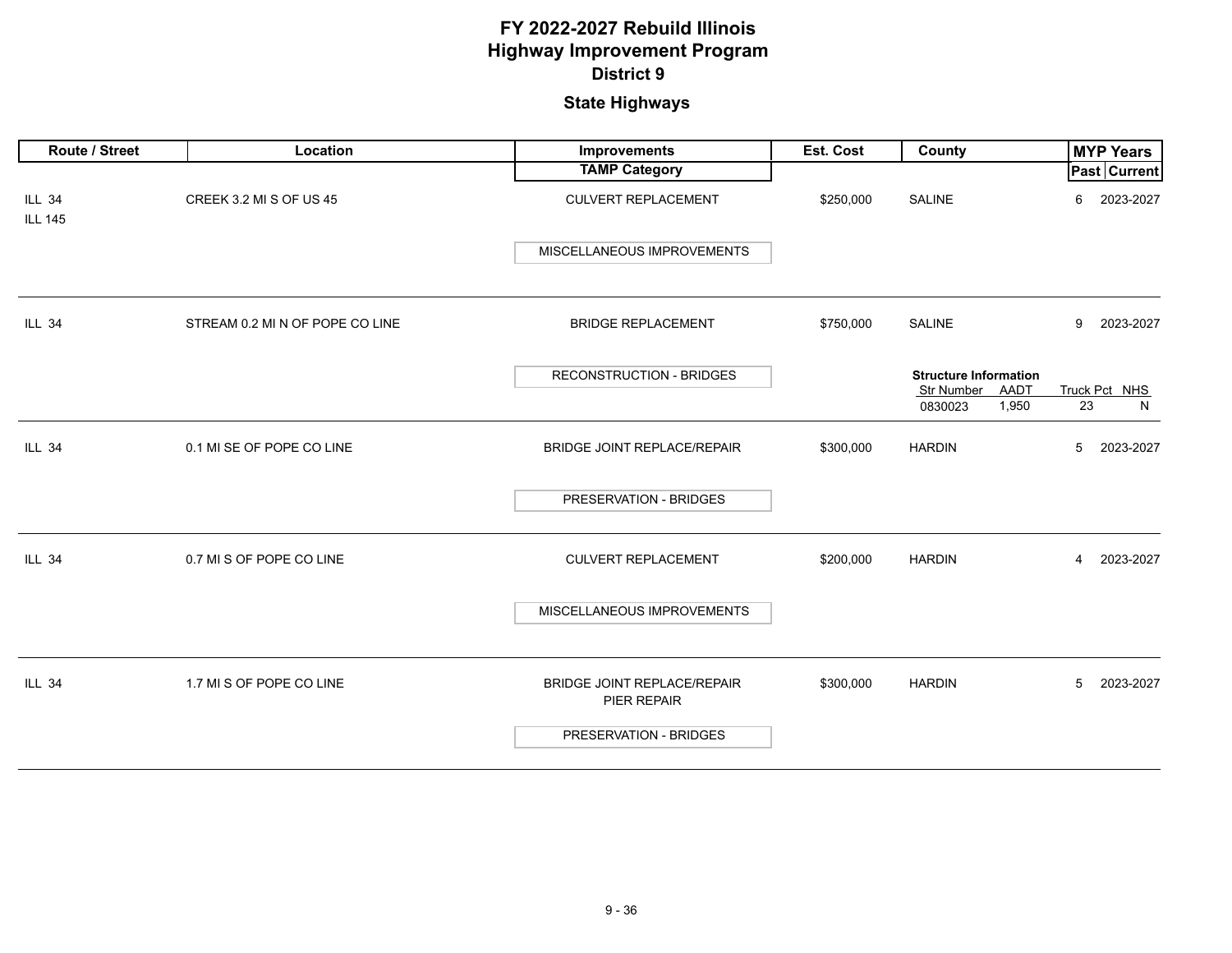| Route / Street                  | Location                        | Improvements                                      | Est. Cost | County                                                    | <b>MYP Years</b>            |
|---------------------------------|---------------------------------|---------------------------------------------------|-----------|-----------------------------------------------------------|-----------------------------|
|                                 |                                 | <b>TAMP Category</b>                              |           |                                                           | Past Current                |
| <b>ILL 34</b><br><b>ILL 145</b> | CREEK 3.2 MI S OF US 45         | <b>CULVERT REPLACEMENT</b>                        | \$250,000 | <b>SALINE</b>                                             | 2023-2027<br>6              |
|                                 |                                 | MISCELLANEOUS IMPROVEMENTS                        |           |                                                           |                             |
| <b>ILL 34</b>                   | STREAM 0.2 MI N OF POPE CO LINE | <b>BRIDGE REPLACEMENT</b>                         | \$750,000 | SALINE                                                    | 2023-2027<br>9              |
|                                 |                                 | <b>RECONSTRUCTION - BRIDGES</b>                   |           | <b>Structure Information</b><br><b>Str Number</b><br>AADT | Truck Pct NHS               |
|                                 |                                 |                                                   |           | 1,950<br>0830023                                          | 23<br>N                     |
| <b>ILL 34</b>                   | 0.1 MI SE OF POPE CO LINE       | BRIDGE JOINT REPLACE/REPAIR                       | \$300,000 | <b>HARDIN</b>                                             | 5<br>2023-2027              |
|                                 |                                 | PRESERVATION - BRIDGES                            |           |                                                           |                             |
| <b>ILL 34</b>                   | 0.7 MI S OF POPE CO LINE        | <b>CULVERT REPLACEMENT</b>                        | \$200,000 | <b>HARDIN</b>                                             | 2023-2027<br>$\overline{4}$ |
|                                 |                                 | MISCELLANEOUS IMPROVEMENTS                        |           |                                                           |                             |
| <b>ILL 34</b>                   | 1.7 MI S OF POPE CO LINE        | <b>BRIDGE JOINT REPLACE/REPAIR</b><br>PIER REPAIR | \$300,000 | <b>HARDIN</b>                                             | 2023-2027<br>5              |
|                                 |                                 | PRESERVATION - BRIDGES                            |           |                                                           |                             |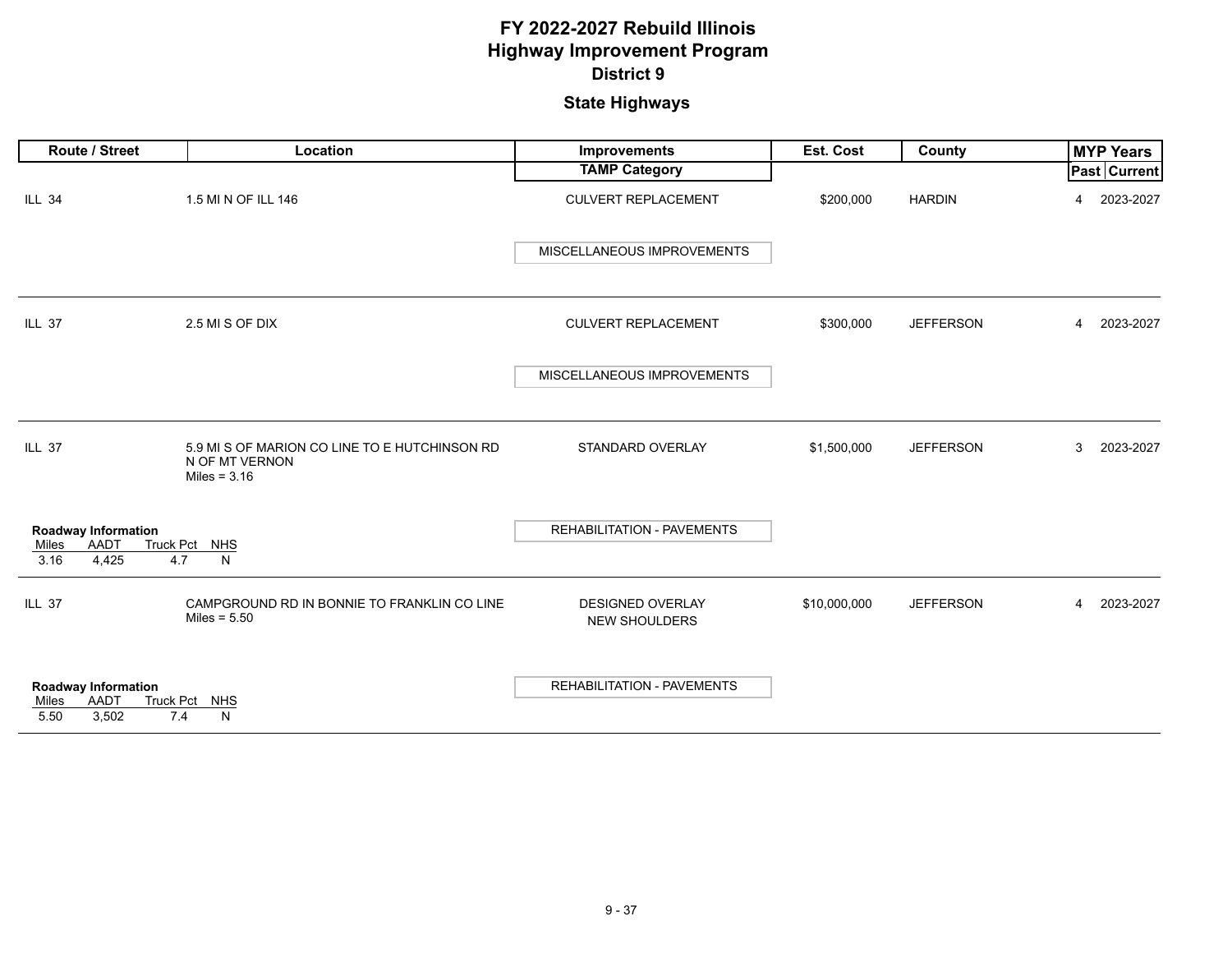| Route / Street                                               | Location                                                                          | Improvements                             | Est. Cost    | <b>County</b>    | <b>MYP Years</b>    |
|--------------------------------------------------------------|-----------------------------------------------------------------------------------|------------------------------------------|--------------|------------------|---------------------|
|                                                              |                                                                                   | <b>TAMP Category</b>                     |              |                  | <b>Past Current</b> |
| <b>ILL 34</b>                                                | 1.5 MI N OF ILL 146                                                               | <b>CULVERT REPLACEMENT</b>               | \$200,000    | <b>HARDIN</b>    | 2023-2027<br>4      |
|                                                              |                                                                                   | MISCELLANEOUS IMPROVEMENTS               |              |                  |                     |
| <b>ILL 37</b>                                                | 2.5 MI S OF DIX                                                                   | <b>CULVERT REPLACEMENT</b>               | \$300,000    | <b>JEFFERSON</b> | 2023-2027<br>4      |
|                                                              |                                                                                   | MISCELLANEOUS IMPROVEMENTS               |              |                  |                     |
| <b>ILL 37</b>                                                | 5.9 MI S OF MARION CO LINE TO E HUTCHINSON RD<br>N OF MT VERNON<br>Miles = $3.16$ | STANDARD OVERLAY                         | \$1,500,000  | <b>JEFFERSON</b> | 2023-2027<br>3      |
| <b>Roadway Information</b><br>AADT<br>Miles<br>3.16<br>4,425 | Truck Pct NHS<br>4.7<br>N                                                         | REHABILITATION - PAVEMENTS               |              |                  |                     |
| <b>ILL 37</b>                                                | CAMPGROUND RD IN BONNIE TO FRANKLIN CO LINE<br>Miles = $5.50$                     | DESIGNED OVERLAY<br><b>NEW SHOULDERS</b> | \$10,000,000 | <b>JEFFERSON</b> | 2023-2027<br>4      |
| Roadway Information<br><b>AADT</b><br>Miles<br>5.50<br>3,502 | Truck Pct NHS<br>7.4<br>N                                                         | <b>REHABILITATION - PAVEMENTS</b>        |              |                  |                     |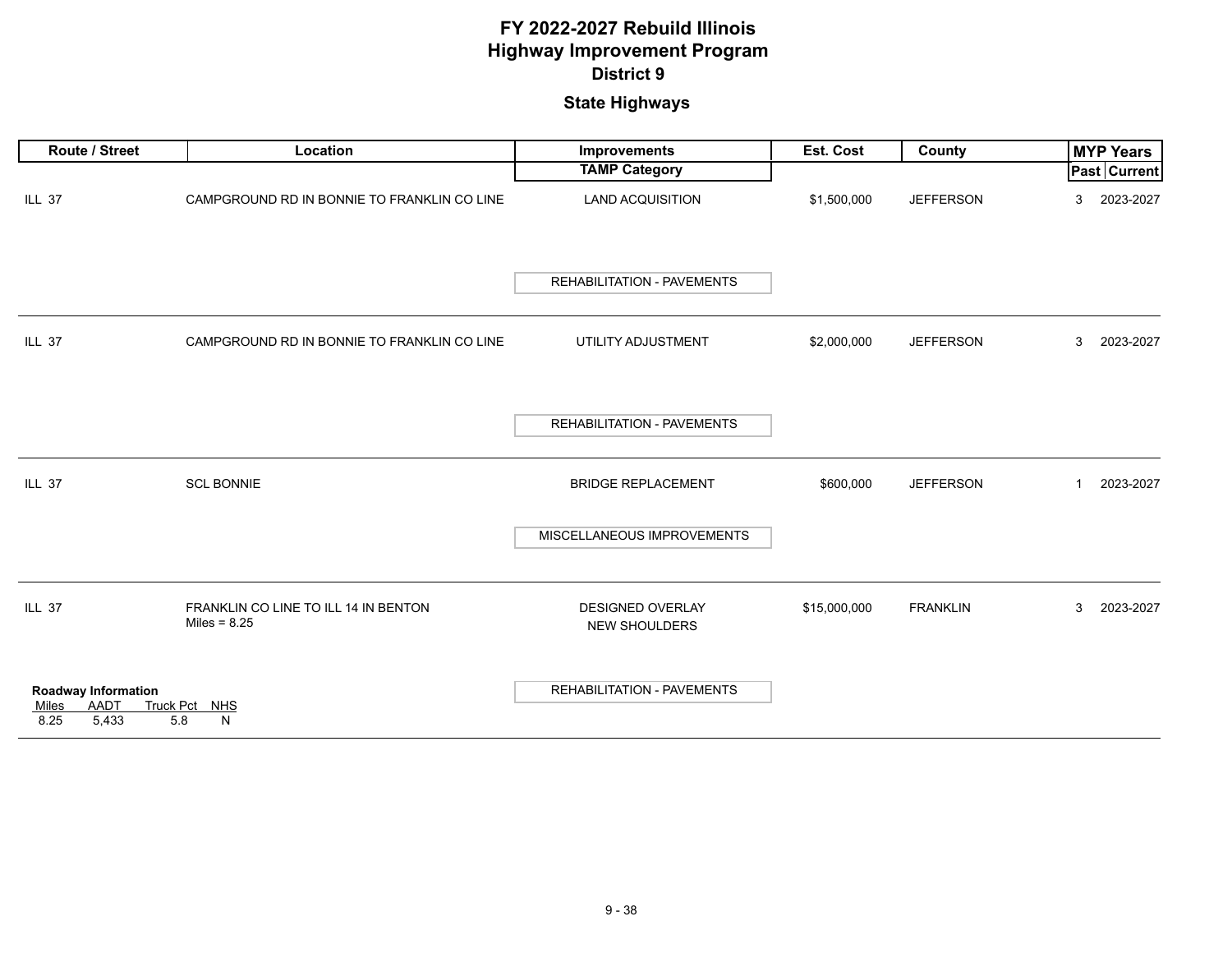| Route / Street                                                             | Location                                               | Improvements                             | Est. Cost    | <b>County</b>    | <b>MYP Years</b>            |
|----------------------------------------------------------------------------|--------------------------------------------------------|------------------------------------------|--------------|------------------|-----------------------------|
|                                                                            |                                                        | <b>TAMP Category</b>                     |              |                  | <b>Past Current</b>         |
| <b>ILL 37</b>                                                              | CAMPGROUND RD IN BONNIE TO FRANKLIN CO LINE            | <b>LAND ACQUISITION</b>                  | \$1,500,000  | <b>JEFFERSON</b> | 2023-2027<br>3              |
|                                                                            |                                                        | <b>REHABILITATION - PAVEMENTS</b>        |              |                  |                             |
| <b>ILL 37</b>                                                              | CAMPGROUND RD IN BONNIE TO FRANKLIN CO LINE            | UTILITY ADJUSTMENT                       | \$2,000,000  | <b>JEFFERSON</b> | 2023-2027<br>3              |
|                                                                            |                                                        | <b>REHABILITATION - PAVEMENTS</b>        |              |                  |                             |
| <b>ILL 37</b>                                                              | <b>SCL BONNIE</b>                                      | <b>BRIDGE REPLACEMENT</b>                | \$600,000    | <b>JEFFERSON</b> | 2023-2027<br>$\overline{1}$ |
|                                                                            |                                                        | MISCELLANEOUS IMPROVEMENTS               |              |                  |                             |
| <b>ILL 37</b>                                                              | FRANKLIN CO LINE TO ILL 14 IN BENTON<br>Miles = $8.25$ | <b>DESIGNED OVERLAY</b><br>NEW SHOULDERS | \$15,000,000 | <b>FRANKLIN</b>  | 2023-2027<br>3              |
| <b>Roadway Information</b><br><b>AADT</b><br>Miles<br>5,433<br>5.8<br>8.25 | Truck Pct NHS<br>N                                     | <b>REHABILITATION - PAVEMENTS</b>        |              |                  |                             |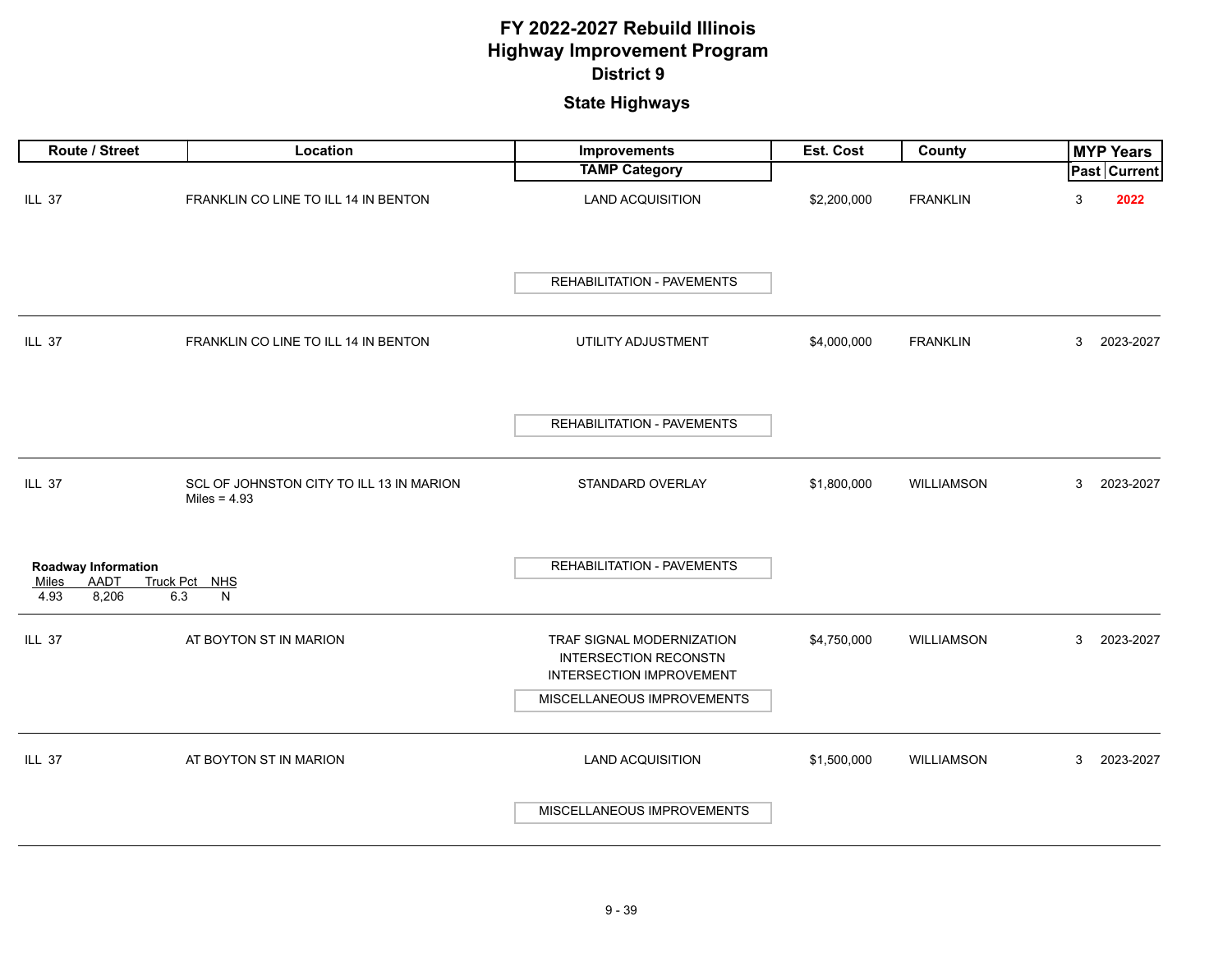| Route / Street                                                             | Location                                                   | Improvements                                                                                 | Est. Cost   | County            |   | <b>MYP Years</b>    |
|----------------------------------------------------------------------------|------------------------------------------------------------|----------------------------------------------------------------------------------------------|-------------|-------------------|---|---------------------|
|                                                                            |                                                            | <b>TAMP Category</b>                                                                         |             |                   |   | <b>Past Current</b> |
| ILL 37                                                                     | FRANKLIN CO LINE TO ILL 14 IN BENTON                       | <b>LAND ACQUISITION</b>                                                                      | \$2,200,000 | <b>FRANKLIN</b>   | 3 | 2022                |
|                                                                            |                                                            | REHABILITATION - PAVEMENTS                                                                   |             |                   |   |                     |
| <b>ILL 37</b>                                                              | FRANKLIN CO LINE TO ILL 14 IN BENTON                       | UTILITY ADJUSTMENT                                                                           | \$4,000,000 | <b>FRANKLIN</b>   | 3 | 2023-2027           |
|                                                                            |                                                            | REHABILITATION - PAVEMENTS                                                                   |             |                   |   |                     |
| ILL 37                                                                     | SCL OF JOHNSTON CITY TO ILL 13 IN MARION<br>Miles = $4.93$ | STANDARD OVERLAY                                                                             | \$1,800,000 | <b>WILLIAMSON</b> | 3 | 2023-2027           |
| <b>Roadway Information</b><br><b>AADT</b><br>Miles<br>8,206<br>6.3<br>4.93 | Truck Pct NHS<br>N                                         | REHABILITATION - PAVEMENTS                                                                   |             |                   |   |                     |
| <b>ILL 37</b>                                                              | AT BOYTON ST IN MARION                                     | TRAF SIGNAL MODERNIZATION<br><b>INTERSECTION RECONSTN</b><br><b>INTERSECTION IMPROVEMENT</b> | \$4,750,000 | WILLIAMSON        | 3 | 2023-2027           |
|                                                                            |                                                            | MISCELLANEOUS IMPROVEMENTS                                                                   |             |                   |   |                     |
| ILL 37                                                                     | AT BOYTON ST IN MARION                                     | <b>LAND ACQUISITION</b><br>MISCELLANEOUS IMPROVEMENTS                                        | \$1,500,000 | <b>WILLIAMSON</b> | 3 | 2023-2027           |
|                                                                            |                                                            |                                                                                              |             |                   |   |                     |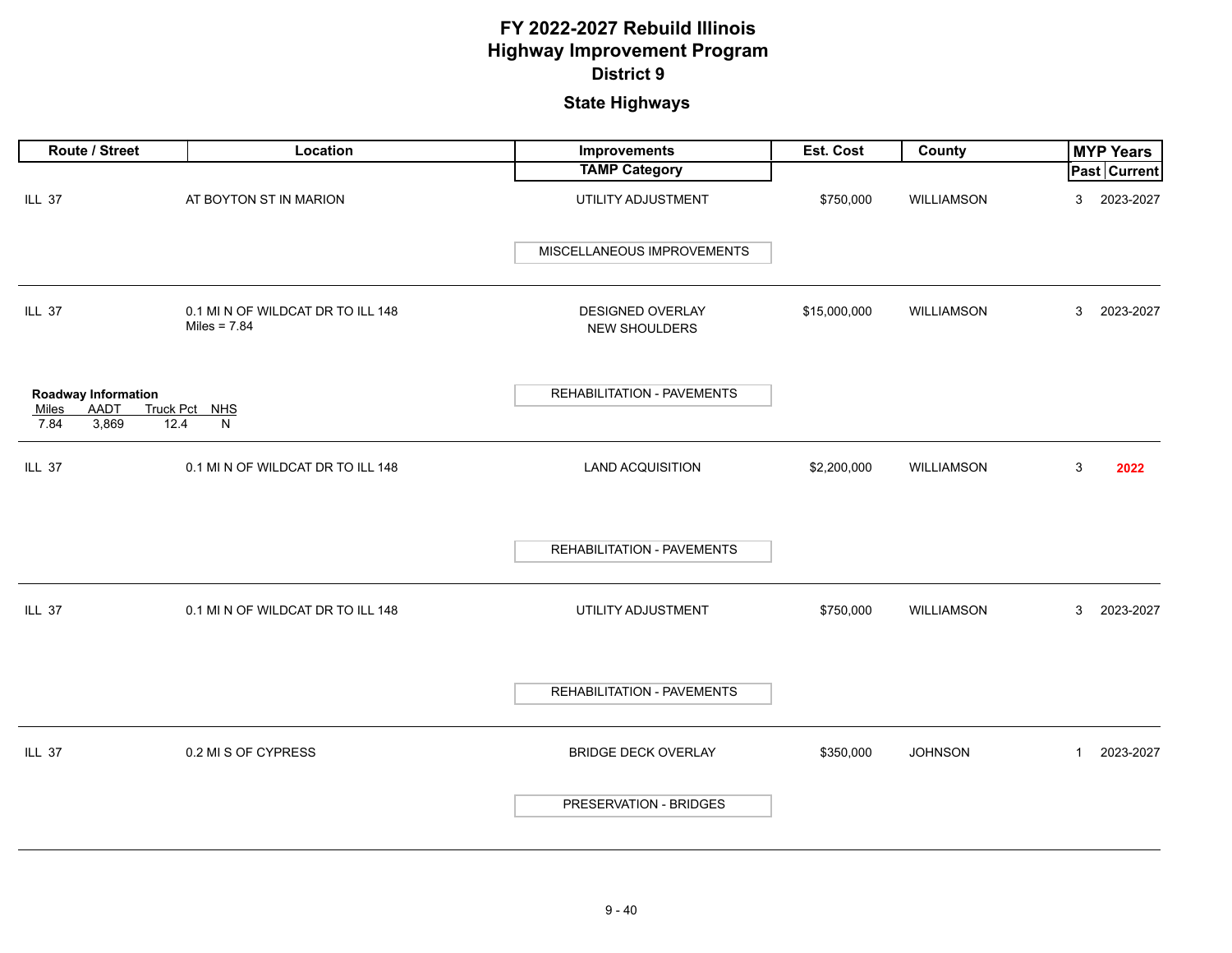| Route / Street                                                              | Location                                            | Improvements                             | Est. Cost    | County            |              | <b>MYP Years</b>    |
|-----------------------------------------------------------------------------|-----------------------------------------------------|------------------------------------------|--------------|-------------------|--------------|---------------------|
|                                                                             |                                                     | <b>TAMP Category</b>                     |              |                   |              | <b>Past Current</b> |
| ILL 37                                                                      | AT BOYTON ST IN MARION                              | UTILITY ADJUSTMENT                       | \$750,000    | <b>WILLIAMSON</b> | 3            | 2023-2027           |
|                                                                             |                                                     | MISCELLANEOUS IMPROVEMENTS               |              |                   |              |                     |
| ILL 37                                                                      | 0.1 MI N OF WILDCAT DR TO ILL 148<br>Miles = $7.84$ | DESIGNED OVERLAY<br><b>NEW SHOULDERS</b> | \$15,000,000 | WILLIAMSON        | 3            | 2023-2027           |
| Roadway Information<br><b>AADT</b><br><b>Miles</b><br>3,869<br>7.84<br>12.4 | Truck Pct NHS<br>N                                  | REHABILITATION - PAVEMENTS               |              |                   |              |                     |
| ILL 37                                                                      | 0.1 MI N OF WILDCAT DR TO ILL 148                   | <b>LAND ACQUISITION</b>                  | \$2,200,000  | WILLIAMSON        | 3            | 2022                |
|                                                                             |                                                     | REHABILITATION - PAVEMENTS               |              |                   |              |                     |
| ILL 37                                                                      | 0.1 MI N OF WILDCAT DR TO ILL 148                   | UTILITY ADJUSTMENT                       | \$750,000    | <b>WILLIAMSON</b> | 3            | 2023-2027           |
|                                                                             |                                                     | REHABILITATION - PAVEMENTS               |              |                   |              |                     |
| ILL 37                                                                      | 0.2 MI S OF CYPRESS                                 | <b>BRIDGE DECK OVERLAY</b>               | \$350,000    | <b>JOHNSON</b>    | $\mathbf{1}$ | 2023-2027           |
|                                                                             |                                                     | PRESERVATION - BRIDGES                   |              |                   |              |                     |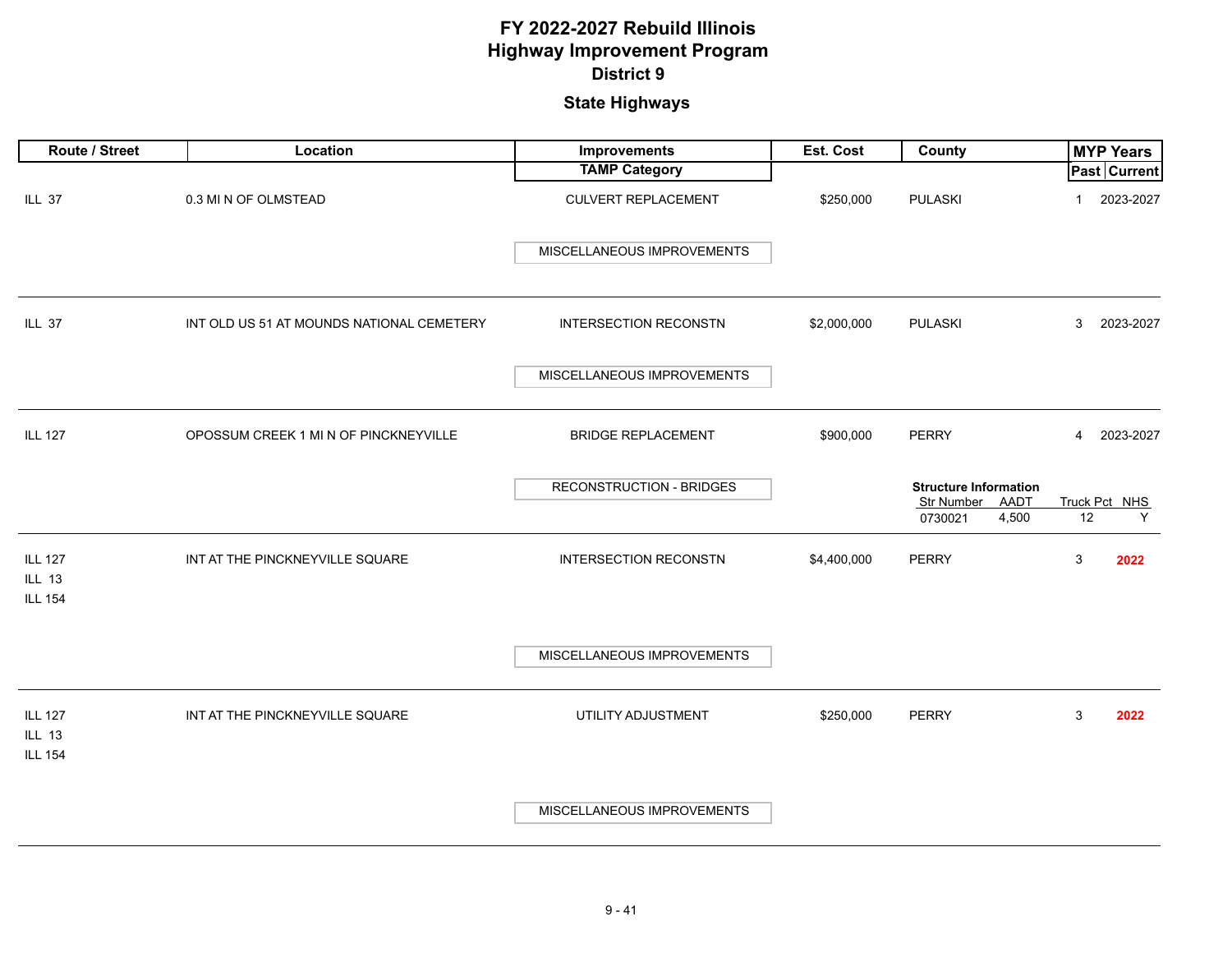| Route / Street                                    | Location                                  | <b>Improvements</b>             | Est. Cost   | County                                                    |                | <b>MYP Years</b> |
|---------------------------------------------------|-------------------------------------------|---------------------------------|-------------|-----------------------------------------------------------|----------------|------------------|
|                                                   |                                           | <b>TAMP Category</b>            |             |                                                           |                | Past Current     |
| ILL 37                                            | 0.3 MI N OF OLMSTEAD                      | <b>CULVERT REPLACEMENT</b>      | \$250,000   | <b>PULASKI</b>                                            | $\mathbf{1}$   | 2023-2027        |
|                                                   |                                           | MISCELLANEOUS IMPROVEMENTS      |             |                                                           |                |                  |
| <b>ILL 37</b>                                     | INT OLD US 51 AT MOUNDS NATIONAL CEMETERY | <b>INTERSECTION RECONSTN</b>    | \$2,000,000 | <b>PULASKI</b>                                            | 3              | 2023-2027        |
|                                                   |                                           | MISCELLANEOUS IMPROVEMENTS      |             |                                                           |                |                  |
| <b>ILL 127</b>                                    | OPOSSUM CREEK 1 MI N OF PINCKNEYVILLE     | <b>BRIDGE REPLACEMENT</b>       | \$900,000   | <b>PERRY</b>                                              | $\overline{4}$ | 2023-2027        |
|                                                   |                                           | <b>RECONSTRUCTION - BRIDGES</b> |             | <b>Structure Information</b><br>Str Number<br><b>AADT</b> |                | Truck Pct NHS    |
|                                                   |                                           |                                 |             | 4,500<br>0730021                                          | 12             | Y                |
| <b>ILL 127</b><br><b>ILL 13</b><br><b>ILL 154</b> | INT AT THE PINCKNEYVILLE SQUARE           | <b>INTERSECTION RECONSTN</b>    | \$4,400,000 | <b>PERRY</b>                                              | 3              | 2022             |
|                                                   |                                           | MISCELLANEOUS IMPROVEMENTS      |             |                                                           |                |                  |
| <b>ILL 127</b><br><b>ILL 13</b><br><b>ILL 154</b> | INT AT THE PINCKNEYVILLE SQUARE           | UTILITY ADJUSTMENT              | \$250,000   | <b>PERRY</b>                                              | 3              | 2022             |
|                                                   |                                           | MISCELLANEOUS IMPROVEMENTS      |             |                                                           |                |                  |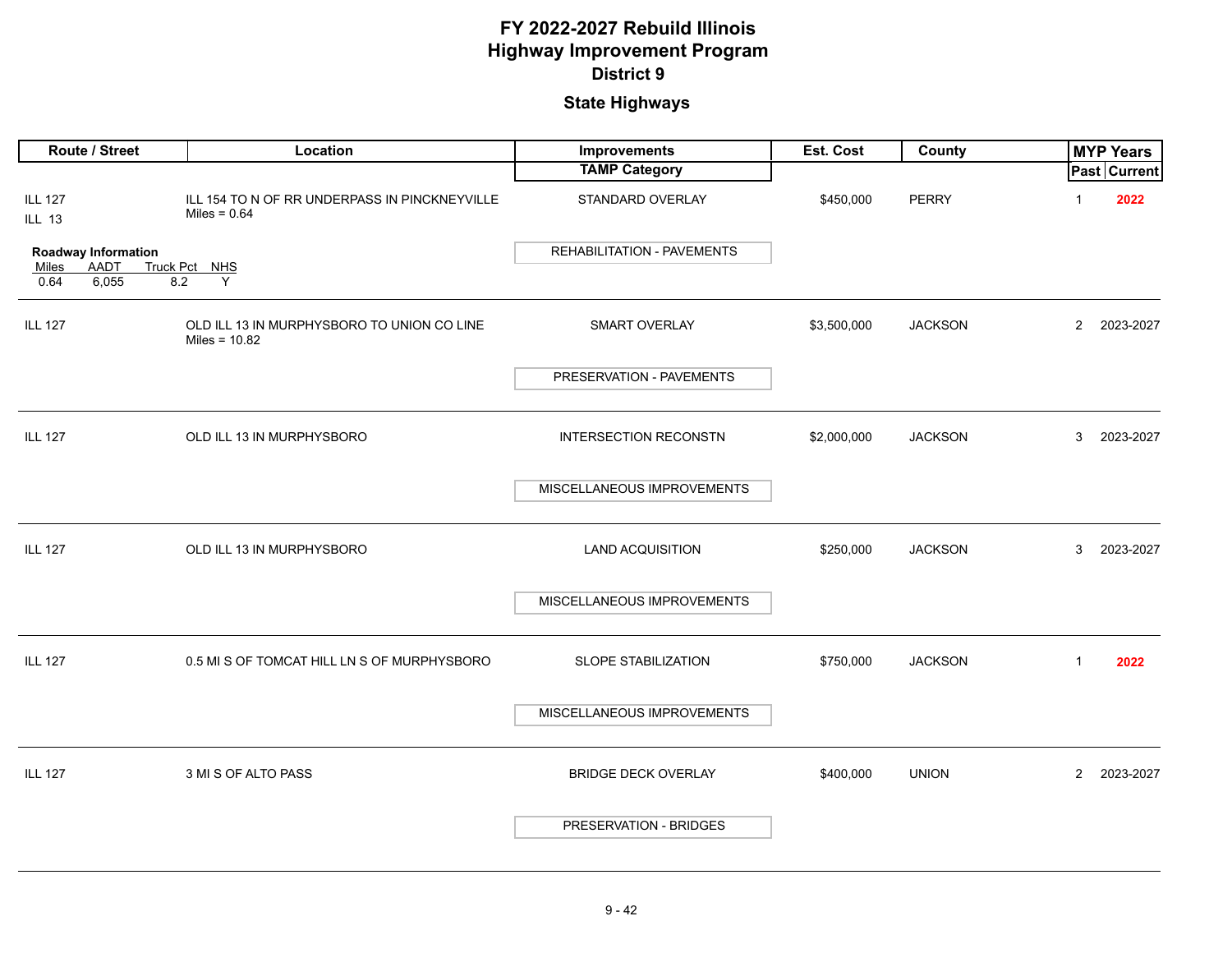| Route / Street                               | Location                                                        | Improvements                 | Est. Cost   | County         |                | <b>MYP Years</b> |
|----------------------------------------------|-----------------------------------------------------------------|------------------------------|-------------|----------------|----------------|------------------|
|                                              |                                                                 | <b>TAMP Category</b>         |             |                |                | Past Current     |
| <b>ILL 127</b><br><b>ILL 13</b>              | ILL 154 TO N OF RR UNDERPASS IN PINCKNEYVILLE<br>Miles = $0.64$ | STANDARD OVERLAY             | \$450,000   | <b>PERRY</b>   | $\mathbf{1}$   | 2022             |
| <b>Roadway Information</b>                   |                                                                 | REHABILITATION - PAVEMENTS   |             |                |                |                  |
| <b>AADT</b><br>Miles<br>6,055<br>8.2<br>0.64 | Truck Pct NHS<br>Y                                              |                              |             |                |                |                  |
| <b>ILL 127</b>                               | OLD ILL 13 IN MURPHYSBORO TO UNION CO LINE<br>Miles = $10.82$   | <b>SMART OVERLAY</b>         | \$3,500,000 | <b>JACKSON</b> | $\overline{2}$ | 2023-2027        |
|                                              |                                                                 | PRESERVATION - PAVEMENTS     |             |                |                |                  |
| <b>ILL 127</b>                               | OLD ILL 13 IN MURPHYSBORO                                       | <b>INTERSECTION RECONSTN</b> | \$2,000,000 | <b>JACKSON</b> | 3              | 2023-2027        |
|                                              |                                                                 | MISCELLANEOUS IMPROVEMENTS   |             |                |                |                  |
| <b>ILL 127</b>                               | OLD ILL 13 IN MURPHYSBORO                                       | <b>LAND ACQUISITION</b>      | \$250,000   | <b>JACKSON</b> | 3              | 2023-2027        |
|                                              |                                                                 | MISCELLANEOUS IMPROVEMENTS   |             |                |                |                  |
| <b>ILL 127</b>                               | 0.5 MI S OF TOMCAT HILL LN S OF MURPHYSBORO                     | SLOPE STABILIZATION          | \$750,000   | <b>JACKSON</b> | $\mathbf{1}$   | 2022             |
|                                              |                                                                 | MISCELLANEOUS IMPROVEMENTS   |             |                |                |                  |
| <b>ILL 127</b>                               | 3 MI S OF ALTO PASS                                             | <b>BRIDGE DECK OVERLAY</b>   | \$400,000   | <b>UNION</b>   | $\overline{2}$ | 2023-2027        |
|                                              |                                                                 | PRESERVATION - BRIDGES       |             |                |                |                  |
|                                              |                                                                 |                              |             |                |                |                  |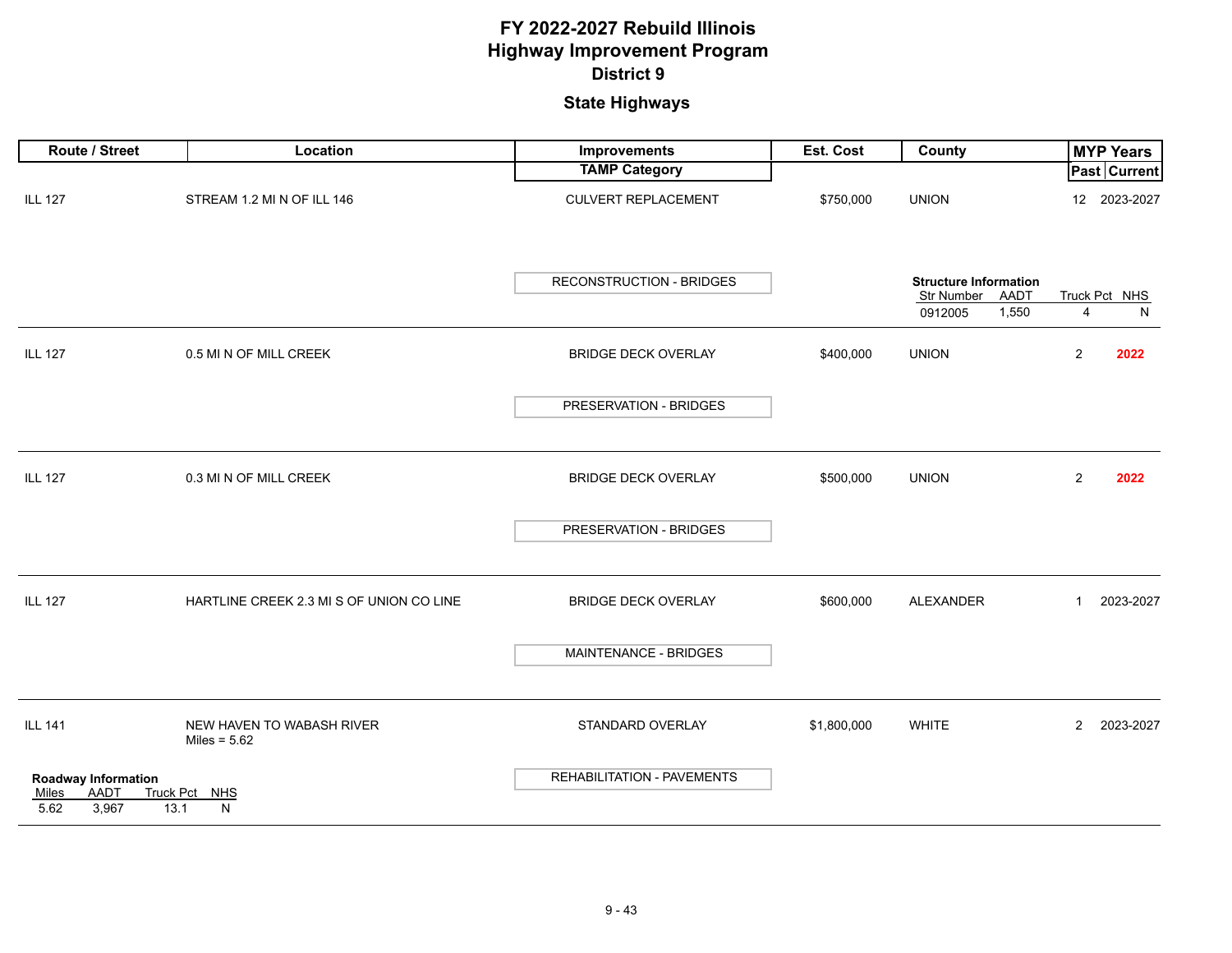| Route / Street                                               | Location                                    | Improvements               | Est. Cost   | County                                                                 | <b>MYP Years</b>            |
|--------------------------------------------------------------|---------------------------------------------|----------------------------|-------------|------------------------------------------------------------------------|-----------------------------|
|                                                              |                                             | <b>TAMP Category</b>       |             |                                                                        | Past Current                |
| <b>ILL 127</b>                                               | STREAM 1.2 MI N OF ILL 146                  | <b>CULVERT REPLACEMENT</b> | \$750,000   | <b>UNION</b>                                                           | 12 2023-2027                |
|                                                              |                                             | RECONSTRUCTION - BRIDGES   |             | <b>Structure Information</b><br>Str Number<br>AADT<br>1,550<br>0912005 | Truck Pct NHS<br>N<br>4     |
| <b>ILL 127</b>                                               | 0.5 MI N OF MILL CREEK                      | BRIDGE DECK OVERLAY        | \$400,000   | <b>UNION</b>                                                           | $\overline{2}$<br>2022      |
|                                                              |                                             | PRESERVATION - BRIDGES     |             |                                                                        |                             |
| <b>ILL 127</b>                                               | 0.3 MI N OF MILL CREEK                      | <b>BRIDGE DECK OVERLAY</b> | \$500,000   | <b>UNION</b>                                                           | $\overline{2}$<br>2022      |
|                                                              |                                             | PRESERVATION - BRIDGES     |             |                                                                        |                             |
| <b>ILL 127</b>                                               | HARTLINE CREEK 2.3 MI S OF UNION CO LINE    | <b>BRIDGE DECK OVERLAY</b> | \$600,000   | ALEXANDER                                                              | 2023-2027<br>$\mathbf{1}$   |
|                                                              |                                             | MAINTENANCE - BRIDGES      |             |                                                                        |                             |
| <b>ILL 141</b>                                               | NEW HAVEN TO WABASH RIVER<br>Miles = $5.62$ | STANDARD OVERLAY           | \$1,800,000 | <b>WHITE</b>                                                           | $\overline{2}$<br>2023-2027 |
| <b>Roadway Information</b><br>AADT<br>Miles<br>3,967<br>5.62 | Truck Pct NHS<br>13.1<br>N                  | REHABILITATION - PAVEMENTS |             |                                                                        |                             |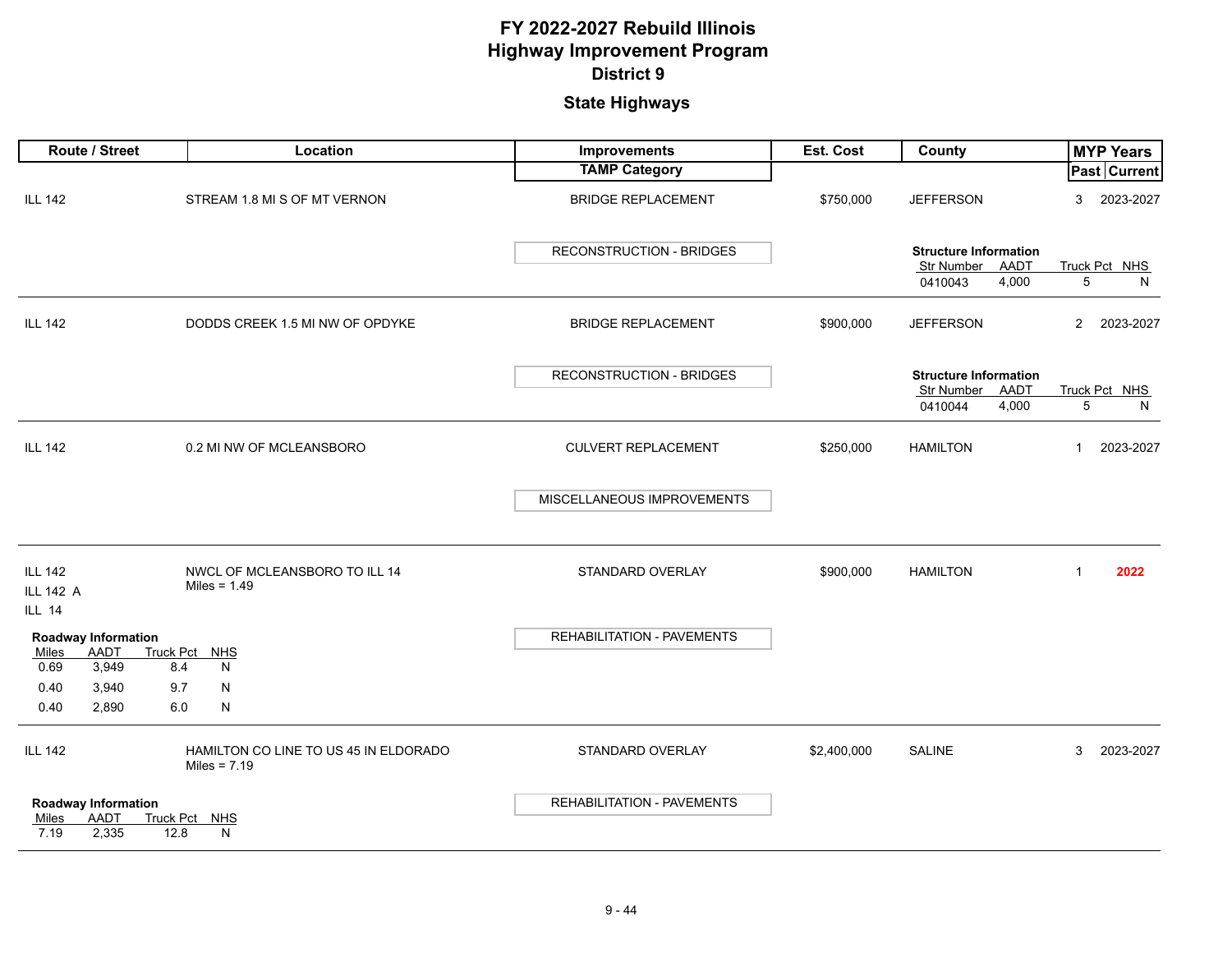| Route / Street                                               |                         | Location                                                | Improvements                      | Est. Cost   | County                                             | <b>MYP Years</b>          |
|--------------------------------------------------------------|-------------------------|---------------------------------------------------------|-----------------------------------|-------------|----------------------------------------------------|---------------------------|
|                                                              |                         |                                                         | <b>TAMP Category</b>              |             |                                                    | Past Current              |
| <b>ILL 142</b>                                               |                         | STREAM 1.8 MI S OF MT VERNON                            | <b>BRIDGE REPLACEMENT</b>         | \$750,000   | <b>JEFFERSON</b>                                   | 3<br>2023-2027            |
|                                                              |                         |                                                         | RECONSTRUCTION - BRIDGES          |             | <b>Structure Information</b><br>Str Number<br>AADT | Truck Pct NHS             |
|                                                              |                         |                                                         |                                   |             | 0410043<br>4,000                                   | 5<br>N                    |
| <b>ILL 142</b>                                               |                         | DODDS CREEK 1.5 MI NW OF OPDYKE                         | <b>BRIDGE REPLACEMENT</b>         | \$900,000   | <b>JEFFERSON</b>                                   | $2^{\circ}$<br>2023-2027  |
|                                                              |                         |                                                         | RECONSTRUCTION - BRIDGES          |             | <b>Structure Information</b>                       |                           |
|                                                              |                         |                                                         |                                   |             | Str Number<br>AADT<br>4,000<br>0410044             | Truck Pct NHS<br>5<br>N   |
| <b>ILL 142</b>                                               |                         | 0.2 MI NW OF MCLEANSBORO                                | <b>CULVERT REPLACEMENT</b>        | \$250,000   | <b>HAMILTON</b>                                    | 2023-2027<br>$\mathbf{1}$ |
|                                                              |                         |                                                         | MISCELLANEOUS IMPROVEMENTS        |             |                                                    |                           |
| <b>ILL 142</b><br><b>ILL 142 A</b><br><b>ILL 14</b>          |                         | NWCL OF MCLEANSBORO TO ILL 14<br>Miles = $1.49$         | STANDARD OVERLAY                  | \$900,000   | <b>HAMILTON</b>                                    | $\mathbf{1}$<br>2022      |
| Roadway Information<br>Miles<br>AADT<br>0.69<br>3,949        | <b>Truck Pct</b><br>8.4 | <b>NHS</b><br>N                                         | REHABILITATION - PAVEMENTS        |             |                                                    |                           |
| 0.40<br>3,940                                                | 9.7                     | N                                                       |                                   |             |                                                    |                           |
| 0.40<br>2,890                                                | 6.0                     | N                                                       |                                   |             |                                                    |                           |
| <b>ILL 142</b>                                               |                         | HAMILTON CO LINE TO US 45 IN ELDORADO<br>Miles = $7.19$ | STANDARD OVERLAY                  | \$2,400,000 | <b>SALINE</b>                                      | 3<br>2023-2027            |
| <b>Roadway Information</b><br>AADT<br>Miles<br>7.19<br>2,335 | 12.8                    | Truck Pct NHS<br>N                                      | <b>REHABILITATION - PAVEMENTS</b> |             |                                                    |                           |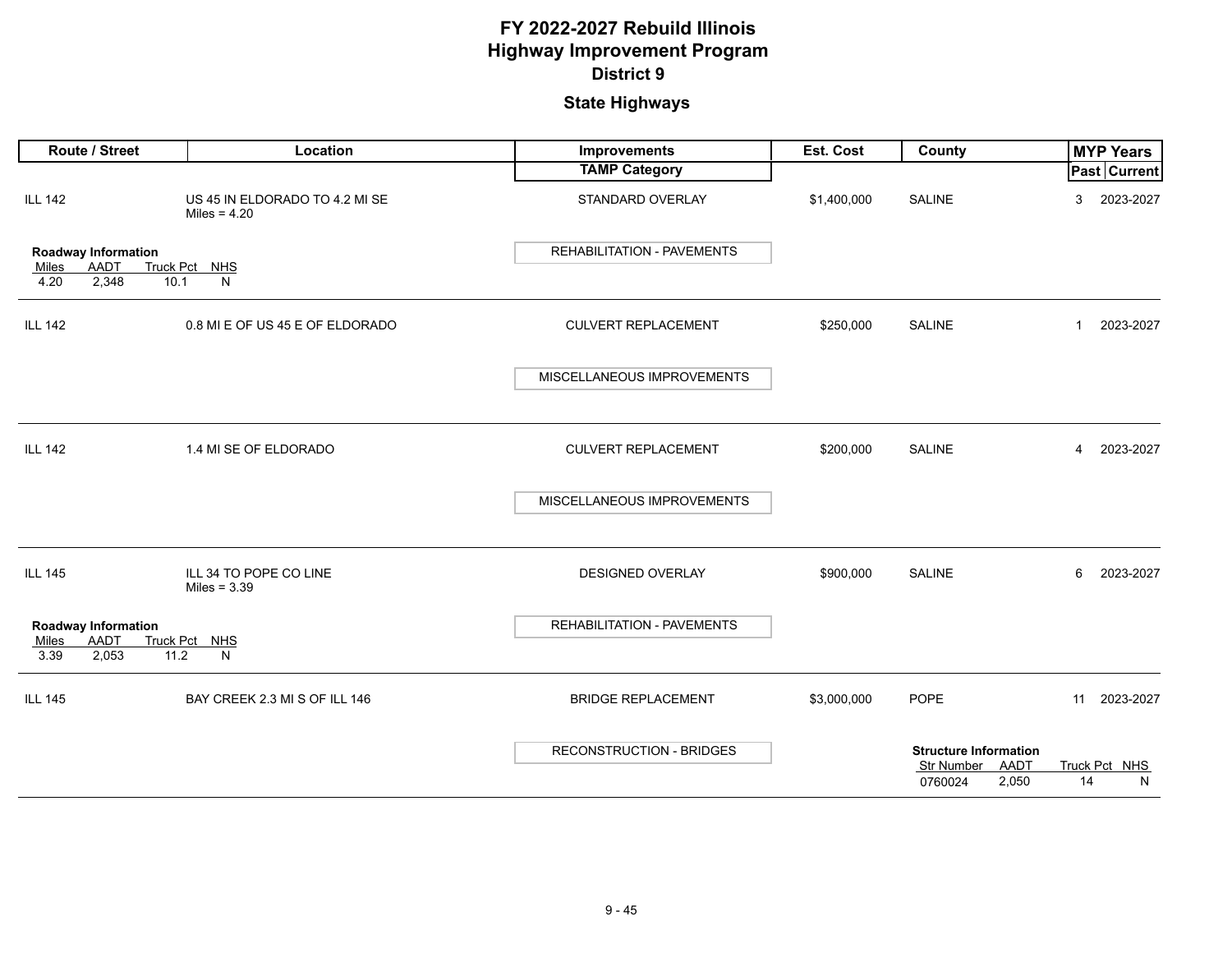| Route / Street                                                       | Location                                         | <b>Improvements</b>             | Est. Cost   | <b>County</b>                                      |    | <b>MYP Years</b> |
|----------------------------------------------------------------------|--------------------------------------------------|---------------------------------|-------------|----------------------------------------------------|----|------------------|
|                                                                      |                                                  | <b>TAMP Category</b>            |             |                                                    |    | Past Current     |
| <b>ILL 142</b>                                                       | US 45 IN ELDORADO TO 4.2 MI SE<br>Miles = $4.20$ | STANDARD OVERLAY                | \$1,400,000 | <b>SALINE</b>                                      | 3  | 2023-2027        |
| Roadway Information<br>AADT<br>Miles                                 | Truck Pct NHS                                    | REHABILITATION - PAVEMENTS      |             |                                                    |    |                  |
| 2,348<br>10.1<br>4.20                                                | N                                                |                                 |             |                                                    |    |                  |
| <b>ILL 142</b>                                                       | 0.8 MI E OF US 45 E OF ELDORADO                  | <b>CULVERT REPLACEMENT</b>      | \$250,000   | <b>SALINE</b>                                      | 1  | 2023-2027        |
|                                                                      |                                                  | MISCELLANEOUS IMPROVEMENTS      |             |                                                    |    |                  |
|                                                                      |                                                  |                                 |             |                                                    |    |                  |
| <b>ILL 142</b>                                                       | 1.4 MI SE OF ELDORADO                            | <b>CULVERT REPLACEMENT</b>      | \$200,000   | <b>SALINE</b>                                      | 4  | 2023-2027        |
|                                                                      |                                                  | MISCELLANEOUS IMPROVEMENTS      |             |                                                    |    |                  |
| <b>ILL 145</b>                                                       | ILL 34 TO POPE CO LINE<br>Miles = $3.39$         | <b>DESIGNED OVERLAY</b>         | \$900,000   | <b>SALINE</b>                                      | 6  | 2023-2027        |
| Roadway Information<br><b>AADT</b><br>Miles<br>3.39<br>2,053<br>11.2 | Truck Pct NHS<br>N                               | REHABILITATION - PAVEMENTS      |             |                                                    |    |                  |
| <b>ILL 145</b>                                                       | BAY CREEK 2.3 MI S OF ILL 146                    | <b>BRIDGE REPLACEMENT</b>       | \$3,000,000 | <b>POPE</b>                                        |    | 11 2023-2027     |
|                                                                      |                                                  | <b>RECONSTRUCTION - BRIDGES</b> |             | <b>Structure Information</b><br>AADT<br>Str Number |    | Truck Pct NHS    |
|                                                                      |                                                  |                                 |             | 2,050<br>0760024                                   | 14 | N                |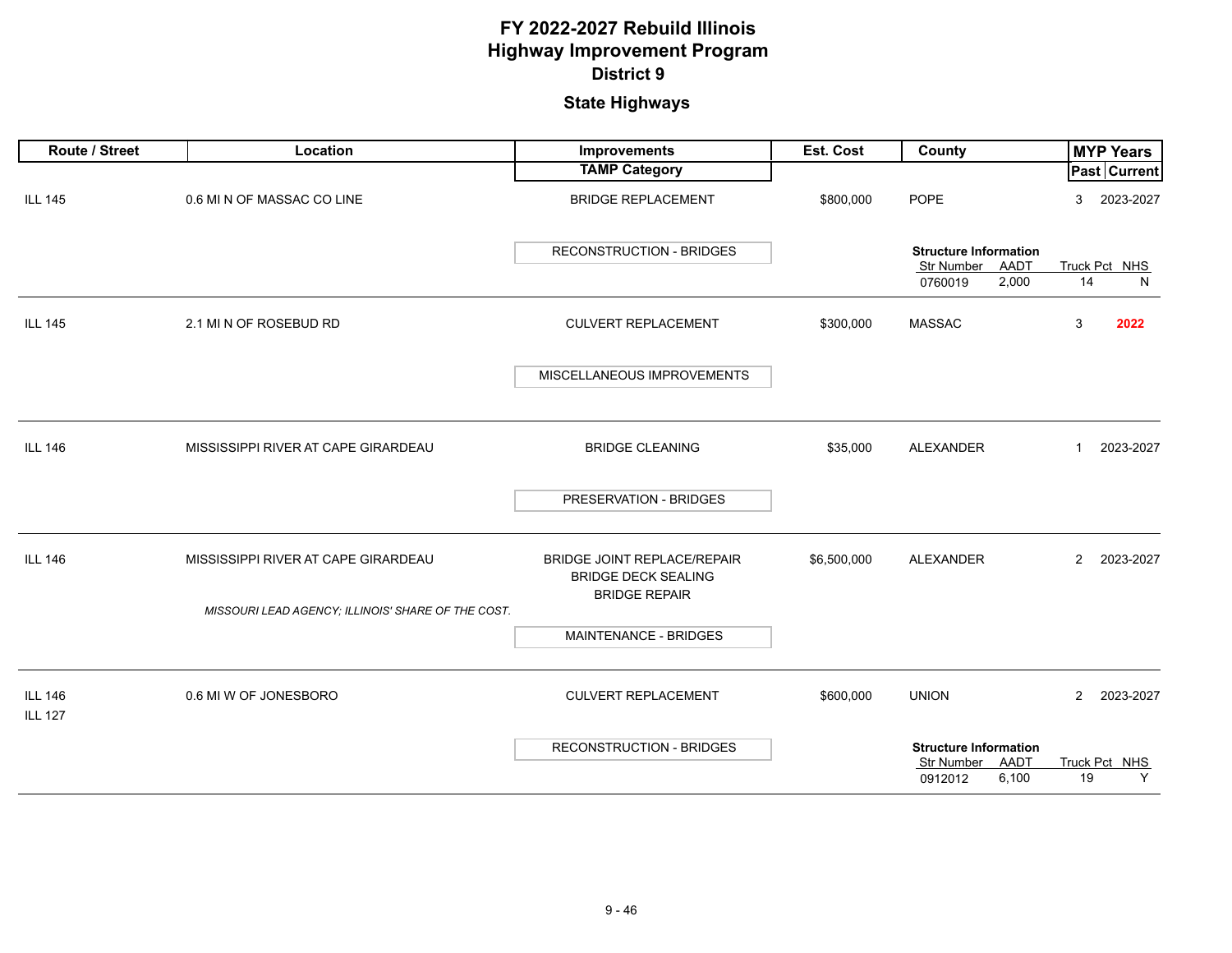| Route / Street                   | Location                                           | Improvements                                                     | <b>Est. Cost</b> | County                                                                 | <b>MYP Years</b>            |
|----------------------------------|----------------------------------------------------|------------------------------------------------------------------|------------------|------------------------------------------------------------------------|-----------------------------|
|                                  |                                                    | <b>TAMP Category</b>                                             |                  |                                                                        | Past Current                |
| <b>ILL 145</b>                   | 0.6 MI N OF MASSAC CO LINE                         | <b>BRIDGE REPLACEMENT</b>                                        | \$800,000        | <b>POPE</b>                                                            | 2023-2027<br>3              |
|                                  |                                                    | <b>RECONSTRUCTION - BRIDGES</b>                                  |                  | <b>Structure Information</b><br>Str Number<br>AADT                     | Truck Pct NHS               |
|                                  |                                                    |                                                                  |                  | 2,000<br>0760019                                                       | 14<br>N                     |
| <b>ILL 145</b>                   | 2.1 MI N OF ROSEBUD RD                             | <b>CULVERT REPLACEMENT</b>                                       | \$300,000        | <b>MASSAC</b>                                                          | 3<br>2022                   |
|                                  |                                                    | MISCELLANEOUS IMPROVEMENTS                                       |                  |                                                                        |                             |
| <b>ILL 146</b>                   | MISSISSIPPI RIVER AT CAPE GIRARDEAU                | <b>BRIDGE CLEANING</b>                                           | \$35,000         | ALEXANDER                                                              | 2023-2027<br>1              |
|                                  |                                                    | PRESERVATION - BRIDGES                                           |                  |                                                                        |                             |
| <b>ILL 146</b>                   | MISSISSIPPI RIVER AT CAPE GIRARDEAU                | <b>BRIDGE JOINT REPLACE/REPAIR</b><br><b>BRIDGE DECK SEALING</b> | \$6,500,000      | ALEXANDER                                                              | $\overline{2}$<br>2023-2027 |
|                                  | MISSOURI LEAD AGENCY; ILLINOIS' SHARE OF THE COST. | <b>BRIDGE REPAIR</b>                                             |                  |                                                                        |                             |
|                                  |                                                    | MAINTENANCE - BRIDGES                                            |                  |                                                                        |                             |
| <b>ILL 146</b><br><b>ILL 127</b> | 0.6 MI W OF JONESBORO                              | <b>CULVERT REPLACEMENT</b>                                       | \$600,000        | <b>UNION</b>                                                           | $\overline{2}$<br>2023-2027 |
|                                  |                                                    | RECONSTRUCTION - BRIDGES                                         |                  | <b>Structure Information</b><br>Str Number<br>AADT<br>6,100<br>0912012 | Truck Pct NHS<br>19<br>Y    |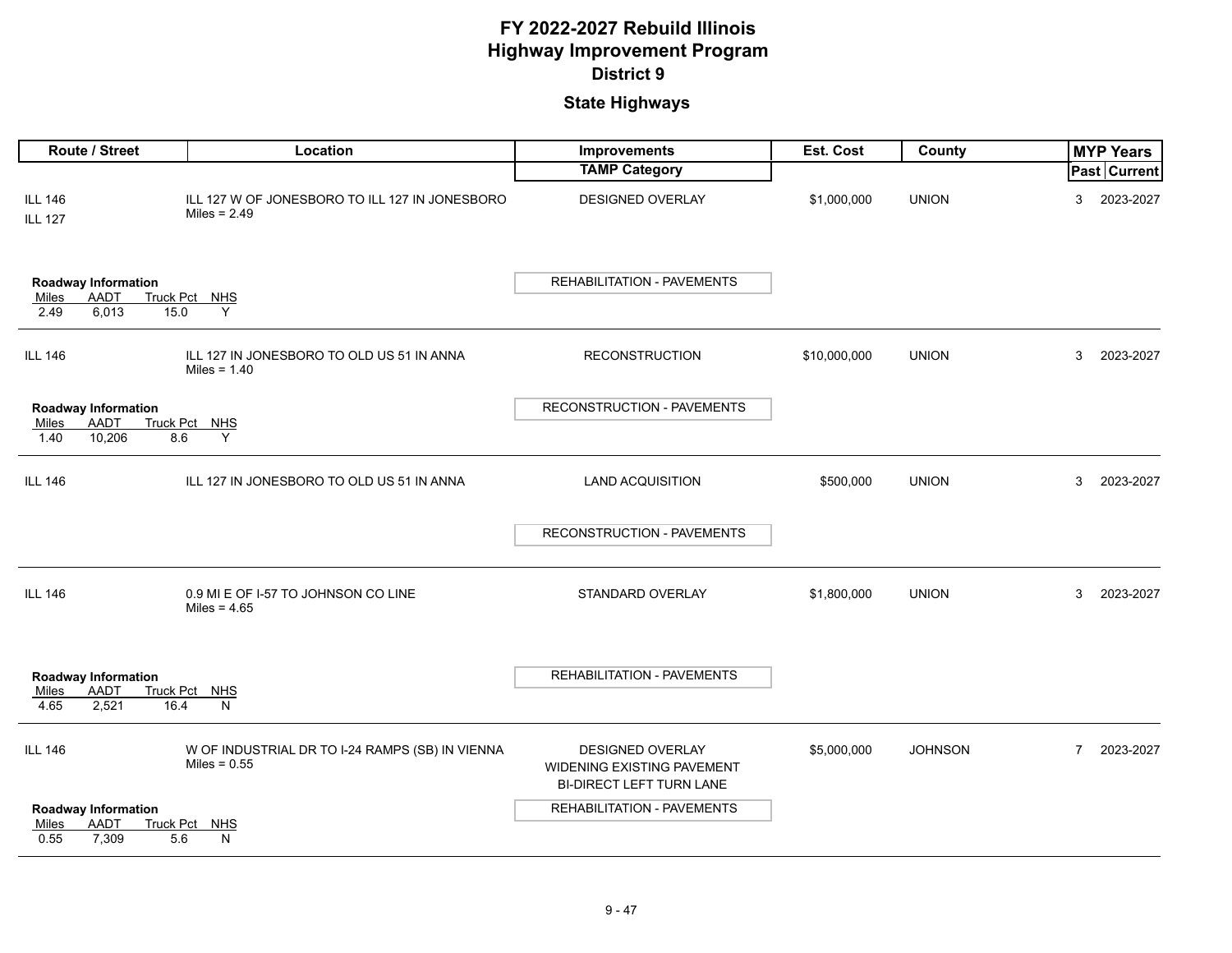| Route / Street                                                              | Location                                                          | Improvements                                                                      | Est. Cost    | County         | <b>MYP Years</b> |              |  |
|-----------------------------------------------------------------------------|-------------------------------------------------------------------|-----------------------------------------------------------------------------------|--------------|----------------|------------------|--------------|--|
|                                                                             |                                                                   | <b>TAMP Category</b>                                                              |              |                |                  | Past Current |  |
| <b>ILL 146</b><br><b>ILL 127</b>                                            | ILL 127 W OF JONESBORO TO ILL 127 IN JONESBORO<br>Miles = $2.49$  | <b>DESIGNED OVERLAY</b>                                                           | \$1,000,000  | <b>UNION</b>   | 3                | 2023-2027    |  |
| <b>Roadway Information</b><br><b>AADT</b><br>Miles<br>6,013<br>2.49<br>15.0 | Truck Pct NHS<br>Y                                                | <b>REHABILITATION - PAVEMENTS</b>                                                 |              |                |                  |              |  |
| <b>ILL 146</b>                                                              | ILL 127 IN JONESBORO TO OLD US 51 IN ANNA<br>Miles = $1.40$       | <b>RECONSTRUCTION</b>                                                             | \$10,000,000 | <b>UNION</b>   | 3                | 2023-2027    |  |
| <b>Roadway Information</b>                                                  |                                                                   | RECONSTRUCTION - PAVEMENTS                                                        |              |                |                  |              |  |
| <b>AADT</b><br>Miles<br>10,206<br>1.40<br>8.6                               | Truck Pct NHS<br>Y                                                |                                                                                   |              |                |                  |              |  |
| <b>ILL 146</b>                                                              | ILL 127 IN JONESBORO TO OLD US 51 IN ANNA                         | <b>LAND ACQUISITION</b>                                                           | \$500,000    | <b>UNION</b>   | 3                | 2023-2027    |  |
|                                                                             |                                                                   | RECONSTRUCTION - PAVEMENTS                                                        |              |                |                  |              |  |
| <b>ILL 146</b>                                                              | 0.9 MI E OF I-57 TO JOHNSON CO LINE<br>Miles = $4.65$             | STANDARD OVERLAY                                                                  | \$1,800,000  | <b>UNION</b>   | 3                | 2023-2027    |  |
| <b>Roadway Information</b><br><b>AADT</b><br>Miles<br>4.65<br>2,521<br>16.4 | Truck Pct NHS<br>N                                                | REHABILITATION - PAVEMENTS                                                        |              |                |                  |              |  |
| <b>ILL 146</b>                                                              | W OF INDUSTRIAL DR TO I-24 RAMPS (SB) IN VIENNA<br>Miles = $0.55$ | <b>DESIGNED OVERLAY</b><br>WIDENING EXISTING PAVEMENT<br>BI-DIRECT LEFT TURN LANE | \$5,000,000  | <b>JOHNSON</b> | $\overline{7}$   | 2023-2027    |  |
| <b>Roadway Information</b>                                                  |                                                                   | <b>REHABILITATION - PAVEMENTS</b>                                                 |              |                |                  |              |  |
| <b>AADT</b><br>Miles<br>7,309<br>5.6<br>0.55                                | Truck Pct NHS<br>N                                                |                                                                                   |              |                |                  |              |  |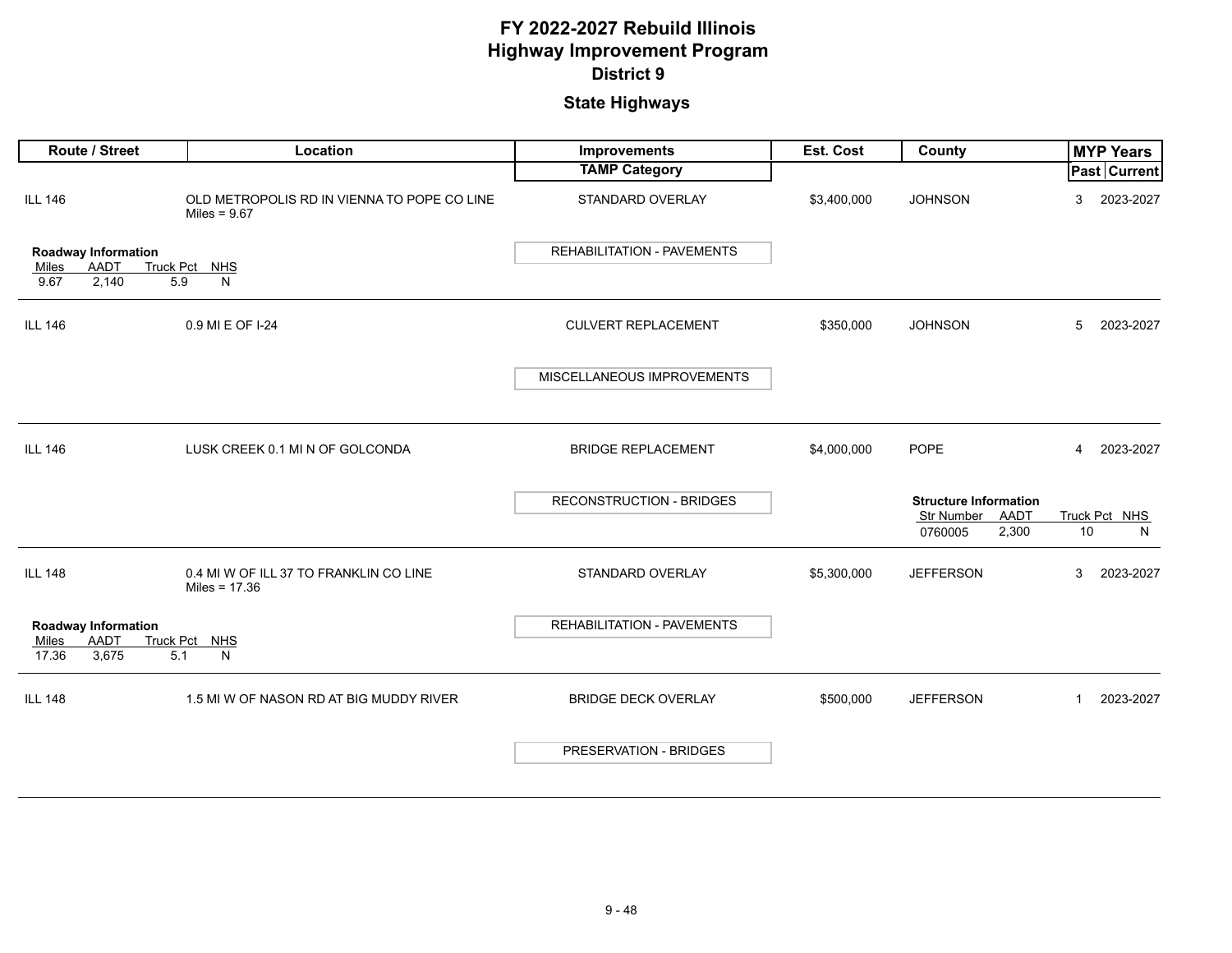| Route / Street                                                   | Location                                                      | Improvements                    | Est. Cost   | County                                                                 | <b>MYP Years</b>            |
|------------------------------------------------------------------|---------------------------------------------------------------|---------------------------------|-------------|------------------------------------------------------------------------|-----------------------------|
|                                                                  |                                                               | <b>TAMP Category</b>            |             |                                                                        | Past Current                |
| <b>ILL 146</b>                                                   | OLD METROPOLIS RD IN VIENNA TO POPE CO LINE<br>Miles = $9.67$ | STANDARD OVERLAY                | \$3,400,000 | <b>JOHNSON</b>                                                         | 2023-2027<br>3              |
| Roadway Information                                              |                                                               | REHABILITATION - PAVEMENTS      |             |                                                                        |                             |
| <b>AADT</b><br><b>Truck Pct</b><br>Miles<br>2,140<br>9.67<br>5.9 | NHS<br>N                                                      |                                 |             |                                                                        |                             |
| <b>ILL 146</b>                                                   | 0.9 MI E OF I-24                                              | <b>CULVERT REPLACEMENT</b>      | \$350,000   | <b>JOHNSON</b>                                                         | 2023-2027<br>5              |
|                                                                  |                                                               | MISCELLANEOUS IMPROVEMENTS      |             |                                                                        |                             |
| <b>ILL 146</b>                                                   | LUSK CREEK 0.1 MI N OF GOLCONDA                               | <b>BRIDGE REPLACEMENT</b>       | \$4,000,000 | <b>POPE</b>                                                            | $\overline{4}$<br>2023-2027 |
|                                                                  |                                                               | <b>RECONSTRUCTION - BRIDGES</b> |             | <b>Structure Information</b><br>AADT<br>Str Number<br>2,300<br>0760005 | Truck Pct NHS<br>$10$<br>N  |
| <b>ILL 148</b>                                                   | 0.4 MI W OF ILL 37 TO FRANKLIN CO LINE<br>Miles = 17.36       | STANDARD OVERLAY                | \$5,300,000 | <b>JEFFERSON</b>                                                       | 3<br>2023-2027              |
| Roadway Information<br>AADT<br>Miles<br>17.36<br>3,675<br>5.1    | Truck Pct NHS<br>N                                            | REHABILITATION - PAVEMENTS      |             |                                                                        |                             |
| <b>ILL 148</b>                                                   | 1.5 MI W OF NASON RD AT BIG MUDDY RIVER                       | <b>BRIDGE DECK OVERLAY</b>      | \$500,000   | <b>JEFFERSON</b>                                                       | $\mathbf{1}$<br>2023-2027   |
|                                                                  |                                                               | PRESERVATION - BRIDGES          |             |                                                                        |                             |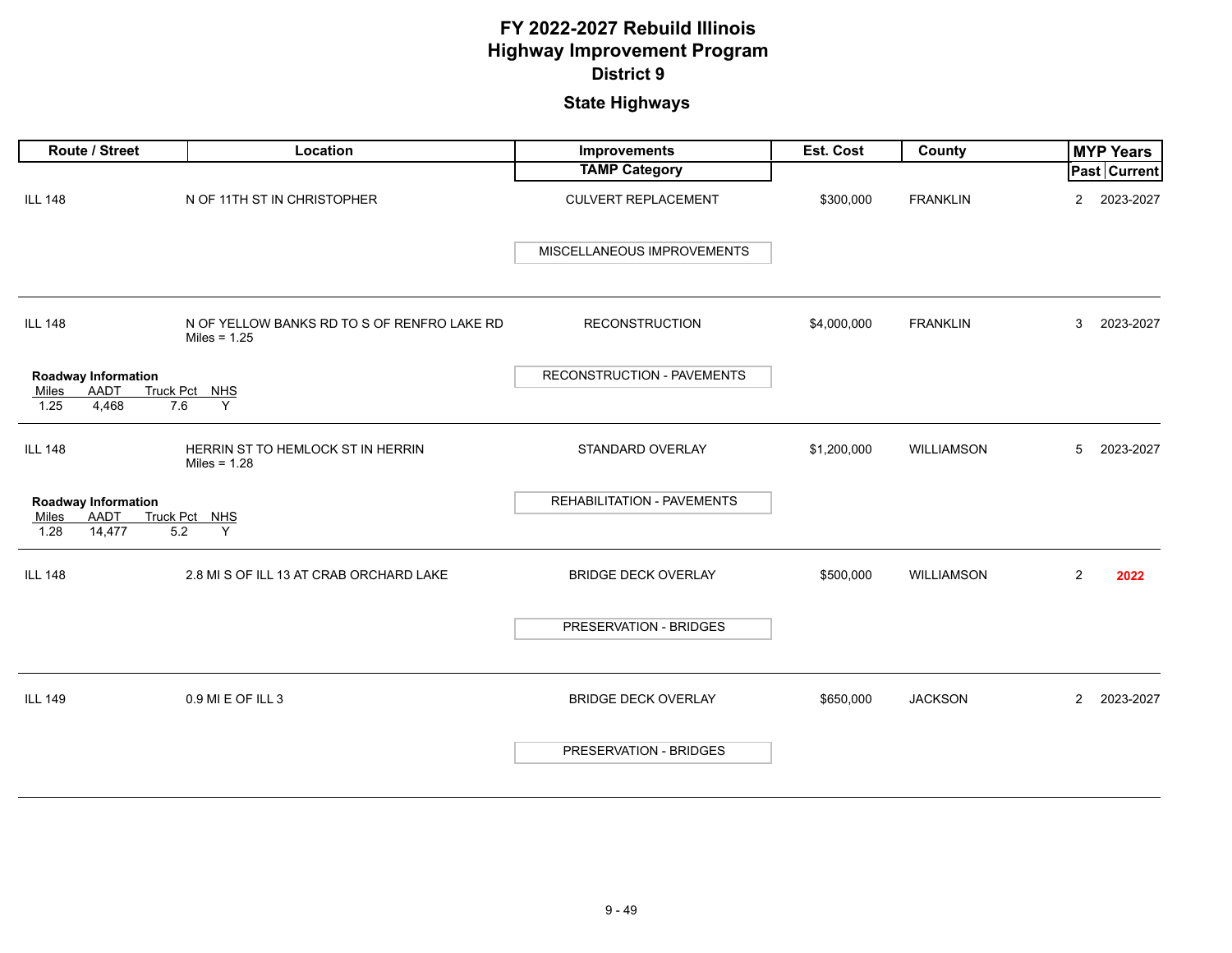| Route / Street                                                       | Location                                                      | Improvements               | Est. Cost   | County            |                | <b>MYP Years</b> |
|----------------------------------------------------------------------|---------------------------------------------------------------|----------------------------|-------------|-------------------|----------------|------------------|
|                                                                      |                                                               | <b>TAMP Category</b>       |             |                   |                | Past Current     |
| <b>ILL 148</b>                                                       | N OF 11TH ST IN CHRISTOPHER                                   | <b>CULVERT REPLACEMENT</b> | \$300,000   | <b>FRANKLIN</b>   | $\overline{2}$ | 2023-2027        |
|                                                                      |                                                               | MISCELLANEOUS IMPROVEMENTS |             |                   |                |                  |
| <b>ILL 148</b>                                                       | N OF YELLOW BANKS RD TO S OF RENFRO LAKE RD<br>Miles = $1.25$ | <b>RECONSTRUCTION</b>      | \$4,000,000 | <b>FRANKLIN</b>   | 3              | 2023-2027        |
| <b>Roadway Information</b><br>AADT<br>Miles<br>4,468<br>7.6<br>1.25  | Truck Pct NHS<br>Y                                            | RECONSTRUCTION - PAVEMENTS |             |                   |                |                  |
| <b>ILL 148</b>                                                       | HERRIN ST TO HEMLOCK ST IN HERRIN<br>Miles = $1.28$           | STANDARD OVERLAY           | \$1,200,000 | <b>WILLIAMSON</b> | $5\,$          | 2023-2027        |
| <b>Roadway Information</b><br>AADT<br>Miles<br>14,477<br>1.28<br>5.2 | Truck Pct NHS<br>Y                                            | REHABILITATION - PAVEMENTS |             |                   |                |                  |
| <b>ILL 148</b>                                                       | 2.8 MI S OF ILL 13 AT CRAB ORCHARD LAKE                       | <b>BRIDGE DECK OVERLAY</b> | \$500,000   | WILLIAMSON        | $\overline{2}$ | 2022             |
|                                                                      |                                                               | PRESERVATION - BRIDGES     |             |                   |                |                  |
| <b>ILL 149</b>                                                       | 0.9 MI E OF ILL 3                                             | <b>BRIDGE DECK OVERLAY</b> | \$650,000   | <b>JACKSON</b>    | $\overline{2}$ | 2023-2027        |
|                                                                      |                                                               | PRESERVATION - BRIDGES     |             |                   |                |                  |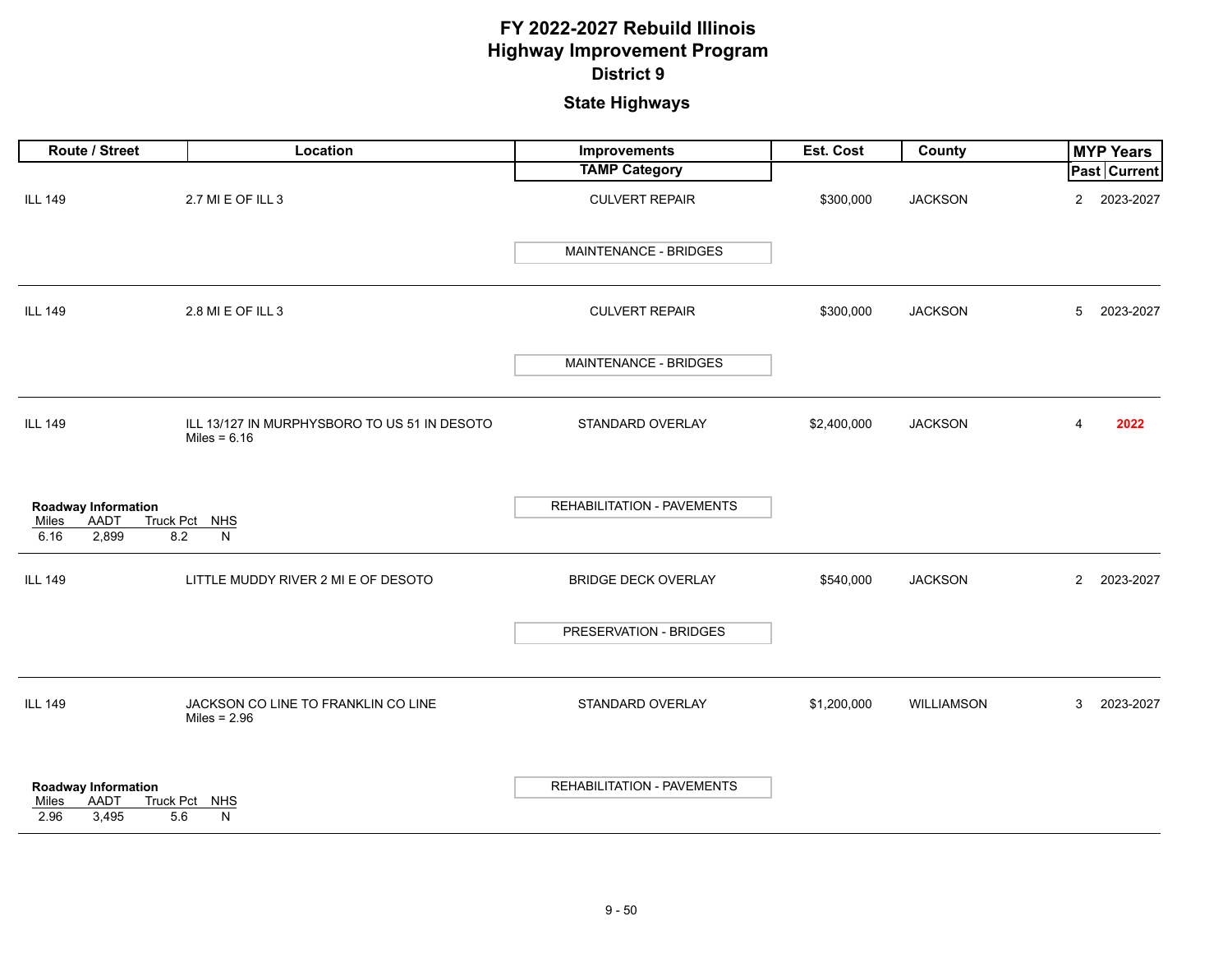| Route / Street                                                      | Location                                                       | <b>Improvements</b>               | Est. Cost   | County         | <b>MYP Years</b>            |
|---------------------------------------------------------------------|----------------------------------------------------------------|-----------------------------------|-------------|----------------|-----------------------------|
|                                                                     |                                                                | <b>TAMP Category</b>              |             |                | <b>Past Current</b>         |
| <b>ILL 149</b>                                                      | 2.7 MI E OF ILL 3                                              | <b>CULVERT REPAIR</b>             | \$300,000   | <b>JACKSON</b> | $\overline{2}$<br>2023-2027 |
|                                                                     |                                                                | MAINTENANCE - BRIDGES             |             |                |                             |
| <b>ILL 149</b>                                                      | 2.8 MI E OF ILL 3                                              | <b>CULVERT REPAIR</b>             | \$300,000   | <b>JACKSON</b> | 2023-2027<br>5              |
|                                                                     |                                                                | MAINTENANCE - BRIDGES             |             |                |                             |
| <b>ILL 149</b>                                                      | ILL 13/127 IN MURPHYSBORO TO US 51 IN DESOTO<br>Miles = $6.16$ | STANDARD OVERLAY                  | \$2,400,000 | <b>JACKSON</b> | 2022<br>$\overline{4}$      |
| <b>Roadway Information</b><br>AADT<br>Miles<br>6.16<br>2,899        | Truck Pct NHS<br>8.2<br>N                                      | <b>REHABILITATION - PAVEMENTS</b> |             |                |                             |
| <b>ILL 149</b>                                                      | LITTLE MUDDY RIVER 2 MI E OF DESOTO                            | <b>BRIDGE DECK OVERLAY</b>        | \$540,000   | <b>JACKSON</b> | $\overline{2}$<br>2023-2027 |
|                                                                     |                                                                | PRESERVATION - BRIDGES            |             |                |                             |
| <b>ILL 149</b>                                                      | JACKSON CO LINE TO FRANKLIN CO LINE<br>Miles = $2.96$          | STANDARD OVERLAY                  | \$1,200,000 | WILLIAMSON     | 2023-2027<br>3              |
| <b>Roadway Information</b><br><b>AADT</b><br>Miles<br>2.96<br>3,495 | Truck Pct NHS<br>5.6<br>N                                      | <b>REHABILITATION - PAVEMENTS</b> |             |                |                             |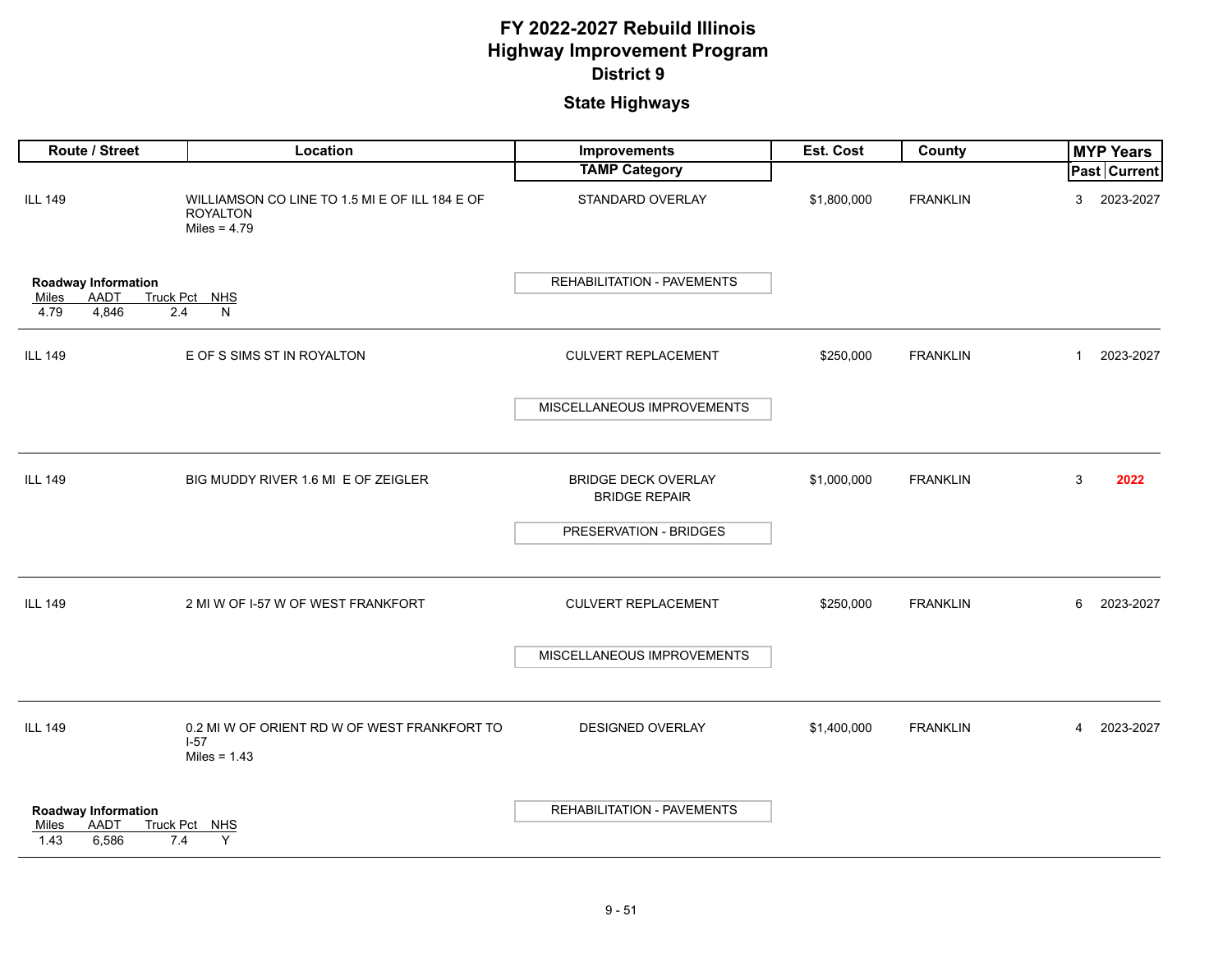| Route / Street                                                      | Location                                                                            | Improvements                                       | Est. Cost   | County          |              | <b>MYP Years</b>    |
|---------------------------------------------------------------------|-------------------------------------------------------------------------------------|----------------------------------------------------|-------------|-----------------|--------------|---------------------|
|                                                                     |                                                                                     | <b>TAMP Category</b>                               |             |                 |              | <b>Past Current</b> |
| <b>ILL 149</b>                                                      | WILLIAMSON CO LINE TO 1.5 MI E OF ILL 184 E OF<br><b>ROYALTON</b><br>Miles = $4.79$ | STANDARD OVERLAY                                   | \$1,800,000 | <b>FRANKLIN</b> | 3            | 2023-2027           |
| Roadway Information<br>AADT<br><b>Miles</b><br>4.79<br>4,846<br>2.4 | Truck Pct NHS<br>N                                                                  | <b>REHABILITATION - PAVEMENTS</b>                  |             |                 |              |                     |
| <b>ILL 149</b>                                                      | E OF S SIMS ST IN ROYALTON                                                          | <b>CULVERT REPLACEMENT</b>                         | \$250,000   | <b>FRANKLIN</b> | $\mathbf{1}$ | 2023-2027           |
|                                                                     |                                                                                     | MISCELLANEOUS IMPROVEMENTS                         |             |                 |              |                     |
| <b>ILL 149</b>                                                      | BIG MUDDY RIVER 1.6 MI E OF ZEIGLER                                                 | <b>BRIDGE DECK OVERLAY</b><br><b>BRIDGE REPAIR</b> | \$1,000,000 | <b>FRANKLIN</b> | 3            | 2022                |
|                                                                     |                                                                                     | PRESERVATION - BRIDGES                             |             |                 |              |                     |
| <b>ILL 149</b>                                                      | 2 MI W OF I-57 W OF WEST FRANKFORT                                                  | <b>CULVERT REPLACEMENT</b>                         | \$250,000   | <b>FRANKLIN</b> | 6            | 2023-2027           |
|                                                                     |                                                                                     | MISCELLANEOUS IMPROVEMENTS                         |             |                 |              |                     |
| <b>ILL 149</b>                                                      | 0.2 MI W OF ORIENT RD W OF WEST FRANKFORT TO<br>$1-57$<br>Miles = $1.43$            | <b>DESIGNED OVERLAY</b>                            | \$1,400,000 | <b>FRANKLIN</b> | 4            | 2023-2027           |
| Roadway Information<br>AADT<br>Miles<br>1.43<br>6,586<br>7.4        | Truck Pct NHS<br>Y                                                                  | <b>REHABILITATION - PAVEMENTS</b>                  |             |                 |              |                     |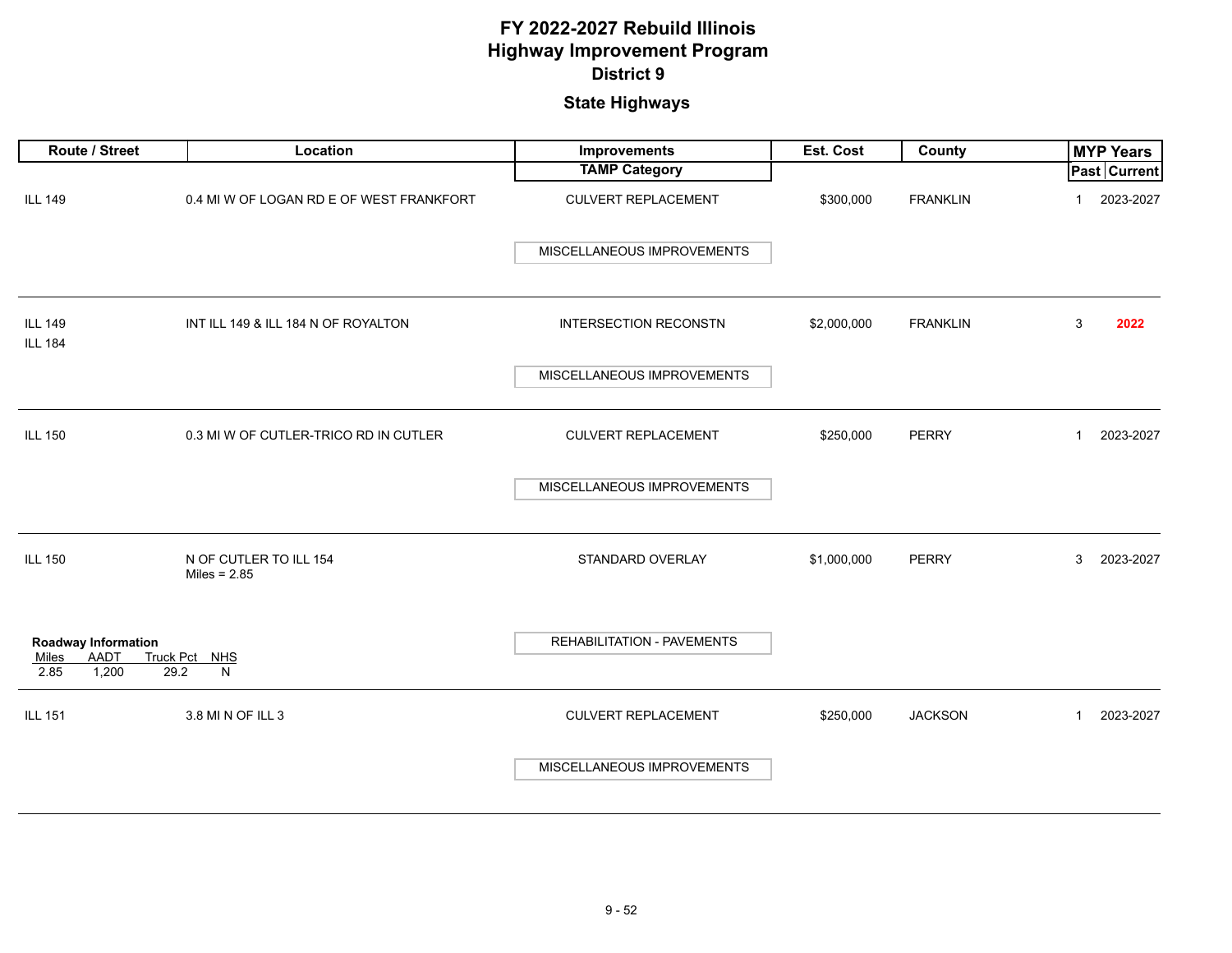| Route / Street                                               | Location                                 | Improvements                 | Est. Cost   | County          | <b>MYP Years</b>          |
|--------------------------------------------------------------|------------------------------------------|------------------------------|-------------|-----------------|---------------------------|
|                                                              |                                          | <b>TAMP Category</b>         |             |                 | Past Current              |
| <b>ILL 149</b>                                               | 0.4 MI W OF LOGAN RD E OF WEST FRANKFORT | <b>CULVERT REPLACEMENT</b>   | \$300,000   | <b>FRANKLIN</b> | 2023-2027<br>$\mathbf 1$  |
|                                                              |                                          | MISCELLANEOUS IMPROVEMENTS   |             |                 |                           |
| <b>ILL 149</b><br><b>ILL 184</b>                             | INT ILL 149 & ILL 184 N OF ROYALTON      | <b>INTERSECTION RECONSTN</b> | \$2,000,000 | <b>FRANKLIN</b> | 3<br>2022                 |
|                                                              |                                          | MISCELLANEOUS IMPROVEMENTS   |             |                 |                           |
| <b>ILL 150</b>                                               | 0.3 MI W OF CUTLER-TRICO RD IN CUTLER    | <b>CULVERT REPLACEMENT</b>   | \$250,000   | <b>PERRY</b>    | 2023-2027<br>$\mathbf{1}$ |
|                                                              |                                          | MISCELLANEOUS IMPROVEMENTS   |             |                 |                           |
| <b>ILL 150</b>                                               | N OF CUTLER TO ILL 154<br>Miles = $2.85$ | STANDARD OVERLAY             | \$1,000,000 | <b>PERRY</b>    | 3<br>2023-2027            |
| <b>Roadway Information</b><br>AADT<br>Miles<br>2.85<br>1,200 | Truck Pct NHS<br>29.2<br>N               | REHABILITATION - PAVEMENTS   |             |                 |                           |
| <b>ILL 151</b>                                               | 3.8 MI N OF ILL 3                        | <b>CULVERT REPLACEMENT</b>   | \$250,000   | <b>JACKSON</b>  | 2023-2027<br>$\mathbf{1}$ |
|                                                              |                                          | MISCELLANEOUS IMPROVEMENTS   |             |                 |                           |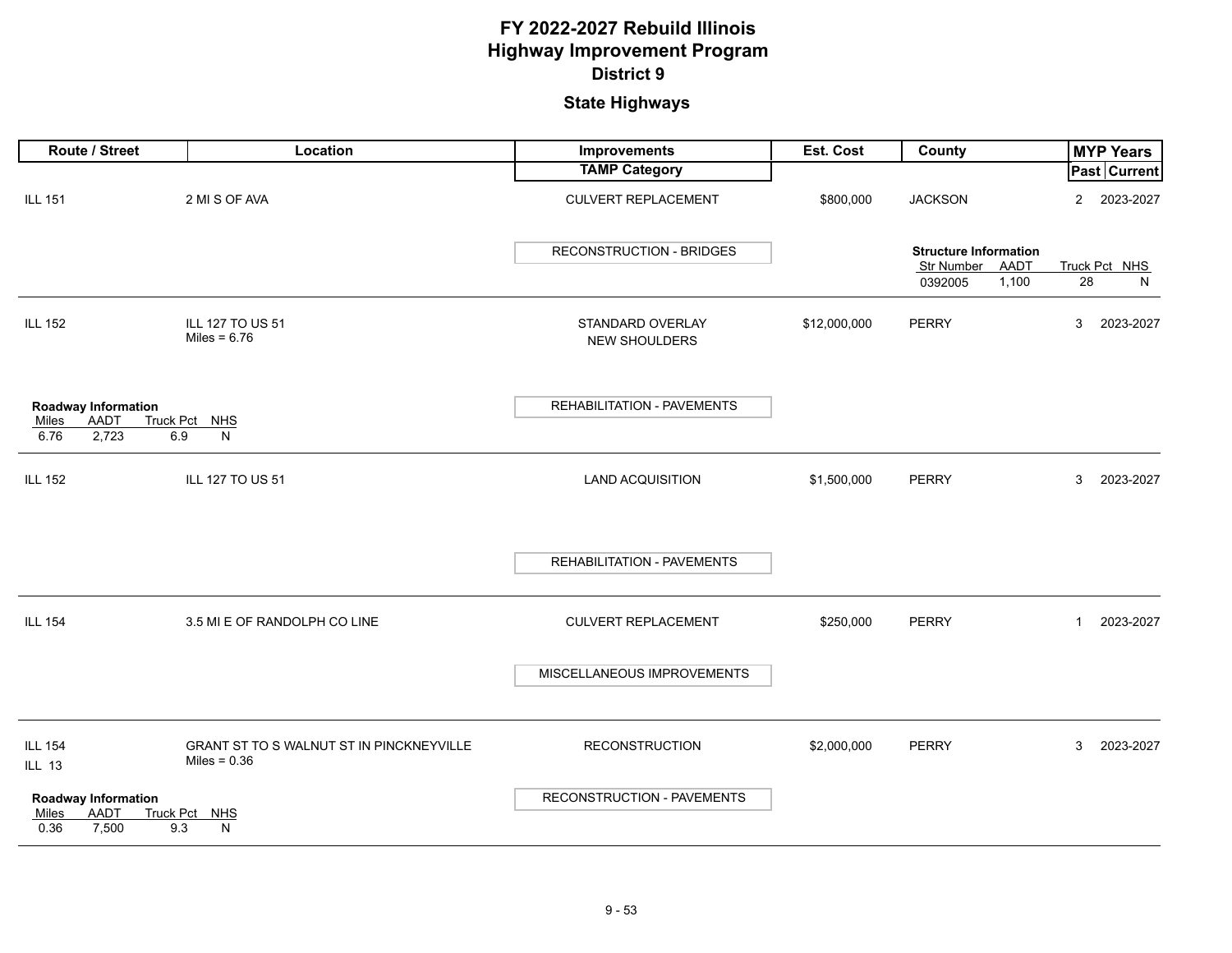| Route / Street                                                      | Location                                                   | Improvements                             | Est. Cost    | County                                             |                | <b>MYP Years</b>    |
|---------------------------------------------------------------------|------------------------------------------------------------|------------------------------------------|--------------|----------------------------------------------------|----------------|---------------------|
|                                                                     |                                                            | <b>TAMP Category</b>                     |              |                                                    |                | <b>Past Current</b> |
| <b>ILL 151</b>                                                      | 2 MI S OF AVA                                              | <b>CULVERT REPLACEMENT</b>               | \$800,000    | <b>JACKSON</b>                                     | $\overline{2}$ | 2023-2027           |
|                                                                     |                                                            | <b>RECONSTRUCTION - BRIDGES</b>          |              | <b>Structure Information</b><br>Str Number<br>AADT |                | Truck Pct NHS       |
|                                                                     |                                                            |                                          |              | 1,100<br>0392005                                   | 28             | N                   |
| <b>ILL 152</b>                                                      | ILL 127 TO US 51<br>Miles = $6.76$                         | STANDARD OVERLAY<br><b>NEW SHOULDERS</b> | \$12,000,000 | <b>PERRY</b>                                       | 3              | 2023-2027           |
| <b>Roadway Information</b>                                          |                                                            | REHABILITATION - PAVEMENTS               |              |                                                    |                |                     |
| AADT<br>Miles                                                       | Truck Pct NHS                                              |                                          |              |                                                    |                |                     |
| 6.76<br>2,723<br>6.9                                                | N                                                          |                                          |              |                                                    |                |                     |
| <b>ILL 152</b>                                                      | ILL 127 TO US 51                                           | <b>LAND ACQUISITION</b>                  | \$1,500,000  | <b>PERRY</b>                                       | 3              | 2023-2027           |
|                                                                     |                                                            | REHABILITATION - PAVEMENTS               |              |                                                    |                |                     |
| <b>ILL 154</b>                                                      | 3.5 MI E OF RANDOLPH CO LINE                               | <b>CULVERT REPLACEMENT</b>               | \$250,000    | <b>PERRY</b>                                       | $\mathbf{1}$   | 2023-2027           |
|                                                                     |                                                            | MISCELLANEOUS IMPROVEMENTS               |              |                                                    |                |                     |
| <b>ILL 154</b><br><b>ILL 13</b>                                     | GRANT ST TO S WALNUT ST IN PINCKNEYVILLE<br>Miles = $0.36$ | <b>RECONSTRUCTION</b>                    | \$2,000,000  | <b>PERRY</b>                                       | 3              | 2023-2027           |
| <b>Roadway Information</b><br>AADT<br>Miles<br>0.36<br>7,500<br>9.3 | Truck Pct NHS<br>$\mathsf{N}$                              | RECONSTRUCTION - PAVEMENTS               |              |                                                    |                |                     |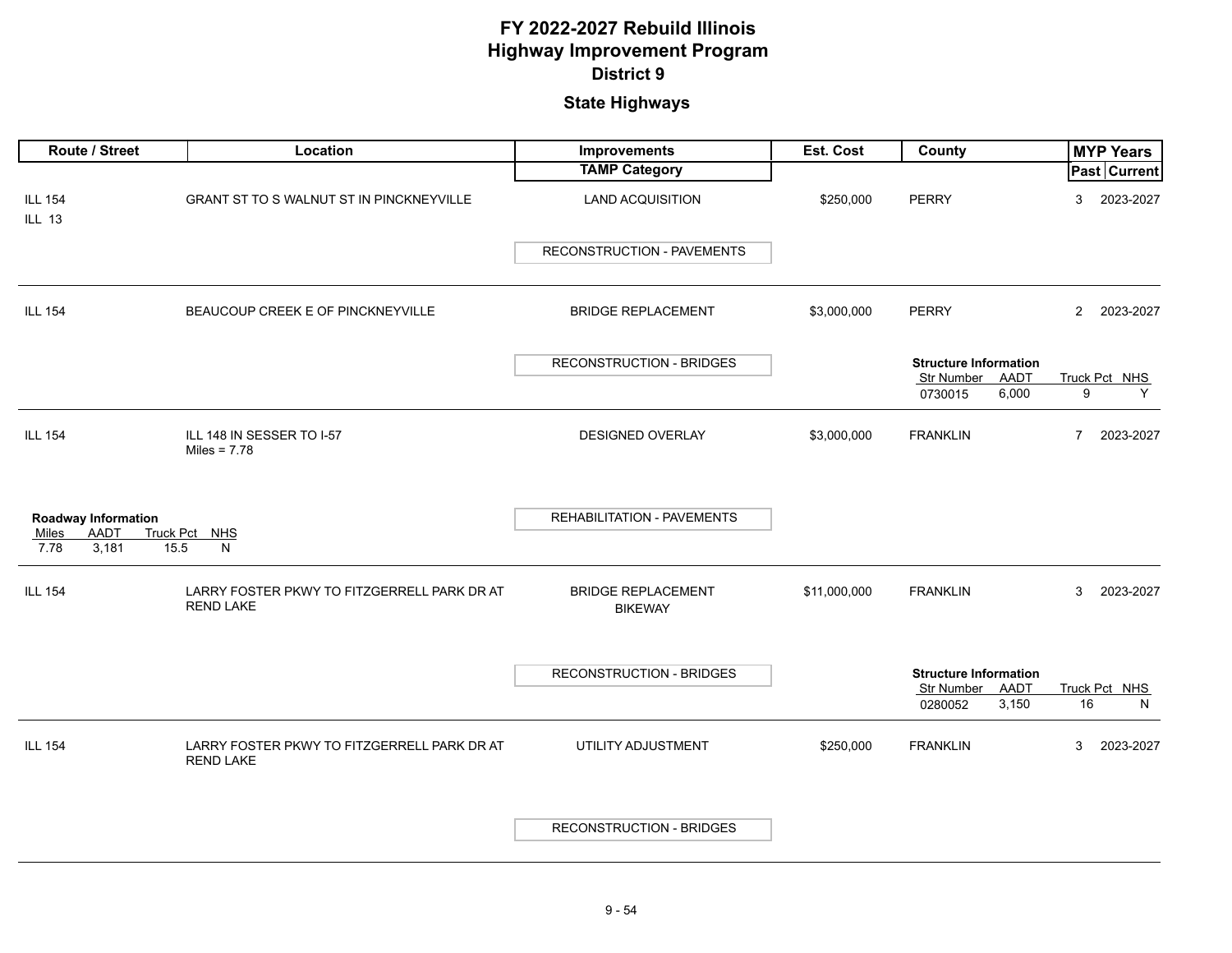|                                 | Route / Street                                         | Location                                                        | Improvements                                | Est. Cost    | County                                             | <b>MYP Years</b>            |
|---------------------------------|--------------------------------------------------------|-----------------------------------------------------------------|---------------------------------------------|--------------|----------------------------------------------------|-----------------------------|
|                                 |                                                        |                                                                 | <b>TAMP Category</b>                        |              |                                                    | <b>Past Current</b>         |
| <b>ILL 154</b><br><b>ILL 13</b> |                                                        | GRANT ST TO S WALNUT ST IN PINCKNEYVILLE                        | <b>LAND ACQUISITION</b>                     | \$250,000    | <b>PERRY</b>                                       | 2023-2027<br>3              |
|                                 |                                                        |                                                                 | RECONSTRUCTION - PAVEMENTS                  |              |                                                    |                             |
| <b>ILL 154</b>                  |                                                        | BEAUCOUP CREEK E OF PINCKNEYVILLE                               | <b>BRIDGE REPLACEMENT</b>                   | \$3,000,000  | <b>PERRY</b>                                       | $\overline{2}$<br>2023-2027 |
|                                 |                                                        |                                                                 | <b>RECONSTRUCTION - BRIDGES</b>             |              | <b>Structure Information</b><br>Str Number<br>AADT | Truck Pct NHS               |
|                                 |                                                        |                                                                 |                                             |              | 6,000<br>0730015                                   | 9<br>Y                      |
| <b>ILL 154</b>                  |                                                        | ILL 148 IN SESSER TO I-57<br>Miles = $7.78$                     | <b>DESIGNED OVERLAY</b>                     | \$3,000,000  | <b>FRANKLIN</b>                                    | 2023-2027<br>7              |
| Miles                           | <b>Roadway Information</b><br>AADT<br><b>Truck Pct</b> | <b>NHS</b>                                                      | REHABILITATION - PAVEMENTS                  |              |                                                    |                             |
| 7.78                            | 15.5<br>3,181                                          | N                                                               |                                             |              |                                                    |                             |
| <b>ILL 154</b>                  |                                                        | LARRY FOSTER PKWY TO FITZGERRELL PARK DR AT<br><b>REND LAKE</b> | <b>BRIDGE REPLACEMENT</b><br><b>BIKEWAY</b> | \$11,000,000 | <b>FRANKLIN</b>                                    | 3<br>2023-2027              |
|                                 |                                                        |                                                                 | <b>RECONSTRUCTION - BRIDGES</b>             |              | <b>Structure Information</b>                       |                             |
|                                 |                                                        |                                                                 |                                             |              | Str Number<br>AADT                                 | Truck Pct NHS               |
|                                 |                                                        |                                                                 |                                             |              | 0280052<br>3,150                                   | 16<br>N                     |
| <b>ILL 154</b>                  |                                                        | LARRY FOSTER PKWY TO FITZGERRELL PARK DR AT<br><b>REND LAKE</b> | UTILITY ADJUSTMENT                          | \$250,000    | <b>FRANKLIN</b>                                    | 2023-2027<br>3              |
|                                 |                                                        |                                                                 | <b>RECONSTRUCTION - BRIDGES</b>             |              |                                                    |                             |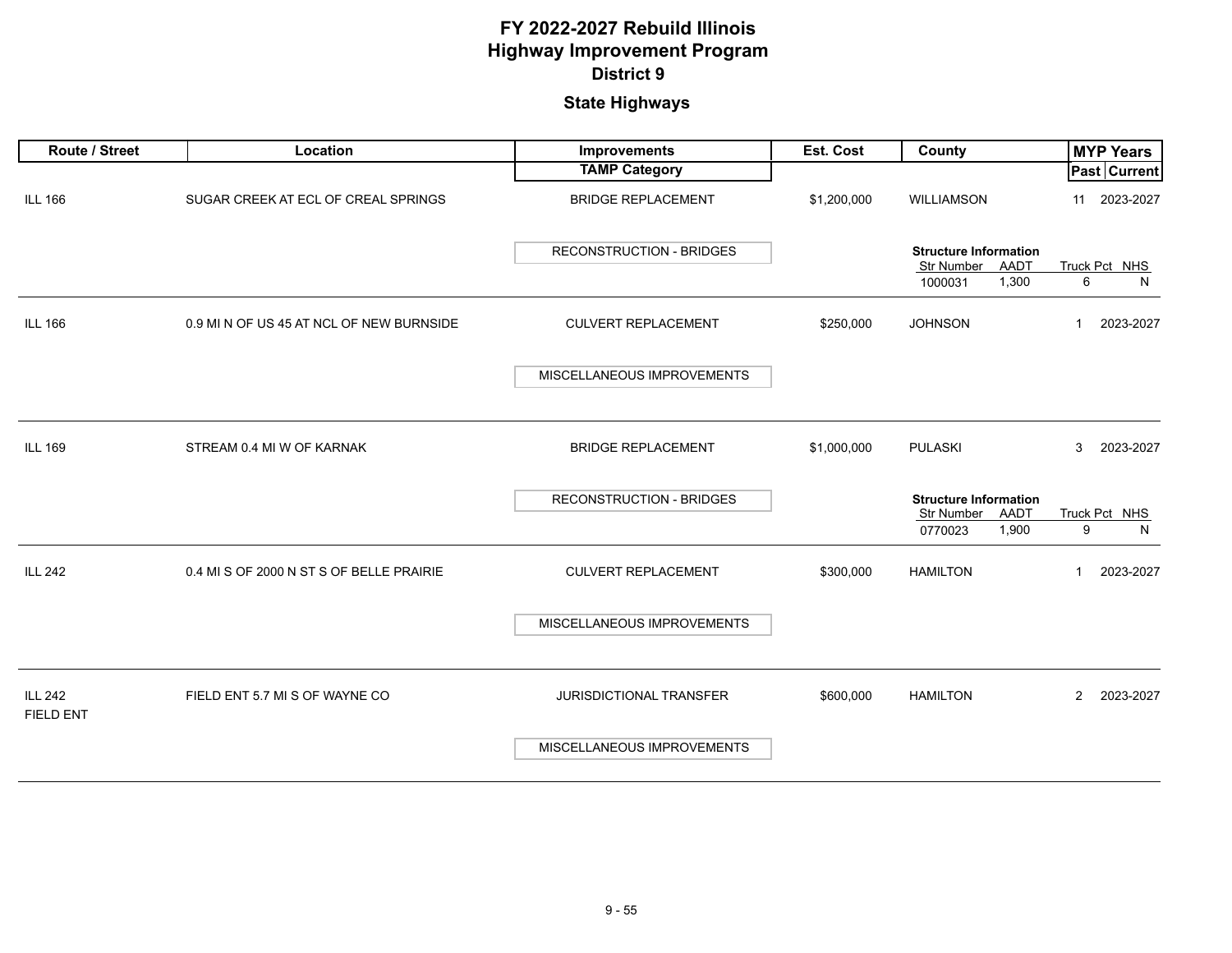| Route / Street                     | Location                                 | <b>Improvements</b>             | <b>Est. Cost</b> | <b>County</b>                                             | <b>MYP Years</b>            |
|------------------------------------|------------------------------------------|---------------------------------|------------------|-----------------------------------------------------------|-----------------------------|
|                                    |                                          | <b>TAMP Category</b>            |                  |                                                           | Past Current                |
| <b>ILL 166</b>                     | SUGAR CREEK AT ECL OF CREAL SPRINGS      | <b>BRIDGE REPLACEMENT</b>       | \$1,200,000      | WILLIAMSON                                                | 2023-2027<br>11             |
|                                    |                                          | <b>RECONSTRUCTION - BRIDGES</b> |                  | <b>Structure Information</b><br>AADT<br><b>Str Number</b> | Truck Pct NHS               |
|                                    |                                          |                                 |                  | 1,300<br>1000031                                          | 6<br>N                      |
| <b>ILL 166</b>                     | 0.9 MI N OF US 45 AT NCL OF NEW BURNSIDE | <b>CULVERT REPLACEMENT</b>      | \$250,000        | <b>JOHNSON</b>                                            | 2023-2027<br>$\mathbf{1}$   |
|                                    |                                          | MISCELLANEOUS IMPROVEMENTS      |                  |                                                           |                             |
|                                    |                                          |                                 |                  |                                                           |                             |
| <b>ILL 169</b>                     | STREAM 0.4 MI W OF KARNAK                | <b>BRIDGE REPLACEMENT</b>       | \$1,000,000      | <b>PULASKI</b>                                            | 3<br>2023-2027              |
|                                    |                                          | <b>RECONSTRUCTION - BRIDGES</b> |                  | <b>Structure Information</b>                              |                             |
|                                    |                                          |                                 |                  | AADT<br><b>Str Number</b>                                 | Truck Pct NHS               |
|                                    |                                          |                                 |                  | 1,900<br>0770023                                          | 9<br>N                      |
| <b>ILL 242</b>                     | 0.4 MI S OF 2000 N ST S OF BELLE PRAIRIE | <b>CULVERT REPLACEMENT</b>      | \$300,000        | <b>HAMILTON</b>                                           | 2023-2027<br>$\mathbf{1}$   |
|                                    |                                          | MISCELLANEOUS IMPROVEMENTS      |                  |                                                           |                             |
|                                    |                                          |                                 |                  |                                                           |                             |
| <b>ILL 242</b><br><b>FIELD ENT</b> | FIELD ENT 5.7 MI S OF WAYNE CO           | <b>JURISDICTIONAL TRANSFER</b>  | \$600,000        | <b>HAMILTON</b>                                           | 2023-2027<br>$\overline{2}$ |
|                                    |                                          | MISCELLANEOUS IMPROVEMENTS      |                  |                                                           |                             |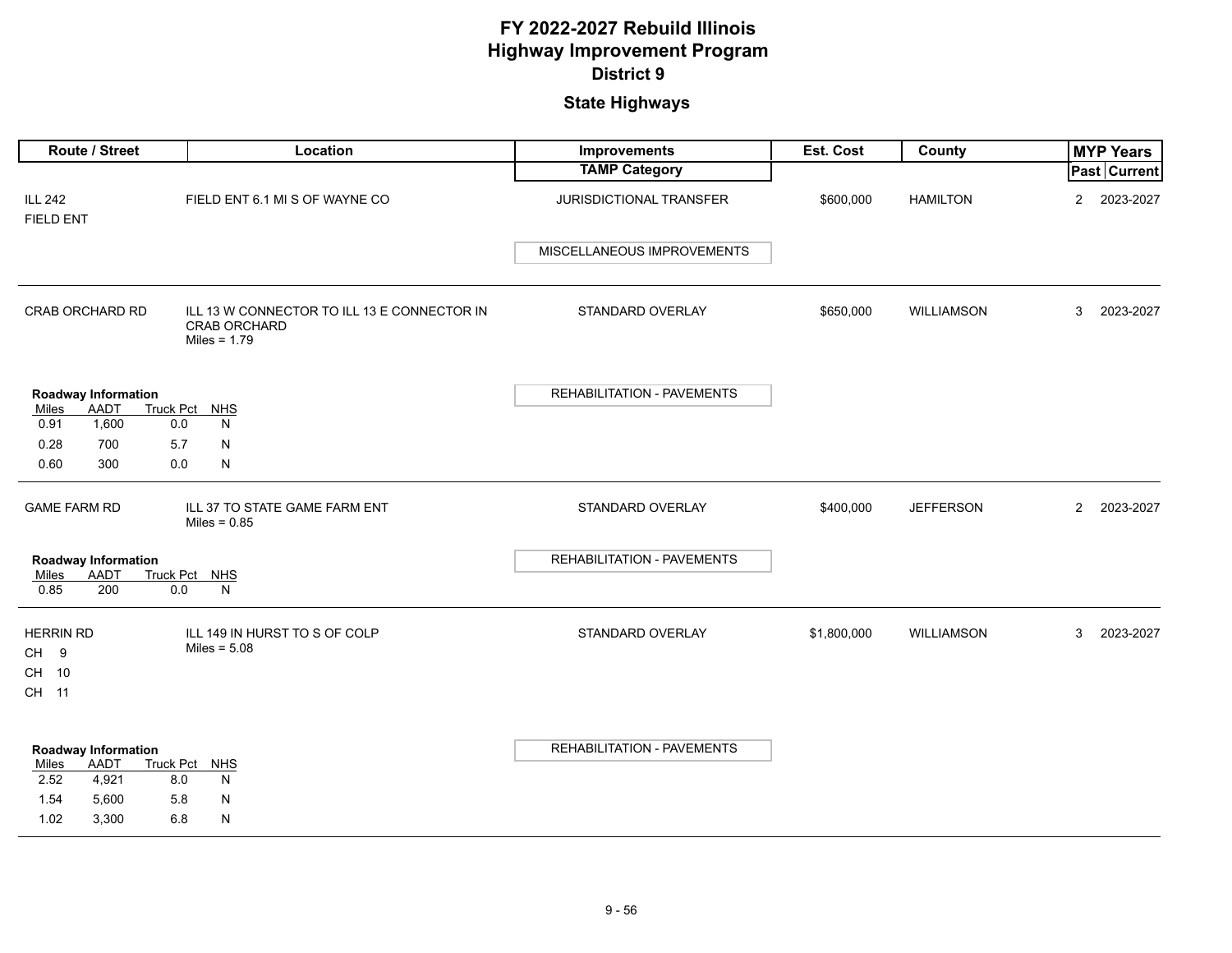|                                   | Route / Street                     |               |                                | Location                                    | Improvements                      | Est. Cost   | County            |                | <b>MYP Years</b>    |
|-----------------------------------|------------------------------------|---------------|--------------------------------|---------------------------------------------|-----------------------------------|-------------|-------------------|----------------|---------------------|
|                                   |                                    |               |                                |                                             | <b>TAMP Category</b>              |             |                   |                | <b>Past Current</b> |
| <b>ILL 242</b><br>FIELD ENT       |                                    |               |                                | FIELD ENT 6.1 MI S OF WAYNE CO              | JURISDICTIONAL TRANSFER           | \$600,000   | <b>HAMILTON</b>   | $\overline{2}$ | 2023-2027           |
|                                   |                                    |               |                                |                                             | MISCELLANEOUS IMPROVEMENTS        |             |                   |                |                     |
| CRAB ORCHARD RD                   |                                    |               | CRAB ORCHARD<br>Miles = $1.79$ | ILL 13 W CONNECTOR TO ILL 13 E CONNECTOR IN | STANDARD OVERLAY                  | \$650,000   | <b>WILLIAMSON</b> | 3              | 2023-2027           |
| Miles                             | Roadway Information<br>AADT        | Truck Pct NHS |                                |                                             | <b>REHABILITATION - PAVEMENTS</b> |             |                   |                |                     |
| 0.91                              | 1,600                              | 0.0           | N                              |                                             |                                   |             |                   |                |                     |
| 0.28                              | 700                                | 5.7           | N                              |                                             |                                   |             |                   |                |                     |
| 0.60                              | 300                                | 0.0           | N                              |                                             |                                   |             |                   |                |                     |
| <b>GAME FARM RD</b>               |                                    |               | Miles = $0.85$                 | ILL 37 TO STATE GAME FARM ENT               | STANDARD OVERLAY                  | \$400,000   | <b>JEFFERSON</b>  | $\overline{2}$ | 2023-2027           |
|                                   | <b>Roadway Information</b>         |               |                                |                                             | <b>REHABILITATION - PAVEMENTS</b> |             |                   |                |                     |
| Miles                             | AADT                               | Truck Pct NHS |                                |                                             |                                   |             |                   |                |                     |
| 0.85                              | 200                                | 0.0           | N                              |                                             |                                   |             |                   |                |                     |
| <b>HERRIN RD</b><br>CH 9<br>CH 10 |                                    |               | Miles = $5.08$                 | ILL 149 IN HURST TO S OF COLP               | STANDARD OVERLAY                  | \$1,800,000 | WILLIAMSON        | 3              | 2023-2027           |
| CH 11                             |                                    |               |                                |                                             |                                   |             |                   |                |                     |
|                                   |                                    |               |                                |                                             |                                   |             |                   |                |                     |
| Miles                             | <b>Roadway Information</b><br>AADT | Truck Pct NHS |                                |                                             | REHABILITATION - PAVEMENTS        |             |                   |                |                     |
| 2.52                              | 4,921                              | 8.0           | N                              |                                             |                                   |             |                   |                |                     |
| 1.54                              | 5,600                              | 5.8           | N                              |                                             |                                   |             |                   |                |                     |
| 1.02                              | 3,300                              | 6.8           | N                              |                                             |                                   |             |                   |                |                     |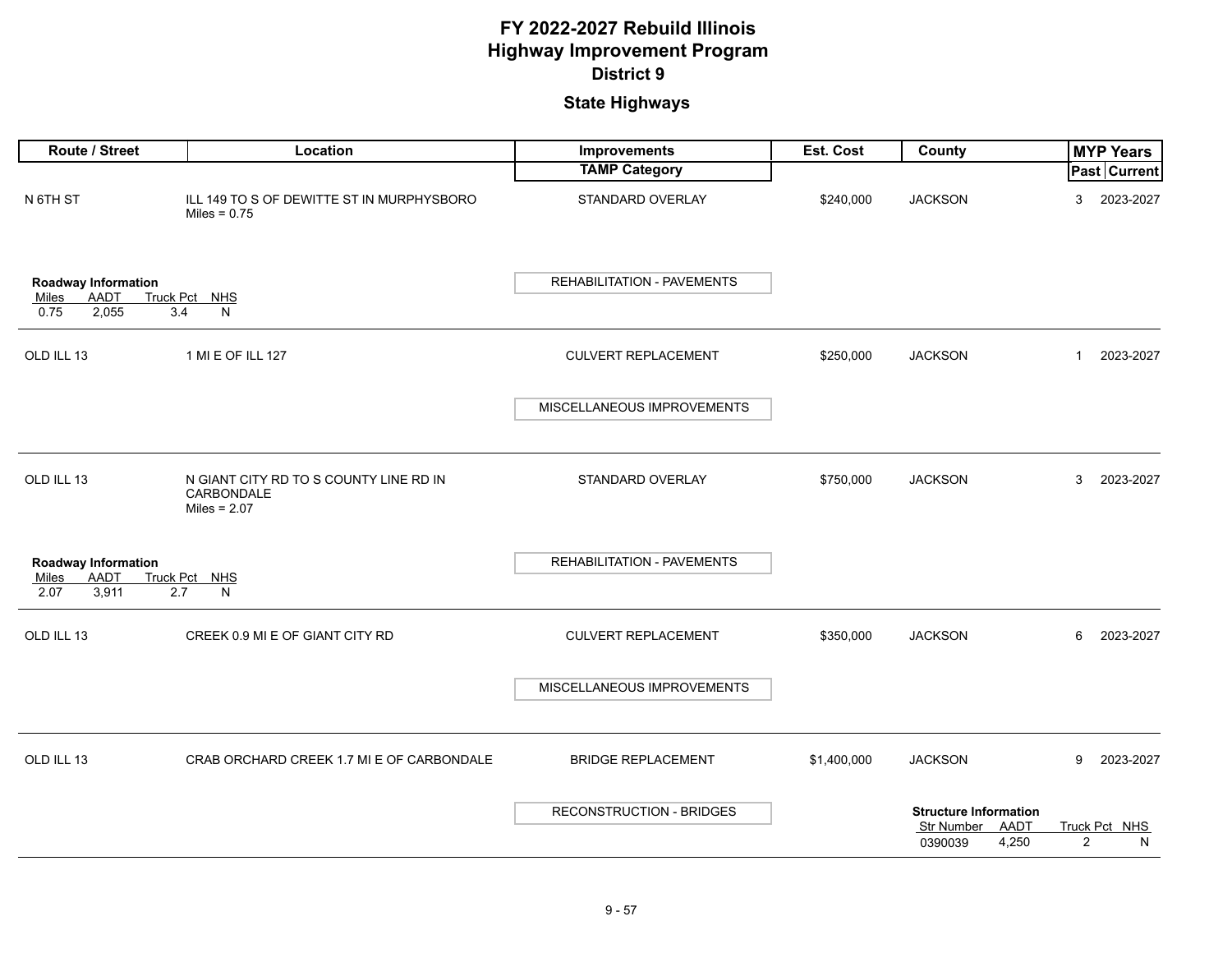| Route / Street                                                      | Location                                                                      | Improvements                      | Est. Cost   | County                                                                 | <b>MYP Years</b>                     |
|---------------------------------------------------------------------|-------------------------------------------------------------------------------|-----------------------------------|-------------|------------------------------------------------------------------------|--------------------------------------|
|                                                                     |                                                                               | <b>TAMP Category</b>              |             |                                                                        | <b>Past Current</b>                  |
| N 6TH ST                                                            | ILL 149 TO S OF DEWITTE ST IN MURPHYSBORO<br>Miles = $0.75$                   | STANDARD OVERLAY                  | \$240,000   | <b>JACKSON</b>                                                         | 3<br>2023-2027                       |
| Roadway Information<br>AADT<br>Miles<br>2,055<br>0.75<br>3.4        | Truck Pct NHS<br>N                                                            | REHABILITATION - PAVEMENTS        |             |                                                                        |                                      |
| OLD ILL 13                                                          | 1 MI E OF ILL 127                                                             | <b>CULVERT REPLACEMENT</b>        | \$250,000   | <b>JACKSON</b>                                                         | 2023-2027<br>$\mathbf{1}$            |
|                                                                     |                                                                               | MISCELLANEOUS IMPROVEMENTS        |             |                                                                        |                                      |
| OLD ILL 13                                                          | N GIANT CITY RD TO S COUNTY LINE RD IN<br><b>CARBONDALE</b><br>Miles = $2.07$ | STANDARD OVERLAY                  | \$750,000   | <b>JACKSON</b>                                                         | 3<br>2023-2027                       |
| <b>Roadway Information</b><br>Miles<br>AADT<br>3,911<br>2.7<br>2.07 | Truck Pct NHS<br>N                                                            | <b>REHABILITATION - PAVEMENTS</b> |             |                                                                        |                                      |
| OLD ILL 13                                                          | CREEK 0.9 MI E OF GIANT CITY RD                                               | <b>CULVERT REPLACEMENT</b>        | \$350,000   | <b>JACKSON</b>                                                         | 6<br>2023-2027                       |
|                                                                     |                                                                               | MISCELLANEOUS IMPROVEMENTS        |             |                                                                        |                                      |
| OLD ILL 13                                                          | CRAB ORCHARD CREEK 1.7 MI E OF CARBONDALE                                     | <b>BRIDGE REPLACEMENT</b>         | \$1,400,000 | <b>JACKSON</b>                                                         | 2023-2027<br>9                       |
|                                                                     |                                                                               | RECONSTRUCTION - BRIDGES          |             | <b>Structure Information</b><br>Str Number<br>AADT<br>0390039<br>4,250 | Truck Pct NHS<br>$\overline{2}$<br>N |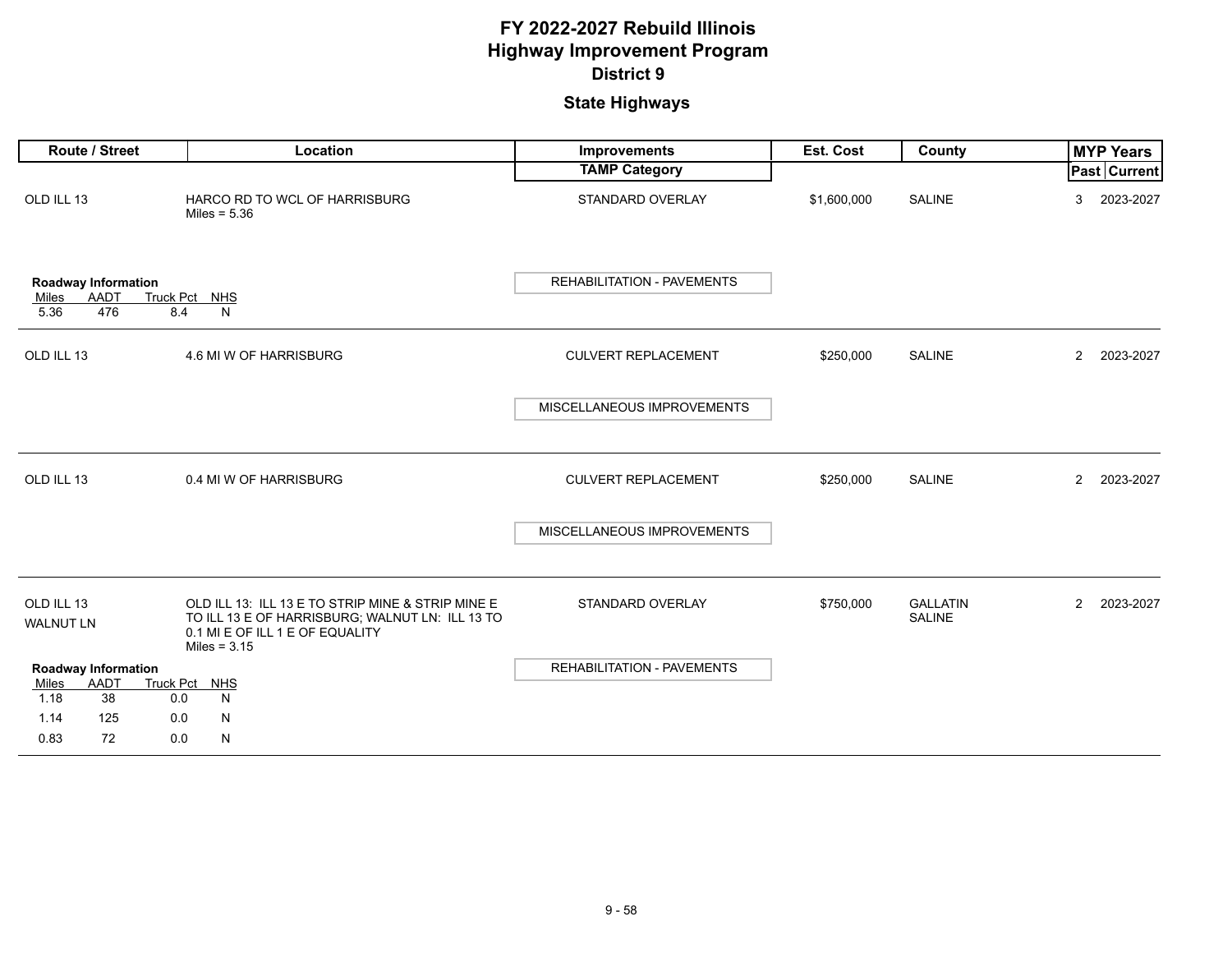| Route / Street                                             | Location                                                                                                                                                  | <b>Improvements</b>               | Est. Cost   | County                    | <b>MYP Years</b>            |
|------------------------------------------------------------|-----------------------------------------------------------------------------------------------------------------------------------------------------------|-----------------------------------|-------------|---------------------------|-----------------------------|
|                                                            |                                                                                                                                                           | <b>TAMP Category</b>              |             |                           | Past Current                |
| OLD ILL 13                                                 | HARCO RD TO WCL OF HARRISBURG<br>Miles = $5.36$                                                                                                           | STANDARD OVERLAY                  | \$1,600,000 | <b>SALINE</b>             | 2023-2027<br>3              |
| Roadway Information<br><b>AADT</b><br>Miles<br>5.36<br>476 | Truck Pct NHS<br>8.4<br>N                                                                                                                                 | <b>REHABILITATION - PAVEMENTS</b> |             |                           |                             |
| OLD ILL 13                                                 | 4.6 MI W OF HARRISBURG                                                                                                                                    | <b>CULVERT REPLACEMENT</b>        | \$250,000   | <b>SALINE</b>             | $2^{\circ}$<br>2023-2027    |
|                                                            |                                                                                                                                                           | MISCELLANEOUS IMPROVEMENTS        |             |                           |                             |
| OLD ILL 13                                                 | 0.4 MI W OF HARRISBURG                                                                                                                                    | <b>CULVERT REPLACEMENT</b>        | \$250,000   | <b>SALINE</b>             | $\overline{2}$<br>2023-2027 |
|                                                            |                                                                                                                                                           | MISCELLANEOUS IMPROVEMENTS        |             |                           |                             |
| OLD ILL 13<br><b>WALNUT LN</b>                             | OLD ILL 13: ILL 13 E TO STRIP MINE & STRIP MINE E<br>TO ILL 13 E OF HARRISBURG; WALNUT LN: ILL 13 TO<br>0.1 MI E OF ILL 1 E OF EQUALITY<br>Miles = $3.15$ | STANDARD OVERLAY                  | \$750,000   | <b>GALLATIN</b><br>SALINE | $\overline{2}$<br>2023-2027 |
| <b>Roadway Information</b>                                 |                                                                                                                                                           | REHABILITATION - PAVEMENTS        |             |                           |                             |
| AADT<br>Miles<br>38<br>1.18                                | Truck Pct NHS<br>0.0<br>N                                                                                                                                 |                                   |             |                           |                             |
| 1.14<br>125                                                | N<br>0.0                                                                                                                                                  |                                   |             |                           |                             |
| 0.83<br>72                                                 | 0.0<br>N                                                                                                                                                  |                                   |             |                           |                             |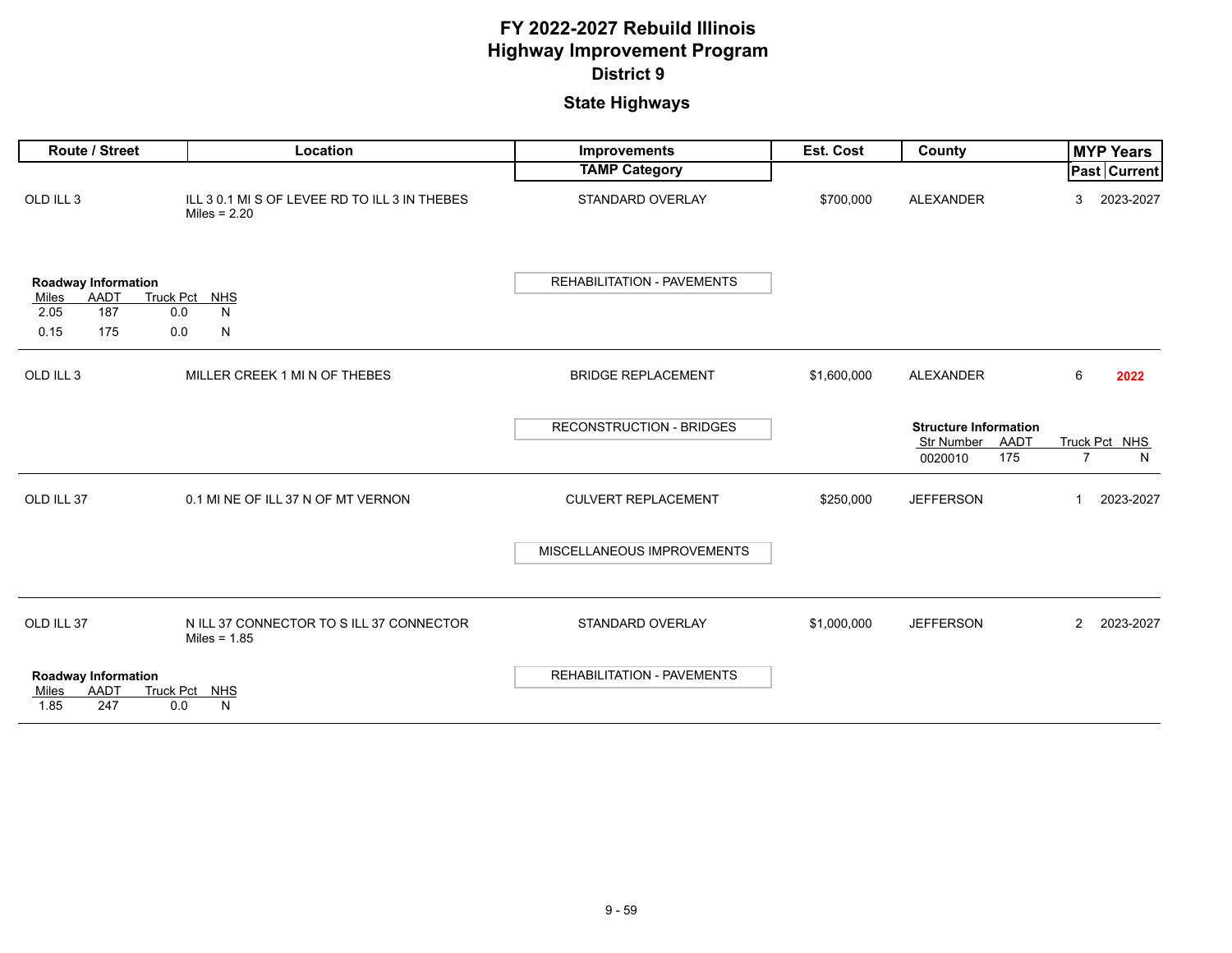| <b>Route / Street</b>                                                    | Location                                                        | <b>Improvements</b>               | Est. Cost   | County                                                            | <b>MYP Years</b>                     |
|--------------------------------------------------------------------------|-----------------------------------------------------------------|-----------------------------------|-------------|-------------------------------------------------------------------|--------------------------------------|
|                                                                          |                                                                 | <b>TAMP Category</b>              |             |                                                                   | <b>Past Current</b>                  |
| OLD ILL 3                                                                | ILL 3 0.1 MI S OF LEVEE RD TO ILL 3 IN THEBES<br>Miles = $2.20$ | STANDARD OVERLAY                  | \$700,000   | <b>ALEXANDER</b>                                                  | 2023-2027<br>3                       |
| <b>Roadway Information</b><br><b>AADT</b><br>Miles<br>187<br>2.05<br>0.0 | Truck Pct NHS<br>N                                              | REHABILITATION - PAVEMENTS        |             |                                                                   |                                      |
| 0.15<br>175<br>0.0                                                       | N                                                               |                                   |             |                                                                   |                                      |
| OLD ILL 3                                                                | MILLER CREEK 1 MI N OF THEBES                                   | <b>BRIDGE REPLACEMENT</b>         | \$1,600,000 | <b>ALEXANDER</b>                                                  | 6<br>2022                            |
|                                                                          |                                                                 | <b>RECONSTRUCTION - BRIDGES</b>   |             | <b>Structure Information</b><br>Str Number AADT<br>175<br>0020010 | Truck Pct NHS<br>$\overline{7}$<br>N |
| OLD ILL 37                                                               | 0.1 MI NE OF ILL 37 N OF MT VERNON                              | <b>CULVERT REPLACEMENT</b>        | \$250,000   | <b>JEFFERSON</b>                                                  | 2023-2027<br>-1                      |
|                                                                          |                                                                 | MISCELLANEOUS IMPROVEMENTS        |             |                                                                   |                                      |
| OLD ILL 37                                                               | N ILL 37 CONNECTOR TO SILL 37 CONNECTOR<br>Miles = $1.85$       | STANDARD OVERLAY                  | \$1,000,000 | <b>JEFFERSON</b>                                                  | 2023-2027<br>$\overline{2}$          |
| <b>Roadway Information</b><br><b>AADT</b><br>Miles<br>247<br>1.85<br>0.0 | Truck Pct NHS<br>N                                              | <b>REHABILITATION - PAVEMENTS</b> |             |                                                                   |                                      |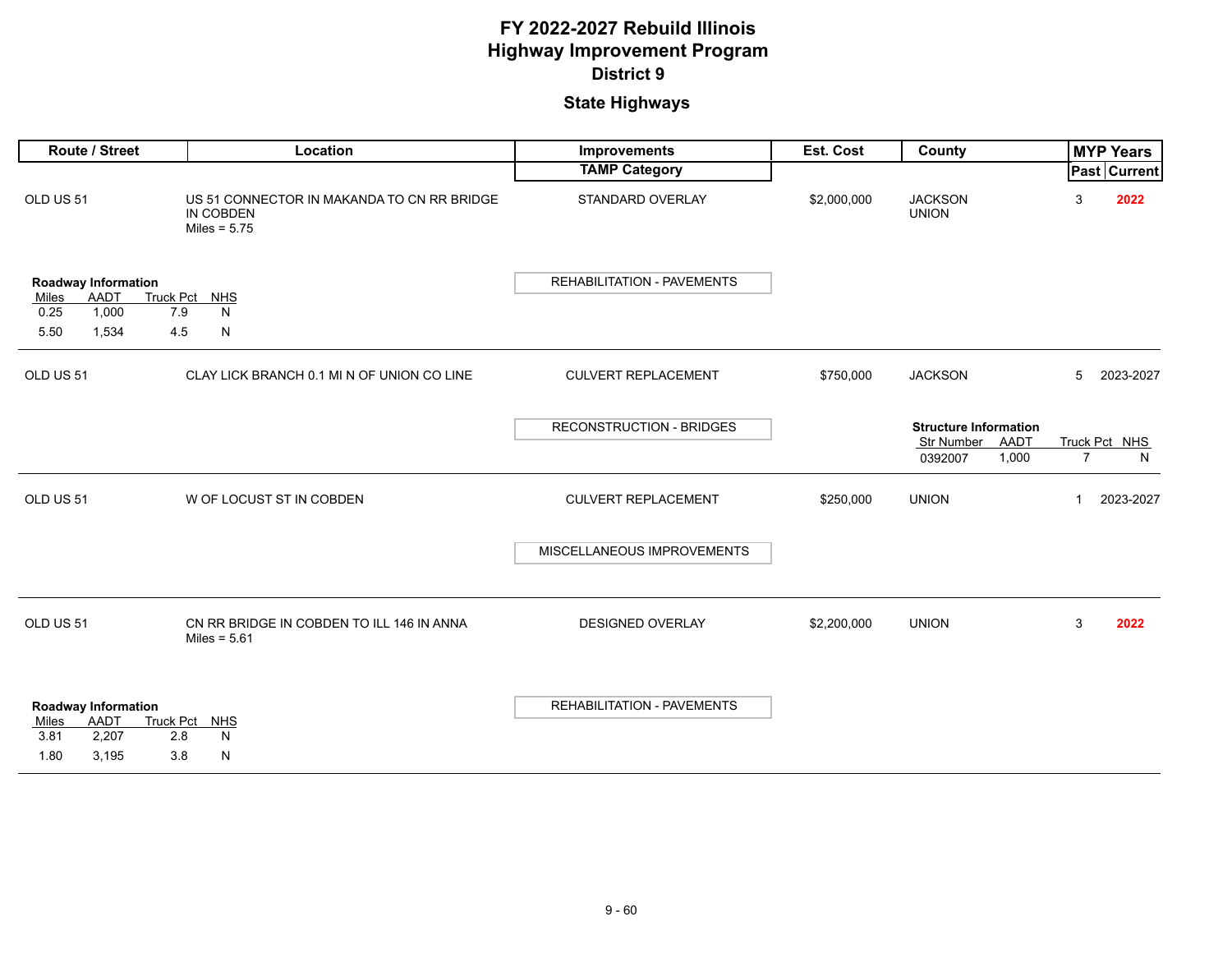| Route / Street                                                                                           | Location                                                                  | Improvements                      | Est. Cost   | County                                                                 | <b>MYP Years</b>                     |
|----------------------------------------------------------------------------------------------------------|---------------------------------------------------------------------------|-----------------------------------|-------------|------------------------------------------------------------------------|--------------------------------------|
|                                                                                                          |                                                                           | <b>TAMP Category</b>              |             |                                                                        | Past Current                         |
| OLD US 51                                                                                                | US 51 CONNECTOR IN MAKANDA TO CN RR BRIDGE<br>IN COBDEN<br>Miles = $5.75$ | STANDARD OVERLAY                  | \$2,000,000 | <b>JACKSON</b><br><b>UNION</b>                                         | 3<br>2022                            |
| Roadway Information<br>AADT<br><b>Truck Pct</b><br>Miles<br>1,000<br>0.25<br>7.9<br>5.50<br>1,534<br>4.5 | <b>NHS</b><br>N<br>N                                                      | <b>REHABILITATION - PAVEMENTS</b> |             |                                                                        |                                      |
| OLD US 51                                                                                                | CLAY LICK BRANCH 0.1 MI N OF UNION CO LINE                                | <b>CULVERT REPLACEMENT</b>        | \$750,000   | <b>JACKSON</b>                                                         | 5<br>2023-2027                       |
|                                                                                                          |                                                                           | <b>RECONSTRUCTION - BRIDGES</b>   |             | <b>Structure Information</b><br>Str Number<br>AADT<br>1,000<br>0392007 | Truck Pct NHS<br>$\overline{7}$<br>N |
| OLD US 51                                                                                                | W OF LOCUST ST IN COBDEN                                                  | <b>CULVERT REPLACEMENT</b>        | \$250,000   | <b>UNION</b>                                                           | 2023-2027<br>1                       |
|                                                                                                          |                                                                           | MISCELLANEOUS IMPROVEMENTS        |             |                                                                        |                                      |
| OLD US 51                                                                                                | CN RR BRIDGE IN COBDEN TO ILL 146 IN ANNA<br>Miles = $5.61$               | <b>DESIGNED OVERLAY</b>           | \$2,200,000 | <b>UNION</b>                                                           | 3<br>2022                            |
| <b>Roadway Information</b><br>AADT<br>Miles<br>3.81<br>2.8<br>2,207<br>1.80<br>3,195<br>3.8              | Truck Pct NHS<br>N<br>N                                                   | <b>REHABILITATION - PAVEMENTS</b> |             |                                                                        |                                      |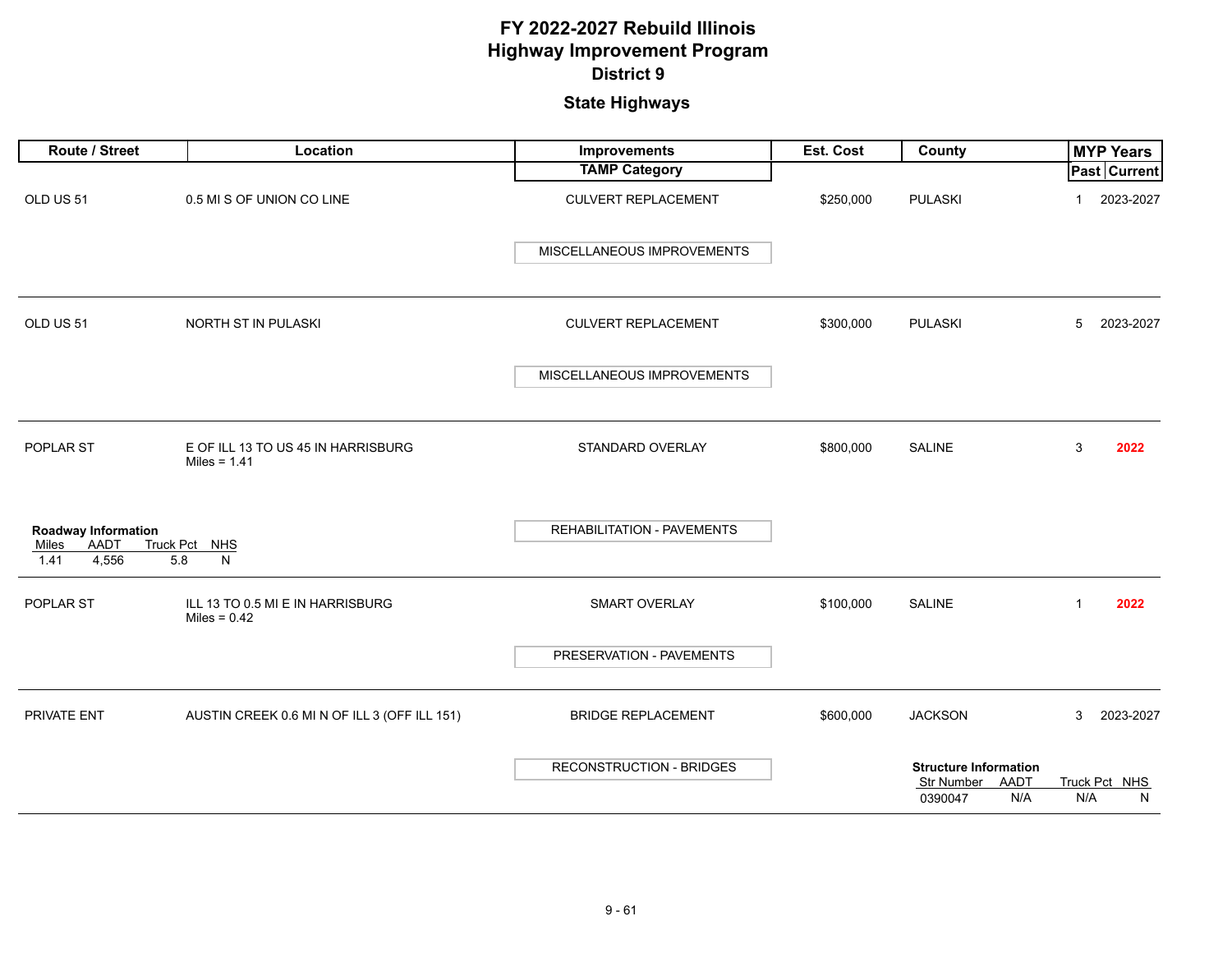| <b>Route / Street</b>                                        | Location                                             | Improvements               | Est. Cost | County                                                                      | <b>MYP Years</b>          |
|--------------------------------------------------------------|------------------------------------------------------|----------------------------|-----------|-----------------------------------------------------------------------------|---------------------------|
|                                                              |                                                      | <b>TAMP Category</b>       |           |                                                                             | <b>Past Current</b>       |
| OLD US 51                                                    | 0.5 MI S OF UNION CO LINE                            | <b>CULVERT REPLACEMENT</b> | \$250,000 | <b>PULASKI</b>                                                              | 2023-2027<br>1            |
|                                                              |                                                      | MISCELLANEOUS IMPROVEMENTS |           |                                                                             |                           |
| OLD US 51                                                    | NORTH ST IN PULASKI                                  | <b>CULVERT REPLACEMENT</b> | \$300,000 | <b>PULASKI</b>                                                              | 2023-2027<br>5            |
|                                                              |                                                      | MISCELLANEOUS IMPROVEMENTS |           |                                                                             |                           |
| POPLAR ST                                                    | E OF ILL 13 TO US 45 IN HARRISBURG<br>Miles = $1.41$ | STANDARD OVERLAY           | \$800,000 | SALINE                                                                      | 3<br>2022                 |
| Roadway Information<br><b>AADT</b><br>Miles<br>4,556<br>1.41 | Truck Pct NHS<br>5.8<br>N                            | REHABILITATION - PAVEMENTS |           |                                                                             |                           |
| POPLAR ST                                                    | ILL 13 TO 0.5 MI E IN HARRISBURG<br>Miles = $0.42$   | <b>SMART OVERLAY</b>       | \$100,000 | <b>SALINE</b>                                                               | 2022<br>1                 |
|                                                              |                                                      | PRESERVATION - PAVEMENTS   |           |                                                                             |                           |
| PRIVATE ENT                                                  | AUSTIN CREEK 0.6 MI N OF ILL 3 (OFF ILL 151)         | <b>BRIDGE REPLACEMENT</b>  | \$600,000 | <b>JACKSON</b>                                                              | 2023-2027<br>3            |
|                                                              |                                                      | RECONSTRUCTION - BRIDGES   |           | <b>Structure Information</b><br><b>AADT</b><br>Str Number<br>N/A<br>0390047 | Truck Pct NHS<br>N/A<br>N |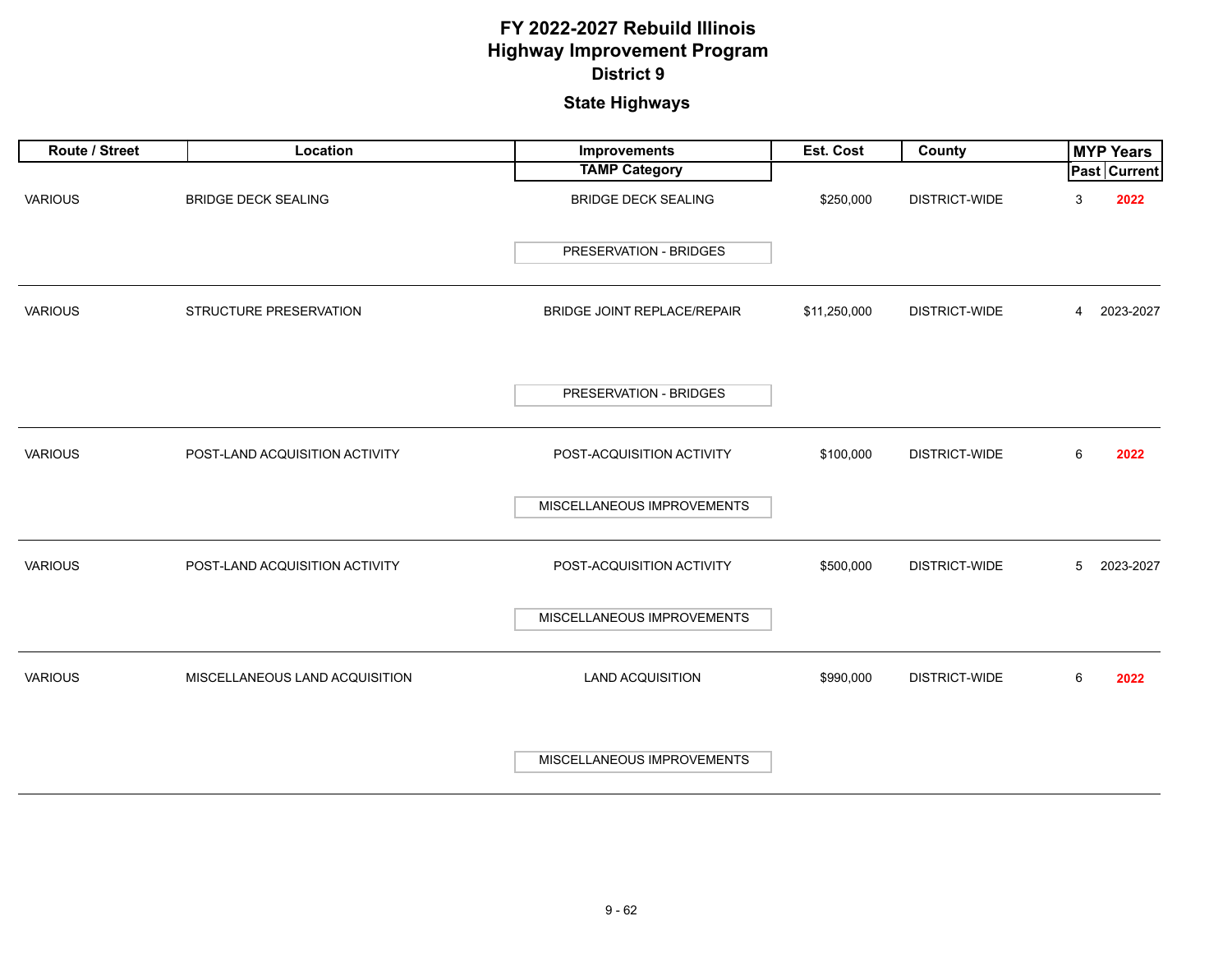| Route / Street | Location                       | <b>Improvements</b>           | Est. Cost    | County               |   | <b>MYP Years</b>    |
|----------------|--------------------------------|-------------------------------|--------------|----------------------|---|---------------------|
|                |                                | <b>TAMP Category</b>          |              |                      |   | <b>Past Current</b> |
| <b>VARIOUS</b> | <b>BRIDGE DECK SEALING</b>     | <b>BRIDGE DECK SEALING</b>    | \$250,000    | DISTRICT-WIDE        | 3 | 2022                |
|                |                                | <b>PRESERVATION - BRIDGES</b> |              |                      |   |                     |
| <b>VARIOUS</b> | STRUCTURE PRESERVATION         | BRIDGE JOINT REPLACE/REPAIR   | \$11,250,000 | DISTRICT-WIDE        | 4 | 2023-2027           |
|                |                                | PRESERVATION - BRIDGES        |              |                      |   |                     |
| <b>VARIOUS</b> | POST-LAND ACQUISITION ACTIVITY | POST-ACQUISITION ACTIVITY     | \$100,000    | <b>DISTRICT-WIDE</b> | 6 | 2022                |
|                |                                | MISCELLANEOUS IMPROVEMENTS    |              |                      |   |                     |
| <b>VARIOUS</b> | POST-LAND ACQUISITION ACTIVITY | POST-ACQUISITION ACTIVITY     | \$500,000    | <b>DISTRICT-WIDE</b> | 5 | 2023-2027           |
|                |                                | MISCELLANEOUS IMPROVEMENTS    |              |                      |   |                     |
| <b>VARIOUS</b> | MISCELLANEOUS LAND ACQUISITION | <b>LAND ACQUISITION</b>       | \$990,000    | <b>DISTRICT-WIDE</b> | 6 | 2022                |
|                |                                | MISCELLANEOUS IMPROVEMENTS    |              |                      |   |                     |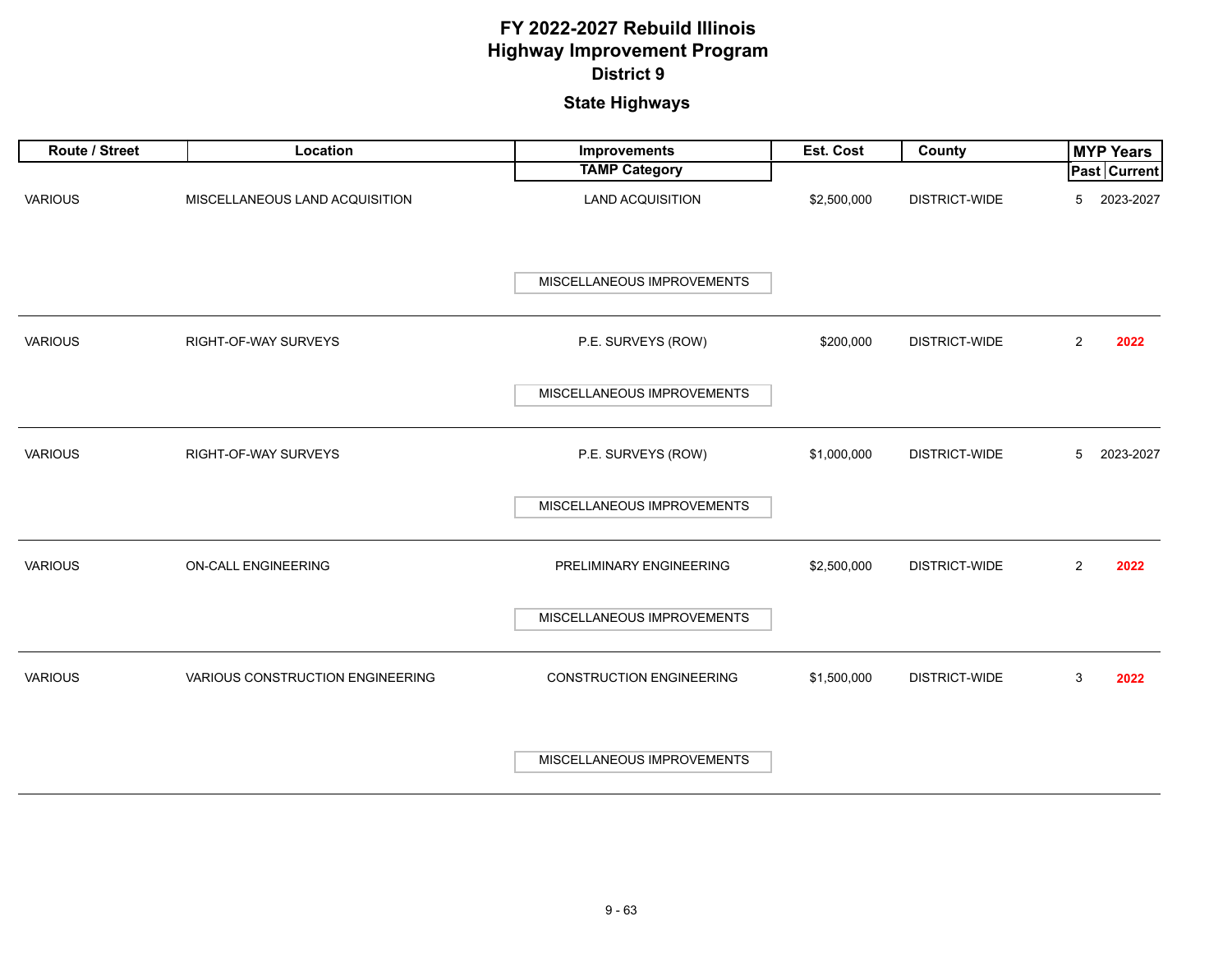| Route / Street | Location                         | Improvements                    | Est. Cost   | County               |                | <b>MYP Years</b> |
|----------------|----------------------------------|---------------------------------|-------------|----------------------|----------------|------------------|
|                |                                  | <b>TAMP Category</b>            |             |                      |                | Past Current     |
| <b>VARIOUS</b> | MISCELLANEOUS LAND ACQUISITION   | LAND ACQUISITION                | \$2,500,000 | <b>DISTRICT-WIDE</b> | 5              | 2023-2027        |
|                |                                  | MISCELLANEOUS IMPROVEMENTS      |             |                      |                |                  |
| <b>VARIOUS</b> | RIGHT-OF-WAY SURVEYS             | P.E. SURVEYS (ROW)              | \$200,000   | <b>DISTRICT-WIDE</b> | $\overline{2}$ | 2022             |
|                |                                  | MISCELLANEOUS IMPROVEMENTS      |             |                      |                |                  |
| <b>VARIOUS</b> | RIGHT-OF-WAY SURVEYS             | P.E. SURVEYS (ROW)              | \$1,000,000 | DISTRICT-WIDE        | 5              | 2023-2027        |
|                |                                  | MISCELLANEOUS IMPROVEMENTS      |             |                      |                |                  |
| <b>VARIOUS</b> | ON-CALL ENGINEERING              | PRELIMINARY ENGINEERING         | \$2,500,000 | DISTRICT-WIDE        | $\overline{2}$ | 2022             |
|                |                                  | MISCELLANEOUS IMPROVEMENTS      |             |                      |                |                  |
| <b>VARIOUS</b> | VARIOUS CONSTRUCTION ENGINEERING | <b>CONSTRUCTION ENGINEERING</b> | \$1,500,000 | <b>DISTRICT-WIDE</b> | 3              | 2022             |
|                |                                  | MISCELLANEOUS IMPROVEMENTS      |             |                      |                |                  |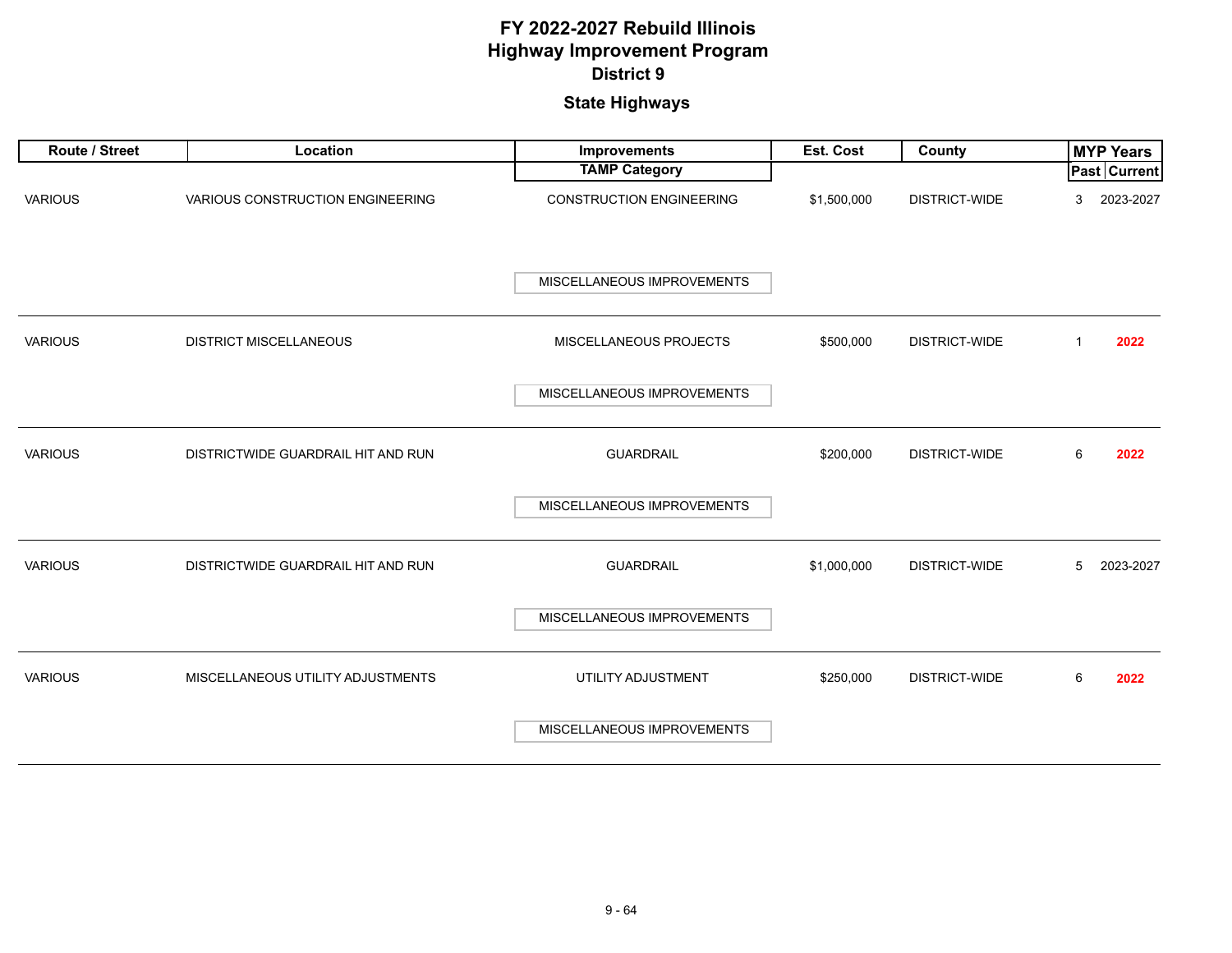| Route / Street | Location                           | <b>Improvements</b>             | Est. Cost   | County               | <b>MYP Years</b>     |
|----------------|------------------------------------|---------------------------------|-------------|----------------------|----------------------|
|                |                                    | <b>TAMP Category</b>            |             |                      | Past Current         |
| <b>VARIOUS</b> | VARIOUS CONSTRUCTION ENGINEERING   | <b>CONSTRUCTION ENGINEERING</b> | \$1,500,000 | <b>DISTRICT-WIDE</b> | 2023-2027<br>3       |
|                |                                    | MISCELLANEOUS IMPROVEMENTS      |             |                      |                      |
| <b>VARIOUS</b> | <b>DISTRICT MISCELLANEOUS</b>      | MISCELLANEOUS PROJECTS          | \$500,000   | <b>DISTRICT-WIDE</b> | $\mathbf{1}$<br>2022 |
|                |                                    | MISCELLANEOUS IMPROVEMENTS      |             |                      |                      |
| <b>VARIOUS</b> | DISTRICTWIDE GUARDRAIL HIT AND RUN | <b>GUARDRAIL</b>                | \$200,000   | DISTRICT-WIDE        | 6<br>2022            |
|                |                                    | MISCELLANEOUS IMPROVEMENTS      |             |                      |                      |
| <b>VARIOUS</b> | DISTRICTWIDE GUARDRAIL HIT AND RUN | <b>GUARDRAIL</b>                | \$1,000,000 | DISTRICT-WIDE        | 2023-2027<br>5       |
|                |                                    | MISCELLANEOUS IMPROVEMENTS      |             |                      |                      |
| <b>VARIOUS</b> | MISCELLANEOUS UTILITY ADJUSTMENTS  | UTILITY ADJUSTMENT              | \$250,000   | DISTRICT-WIDE        | 6<br>2022            |
|                |                                    | MISCELLANEOUS IMPROVEMENTS      |             |                      |                      |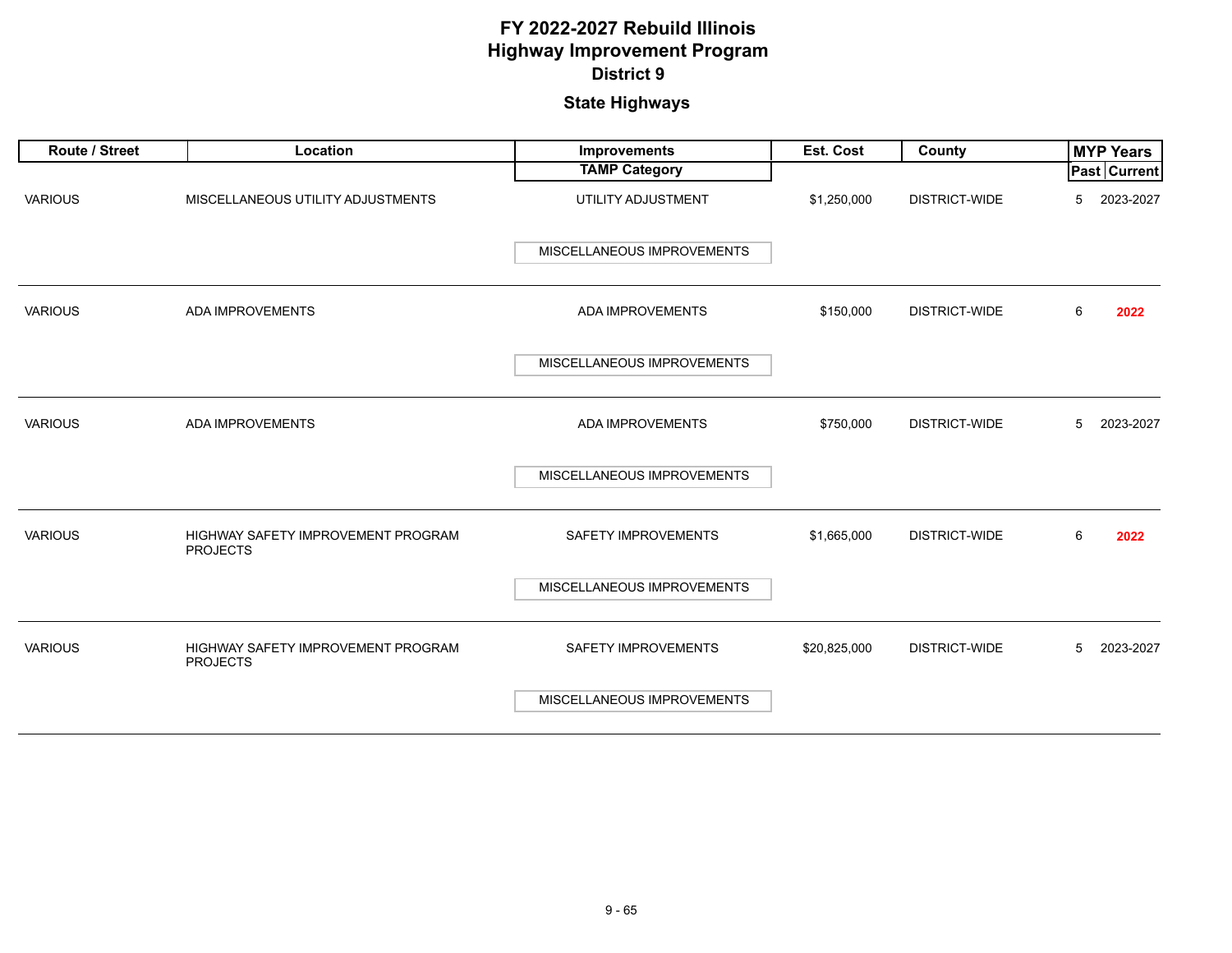| Route / Street | Location                                              | <b>Improvements</b>        | Est. Cost    | County               |   | <b>MYP Years</b>    |
|----------------|-------------------------------------------------------|----------------------------|--------------|----------------------|---|---------------------|
|                |                                                       | <b>TAMP Category</b>       |              |                      |   | <b>Past Current</b> |
| <b>VARIOUS</b> | MISCELLANEOUS UTILITY ADJUSTMENTS                     | UTILITY ADJUSTMENT         | \$1,250,000  | <b>DISTRICT-WIDE</b> | 5 | 2023-2027           |
|                |                                                       | MISCELLANEOUS IMPROVEMENTS |              |                      |   |                     |
| <b>VARIOUS</b> | ADA IMPROVEMENTS                                      | ADA IMPROVEMENTS           | \$150,000    | DISTRICT-WIDE        | 6 | 2022                |
|                |                                                       | MISCELLANEOUS IMPROVEMENTS |              |                      |   |                     |
| <b>VARIOUS</b> | ADA IMPROVEMENTS                                      | ADA IMPROVEMENTS           | \$750,000    | DISTRICT-WIDE        | 5 | 2023-2027           |
|                |                                                       | MISCELLANEOUS IMPROVEMENTS |              |                      |   |                     |
| <b>VARIOUS</b> | HIGHWAY SAFETY IMPROVEMENT PROGRAM<br><b>PROJECTS</b> | <b>SAFETY IMPROVEMENTS</b> | \$1,665,000  | DISTRICT-WIDE        | 6 | 2022                |
|                |                                                       | MISCELLANEOUS IMPROVEMENTS |              |                      |   |                     |
| <b>VARIOUS</b> | HIGHWAY SAFETY IMPROVEMENT PROGRAM<br><b>PROJECTS</b> | <b>SAFETY IMPROVEMENTS</b> | \$20,825,000 | DISTRICT-WIDE        | 5 | 2023-2027           |
|                |                                                       | MISCELLANEOUS IMPROVEMENTS |              |                      |   |                     |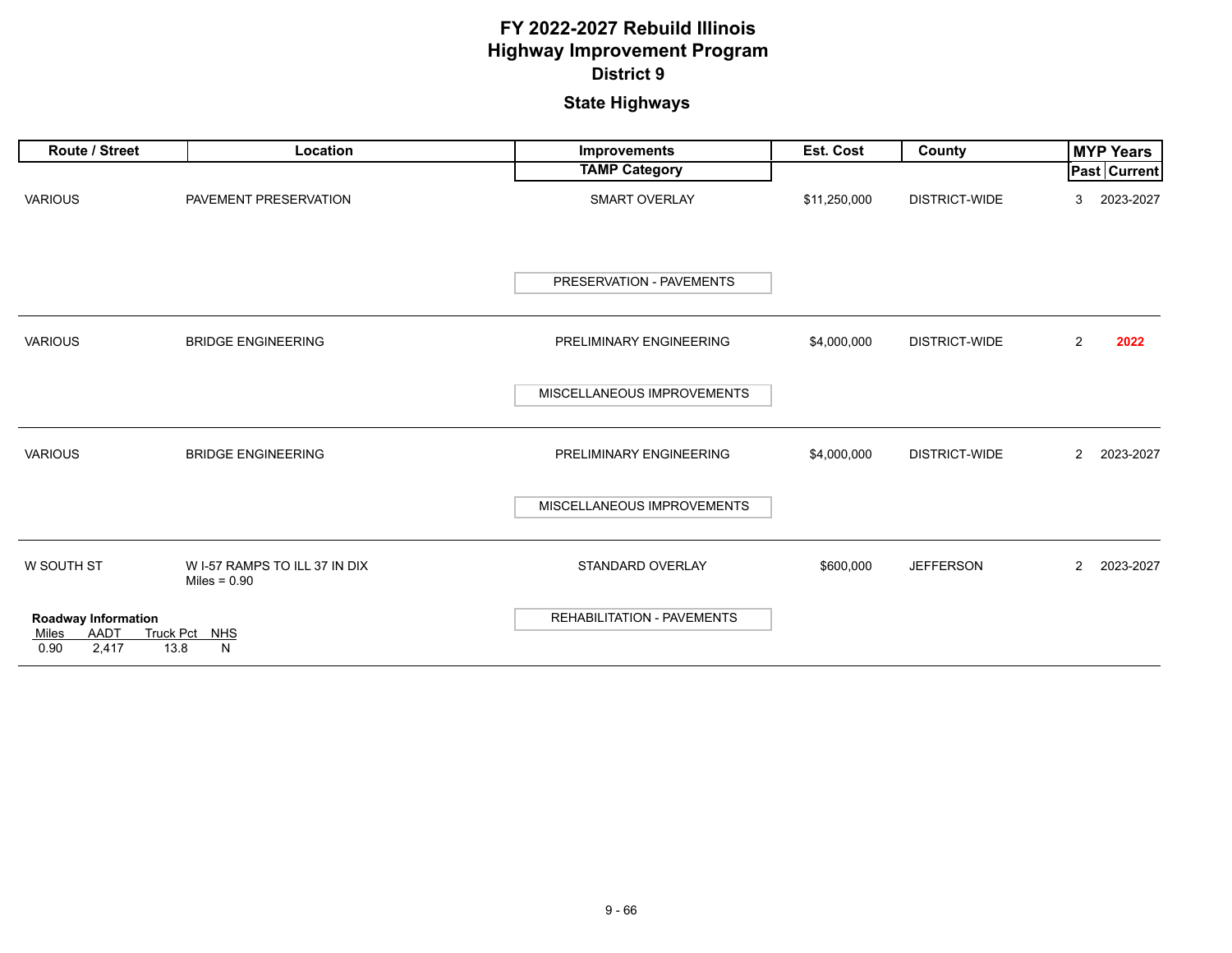| <b>Route / Street</b>                                        | Location                                        | Improvements                      | <b>Est. Cost</b> | County               | <b>MYP Years</b>            |
|--------------------------------------------------------------|-------------------------------------------------|-----------------------------------|------------------|----------------------|-----------------------------|
|                                                              |                                                 | <b>TAMP Category</b>              |                  |                      | <b>Past Current</b>         |
| <b>VARIOUS</b>                                               | PAVEMENT PRESERVATION                           | <b>SMART OVERLAY</b>              | \$11,250,000     | DISTRICT-WIDE        | 2023-2027<br>3              |
|                                                              |                                                 | PRESERVATION - PAVEMENTS          |                  |                      |                             |
| <b>VARIOUS</b>                                               | <b>BRIDGE ENGINEERING</b>                       | PRELIMINARY ENGINEERING           | \$4,000,000      | DISTRICT-WIDE        | 2022<br>$\overline{2}$      |
|                                                              |                                                 | MISCELLANEOUS IMPROVEMENTS        |                  |                      |                             |
| <b>VARIOUS</b>                                               | <b>BRIDGE ENGINEERING</b>                       | PRELIMINARY ENGINEERING           | \$4,000,000      | <b>DISTRICT-WIDE</b> | 2023-2027<br>$\overline{2}$ |
|                                                              |                                                 | MISCELLANEOUS IMPROVEMENTS        |                  |                      |                             |
| W SOUTH ST                                                   | W I-57 RAMPS TO ILL 37 IN DIX<br>Miles = $0.90$ | STANDARD OVERLAY                  | \$600,000        | <b>JEFFERSON</b>     | 2023-2027<br>$\mathbf{2}$   |
| Roadway Information<br><b>AADT</b><br>Miles<br>0.90<br>2,417 | <b>Truck Pct</b><br><b>NHS</b><br>13.8<br>N     | <b>REHABILITATION - PAVEMENTS</b> |                  |                      |                             |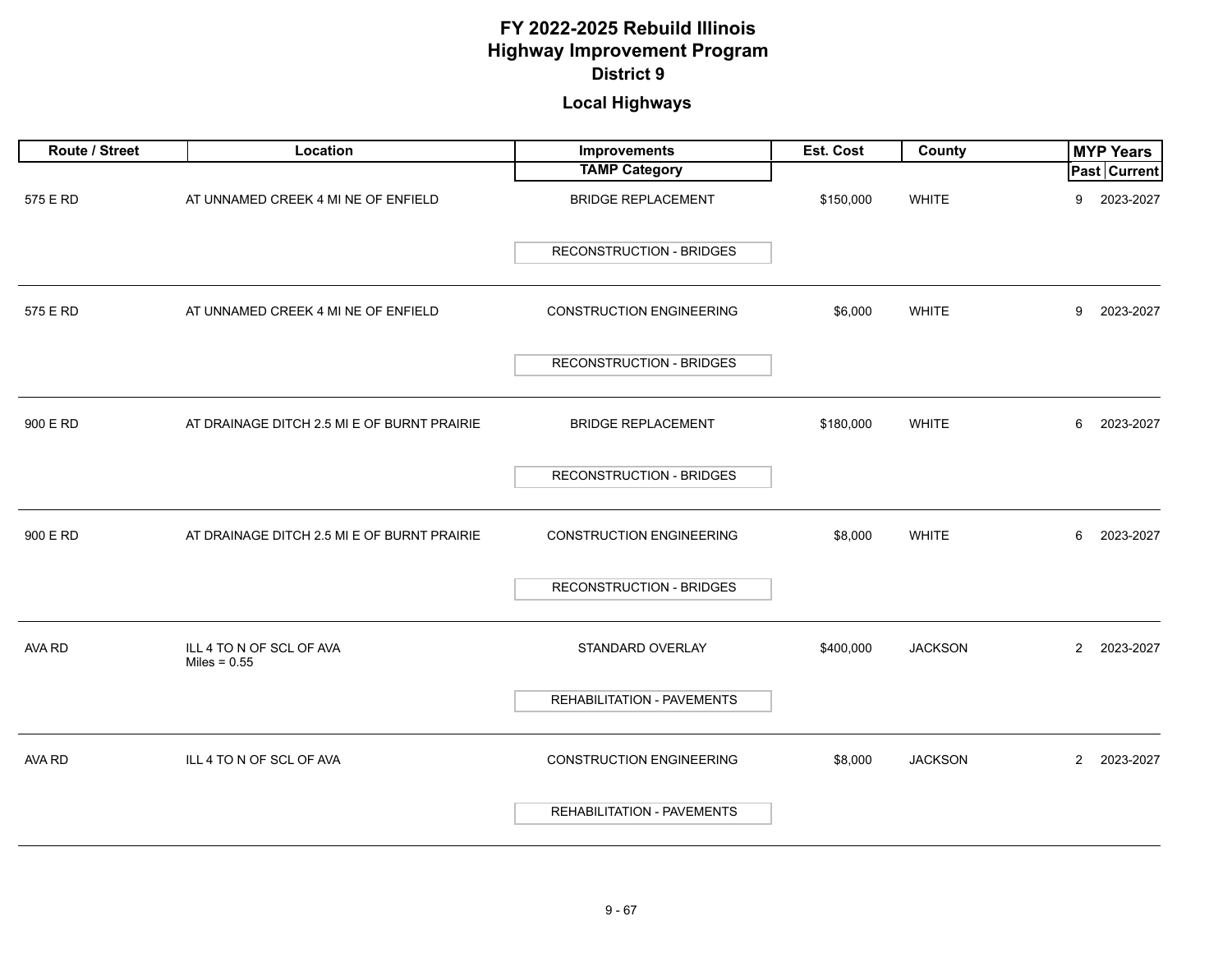# **Local Highways**

| Route / Street | Location                                    | <b>Improvements</b>               | Est. Cost | County         | <b>MYP Years</b>            |
|----------------|---------------------------------------------|-----------------------------------|-----------|----------------|-----------------------------|
|                |                                             | <b>TAMP Category</b>              |           |                | Past Current                |
| 575 E RD       | AT UNNAMED CREEK 4 MI NE OF ENFIELD         | <b>BRIDGE REPLACEMENT</b>         | \$150,000 | <b>WHITE</b>   | 2023-2027<br>9              |
|                |                                             | <b>RECONSTRUCTION - BRIDGES</b>   |           |                |                             |
| 575 E RD       | AT UNNAMED CREEK 4 MI NE OF ENFIELD         | <b>CONSTRUCTION ENGINEERING</b>   | \$6,000   | <b>WHITE</b>   | 9<br>2023-2027              |
|                |                                             | <b>RECONSTRUCTION - BRIDGES</b>   |           |                |                             |
| 900 E RD       | AT DRAINAGE DITCH 2.5 MI E OF BURNT PRAIRIE | <b>BRIDGE REPLACEMENT</b>         | \$180,000 | <b>WHITE</b>   | 2023-2027<br>6              |
|                |                                             | <b>RECONSTRUCTION - BRIDGES</b>   |           |                |                             |
| 900 E RD       | AT DRAINAGE DITCH 2.5 MI E OF BURNT PRAIRIE | <b>CONSTRUCTION ENGINEERING</b>   | \$8,000   | <b>WHITE</b>   | 2023-2027<br>6              |
|                |                                             | <b>RECONSTRUCTION - BRIDGES</b>   |           |                |                             |
| AVA RD         | ILL 4 TO N OF SCL OF AVA<br>Miles = $0.55$  | STANDARD OVERLAY                  | \$400,000 | <b>JACKSON</b> | $\overline{2}$<br>2023-2027 |
|                |                                             | REHABILITATION - PAVEMENTS        |           |                |                             |
| AVA RD         | ILL 4 TO N OF SCL OF AVA                    | <b>CONSTRUCTION ENGINEERING</b>   | \$8,000   | <b>JACKSON</b> | $\mathbf{2}$<br>2023-2027   |
|                |                                             | <b>REHABILITATION - PAVEMENTS</b> |           |                |                             |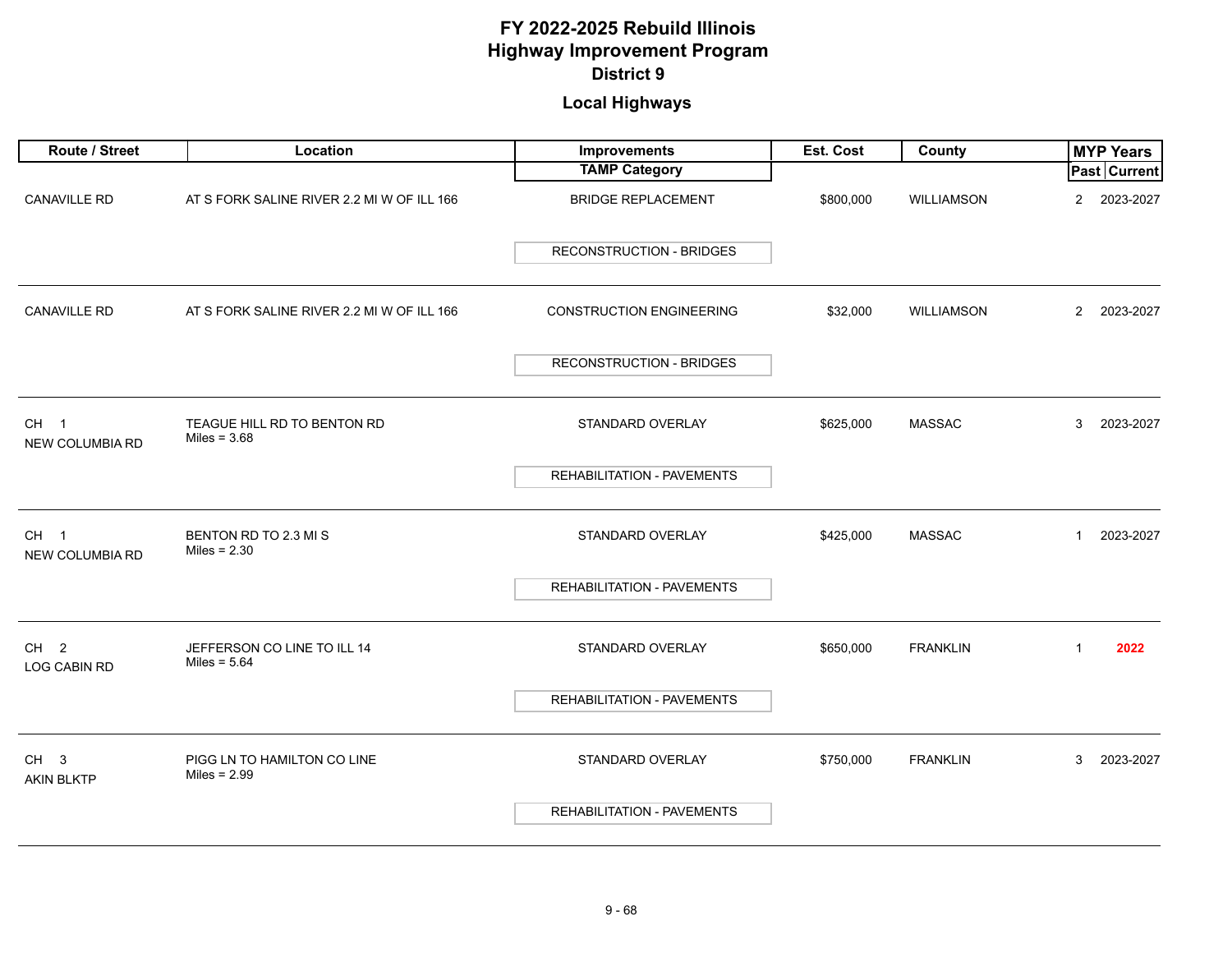# **Local Highways**

| Route / Street                         | Location                                      | Improvements                      | Est. Cost | County          | <b>MYP Years</b>            |
|----------------------------------------|-----------------------------------------------|-----------------------------------|-----------|-----------------|-----------------------------|
|                                        |                                               | <b>TAMP Category</b>              |           |                 | <b>Past Current</b>         |
| <b>CANAVILLE RD</b>                    | AT S FORK SALINE RIVER 2.2 MI W OF ILL 166    | <b>BRIDGE REPLACEMENT</b>         | \$800,000 | WILLIAMSON      | 2023-2027<br>$\overline{2}$ |
|                                        |                                               | <b>RECONSTRUCTION - BRIDGES</b>   |           |                 |                             |
| CANAVILLE RD                           | AT S FORK SALINE RIVER 2.2 MI W OF ILL 166    | <b>CONSTRUCTION ENGINEERING</b>   | \$32,000  | WILLIAMSON      | $\overline{2}$<br>2023-2027 |
|                                        |                                               | <b>RECONSTRUCTION - BRIDGES</b>   |           |                 |                             |
| CH <sub>1</sub><br>NEW COLUMBIA RD     | TEAGUE HILL RD TO BENTON RD<br>Miles = $3.68$ | STANDARD OVERLAY                  | \$625,000 | <b>MASSAC</b>   | 3<br>2023-2027              |
|                                        |                                               | REHABILITATION - PAVEMENTS        |           |                 |                             |
| CH <sub>1</sub><br>NEW COLUMBIA RD     | BENTON RD TO 2.3 MIS<br>Miles = $2.30$        | STANDARD OVERLAY                  | \$425,000 | <b>MASSAC</b>   | $\mathbf{1}$<br>2023-2027   |
|                                        |                                               | REHABILITATION - PAVEMENTS        |           |                 |                             |
| CH <sub>2</sub><br><b>LOG CABIN RD</b> | JEFFERSON CO LINE TO ILL 14<br>Miles = $5.64$ | STANDARD OVERLAY                  | \$650,000 | <b>FRANKLIN</b> | $\mathbf{1}$<br>2022        |
|                                        |                                               | REHABILITATION - PAVEMENTS        |           |                 |                             |
| CH <sub>3</sub><br><b>AKIN BLKTP</b>   | PIGG LN TO HAMILTON CO LINE<br>Miles = $2.99$ | STANDARD OVERLAY                  | \$750,000 | <b>FRANKLIN</b> | 3<br>2023-2027              |
|                                        |                                               | <b>REHABILITATION - PAVEMENTS</b> |           |                 |                             |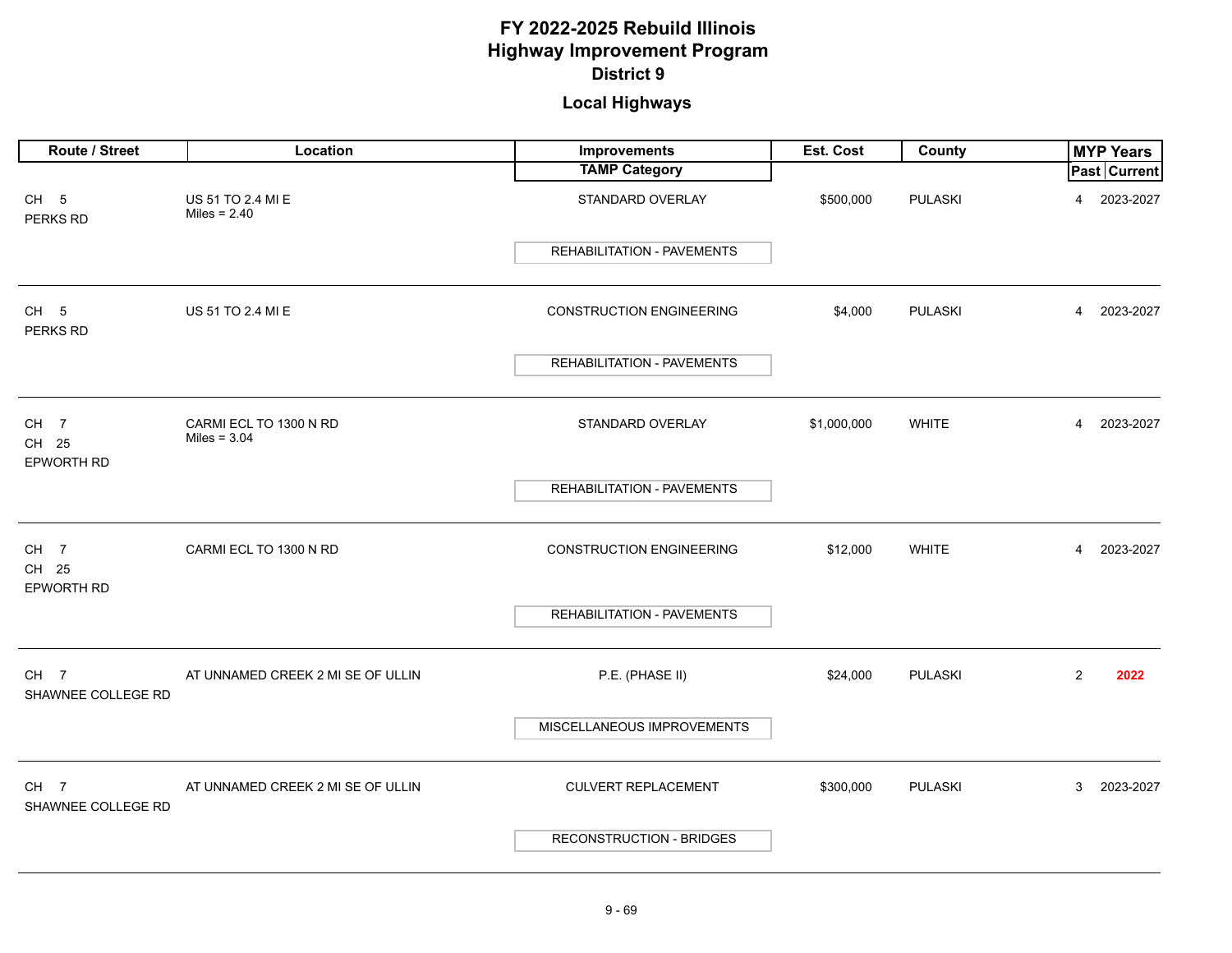# **Local Highways**

| Route / Street                         | Location                                 | Improvements                      | Est. Cost   | County         | <b>MYP Years</b>            |
|----------------------------------------|------------------------------------------|-----------------------------------|-------------|----------------|-----------------------------|
|                                        |                                          | <b>TAMP Category</b>              |             |                | <b>Past Current</b>         |
| CH <sub>5</sub><br>PERKS RD            | US 51 TO 2.4 MI E<br>Miles = $2.40$      | STANDARD OVERLAY                  | \$500,000   | <b>PULASKI</b> | 2023-2027<br>$\overline{4}$ |
|                                        |                                          | <b>REHABILITATION - PAVEMENTS</b> |             |                |                             |
| CH <sub>5</sub><br>PERKS RD            | US 51 TO 2.4 MI E                        | <b>CONSTRUCTION ENGINEERING</b>   | \$4,000     | <b>PULASKI</b> | 2023-2027<br>$\overline{4}$ |
|                                        |                                          | REHABILITATION - PAVEMENTS        |             |                |                             |
| CH <sub>7</sub><br>CH 25<br>EPWORTH RD | CARMI ECL TO 1300 N RD<br>Miles = $3.04$ | STANDARD OVERLAY                  | \$1,000,000 | <b>WHITE</b>   | 2023-2027<br>$\overline{4}$ |
|                                        |                                          | REHABILITATION - PAVEMENTS        |             |                |                             |
| CH <sub>7</sub><br>CH 25               | CARMI ECL TO 1300 N RD                   | <b>CONSTRUCTION ENGINEERING</b>   | \$12,000    | <b>WHITE</b>   | 2023-2027<br>$\overline{4}$ |
| EPWORTH RD                             |                                          | <b>REHABILITATION - PAVEMENTS</b> |             |                |                             |
| CH <sub>7</sub><br>SHAWNEE COLLEGE RD  | AT UNNAMED CREEK 2 MI SE OF ULLIN        | P.E. (PHASE II)                   | \$24,000    | <b>PULASKI</b> | 2<br>2022                   |
|                                        |                                          | MISCELLANEOUS IMPROVEMENTS        |             |                |                             |
| CH <sub>7</sub><br>SHAWNEE COLLEGE RD  | AT UNNAMED CREEK 2 MI SE OF ULLIN        | <b>CULVERT REPLACEMENT</b>        | \$300,000   | <b>PULASKI</b> | 2023-2027<br>3              |
|                                        |                                          | <b>RECONSTRUCTION - BRIDGES</b>   |             |                |                             |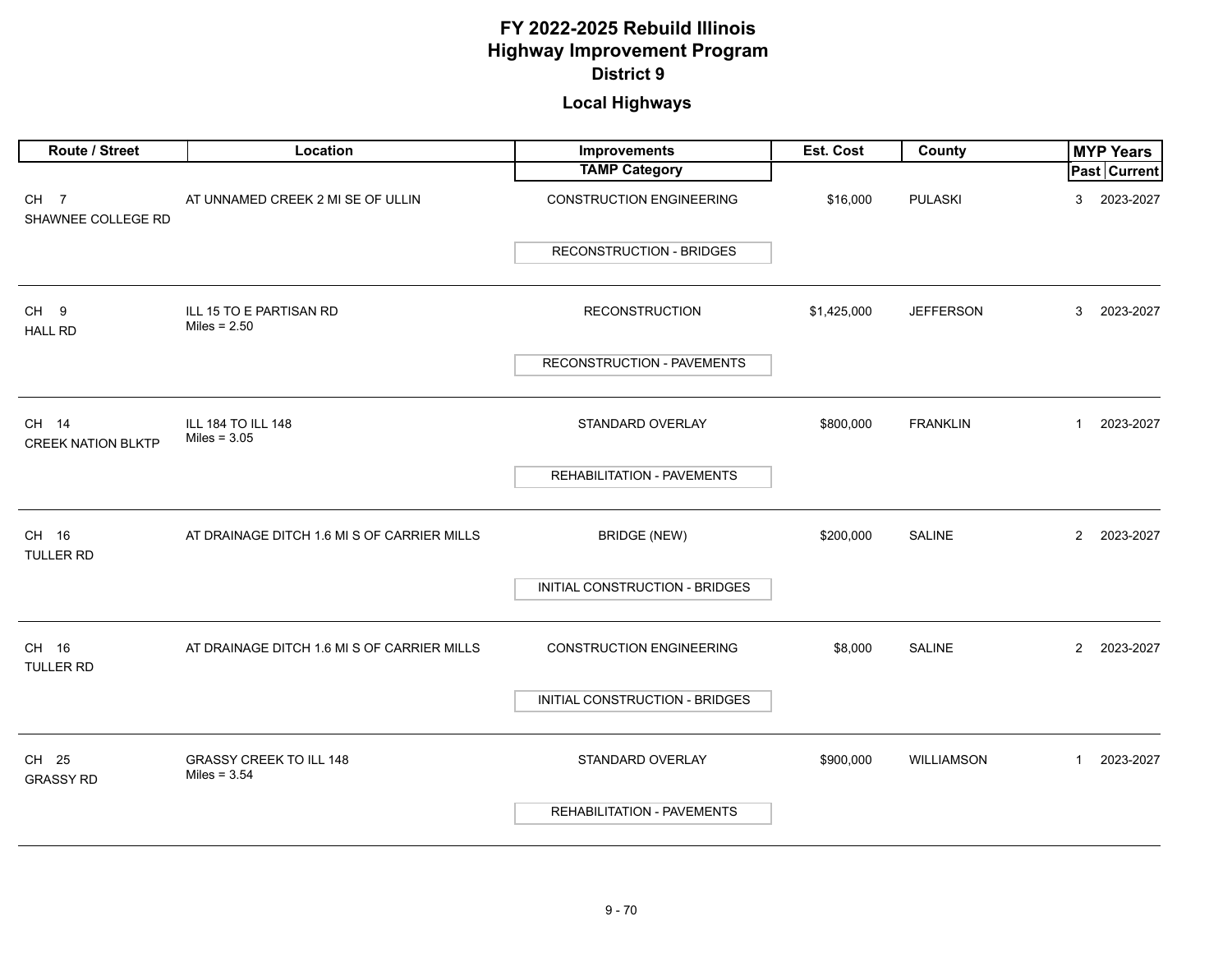| Route / Street                        | Location                                         | <b>Improvements</b>               | Est. Cost   | County            | <b>MYP Years</b>            |
|---------------------------------------|--------------------------------------------------|-----------------------------------|-------------|-------------------|-----------------------------|
|                                       |                                                  | <b>TAMP Category</b>              |             |                   | Past Current                |
| CH <sub>7</sub><br>SHAWNEE COLLEGE RD | AT UNNAMED CREEK 2 MI SE OF ULLIN                | <b>CONSTRUCTION ENGINEERING</b>   | \$16,000    | <b>PULASKI</b>    | 2023-2027<br>3              |
|                                       |                                                  | <b>RECONSTRUCTION - BRIDGES</b>   |             |                   |                             |
| CH <sub>9</sub><br><b>HALL RD</b>     | ILL 15 TO E PARTISAN RD<br>Miles = $2.50$        | <b>RECONSTRUCTION</b>             | \$1,425,000 | <b>JEFFERSON</b>  | 2023-2027<br>3              |
|                                       |                                                  | RECONSTRUCTION - PAVEMENTS        |             |                   |                             |
| CH 14<br><b>CREEK NATION BLKTP</b>    | ILL 184 TO ILL 148<br>Miles = $3.05$             | STANDARD OVERLAY                  | \$800,000   | <b>FRANKLIN</b>   | $\mathbf{1}$<br>2023-2027   |
|                                       |                                                  | REHABILITATION - PAVEMENTS        |             |                   |                             |
| CH 16<br><b>TULLER RD</b>             | AT DRAINAGE DITCH 1.6 MI S OF CARRIER MILLS      | <b>BRIDGE (NEW)</b>               | \$200,000   | <b>SALINE</b>     | $\overline{2}$<br>2023-2027 |
|                                       |                                                  | INITIAL CONSTRUCTION - BRIDGES    |             |                   |                             |
| CH 16<br><b>TULLER RD</b>             | AT DRAINAGE DITCH 1.6 MI S OF CARRIER MILLS      | <b>CONSTRUCTION ENGINEERING</b>   | \$8,000     | <b>SALINE</b>     | $\overline{2}$<br>2023-2027 |
|                                       |                                                  | INITIAL CONSTRUCTION - BRIDGES    |             |                   |                             |
| CH 25<br><b>GRASSY RD</b>             | <b>GRASSY CREEK TO ILL 148</b><br>Miles = $3.54$ | STANDARD OVERLAY                  | \$900,000   | <b>WILLIAMSON</b> | $\mathbf{1}$<br>2023-2027   |
|                                       |                                                  | <b>REHABILITATION - PAVEMENTS</b> |             |                   |                             |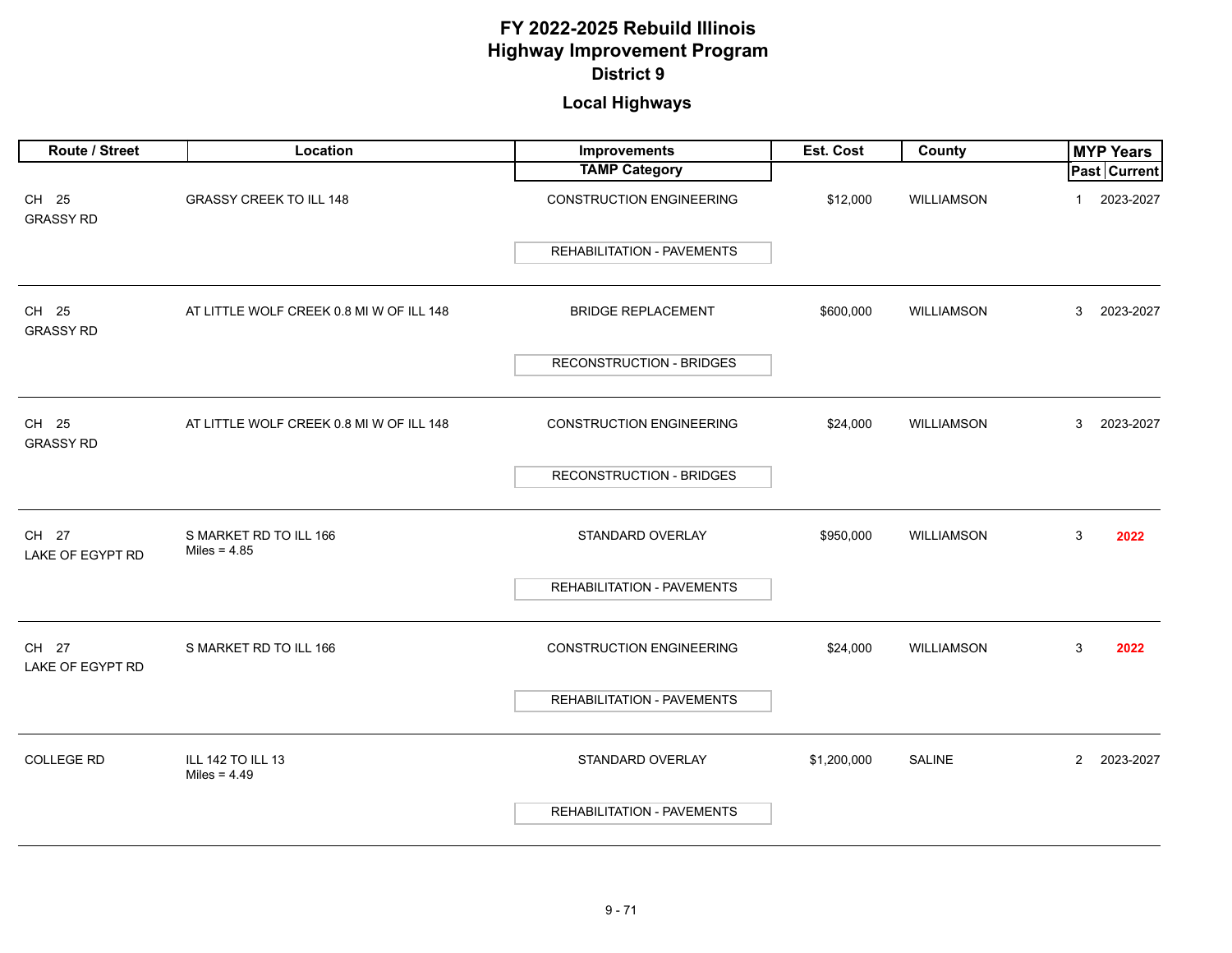| Route / Street            | Location                                 | <b>Improvements</b>               | Est. Cost   | County            | <b>MYP Years</b>            |
|---------------------------|------------------------------------------|-----------------------------------|-------------|-------------------|-----------------------------|
|                           |                                          | <b>TAMP Category</b>              |             |                   | Past Current                |
| CH 25<br><b>GRASSY RD</b> | <b>GRASSY CREEK TO ILL 148</b>           | <b>CONSTRUCTION ENGINEERING</b>   | \$12,000    | <b>WILLIAMSON</b> | 2023-2027<br>$\mathbf 1$    |
|                           |                                          | <b>REHABILITATION - PAVEMENTS</b> |             |                   |                             |
| CH 25<br><b>GRASSY RD</b> | AT LITTLE WOLF CREEK 0.8 MI W OF ILL 148 | <b>BRIDGE REPLACEMENT</b>         | \$600,000   | <b>WILLIAMSON</b> | 3<br>2023-2027              |
|                           |                                          | <b>RECONSTRUCTION - BRIDGES</b>   |             |                   |                             |
| CH 25<br><b>GRASSY RD</b> | AT LITTLE WOLF CREEK 0.8 MI W OF ILL 148 | <b>CONSTRUCTION ENGINEERING</b>   | \$24,000    | <b>WILLIAMSON</b> | 3<br>2023-2027              |
|                           |                                          | <b>RECONSTRUCTION - BRIDGES</b>   |             |                   |                             |
| CH 27<br>LAKE OF EGYPT RD | S MARKET RD TO ILL 166<br>Miles = $4.85$ | STANDARD OVERLAY                  | \$950,000   | WILLIAMSON        | 3<br>2022                   |
|                           |                                          | REHABILITATION - PAVEMENTS        |             |                   |                             |
| CH 27<br>LAKE OF EGYPT RD | S MARKET RD TO ILL 166                   | <b>CONSTRUCTION ENGINEERING</b>   | \$24,000    | <b>WILLIAMSON</b> | 3<br>2022                   |
|                           |                                          | REHABILITATION - PAVEMENTS        |             |                   |                             |
| <b>COLLEGE RD</b>         | ILL 142 TO ILL 13<br>Miles = $4.49$      | STANDARD OVERLAY                  | \$1,200,000 | <b>SALINE</b>     | $\overline{2}$<br>2023-2027 |
|                           |                                          | <b>REHABILITATION - PAVEMENTS</b> |             |                   |                             |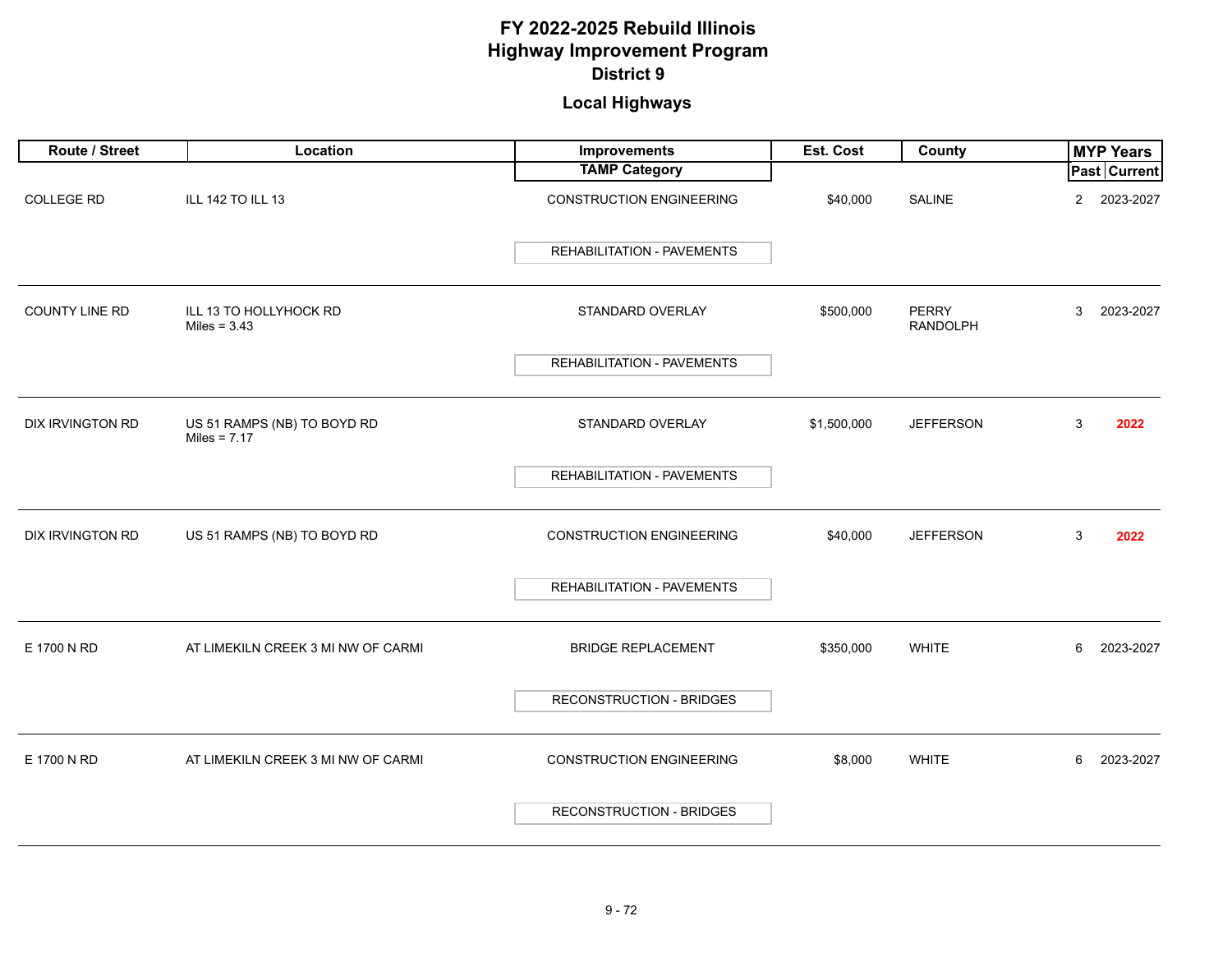| Route / Street          | Location                                      | Improvements                      | Est. Cost   | County                          | <b>MYP Years</b>            |
|-------------------------|-----------------------------------------------|-----------------------------------|-------------|---------------------------------|-----------------------------|
|                         |                                               | <b>TAMP Category</b>              |             |                                 | Past Current                |
| <b>COLLEGE RD</b>       | ILL 142 TO ILL 13                             | <b>CONSTRUCTION ENGINEERING</b>   | \$40,000    | <b>SALINE</b>                   | 2023-2027<br>$\overline{2}$ |
|                         |                                               | <b>REHABILITATION - PAVEMENTS</b> |             |                                 |                             |
| <b>COUNTY LINE RD</b>   | ILL 13 TO HOLLYHOCK RD<br>Miles = $3.43$      | STANDARD OVERLAY                  | \$500,000   | <b>PERRY</b><br><b>RANDOLPH</b> | 3<br>2023-2027              |
|                         |                                               | <b>REHABILITATION - PAVEMENTS</b> |             |                                 |                             |
| <b>DIX IRVINGTON RD</b> | US 51 RAMPS (NB) TO BOYD RD<br>Miles = $7.17$ | STANDARD OVERLAY                  | \$1,500,000 | <b>JEFFERSON</b>                | 3<br>2022                   |
|                         |                                               | <b>REHABILITATION - PAVEMENTS</b> |             |                                 |                             |
| <b>DIX IRVINGTON RD</b> | US 51 RAMPS (NB) TO BOYD RD                   | <b>CONSTRUCTION ENGINEERING</b>   | \$40,000    | <b>JEFFERSON</b>                | 3<br>2022                   |
|                         |                                               | REHABILITATION - PAVEMENTS        |             |                                 |                             |
| E 1700 N RD             | AT LIMEKILN CREEK 3 MI NW OF CARMI            | <b>BRIDGE REPLACEMENT</b>         | \$350,000   | <b>WHITE</b>                    | 6<br>2023-2027              |
|                         |                                               | <b>RECONSTRUCTION - BRIDGES</b>   |             |                                 |                             |
| E 1700 N RD             | AT LIMEKILN CREEK 3 MI NW OF CARMI            | <b>CONSTRUCTION ENGINEERING</b>   | \$8,000     | <b>WHITE</b>                    | 6<br>2023-2027              |
|                         |                                               | <b>RECONSTRUCTION - BRIDGES</b>   |             |                                 |                             |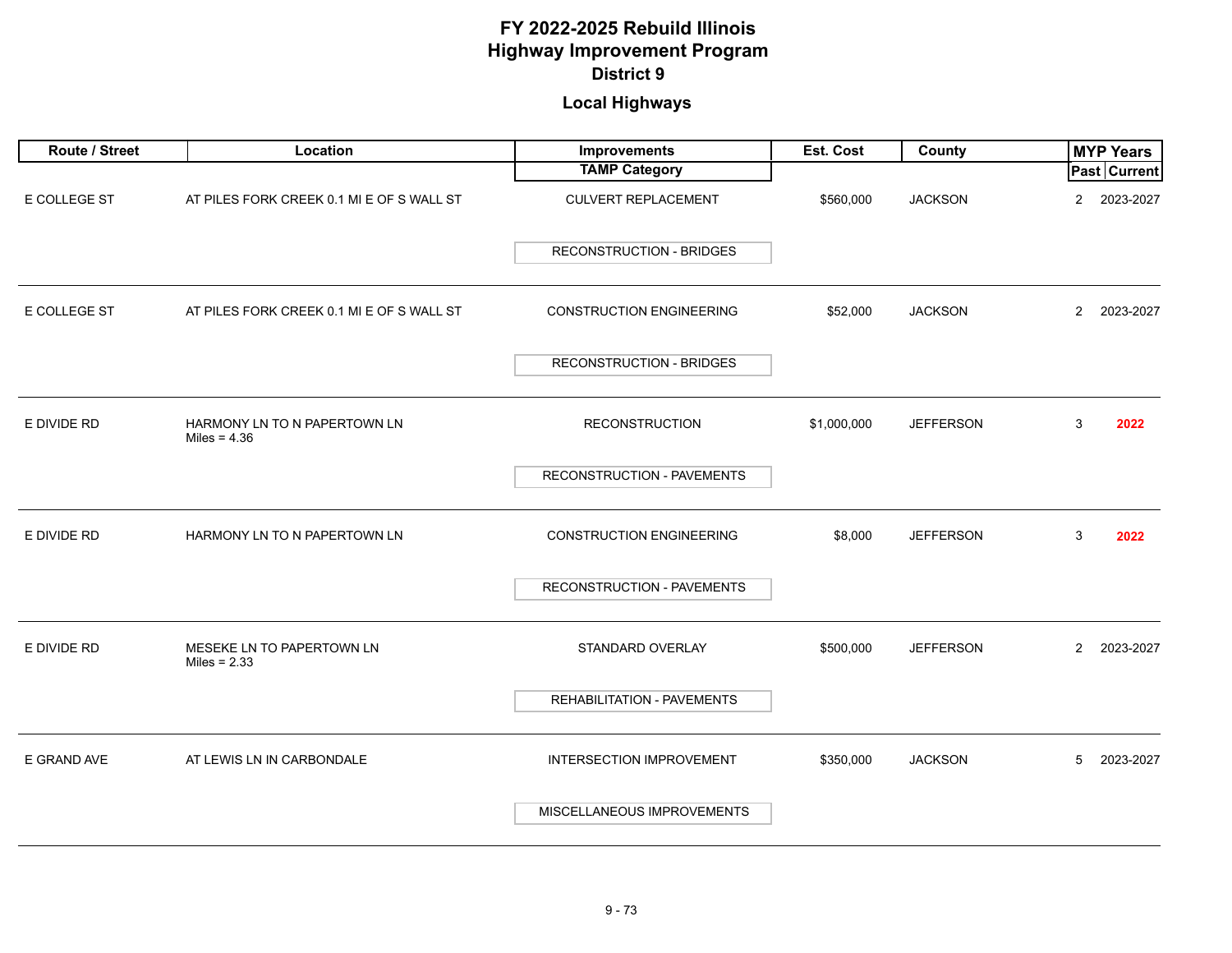| Route / Street | Location                                       | Improvements                    | Est. Cost   | County           | <b>MYP Years</b>            |
|----------------|------------------------------------------------|---------------------------------|-------------|------------------|-----------------------------|
|                |                                                | <b>TAMP Category</b>            |             |                  | <b>Past Current</b>         |
| E COLLEGE ST   | AT PILES FORK CREEK 0.1 MI E OF S WALL ST      | <b>CULVERT REPLACEMENT</b>      | \$560,000   | <b>JACKSON</b>   | $\overline{2}$<br>2023-2027 |
|                |                                                | <b>RECONSTRUCTION - BRIDGES</b> |             |                  |                             |
| E COLLEGE ST   | AT PILES FORK CREEK 0.1 MI E OF S WALL ST      | <b>CONSTRUCTION ENGINEERING</b> | \$52,000    | <b>JACKSON</b>   | $\overline{2}$<br>2023-2027 |
|                |                                                | <b>RECONSTRUCTION - BRIDGES</b> |             |                  |                             |
| E DIVIDE RD    | HARMONY LN TO N PAPERTOWN LN<br>Miles = $4.36$ | <b>RECONSTRUCTION</b>           | \$1,000,000 | <b>JEFFERSON</b> | 3<br>2022                   |
|                |                                                | RECONSTRUCTION - PAVEMENTS      |             |                  |                             |
| E DIVIDE RD    | HARMONY LN TO N PAPERTOWN LN                   | <b>CONSTRUCTION ENGINEERING</b> | \$8,000     | <b>JEFFERSON</b> | 3<br>2022                   |
|                |                                                | RECONSTRUCTION - PAVEMENTS      |             |                  |                             |
| E DIVIDE RD    | MESEKE LN TO PAPERTOWN LN<br>Miles = $2.33$    | STANDARD OVERLAY                | \$500,000   | <b>JEFFERSON</b> | $\overline{2}$<br>2023-2027 |
|                |                                                | REHABILITATION - PAVEMENTS      |             |                  |                             |
| E GRAND AVE    | AT LEWIS LN IN CARBONDALE                      | <b>INTERSECTION IMPROVEMENT</b> | \$350,000   | <b>JACKSON</b>   | 5<br>2023-2027              |
|                |                                                | MISCELLANEOUS IMPROVEMENTS      |             |                  |                             |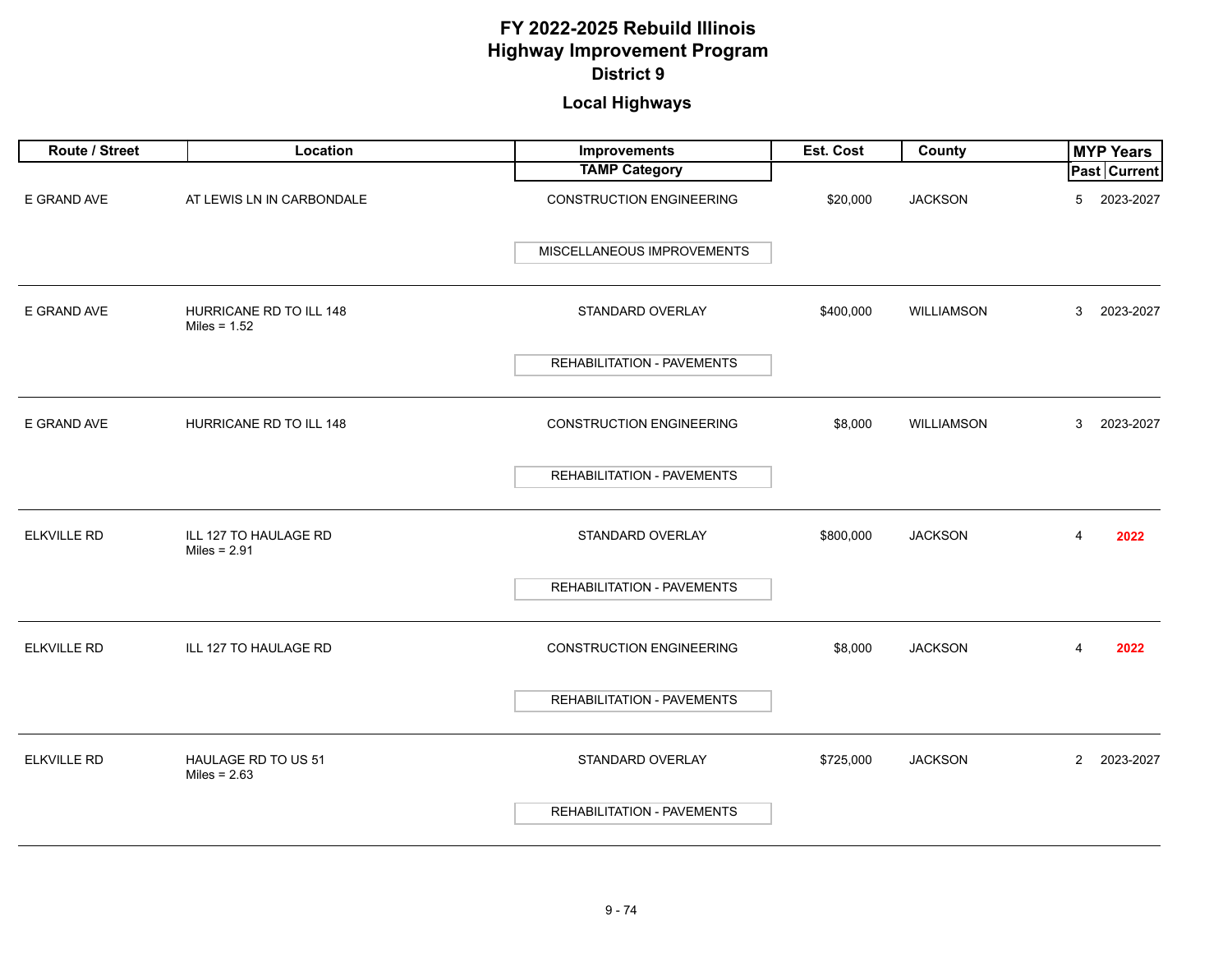| Route / Street     | Location                                  | Improvements                      | Est. Cost | County            | <b>MYP Years</b>            |
|--------------------|-------------------------------------------|-----------------------------------|-----------|-------------------|-----------------------------|
|                    |                                           | <b>TAMP Category</b>              |           |                   | Past Current                |
| E GRAND AVE        | AT LEWIS LN IN CARBONDALE                 | <b>CONSTRUCTION ENGINEERING</b>   | \$20,000  | <b>JACKSON</b>    | 2023-2027<br>5              |
|                    |                                           | MISCELLANEOUS IMPROVEMENTS        |           |                   |                             |
| E GRAND AVE        | HURRICANE RD TO ILL 148<br>Miles = $1.52$ | STANDARD OVERLAY                  | \$400,000 | <b>WILLIAMSON</b> | 3<br>2023-2027              |
|                    |                                           | <b>REHABILITATION - PAVEMENTS</b> |           |                   |                             |
| E GRAND AVE        | HURRICANE RD TO ILL 148                   | <b>CONSTRUCTION ENGINEERING</b>   | \$8,000   | <b>WILLIAMSON</b> | 2023-2027<br>3              |
|                    |                                           | <b>REHABILITATION - PAVEMENTS</b> |           |                   |                             |
| <b>ELKVILLE RD</b> | ILL 127 TO HAULAGE RD<br>Miles = $2.91$   | STANDARD OVERLAY                  | \$800,000 | <b>JACKSON</b>    | 4<br>2022                   |
|                    |                                           | REHABILITATION - PAVEMENTS        |           |                   |                             |
| <b>ELKVILLE RD</b> | ILL 127 TO HAULAGE RD                     | <b>CONSTRUCTION ENGINEERING</b>   | \$8,000   | <b>JACKSON</b>    | 4<br>2022                   |
|                    |                                           | REHABILITATION - PAVEMENTS        |           |                   |                             |
| <b>ELKVILLE RD</b> | HAULAGE RD TO US 51<br>Miles = $2.63$     | STANDARD OVERLAY                  | \$725,000 | <b>JACKSON</b>    | $\overline{2}$<br>2023-2027 |
|                    |                                           | <b>REHABILITATION - PAVEMENTS</b> |           |                   |                             |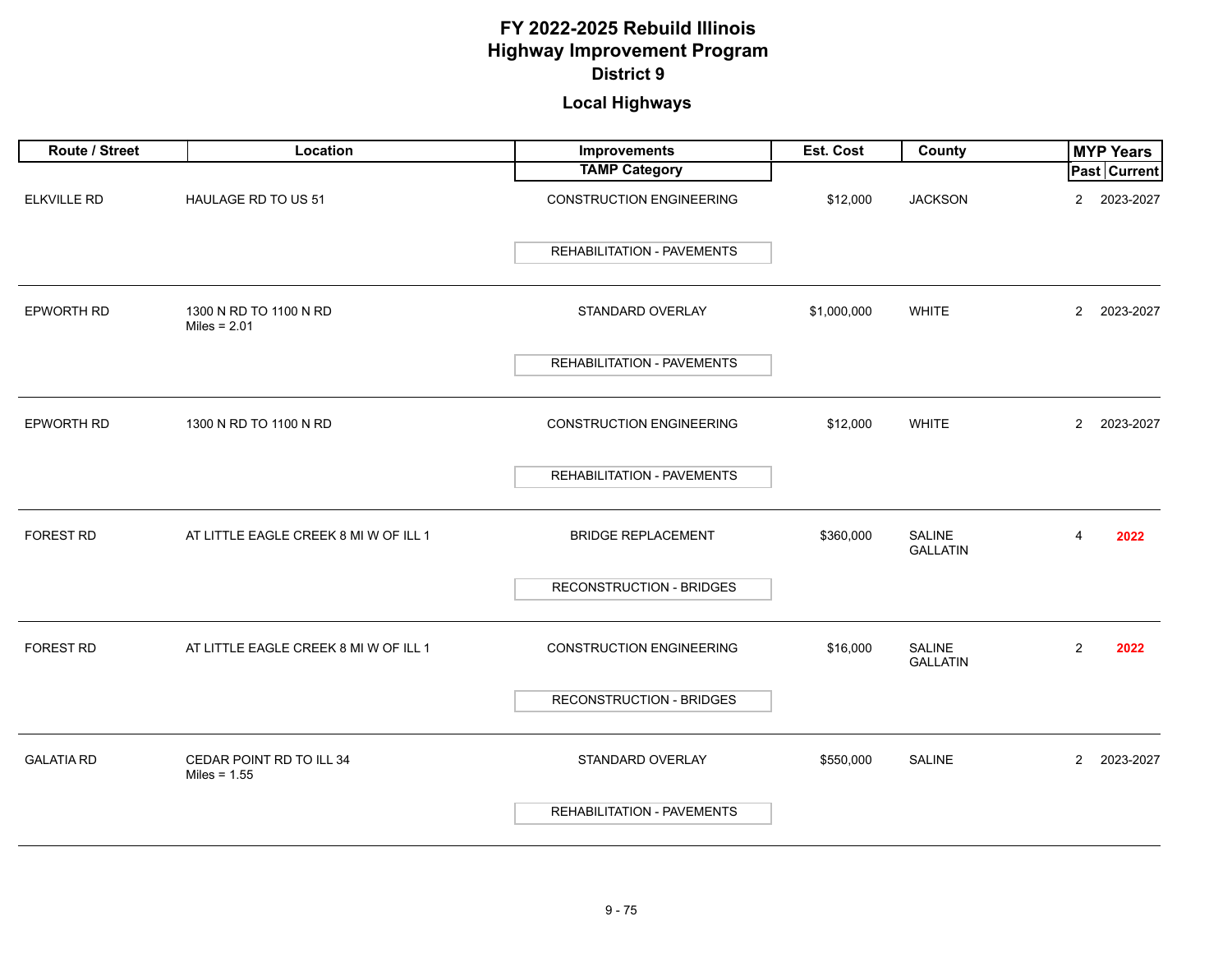| Route / Street     | Location                                   | Improvements                      | Est. Cost   | County                    | <b>MYP Years</b>            |
|--------------------|--------------------------------------------|-----------------------------------|-------------|---------------------------|-----------------------------|
|                    |                                            | <b>TAMP Category</b>              |             |                           | Past Current                |
| <b>ELKVILLE RD</b> | HAULAGE RD TO US 51                        | <b>CONSTRUCTION ENGINEERING</b>   | \$12,000    | <b>JACKSON</b>            | 2023-2027<br>$\overline{2}$ |
|                    |                                            | <b>REHABILITATION - PAVEMENTS</b> |             |                           |                             |
| EPWORTH RD         | 1300 N RD TO 1100 N RD<br>Miles = $2.01$   | STANDARD OVERLAY                  | \$1,000,000 | <b>WHITE</b>              | $\overline{2}$<br>2023-2027 |
|                    |                                            | <b>REHABILITATION - PAVEMENTS</b> |             |                           |                             |
| <b>EPWORTH RD</b>  | 1300 N RD TO 1100 N RD                     | <b>CONSTRUCTION ENGINEERING</b>   | \$12,000    | <b>WHITE</b>              | $\overline{2}$<br>2023-2027 |
|                    |                                            | <b>REHABILITATION - PAVEMENTS</b> |             |                           |                             |
| FOREST RD          | AT LITTLE EAGLE CREEK 8 MI W OF ILL 1      | <b>BRIDGE REPLACEMENT</b>         | \$360,000   | SALINE<br><b>GALLATIN</b> | 2022<br>4                   |
|                    |                                            | <b>RECONSTRUCTION - BRIDGES</b>   |             |                           |                             |
| FOREST RD          | AT LITTLE EAGLE CREEK 8 MI W OF ILL 1      | <b>CONSTRUCTION ENGINEERING</b>   | \$16,000    | SALINE<br><b>GALLATIN</b> | $\overline{2}$<br>2022      |
|                    |                                            | <b>RECONSTRUCTION - BRIDGES</b>   |             |                           |                             |
| <b>GALATIA RD</b>  | CEDAR POINT RD TO ILL 34<br>Miles = $1.55$ | STANDARD OVERLAY                  | \$550,000   | <b>SALINE</b>             | $\overline{2}$<br>2023-2027 |
|                    |                                            | <b>REHABILITATION - PAVEMENTS</b> |             |                           |                             |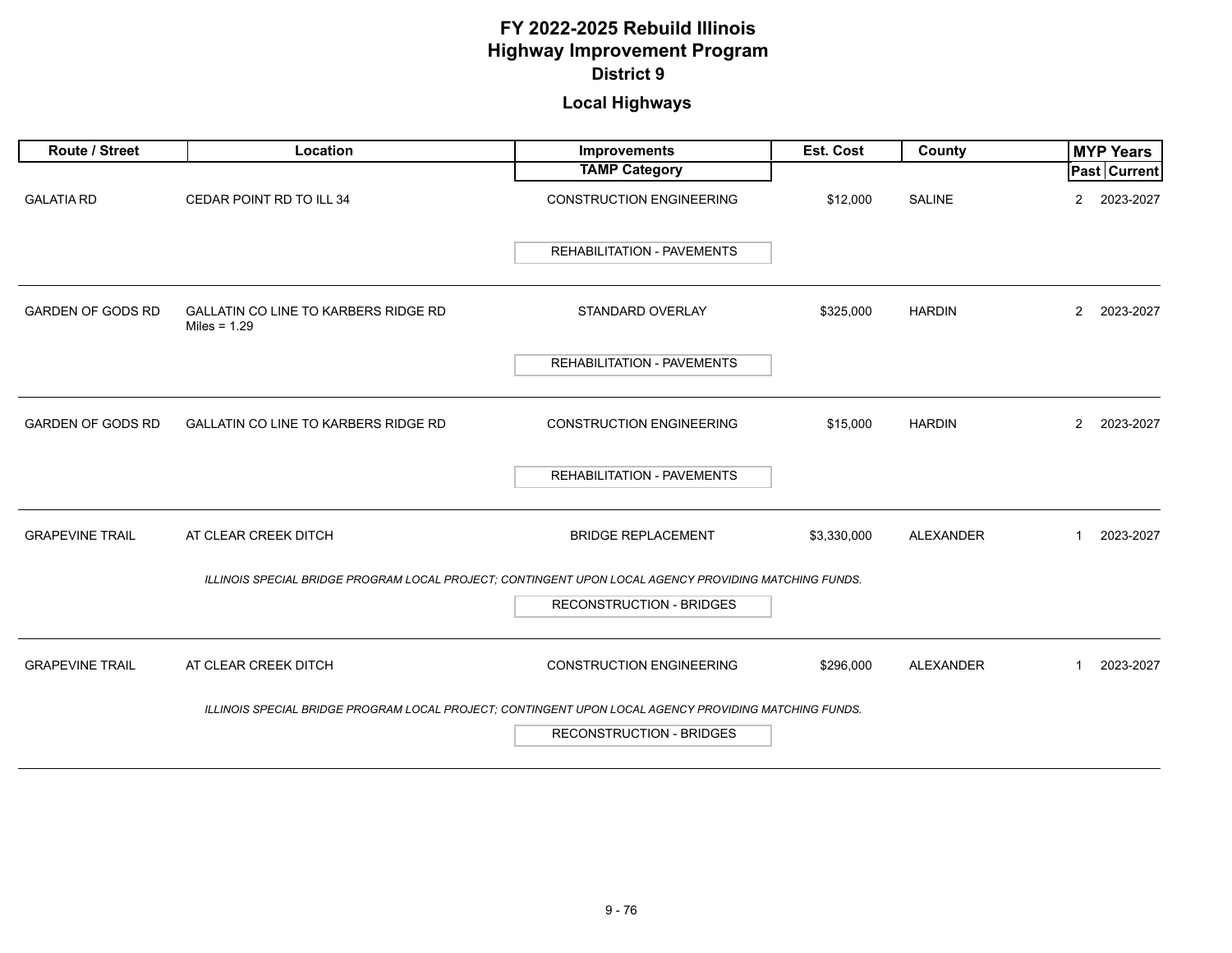| Route / Street           | Location                                                                                              | Improvements                      | Est. Cost   | County           | <b>MYP Years</b>            |
|--------------------------|-------------------------------------------------------------------------------------------------------|-----------------------------------|-------------|------------------|-----------------------------|
|                          |                                                                                                       | <b>TAMP Category</b>              |             |                  | Past Current                |
| <b>GALATIA RD</b>        | CEDAR POINT RD TO ILL 34                                                                              | <b>CONSTRUCTION ENGINEERING</b>   | \$12,000    | <b>SALINE</b>    | 2023-2027<br>2              |
|                          |                                                                                                       | <b>REHABILITATION - PAVEMENTS</b> |             |                  |                             |
| <b>GARDEN OF GODS RD</b> | <b>GALLATIN CO LINE TO KARBERS RIDGE RD</b><br>Miles = $1.29$                                         | STANDARD OVERLAY                  | \$325,000   | <b>HARDIN</b>    | 2023-2027<br>$\overline{2}$ |
|                          |                                                                                                       | REHABILITATION - PAVEMENTS        |             |                  |                             |
| <b>GARDEN OF GODS RD</b> | GALLATIN CO LINE TO KARBERS RIDGE RD                                                                  | <b>CONSTRUCTION ENGINEERING</b>   | \$15,000    | <b>HARDIN</b>    | $\overline{2}$<br>2023-2027 |
|                          |                                                                                                       | REHABILITATION - PAVEMENTS        |             |                  |                             |
| <b>GRAPEVINE TRAIL</b>   | AT CLEAR CREEK DITCH                                                                                  | <b>BRIDGE REPLACEMENT</b>         | \$3,330,000 | <b>ALEXANDER</b> | 2023-2027<br>1              |
|                          | ILLINOIS SPECIAL BRIDGE PROGRAM LOCAL PROJECT; CONTINGENT UPON LOCAL AGENCY PROVIDING MATCHING FUNDS. |                                   |             |                  |                             |
|                          |                                                                                                       | <b>RECONSTRUCTION - BRIDGES</b>   |             |                  |                             |
| <b>GRAPEVINE TRAIL</b>   | AT CLEAR CREEK DITCH                                                                                  | <b>CONSTRUCTION ENGINEERING</b>   | \$296,000   | <b>ALEXANDER</b> | 2023-2027<br>1              |
|                          | ILLINOIS SPECIAL BRIDGE PROGRAM LOCAL PROJECT; CONTINGENT UPON LOCAL AGENCY PROVIDING MATCHING FUNDS. |                                   |             |                  |                             |
|                          |                                                                                                       | <b>RECONSTRUCTION - BRIDGES</b>   |             |                  |                             |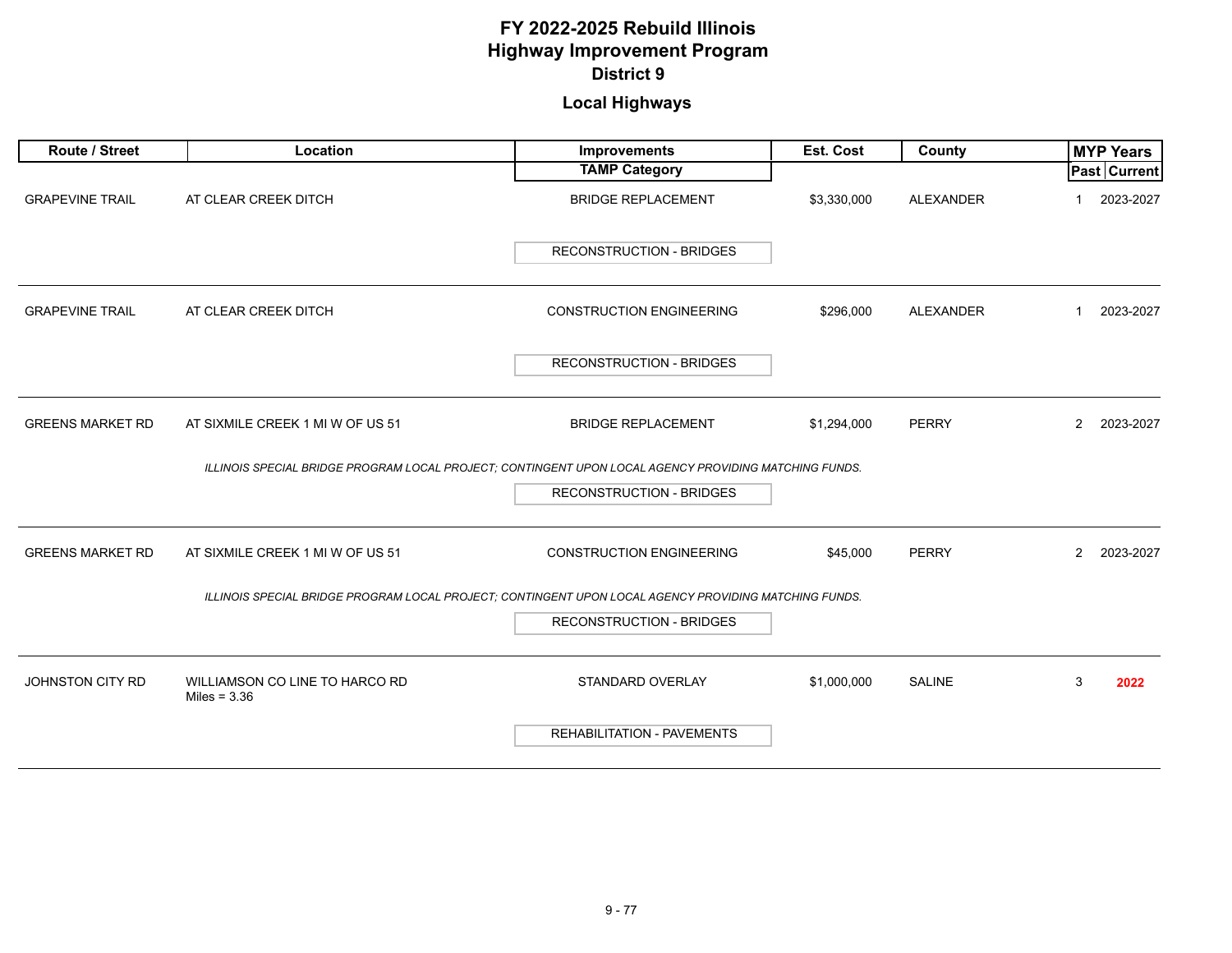| Route / Street          | Location                                                                                              | Improvements                      | Est. Cost   | County           | <b>MYP Years</b>          |
|-------------------------|-------------------------------------------------------------------------------------------------------|-----------------------------------|-------------|------------------|---------------------------|
|                         |                                                                                                       | <b>TAMP Category</b>              |             |                  | <b>Past Current</b>       |
| <b>GRAPEVINE TRAIL</b>  | AT CLEAR CREEK DITCH                                                                                  | <b>BRIDGE REPLACEMENT</b>         | \$3,330,000 | <b>ALEXANDER</b> | 2023-2027                 |
|                         |                                                                                                       | <b>RECONSTRUCTION - BRIDGES</b>   |             |                  |                           |
| <b>GRAPEVINE TRAIL</b>  | AT CLEAR CREEK DITCH                                                                                  | <b>CONSTRUCTION ENGINEERING</b>   | \$296,000   | <b>ALEXANDER</b> | 2023-2027<br>$\mathbf{1}$ |
|                         |                                                                                                       | <b>RECONSTRUCTION - BRIDGES</b>   |             |                  |                           |
| <b>GREENS MARKET RD</b> | AT SIXMILE CREEK 1 MI W OF US 51                                                                      | <b>BRIDGE REPLACEMENT</b>         | \$1,294,000 | <b>PERRY</b>     | 2<br>2023-2027            |
|                         | ILLINOIS SPECIAL BRIDGE PROGRAM LOCAL PROJECT; CONTINGENT UPON LOCAL AGENCY PROVIDING MATCHING FUNDS. |                                   |             |                  |                           |
|                         |                                                                                                       | <b>RECONSTRUCTION - BRIDGES</b>   |             |                  |                           |
| <b>GREENS MARKET RD</b> | AT SIXMILE CREEK 1 MI W OF US 51                                                                      | <b>CONSTRUCTION ENGINEERING</b>   | \$45,000    | <b>PERRY</b>     | 2<br>2023-2027            |
|                         | ILLINOIS SPECIAL BRIDGE PROGRAM LOCAL PROJECT; CONTINGENT UPON LOCAL AGENCY PROVIDING MATCHING FUNDS. |                                   |             |                  |                           |
|                         |                                                                                                       | <b>RECONSTRUCTION - BRIDGES</b>   |             |                  |                           |
| JOHNSTON CITY RD        | WILLIAMSON CO LINE TO HARCO RD<br>Miles = $3.36$                                                      | STANDARD OVERLAY                  | \$1,000,000 | SALINE           | 3<br>2022                 |
|                         |                                                                                                       | <b>REHABILITATION - PAVEMENTS</b> |             |                  |                           |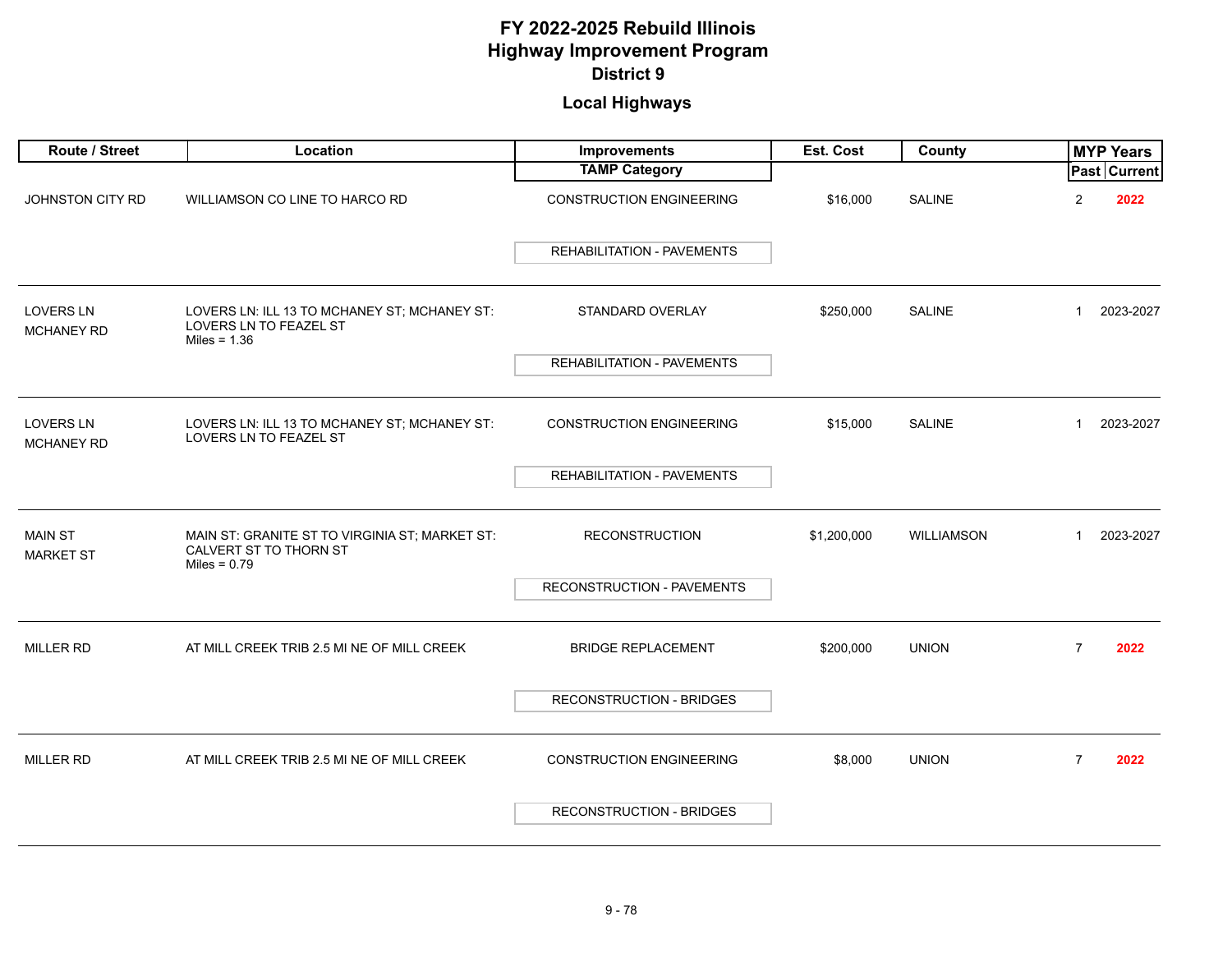| Route / Street                        | Location                                                                                   | Improvements                      | Est. Cost   | County            |                | <b>MYP Years</b> |
|---------------------------------------|--------------------------------------------------------------------------------------------|-----------------------------------|-------------|-------------------|----------------|------------------|
|                                       |                                                                                            | <b>TAMP Category</b>              |             |                   |                | Past Current     |
| JOHNSTON CITY RD                      | WILLIAMSON CO LINE TO HARCO RD                                                             | <b>CONSTRUCTION ENGINEERING</b>   | \$16,000    | <b>SALINE</b>     | $\overline{2}$ | 2022             |
|                                       |                                                                                            | REHABILITATION - PAVEMENTS        |             |                   |                |                  |
| <b>LOVERS LN</b><br><b>MCHANEY RD</b> | LOVERS LN: ILL 13 TO MCHANEY ST; MCHANEY ST:<br>LOVERS LN TO FEAZEL ST<br>Miles = $1.36$   | STANDARD OVERLAY                  | \$250,000   | <b>SALINE</b>     | 1              | 2023-2027        |
|                                       |                                                                                            | <b>REHABILITATION - PAVEMENTS</b> |             |                   |                |                  |
|                                       |                                                                                            |                                   |             |                   |                |                  |
| <b>LOVERS LN</b><br><b>MCHANEY RD</b> | LOVERS LN: ILL 13 TO MCHANEY ST; MCHANEY ST:<br>LOVERS LN TO FEAZEL ST                     | <b>CONSTRUCTION ENGINEERING</b>   | \$15,000    | <b>SALINE</b>     | $\mathbf 1$    | 2023-2027        |
|                                       |                                                                                            | <b>REHABILITATION - PAVEMENTS</b> |             |                   |                |                  |
|                                       |                                                                                            |                                   |             |                   |                |                  |
| <b>MAIN ST</b><br><b>MARKET ST</b>    | MAIN ST: GRANITE ST TO VIRGINIA ST; MARKET ST:<br>CALVERT ST TO THORN ST<br>Miles = $0.79$ | <b>RECONSTRUCTION</b>             | \$1,200,000 | <b>WILLIAMSON</b> | $\mathbf 1$    | 2023-2027        |
|                                       |                                                                                            | RECONSTRUCTION - PAVEMENTS        |             |                   |                |                  |
|                                       |                                                                                            |                                   |             |                   |                |                  |
| <b>MILLER RD</b>                      | AT MILL CREEK TRIB 2.5 MI NE OF MILL CREEK                                                 | <b>BRIDGE REPLACEMENT</b>         | \$200,000   | <b>UNION</b>      | $\overline{7}$ | 2022             |
|                                       |                                                                                            | <b>RECONSTRUCTION - BRIDGES</b>   |             |                   |                |                  |
|                                       |                                                                                            |                                   |             |                   |                |                  |
| <b>MILLER RD</b>                      | AT MILL CREEK TRIB 2.5 MI NE OF MILL CREEK                                                 | <b>CONSTRUCTION ENGINEERING</b>   | \$8,000     | <b>UNION</b>      | $\overline{7}$ | 2022             |
|                                       |                                                                                            | <b>RECONSTRUCTION - BRIDGES</b>   |             |                   |                |                  |
|                                       |                                                                                            |                                   |             |                   |                |                  |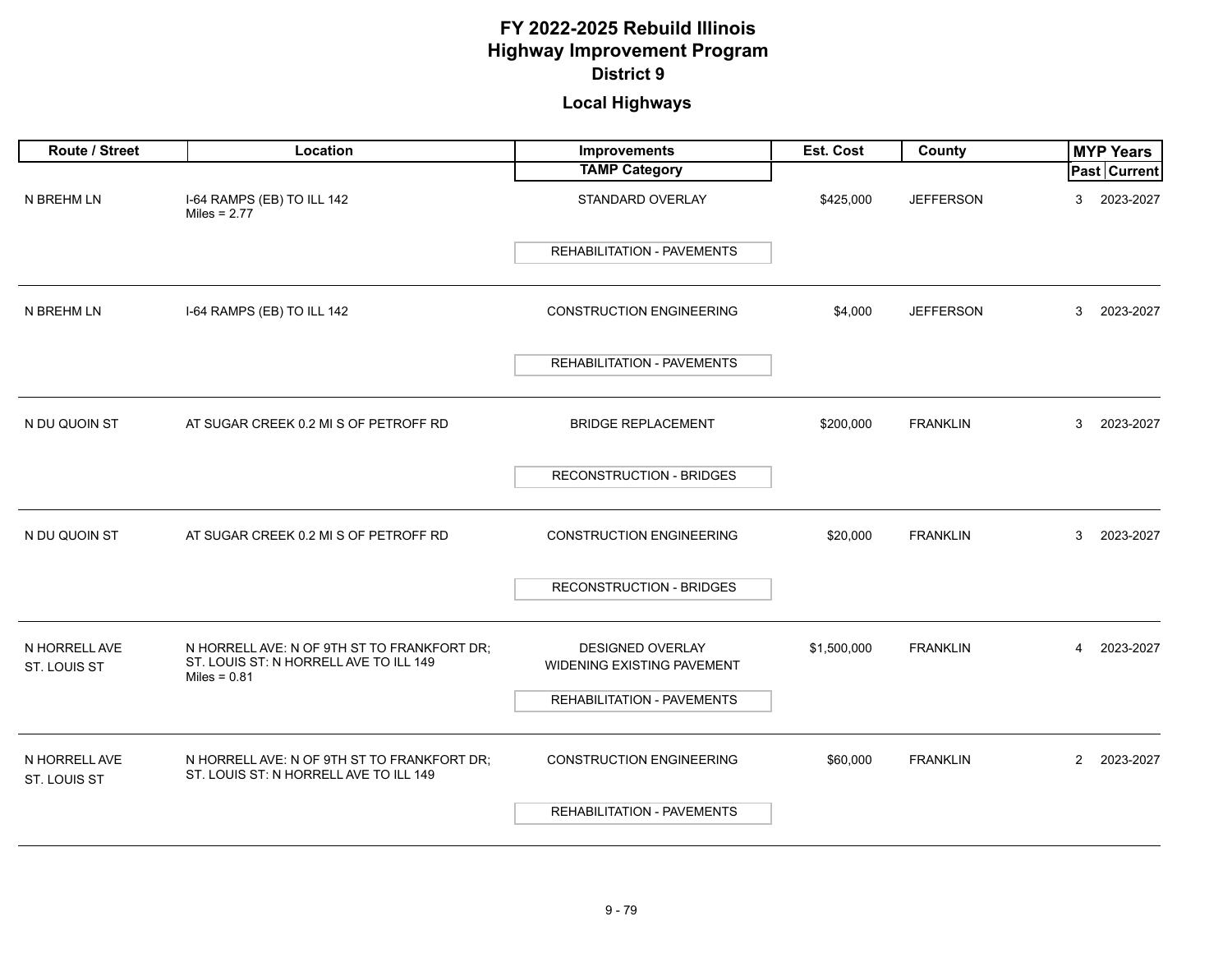| Route / Street                | Location                                                                                                | Improvements                                   | Est. Cost   | County           | <b>MYP Years</b>            |
|-------------------------------|---------------------------------------------------------------------------------------------------------|------------------------------------------------|-------------|------------------|-----------------------------|
|                               |                                                                                                         | <b>TAMP Category</b>                           |             |                  | Past Current                |
| N BREHM LN                    | I-64 RAMPS (EB) TO ILL 142<br>Miles = $2.77$                                                            | STANDARD OVERLAY                               | \$425,000   | <b>JEFFERSON</b> | 3<br>2023-2027              |
|                               |                                                                                                         | <b>REHABILITATION - PAVEMENTS</b>              |             |                  |                             |
| N BREHM LN                    | I-64 RAMPS (EB) TO ILL 142                                                                              | <b>CONSTRUCTION ENGINEERING</b>                | \$4,000     | <b>JEFFERSON</b> | 3<br>2023-2027              |
|                               |                                                                                                         | <b>REHABILITATION - PAVEMENTS</b>              |             |                  |                             |
| N DU QUOIN ST                 | AT SUGAR CREEK 0.2 MI S OF PETROFF RD                                                                   | <b>BRIDGE REPLACEMENT</b>                      | \$200,000   | <b>FRANKLIN</b>  | 3<br>2023-2027              |
|                               |                                                                                                         | <b>RECONSTRUCTION - BRIDGES</b>                |             |                  |                             |
| N DU QUOIN ST                 | AT SUGAR CREEK 0.2 MI S OF PETROFF RD                                                                   | <b>CONSTRUCTION ENGINEERING</b>                | \$20,000    | <b>FRANKLIN</b>  | 3<br>2023-2027              |
|                               |                                                                                                         | <b>RECONSTRUCTION - BRIDGES</b>                |             |                  |                             |
| N HORRELL AVE<br>ST. LOUIS ST | N HORRELL AVE: N OF 9TH ST TO FRANKFORT DR;<br>ST. LOUIS ST: N HORRELL AVE TO ILL 149<br>Miles = $0.81$ | DESIGNED OVERLAY<br>WIDENING EXISTING PAVEMENT | \$1,500,000 | <b>FRANKLIN</b>  | 2023-2027<br>4              |
|                               |                                                                                                         | REHABILITATION - PAVEMENTS                     |             |                  |                             |
| N HORRELL AVE<br>ST. LOUIS ST | N HORRELL AVE: N OF 9TH ST TO FRANKFORT DR;<br>ST. LOUIS ST: N HORRELL AVE TO ILL 149                   | <b>CONSTRUCTION ENGINEERING</b>                | \$60,000    | <b>FRANKLIN</b>  | $\overline{2}$<br>2023-2027 |
|                               |                                                                                                         | <b>REHABILITATION - PAVEMENTS</b>              |             |                  |                             |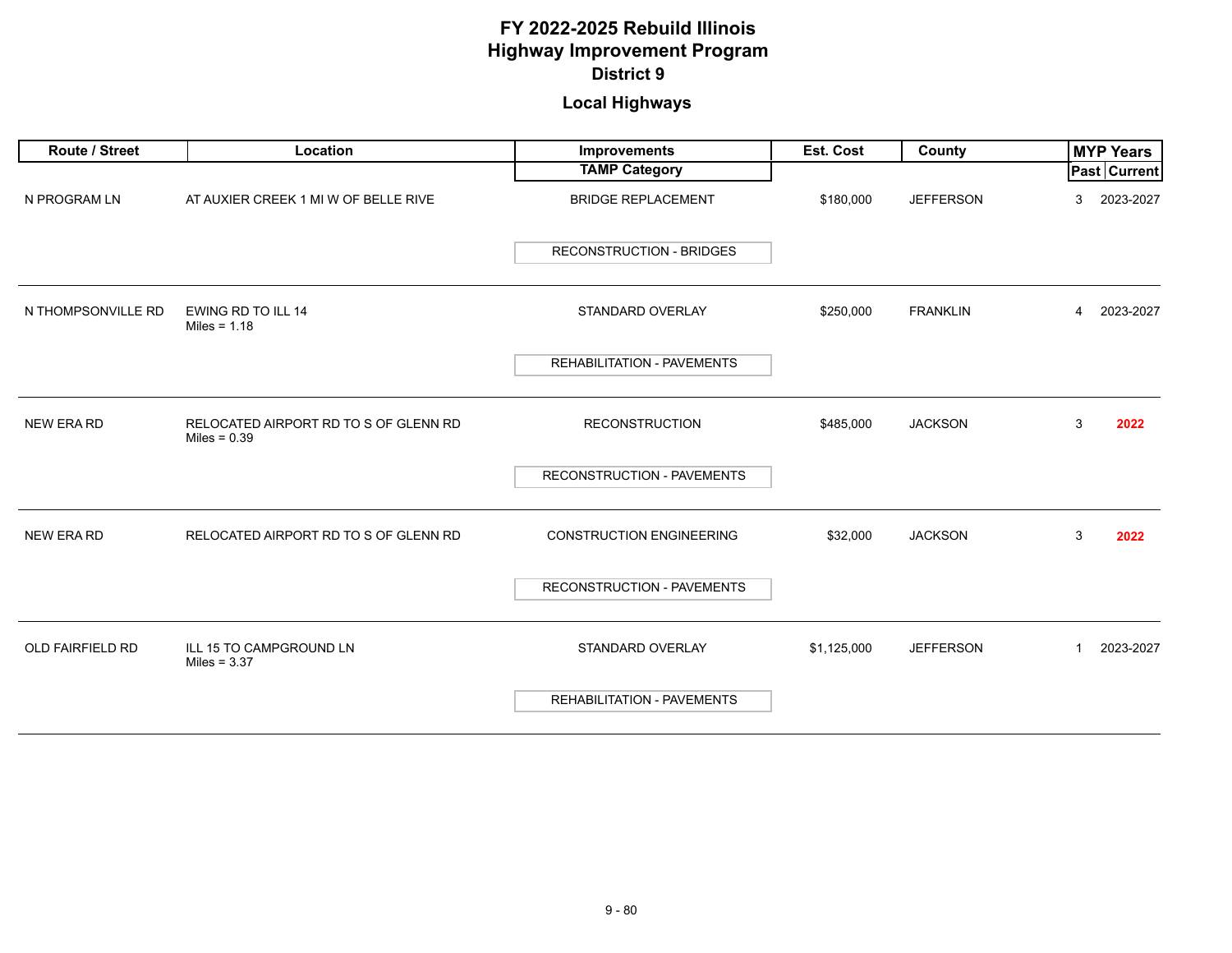| Route / Street          | Location                                                | Improvements                      | <b>Est. Cost</b> | County           | <b>MYP Years</b>          |
|-------------------------|---------------------------------------------------------|-----------------------------------|------------------|------------------|---------------------------|
|                         |                                                         | <b>TAMP Category</b>              |                  |                  | <b>Past Current</b>       |
| N PROGRAM LN            | AT AUXIER CREEK 1 MI W OF BELLE RIVE                    | <b>BRIDGE REPLACEMENT</b>         | \$180,000        | <b>JEFFERSON</b> | 2023-2027<br>3            |
|                         |                                                         | <b>RECONSTRUCTION - BRIDGES</b>   |                  |                  |                           |
| N THOMPSONVILLE RD      | EWING RD TO ILL 14<br>Miles = $1.18$                    | STANDARD OVERLAY                  | \$250,000        | <b>FRANKLIN</b>  | 2023-2027<br>4            |
|                         |                                                         | REHABILITATION - PAVEMENTS        |                  |                  |                           |
| <b>NEW ERA RD</b>       | RELOCATED AIRPORT RD TO S OF GLENN RD<br>Miles = $0.39$ | <b>RECONSTRUCTION</b>             | \$485,000        | <b>JACKSON</b>   | 3<br>2022                 |
|                         |                                                         | RECONSTRUCTION - PAVEMENTS        |                  |                  |                           |
| <b>NEW ERA RD</b>       | RELOCATED AIRPORT RD TO S OF GLENN RD                   | <b>CONSTRUCTION ENGINEERING</b>   | \$32,000         | <b>JACKSON</b>   | 3<br>2022                 |
|                         |                                                         | RECONSTRUCTION - PAVEMENTS        |                  |                  |                           |
| <b>OLD FAIRFIELD RD</b> | ILL 15 TO CAMPGROUND LN<br>Miles = $3.37$               | STANDARD OVERLAY                  | \$1,125,000      | <b>JEFFERSON</b> | 2023-2027<br>$\mathbf{1}$ |
|                         |                                                         | <b>REHABILITATION - PAVEMENTS</b> |                  |                  |                           |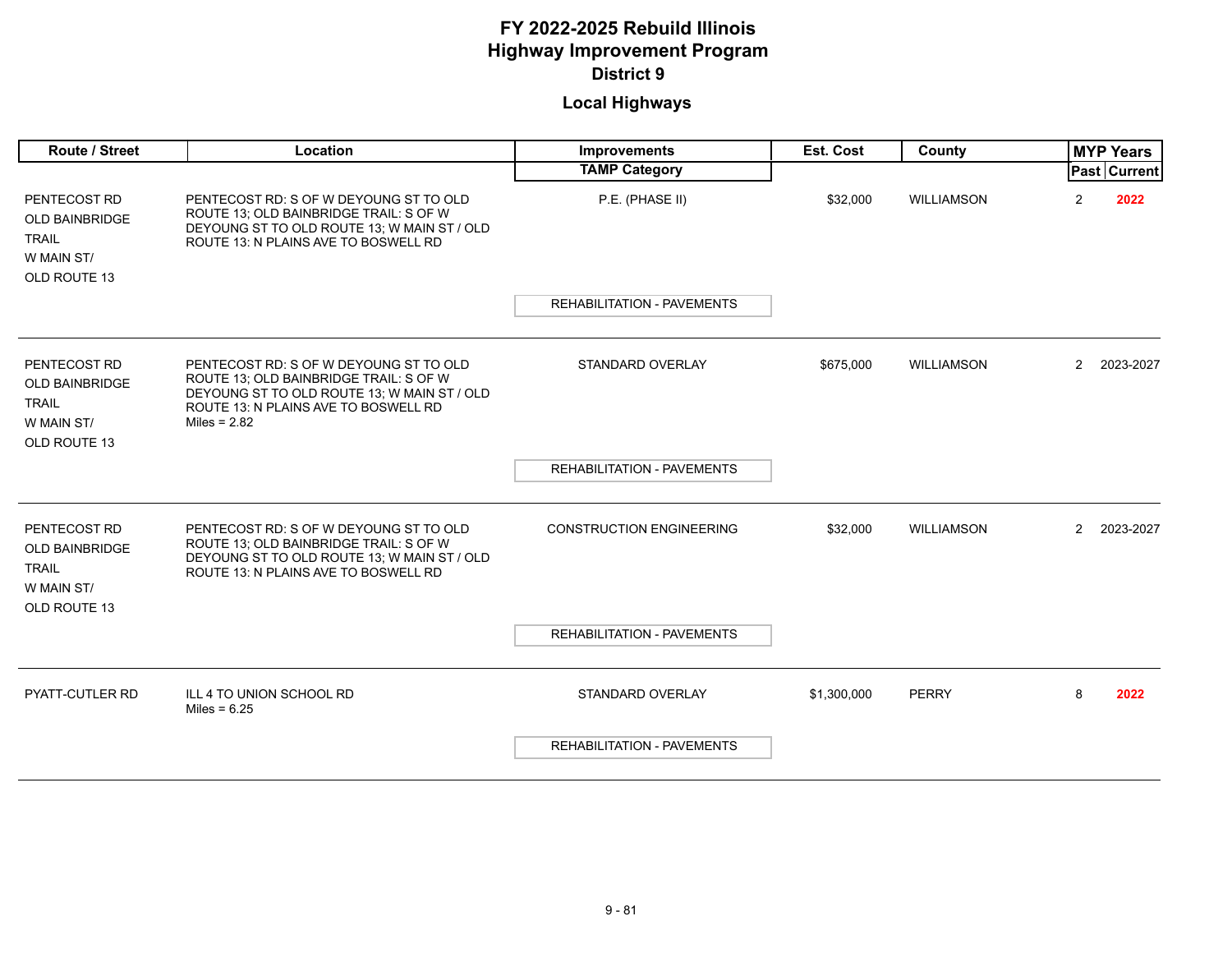| <b>Route / Street</b>                                                               | Location                                                                                                                                                                                  | <b>Improvements</b>               | <b>Est. Cost</b> | County            |                      | <b>MYP Years</b>      |
|-------------------------------------------------------------------------------------|-------------------------------------------------------------------------------------------------------------------------------------------------------------------------------------------|-----------------------------------|------------------|-------------------|----------------------|-----------------------|
|                                                                                     |                                                                                                                                                                                           | <b>TAMP Category</b>              |                  |                   |                      | <b>Past   Current</b> |
| PENTECOST RD<br><b>OLD BAINBRIDGE</b><br><b>TRAIL</b><br>W MAIN ST/<br>OLD ROUTE 13 | PENTECOST RD: S OF W DEYOUNG ST TO OLD<br>ROUTE 13; OLD BAINBRIDGE TRAIL: S OF W<br>DEYOUNG ST TO OLD ROUTE 13: W MAIN ST / OLD<br>ROUTE 13: N PLAINS AVE TO BOSWELL RD                   | P.E. (PHASE II)                   | \$32,000         | WILLIAMSON        | $\overline{2}$       | 2022                  |
|                                                                                     |                                                                                                                                                                                           | <b>REHABILITATION - PAVEMENTS</b> |                  |                   |                      |                       |
|                                                                                     |                                                                                                                                                                                           |                                   |                  |                   |                      |                       |
| PENTECOST RD<br><b>OLD BAINBRIDGE</b><br><b>TRAIL</b><br>W MAIN ST/<br>OLD ROUTE 13 | PENTECOST RD: S OF W DEYOUNG ST TO OLD<br>ROUTE 13; OLD BAINBRIDGE TRAIL: S OF W<br>DEYOUNG ST TO OLD ROUTE 13; W MAIN ST / OLD<br>ROUTE 13: N PLAINS AVE TO BOSWELL RD<br>Miles = $2.82$ | STANDARD OVERLAY                  | \$675,000        | WILLIAMSON        | $\overline{2}$       | 2023-2027             |
|                                                                                     |                                                                                                                                                                                           | <b>REHABILITATION - PAVEMENTS</b> |                  |                   |                      |                       |
|                                                                                     |                                                                                                                                                                                           |                                   |                  |                   |                      |                       |
| PENTECOST RD<br><b>OLD BAINBRIDGE</b><br><b>TRAIL</b><br>W MAIN ST/<br>OLD ROUTE 13 | PENTECOST RD: S OF W DEYOUNG ST TO OLD<br>ROUTE 13; OLD BAINBRIDGE TRAIL: S OF W<br>DEYOUNG ST TO OLD ROUTE 13; W MAIN ST / OLD<br>ROUTE 13: N PLAINS AVE TO BOSWELL RD                   | <b>CONSTRUCTION ENGINEERING</b>   | \$32,000         | <b>WILLIAMSON</b> | $\mathbf{2}^{\circ}$ | 2023-2027             |
|                                                                                     |                                                                                                                                                                                           | REHABILITATION - PAVEMENTS        |                  |                   |                      |                       |
|                                                                                     |                                                                                                                                                                                           |                                   |                  |                   |                      |                       |
| <b>PYATT-CUTLER RD</b>                                                              | ILL 4 TO UNION SCHOOL RD<br>Miles = $6.25$                                                                                                                                                | STANDARD OVERLAY                  | \$1,300,000      | <b>PERRY</b>      | 8                    | 2022                  |
|                                                                                     |                                                                                                                                                                                           | <b>REHABILITATION - PAVEMENTS</b> |                  |                   |                      |                       |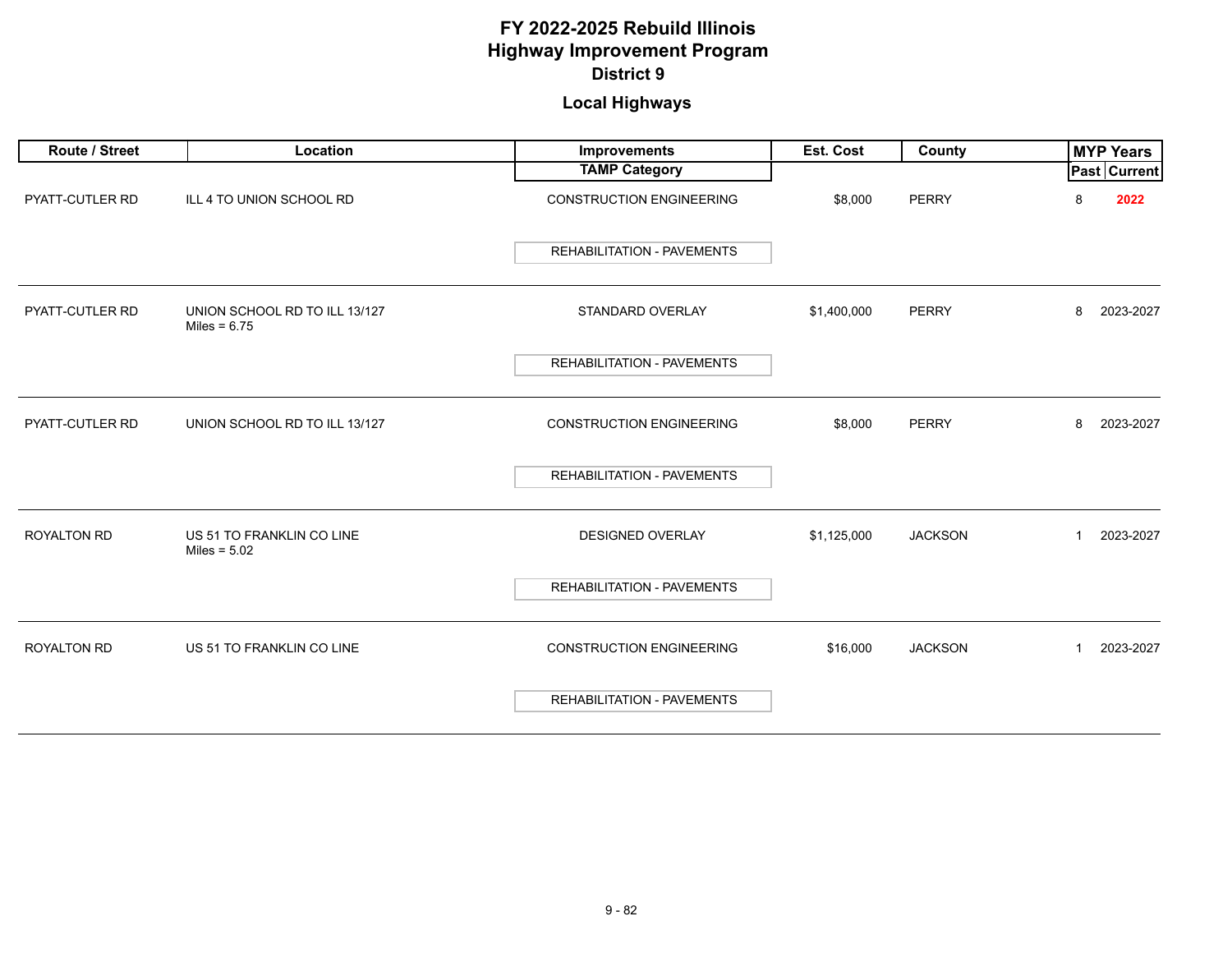| Route / Street     | Location                                        | Improvements                      | Est. Cost   | County         | <b>MYP Years</b>          |
|--------------------|-------------------------------------------------|-----------------------------------|-------------|----------------|---------------------------|
|                    |                                                 | <b>TAMP Category</b>              |             |                | <b>Past Current</b>       |
| PYATT-CUTLER RD    | ILL 4 TO UNION SCHOOL RD                        | <b>CONSTRUCTION ENGINEERING</b>   | \$8,000     | <b>PERRY</b>   | 8<br>2022                 |
|                    |                                                 | REHABILITATION - PAVEMENTS        |             |                |                           |
| PYATT-CUTLER RD    | UNION SCHOOL RD TO ILL 13/127<br>Miles = $6.75$ | STANDARD OVERLAY                  | \$1,400,000 | <b>PERRY</b>   | 2023-2027<br>8            |
|                    |                                                 | REHABILITATION - PAVEMENTS        |             |                |                           |
| PYATT-CUTLER RD    | UNION SCHOOL RD TO ILL 13/127                   | <b>CONSTRUCTION ENGINEERING</b>   | \$8,000     | <b>PERRY</b>   | 8<br>2023-2027            |
|                    |                                                 | REHABILITATION - PAVEMENTS        |             |                |                           |
| ROYALTON RD        | US 51 TO FRANKLIN CO LINE<br>Miles = $5.02$     | DESIGNED OVERLAY                  | \$1,125,000 | <b>JACKSON</b> | 2023-2027<br>1            |
|                    |                                                 | REHABILITATION - PAVEMENTS        |             |                |                           |
| <b>ROYALTON RD</b> | US 51 TO FRANKLIN CO LINE                       | <b>CONSTRUCTION ENGINEERING</b>   | \$16,000    | <b>JACKSON</b> | 2023-2027<br>$\mathbf{1}$ |
|                    |                                                 | <b>REHABILITATION - PAVEMENTS</b> |             |                |                           |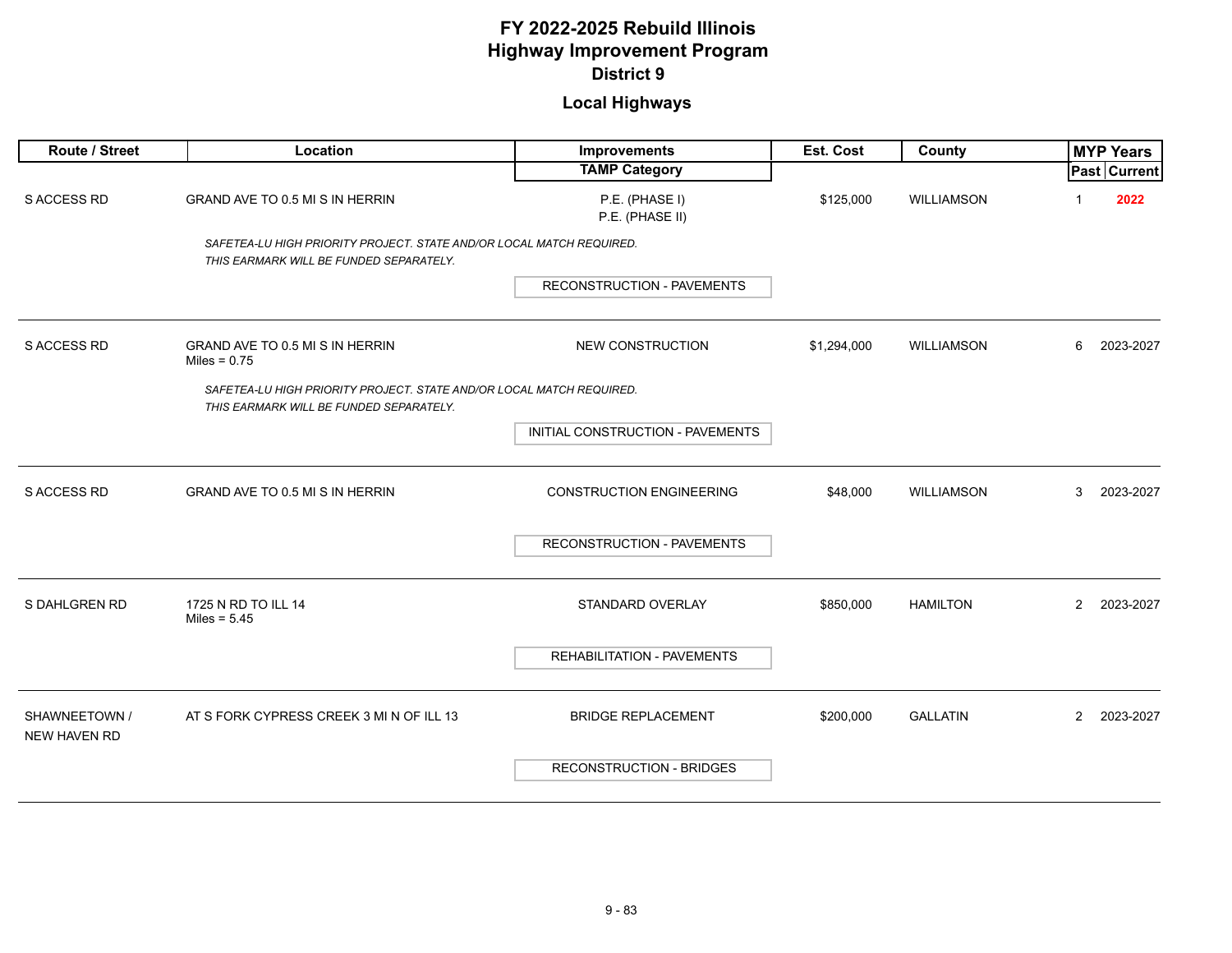| Route / Street                       | Location                                                                                                        | Improvements                      | Est. Cost   | County            | <b>MYP Years</b>            |
|--------------------------------------|-----------------------------------------------------------------------------------------------------------------|-----------------------------------|-------------|-------------------|-----------------------------|
|                                      |                                                                                                                 | <b>TAMP Category</b>              |             |                   | Past Current                |
| <b>S ACCESS RD</b>                   | GRAND AVE TO 0.5 MI S IN HERRIN                                                                                 | P.E. (PHASE I)<br>P.E. (PHASE II) | \$125,000   | <b>WILLIAMSON</b> | 2022                        |
|                                      | SAFETEA-LU HIGH PRIORITY PROJECT. STATE AND/OR LOCAL MATCH REQUIRED.<br>THIS EARMARK WILL BE FUNDED SEPARATELY. |                                   |             |                   |                             |
|                                      |                                                                                                                 | <b>RECONSTRUCTION - PAVEMENTS</b> |             |                   |                             |
| <b>S ACCESS RD</b>                   | GRAND AVE TO 0.5 MI S IN HERRIN<br>Miles = $0.75$                                                               | <b>NEW CONSTRUCTION</b>           | \$1,294,000 | WILLIAMSON        | 2023-2027<br>6              |
|                                      | SAFETEA-LU HIGH PRIORITY PROJECT. STATE AND/OR LOCAL MATCH REQUIRED.<br>THIS EARMARK WILL BE FUNDED SEPARATELY. |                                   |             |                   |                             |
|                                      |                                                                                                                 | INITIAL CONSTRUCTION - PAVEMENTS  |             |                   |                             |
| S ACCESS RD                          | GRAND AVE TO 0.5 MI S IN HERRIN                                                                                 | <b>CONSTRUCTION ENGINEERING</b>   | \$48,000    | WILLIAMSON        | 3<br>2023-2027              |
|                                      |                                                                                                                 | RECONSTRUCTION - PAVEMENTS        |             |                   |                             |
| S DAHLGREN RD                        | 1725 N RD TO ILL 14<br>Miles = $5.45$                                                                           | STANDARD OVERLAY                  | \$850,000   | <b>HAMILTON</b>   | $\overline{2}$<br>2023-2027 |
|                                      |                                                                                                                 | REHABILITATION - PAVEMENTS        |             |                   |                             |
| SHAWNEETOWN /<br><b>NEW HAVEN RD</b> | AT S FORK CYPRESS CREEK 3 MI N OF ILL 13                                                                        | <b>BRIDGE REPLACEMENT</b>         | \$200,000   | <b>GALLATIN</b>   | $\mathbf{2}$<br>2023-2027   |
|                                      |                                                                                                                 | <b>RECONSTRUCTION - BRIDGES</b>   |             |                   |                             |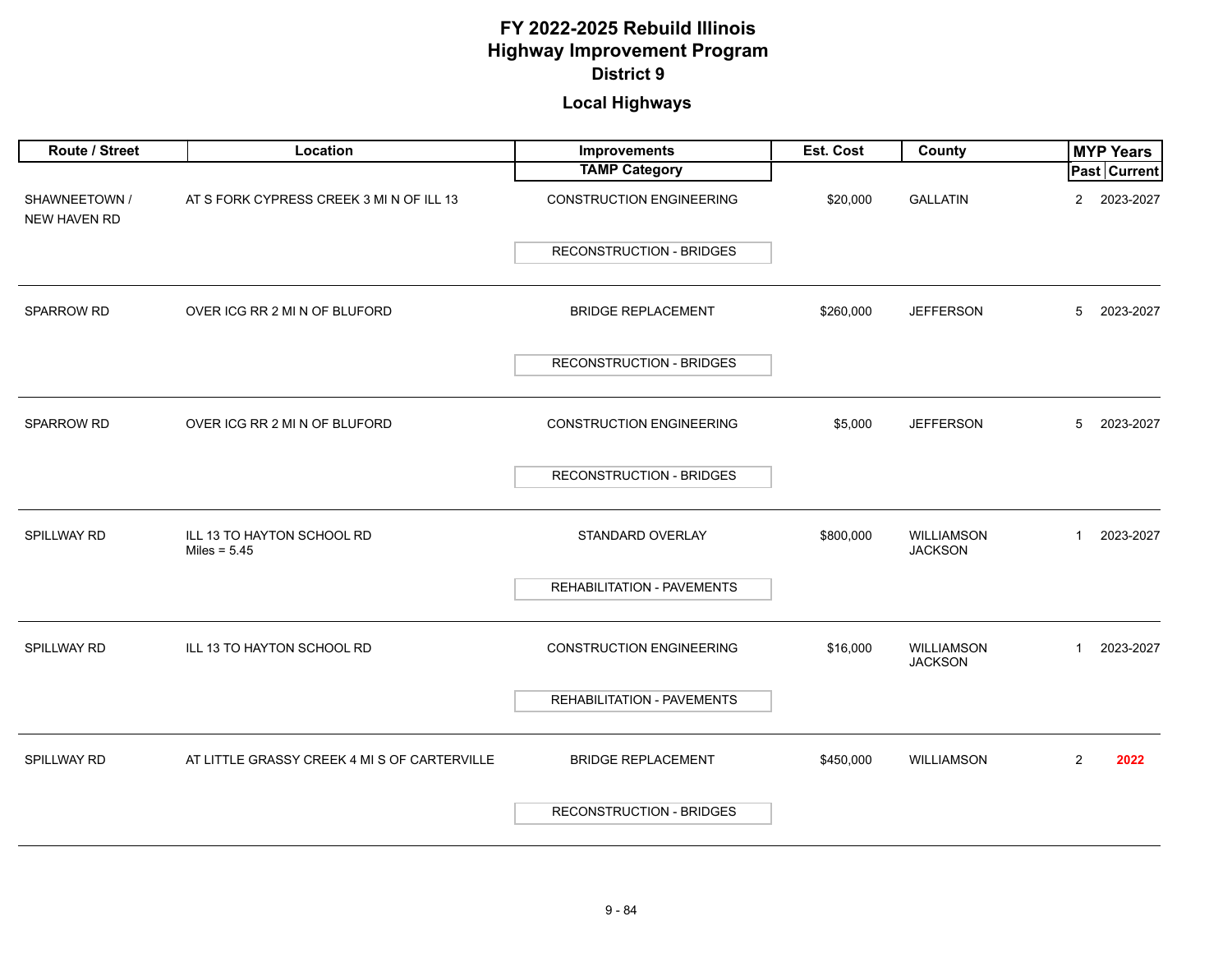| Route / Street                       | Location                                     | Improvements                    | Est. Cost | County                              | <b>MYP Years</b>            |
|--------------------------------------|----------------------------------------------|---------------------------------|-----------|-------------------------------------|-----------------------------|
|                                      |                                              | <b>TAMP Category</b>            |           |                                     | Past Current                |
| SHAWNEETOWN /<br><b>NEW HAVEN RD</b> | AT S FORK CYPRESS CREEK 3 MI N OF ILL 13     | <b>CONSTRUCTION ENGINEERING</b> | \$20,000  | <b>GALLATIN</b>                     | $\overline{2}$<br>2023-2027 |
|                                      |                                              | <b>RECONSTRUCTION - BRIDGES</b> |           |                                     |                             |
| SPARROW RD                           | OVER ICG RR 2 MI N OF BLUFORD                | <b>BRIDGE REPLACEMENT</b>       | \$260,000 | <b>JEFFERSON</b>                    | 5<br>2023-2027              |
|                                      |                                              | <b>RECONSTRUCTION - BRIDGES</b> |           |                                     |                             |
| SPARROW RD                           | OVER ICG RR 2 MI N OF BLUFORD                | <b>CONSTRUCTION ENGINEERING</b> | \$5,000   | <b>JEFFERSON</b>                    | 5<br>2023-2027              |
|                                      |                                              | <b>RECONSTRUCTION - BRIDGES</b> |           |                                     |                             |
| <b>SPILLWAY RD</b>                   | ILL 13 TO HAYTON SCHOOL RD<br>Miles = $5.45$ | STANDARD OVERLAY                | \$800,000 | <b>WILLIAMSON</b><br><b>JACKSON</b> | 2023-2027<br>$\mathbf{1}$   |
|                                      |                                              | REHABILITATION - PAVEMENTS      |           |                                     |                             |
| SPILLWAY RD                          | ILL 13 TO HAYTON SCHOOL RD                   | <b>CONSTRUCTION ENGINEERING</b> | \$16,000  | <b>WILLIAMSON</b><br><b>JACKSON</b> | 2023-2027<br>$\mathbf{1}$   |
|                                      |                                              | REHABILITATION - PAVEMENTS      |           |                                     |                             |
| SPILLWAY RD                          | AT LITTLE GRASSY CREEK 4 MI S OF CARTERVILLE | <b>BRIDGE REPLACEMENT</b>       | \$450,000 | <b>WILLIAMSON</b>                   | 2<br>2022                   |
|                                      |                                              | <b>RECONSTRUCTION - BRIDGES</b> |           |                                     |                             |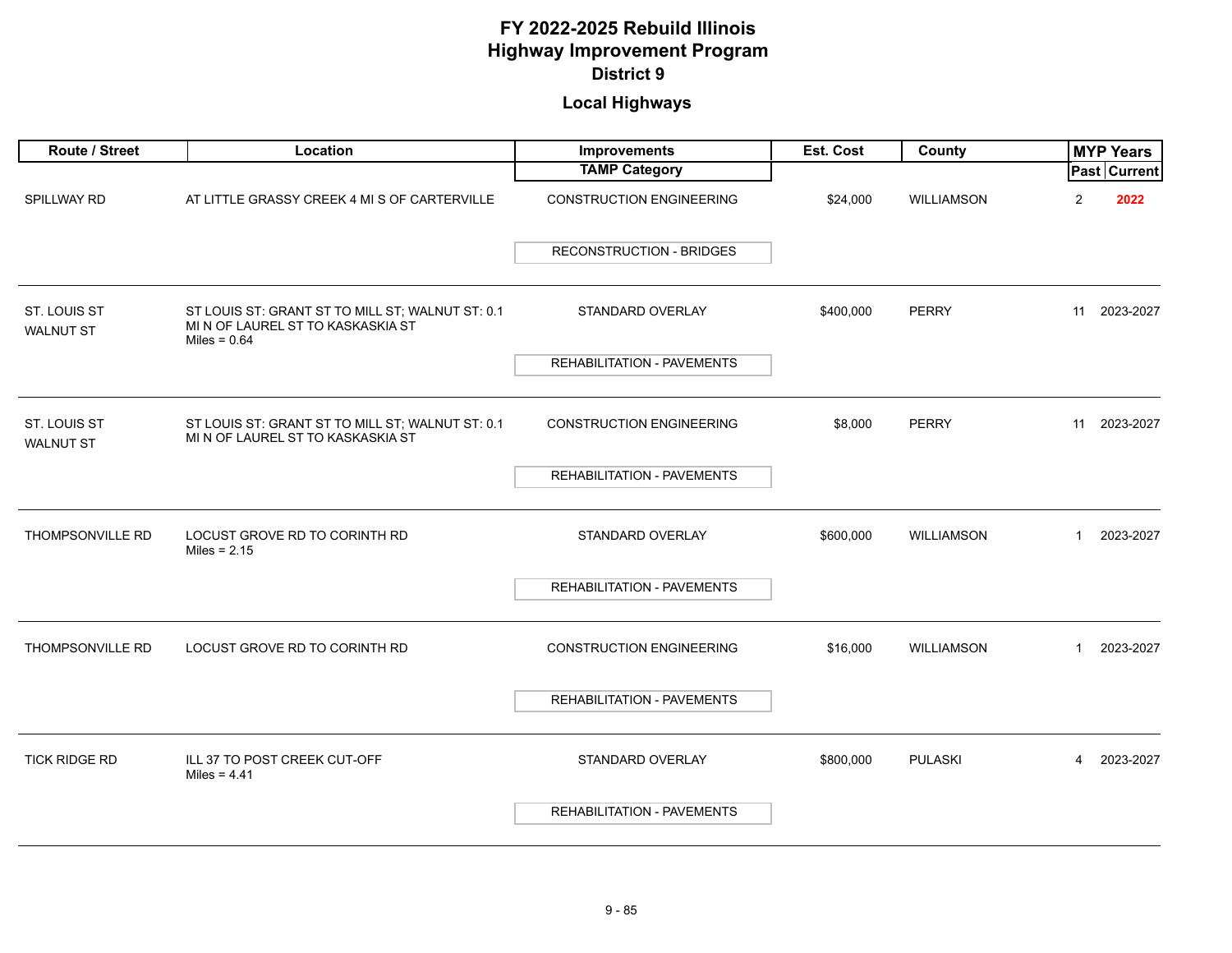| Route / Street                   | Location                                                                                                | Improvements                      | Est. Cost | County            | <b>MYP Years</b>          |
|----------------------------------|---------------------------------------------------------------------------------------------------------|-----------------------------------|-----------|-------------------|---------------------------|
|                                  |                                                                                                         | <b>TAMP Category</b>              |           |                   | Past Current              |
| SPILLWAY RD                      | AT LITTLE GRASSY CREEK 4 MI S OF CARTERVILLE                                                            | <b>CONSTRUCTION ENGINEERING</b>   | \$24,000  | WILLIAMSON        | 2<br>2022                 |
|                                  |                                                                                                         | <b>RECONSTRUCTION - BRIDGES</b>   |           |                   |                           |
| ST. LOUIS ST<br><b>WALNUT ST</b> | ST LOUIS ST: GRANT ST TO MILL ST; WALNUT ST: 0.1<br>MI N OF LAUREL ST TO KASKASKIA ST<br>Miles = $0.64$ | STANDARD OVERLAY                  | \$400,000 | <b>PERRY</b>      | 2023-2027<br>11           |
|                                  |                                                                                                         | REHABILITATION - PAVEMENTS        |           |                   |                           |
|                                  |                                                                                                         |                                   |           |                   |                           |
| ST. LOUIS ST<br><b>WALNUT ST</b> | ST LOUIS ST: GRANT ST TO MILL ST; WALNUT ST: 0.1<br>MI N OF LAUREL ST TO KASKASKIA ST                   | <b>CONSTRUCTION ENGINEERING</b>   | \$8,000   | <b>PERRY</b>      | 11<br>2023-2027           |
|                                  |                                                                                                         | <b>REHABILITATION - PAVEMENTS</b> |           |                   |                           |
|                                  |                                                                                                         |                                   |           |                   |                           |
| <b>THOMPSONVILLE RD</b>          | LOCUST GROVE RD TO CORINTH RD<br>Miles = $2.15$                                                         | STANDARD OVERLAY                  | \$600,000 | <b>WILLIAMSON</b> | 2023-2027<br>$\mathbf{1}$ |
|                                  |                                                                                                         | <b>REHABILITATION - PAVEMENTS</b> |           |                   |                           |
|                                  |                                                                                                         |                                   |           |                   |                           |
| <b>THOMPSONVILLE RD</b>          | LOCUST GROVE RD TO CORINTH RD                                                                           | <b>CONSTRUCTION ENGINEERING</b>   | \$16,000  | <b>WILLIAMSON</b> | 2023-2027<br>$\mathbf{1}$ |
|                                  |                                                                                                         | REHABILITATION - PAVEMENTS        |           |                   |                           |
|                                  |                                                                                                         |                                   |           |                   |                           |
| <b>TICK RIDGE RD</b>             | ILL 37 TO POST CREEK CUT-OFF<br>Miles = $4.41$                                                          | STANDARD OVERLAY                  | \$800,000 | <b>PULASKI</b>    | 2023-2027<br>4            |
|                                  |                                                                                                         | <b>REHABILITATION - PAVEMENTS</b> |           |                   |                           |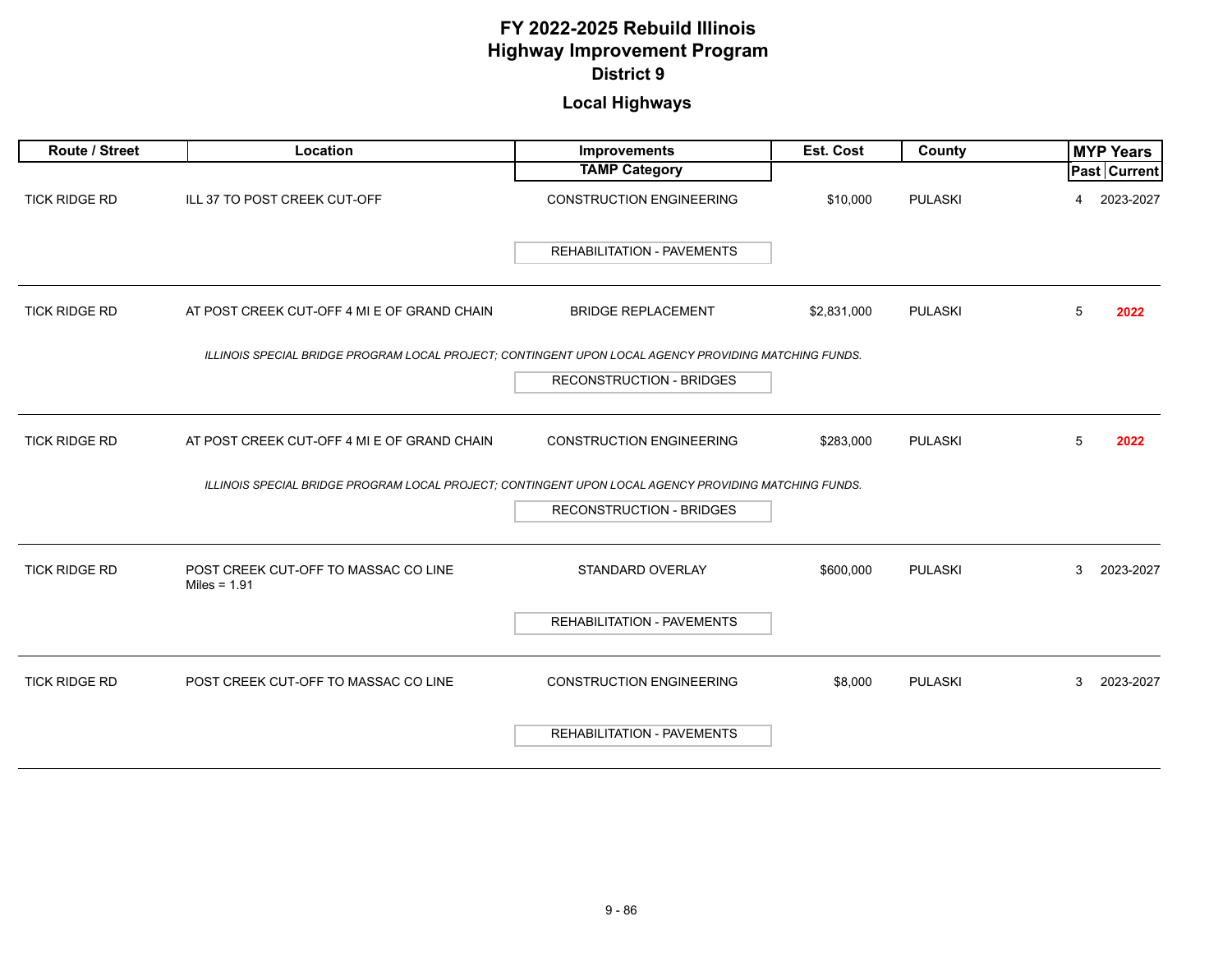| Route / Street       | Location                                                                                              | Improvements                      | Est. Cost   | <b>County</b>  | <b>MYP Years</b> |
|----------------------|-------------------------------------------------------------------------------------------------------|-----------------------------------|-------------|----------------|------------------|
|                      |                                                                                                       | <b>TAMP Category</b>              |             |                | Past Current     |
| <b>TICK RIDGE RD</b> | ILL 37 TO POST CREEK CUT-OFF                                                                          | <b>CONSTRUCTION ENGINEERING</b>   | \$10,000    | <b>PULASKI</b> | 2023-2027<br>4   |
|                      |                                                                                                       | REHABILITATION - PAVEMENTS        |             |                |                  |
| <b>TICK RIDGE RD</b> | AT POST CREEK CUT-OFF 4 MI E OF GRAND CHAIN                                                           | <b>BRIDGE REPLACEMENT</b>         | \$2,831,000 | <b>PULASKI</b> | 5<br>2022        |
|                      | ILLINOIS SPECIAL BRIDGE PROGRAM LOCAL PROJECT; CONTINGENT UPON LOCAL AGENCY PROVIDING MATCHING FUNDS. |                                   |             |                |                  |
|                      |                                                                                                       | <b>RECONSTRUCTION - BRIDGES</b>   |             |                |                  |
| <b>TICK RIDGE RD</b> | AT POST CREEK CUT-OFF 4 MI E OF GRAND CHAIN                                                           | <b>CONSTRUCTION ENGINEERING</b>   | \$283,000   | <b>PULASKI</b> | 5<br>2022        |
|                      | ILLINOIS SPECIAL BRIDGE PROGRAM LOCAL PROJECT; CONTINGENT UPON LOCAL AGENCY PROVIDING MATCHING FUNDS. |                                   |             |                |                  |
|                      |                                                                                                       | <b>RECONSTRUCTION - BRIDGES</b>   |             |                |                  |
| <b>TICK RIDGE RD</b> | POST CREEK CUT-OFF TO MASSAC CO LINE<br>Miles = $1.91$                                                | STANDARD OVERLAY                  | \$600,000   | <b>PULASKI</b> | 3<br>2023-2027   |
|                      |                                                                                                       | <b>REHABILITATION - PAVEMENTS</b> |             |                |                  |
| <b>TICK RIDGE RD</b> | POST CREEK CUT-OFF TO MASSAC CO LINE                                                                  | <b>CONSTRUCTION ENGINEERING</b>   | \$8,000     | <b>PULASKI</b> | 2023-2027<br>3   |
|                      |                                                                                                       | <b>REHABILITATION - PAVEMENTS</b> |             |                |                  |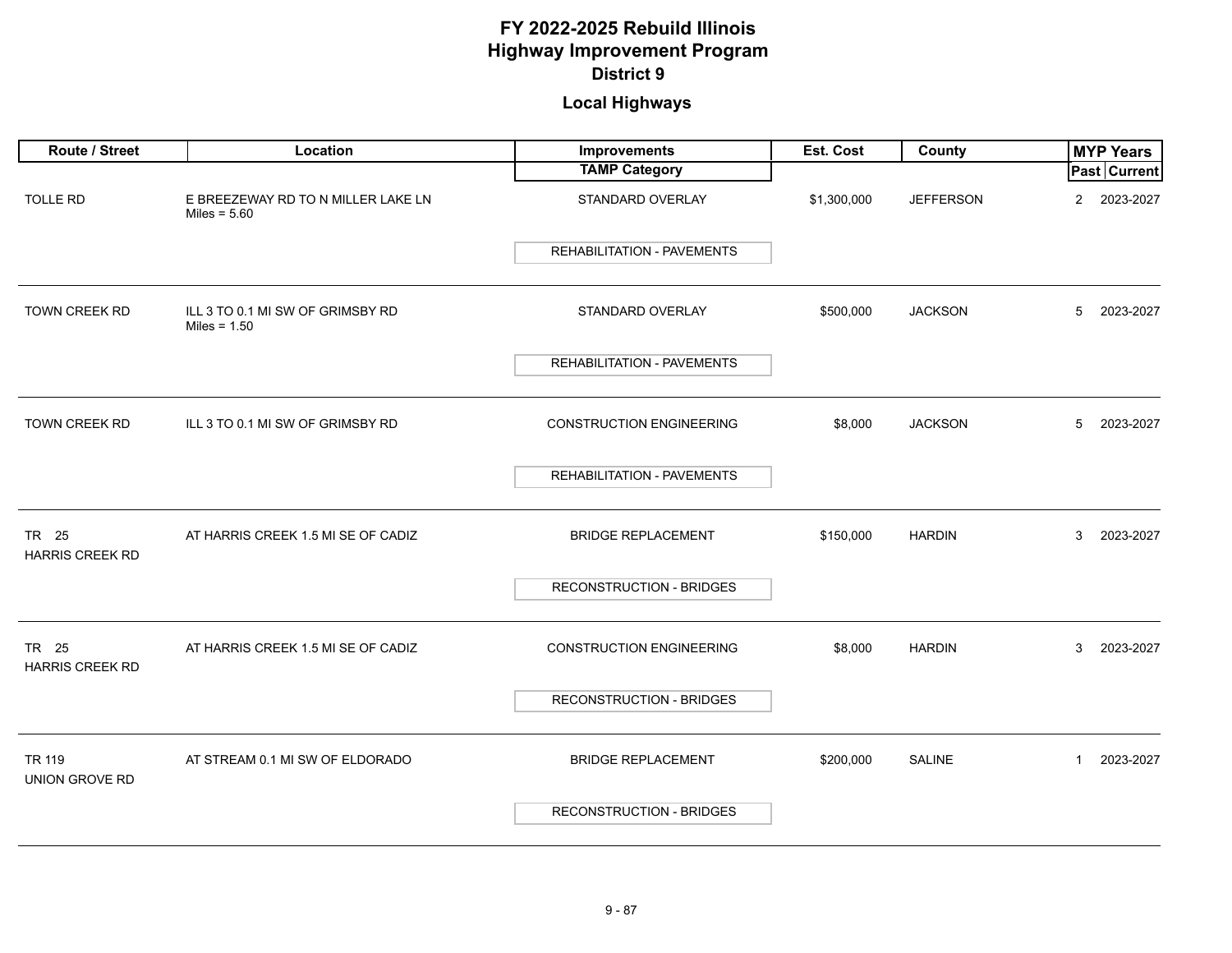| Route / Street                  | Location                                             | <b>Improvements</b>               | Est. Cost   | County           | <b>MYP Years</b>          |
|---------------------------------|------------------------------------------------------|-----------------------------------|-------------|------------------|---------------------------|
|                                 |                                                      | <b>TAMP Category</b>              |             |                  | <b>Past Current</b>       |
| <b>TOLLE RD</b>                 | E BREEZEWAY RD TO N MILLER LAKE LN<br>Miles = $5.60$ | STANDARD OVERLAY                  | \$1,300,000 | <b>JEFFERSON</b> | $\mathbf{2}$<br>2023-2027 |
|                                 |                                                      | <b>REHABILITATION - PAVEMENTS</b> |             |                  |                           |
| TOWN CREEK RD                   | ILL 3 TO 0.1 MI SW OF GRIMSBY RD<br>Miles = $1.50$   | STANDARD OVERLAY                  | \$500,000   | <b>JACKSON</b>   | 5<br>2023-2027            |
|                                 |                                                      | REHABILITATION - PAVEMENTS        |             |                  |                           |
| TOWN CREEK RD                   | ILL 3 TO 0.1 MI SW OF GRIMSBY RD                     | <b>CONSTRUCTION ENGINEERING</b>   | \$8,000     | <b>JACKSON</b>   | 5<br>2023-2027            |
|                                 |                                                      | REHABILITATION - PAVEMENTS        |             |                  |                           |
| TR 25<br><b>HARRIS CREEK RD</b> | AT HARRIS CREEK 1.5 MI SE OF CADIZ                   | <b>BRIDGE REPLACEMENT</b>         | \$150,000   | <b>HARDIN</b>    | 3<br>2023-2027            |
|                                 |                                                      | RECONSTRUCTION - BRIDGES          |             |                  |                           |
| TR 25<br><b>HARRIS CREEK RD</b> | AT HARRIS CREEK 1.5 MI SE OF CADIZ                   | <b>CONSTRUCTION ENGINEERING</b>   | \$8,000     | <b>HARDIN</b>    | 3<br>2023-2027            |
|                                 |                                                      | RECONSTRUCTION - BRIDGES          |             |                  |                           |
| TR 119<br><b>UNION GROVE RD</b> | AT STREAM 0.1 MI SW OF ELDORADO                      | <b>BRIDGE REPLACEMENT</b>         | \$200,000   | <b>SALINE</b>    | 2023-2027<br>$\mathbf{1}$ |
|                                 |                                                      | <b>RECONSTRUCTION - BRIDGES</b>   |             |                  |                           |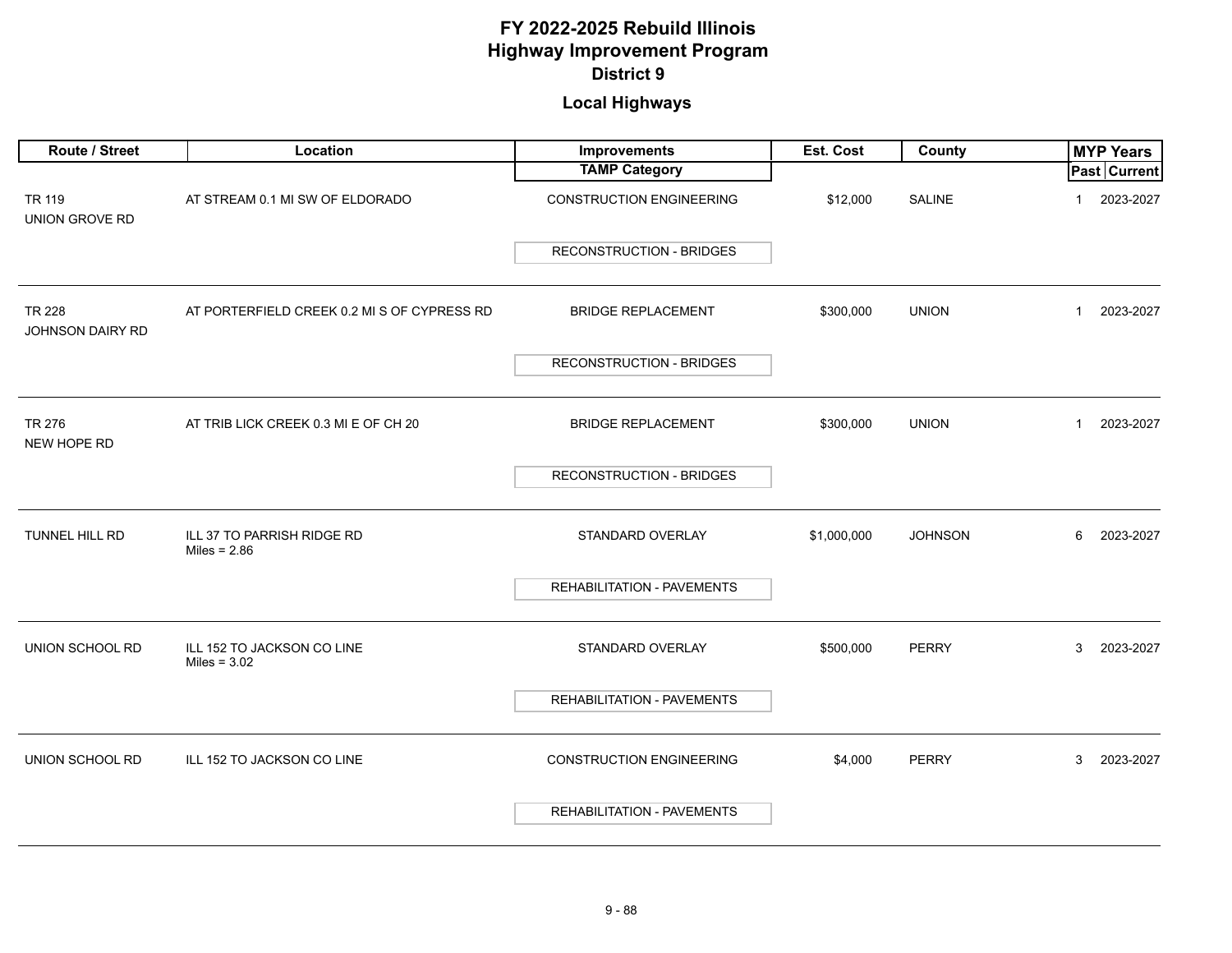| Route / Street                    | Location                                     | Improvements                      | Est. Cost   | County         | <b>MYP Years</b>            |
|-----------------------------------|----------------------------------------------|-----------------------------------|-------------|----------------|-----------------------------|
|                                   |                                              | <b>TAMP Category</b>              |             |                | <b>Past Current</b>         |
| TR 119<br>UNION GROVE RD          | AT STREAM 0.1 MI SW OF ELDORADO              | <b>CONSTRUCTION ENGINEERING</b>   | \$12,000    | <b>SALINE</b>  | 2023-2027<br>-1             |
|                                   |                                              | <b>RECONSTRUCTION - BRIDGES</b>   |             |                |                             |
| <b>TR 228</b><br>JOHNSON DAIRY RD | AT PORTERFIELD CREEK 0.2 MI S OF CYPRESS RD  | <b>BRIDGE REPLACEMENT</b>         | \$300,000   | <b>UNION</b>   | 2023-2027<br>$\mathbf{1}$   |
|                                   |                                              | <b>RECONSTRUCTION - BRIDGES</b>   |             |                |                             |
| TR 276<br>NEW HOPE RD             | AT TRIB LICK CREEK 0.3 MI E OF CH 20         | <b>BRIDGE REPLACEMENT</b>         | \$300,000   | <b>UNION</b>   | 2023-2027<br>$\overline{1}$ |
|                                   |                                              | <b>RECONSTRUCTION - BRIDGES</b>   |             |                |                             |
| TUNNEL HILL RD                    | ILL 37 TO PARRISH RIDGE RD<br>Miles = $2.86$ | STANDARD OVERLAY                  | \$1,000,000 | <b>JOHNSON</b> | 6<br>2023-2027              |
|                                   |                                              | REHABILITATION - PAVEMENTS        |             |                |                             |
| UNION SCHOOL RD                   | ILL 152 TO JACKSON CO LINE<br>Miles = $3.02$ | STANDARD OVERLAY                  | \$500,000   | <b>PERRY</b>   | 3<br>2023-2027              |
|                                   |                                              | REHABILITATION - PAVEMENTS        |             |                |                             |
| UNION SCHOOL RD                   | ILL 152 TO JACKSON CO LINE                   | <b>CONSTRUCTION ENGINEERING</b>   | \$4,000     | <b>PERRY</b>   | 3<br>2023-2027              |
|                                   |                                              | <b>REHABILITATION - PAVEMENTS</b> |             |                |                             |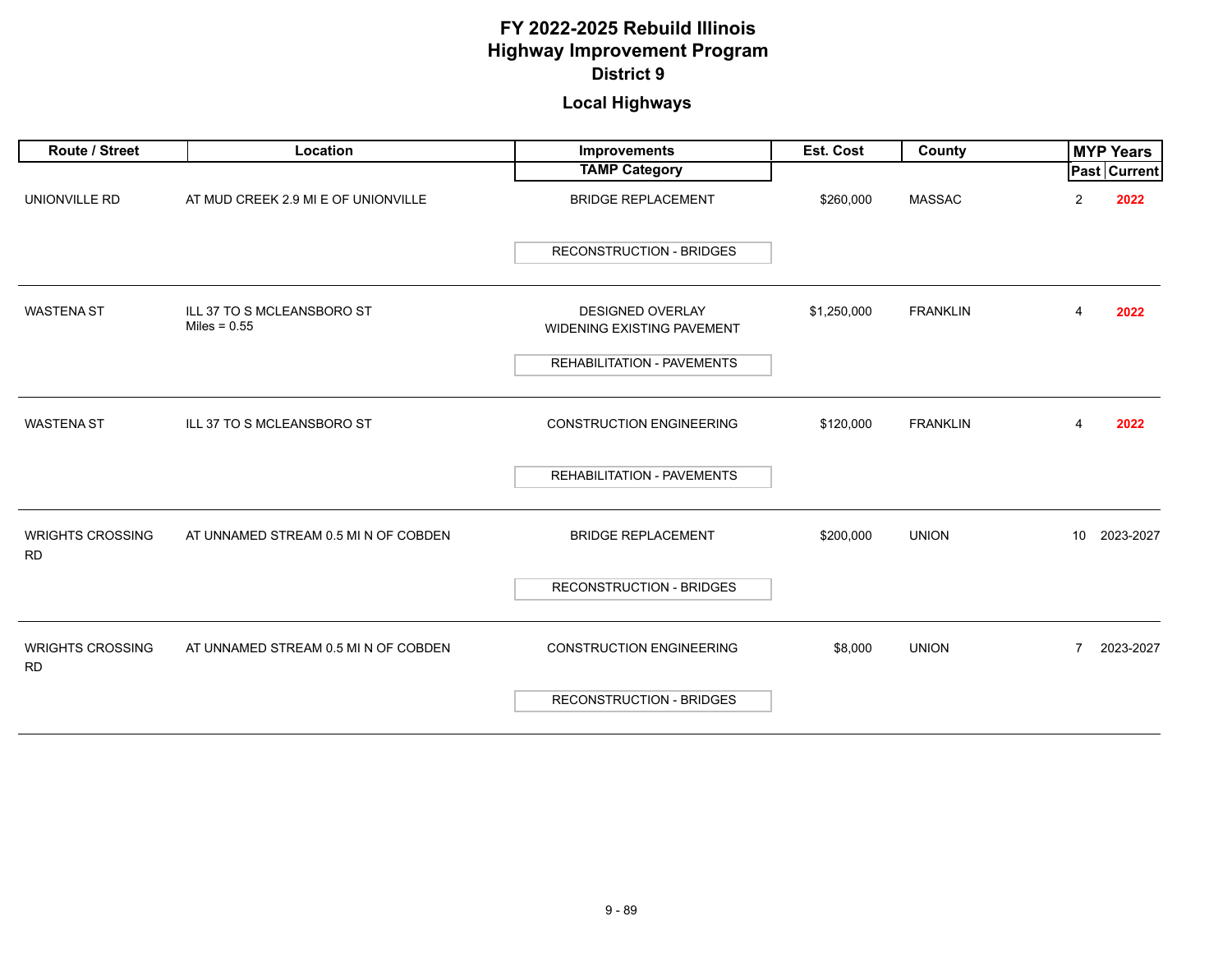| <b>Route / Street</b>                | Location                                     | Improvements                                                 | Est. Cost   | County          | <b>MYP Years</b>             |
|--------------------------------------|----------------------------------------------|--------------------------------------------------------------|-------------|-----------------|------------------------------|
|                                      |                                              | <b>TAMP Category</b>                                         |             |                 | <b>Past Current</b>          |
| UNIONVILLE RD                        | AT MUD CREEK 2.9 MI E OF UNIONVILLE          | <b>BRIDGE REPLACEMENT</b>                                    | \$260,000   | <b>MASSAC</b>   | 2022<br>2                    |
|                                      |                                              | <b>RECONSTRUCTION - BRIDGES</b>                              |             |                 |                              |
| <b>WASTENA ST</b>                    | ILL 37 TO S MCLEANSBORO ST<br>Miles = $0.55$ | <b>DESIGNED OVERLAY</b><br><b>WIDENING EXISTING PAVEMENT</b> | \$1,250,000 | <b>FRANKLIN</b> | 2022<br>4                    |
|                                      |                                              | REHABILITATION - PAVEMENTS                                   |             |                 |                              |
| <b>WASTENA ST</b>                    | ILL 37 TO S MCLEANSBORO ST                   | <b>CONSTRUCTION ENGINEERING</b>                              | \$120,000   | <b>FRANKLIN</b> | 2022<br>4                    |
|                                      |                                              | <b>REHABILITATION - PAVEMENTS</b>                            |             |                 |                              |
| <b>WRIGHTS CROSSING</b><br><b>RD</b> | AT UNNAMED STREAM 0.5 MI N OF COBDEN         | <b>BRIDGE REPLACEMENT</b>                                    | \$200,000   | <b>UNION</b>    | 2023-2027<br>10 <sup>°</sup> |
|                                      |                                              | <b>RECONSTRUCTION - BRIDGES</b>                              |             |                 |                              |
| <b>WRIGHTS CROSSING</b><br><b>RD</b> | AT UNNAMED STREAM 0.5 MI N OF COBDEN         | <b>CONSTRUCTION ENGINEERING</b>                              | \$8,000     | <b>UNION</b>    | 2023-2027<br>$\overline{7}$  |
|                                      |                                              | <b>RECONSTRUCTION - BRIDGES</b>                              |             |                 |                              |